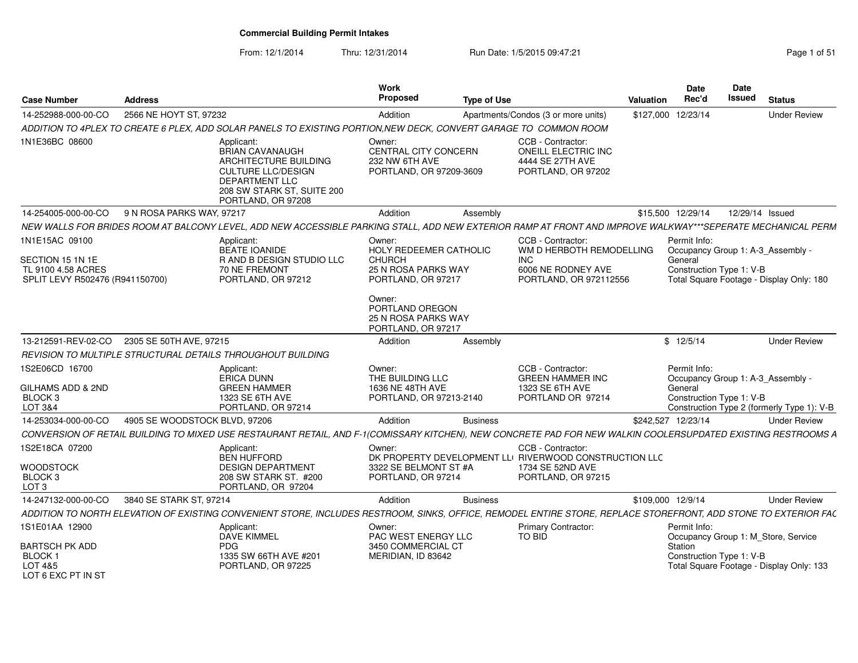From: 12/1/2014Thru: 12/31/2014 Run Date: 1/5/2015 09:47:21 Research 2010 12:31/2014 Page 1 of 51

| <b>Case Number</b>                                                                          | <b>Address</b>                |                                                                                                                                                                  | Work<br>Proposed                                                                        | <b>Type of Use</b> |                                                                                                                       | <b>Valuation</b>   | Date<br>Rec'd                                       | Date<br>Issued  | <b>Status</b>                                                                   |
|---------------------------------------------------------------------------------------------|-------------------------------|------------------------------------------------------------------------------------------------------------------------------------------------------------------|-----------------------------------------------------------------------------------------|--------------------|-----------------------------------------------------------------------------------------------------------------------|--------------------|-----------------------------------------------------|-----------------|---------------------------------------------------------------------------------|
| 14-252988-000-00-CO                                                                         | 2566 NE HOYT ST, 97232        |                                                                                                                                                                  | Addition                                                                                |                    | Apartments/Condos (3 or more units)                                                                                   | \$127,000 12/23/14 |                                                     |                 | <b>Under Review</b>                                                             |
|                                                                                             |                               | ADDITION TO 4PLEX TO CREATE 6 PLEX, ADD SOLAR PANELS TO EXISTING PORTION, NEW DECK, CONVERT GARAGE TO COMMON ROOM                                                |                                                                                         |                    |                                                                                                                       |                    |                                                     |                 |                                                                                 |
| 1N1E36BC 08600                                                                              |                               | Applicant:<br>BRIAN CAVANAUGH<br>ARCHITECTURE BUILDING<br><b>CULTURE LLC/DESIGN</b><br><b>DEPARTMENT LLC</b><br>208 SW STARK ST, SUITE 200<br>PORTLAND, OR 97208 | Owner:<br><b>CENTRAL CITY CONCERN</b><br>232 NW 6TH AVE<br>PORTLAND, OR 97209-3609      |                    | CCB - Contractor:<br>ONEILL ELECTRIC INC<br>4444 SE 27TH AVE<br>PORTLAND, OR 97202                                    |                    |                                                     |                 |                                                                                 |
| 14-254005-000-00-CO                                                                         | 9 N ROSA PARKS WAY, 97217     |                                                                                                                                                                  | Addition                                                                                | Assembly           |                                                                                                                       |                    | \$15.500 12/29/14                                   | 12/29/14 Issued |                                                                                 |
|                                                                                             |                               | NEW WALLS FOR BRIDES ROOM AT BALCONY LEVEL, ADD NEW ACCESSIBLE PARKING STALL, ADD NEW EXTERIOR RAMP AT FRONT AND IMPROVE WALKWAY***SEPERATE MECHANICAL PERM      |                                                                                         |                    |                                                                                                                       |                    |                                                     |                 |                                                                                 |
| 1N1E15AC 09100<br>SECTION 15 1N 1E<br>TL 9100 4.58 ACRES<br>SPLIT LEVY R502476 (R941150700) |                               | Applicant:<br><b>BEATE IOANIDE</b><br>R AND B DESIGN STUDIO LLC<br>70 NE FREMONT<br>PORTLAND, OR 97212                                                           | Owner:<br>HOLY REDEEMER CATHOLIC<br>CHURCH<br>25 N ROSA PARKS WAY<br>PORTLAND, OR 97217 |                    | CCB - Contractor<br>WM D HERBOTH REMODELLING<br><b>INC</b><br>6006 NE RODNEY AVE<br>PORTLAND, OR 972112556            |                    | Permit Info:<br>General<br>Construction Type 1: V-B |                 | Occupancy Group 1: A-3 Assembly -<br>Total Square Footage - Display Only: 180   |
|                                                                                             |                               |                                                                                                                                                                  | Owner:<br>PORTLAND OREGON<br><b>25 N ROSA PARKS WAY</b><br>PORTLAND, OR 97217           |                    |                                                                                                                       |                    |                                                     |                 |                                                                                 |
| 13-212591-REV-02-CO                                                                         | 2305 SE 50TH AVE, 97215       |                                                                                                                                                                  | Addition                                                                                | Assembly           |                                                                                                                       |                    | \$12/5/14                                           |                 | <b>Under Review</b>                                                             |
|                                                                                             |                               | REVISION TO MULTIPLE STRUCTURAL DETAILS THROUGHOUT BUILDING                                                                                                      |                                                                                         |                    |                                                                                                                       |                    |                                                     |                 |                                                                                 |
| 1S2E06CD 16700<br>GILHAMS ADD & 2ND<br>BLOCK <sub>3</sub><br>LOT 3&4                        |                               | Applicant:<br>ERICA DUNN<br><b>GREEN HAMMER</b><br>1323 SE 6TH AVE<br>PORTLAND, OR 97214                                                                         | Owner:<br>THE BUILDING LLC<br>1636 NE 48TH AVE<br>PORTLAND, OR 97213-2140               |                    | CCB - Contractor<br><b>GREEN HAMMER INC</b><br>1323 SE 6TH AVE<br>PORTLAND OR 97214                                   |                    | Permit Info:<br>General<br>Construction Type 1: V-B |                 | Occupancy Group 1: A-3 Assembly -<br>Construction Type 2 (formerly Type 1): V-B |
| 14-253034-000-00-CO                                                                         | 4905 SE WOODSTOCK BLVD, 97206 |                                                                                                                                                                  | Addition                                                                                | <b>Business</b>    |                                                                                                                       | \$242,527 12/23/14 |                                                     |                 | <b>Under Review</b>                                                             |
|                                                                                             |                               | CONVERSION OF RETAIL BUILDING TO MIXED USE RESTAURANT RETAIL, AND F-1(COMISSARY KITCHEN), NEW CONCRETE PAD FOR NEW WALKIN COOLERSUPDATED EXISTING RESTROOMS A    |                                                                                         |                    |                                                                                                                       |                    |                                                     |                 |                                                                                 |
| 1S2E18CA 07200<br><b>WOODSTOCK</b><br>BLOCK <sub>3</sub><br>LOT <sub>3</sub>                |                               | Applicant:<br><b>BEN HUFFORD</b><br><b>DESIGN DEPARTMENT</b><br>208 SW STARK ST. #200<br>PORTLAND, OR 97204                                                      | Owner:<br>3322 SE BELMONT ST #A<br>PORTLAND, OR 97214                                   |                    | CCB - Contractor:<br>DK PROPERTY DEVELOPMENT LLI RIVERWOOD CONSTRUCTION LLC<br>1734 SE 52ND AVE<br>PORTLAND, OR 97215 |                    |                                                     |                 |                                                                                 |
| 14-247132-000-00-CO                                                                         | 3840 SE STARK ST. 97214       |                                                                                                                                                                  | Addition                                                                                | <b>Business</b>    |                                                                                                                       | \$109,000 12/9/14  |                                                     |                 | <b>Under Review</b>                                                             |
|                                                                                             |                               | ADDITION TO NORTH ELEVATION OF EXISTING CONVENIENT STORE. INCLUDES RESTROOM. SINKS. OFFICE. REMODEL ENTIRE STORE. REPLACE STOREFRONT. ADD STONE TO EXTERIOR FAC  |                                                                                         |                    |                                                                                                                       |                    |                                                     |                 |                                                                                 |
| 1S1E01AA 12900<br><b>BARTSCH PK ADD</b><br><b>BLOCK1</b><br>LOT 4&5<br>LOT 6 EXC PT IN ST   |                               | Applicant:<br>DAVE KIMMEL<br><b>PDG</b><br>1335 SW 66TH AVE #201<br>PORTLAND, OR 97225                                                                           | Owner:<br>PAC WEST ENERGY LLC<br>3450 COMMERCIAL CT<br>MERIDIAN. ID 83642               |                    | <b>Primary Contractor:</b><br>TO BID                                                                                  |                    | Permit Info:<br>Station<br>Construction Type 1: V-B |                 | Occupancy Group 1: M Store, Service<br>Total Square Footage - Display Only: 133 |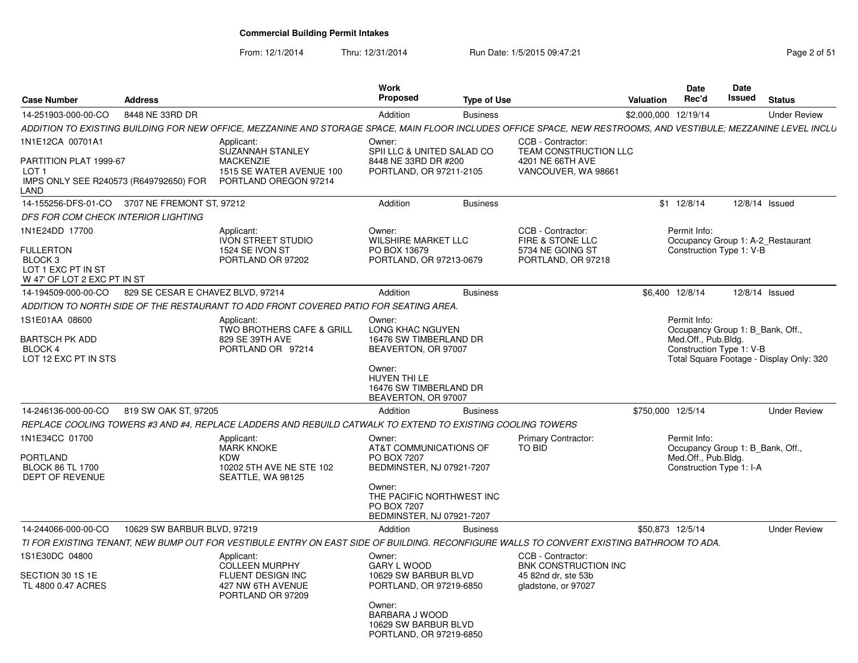From: 12/1/2014

Thru: 12/31/2014 Run Date: 1/5/2015 09:47:21 Page 2 of 51

| <b>Case Number</b><br><b>Address</b>                                                                                                                             |                                                                                         | Work<br>Proposed                                                                | <b>Type of Use</b> |                                                               | Date<br>Rec'd<br>Valuation          | <b>Date</b><br>Issued<br><b>Status</b>                               |
|------------------------------------------------------------------------------------------------------------------------------------------------------------------|-----------------------------------------------------------------------------------------|---------------------------------------------------------------------------------|--------------------|---------------------------------------------------------------|-------------------------------------|----------------------------------------------------------------------|
| 14-251903-000-00-CO<br>8448 NE 33RD DR                                                                                                                           |                                                                                         | Addition                                                                        | <b>Business</b>    |                                                               | \$2,000,000 12/19/14                | <b>Under Review</b>                                                  |
| ADDITION TO EXISTING BUILDING FOR NEW OFFICE, MEZZANINE AND STORAGE SPACE, MAIN FLOOR INCLUDES OFFICE SPACE, NEW RESTROOMS, AND VESTIBULE; MEZZANINE LEVEL INCLU |                                                                                         |                                                                                 |                    |                                                               |                                     |                                                                      |
| 1N1E12CA 00701A1<br>PARTITION PLAT 1999-67                                                                                                                       | Applicant:<br>SUZANNAH STANLEY<br><b>MACKENZIE</b>                                      | Owner:<br>SPII LLC & UNITED SALAD CO<br>8448 NE 33RD DR #200                    |                    | CCB - Contractor<br>TEAM CONSTRUCTION LLC<br>4201 NE 66TH AVE |                                     |                                                                      |
| LOT <sub>1</sub><br>IMPS ONLY SEE R240573 (R649792650) FOR<br>LAND                                                                                               | 1515 SE WATER AVENUE 100<br>PORTLAND OREGON 97214                                       | PORTLAND, OR 97211-2105                                                         |                    | VANCOUVER, WA 98661                                           |                                     |                                                                      |
| 14-155256-DFS-01-CO 3707 NE FREMONT ST, 97212                                                                                                                    |                                                                                         | Addition                                                                        | <b>Business</b>    |                                                               | \$1 12/8/14                         | 12/8/14 Issued                                                       |
| DFS FOR COM CHECK INTERIOR LIGHTING                                                                                                                              |                                                                                         |                                                                                 |                    |                                                               |                                     |                                                                      |
| 1N1E24DD 17700                                                                                                                                                   | Applicant:                                                                              | Owner:                                                                          |                    | CCB - Contractor:                                             | Permit Info:                        |                                                                      |
| <b>FULLERTON</b><br>BLOCK 3<br>LOT 1 EXC PT IN ST<br>W 47' OF LOT 2 EXC PT IN ST                                                                                 | <b>IVON STREET STUDIO</b><br>1524 SE IVON ST<br>PORTLAND OR 97202                       | <b>WILSHIRE MARKET LLC</b><br>PO BOX 13679<br>PORTLAND, OR 97213-0679           |                    | FIRE & STONE LLC<br>5734 NE GOING ST<br>PORTLAND, OR 97218    |                                     | Occupancy Group 1: A-2_Restaurant<br>Construction Type 1: V-B        |
| 829 SE CESAR E CHAVEZ BLVD, 97214<br>14-194509-000-00-CO                                                                                                         |                                                                                         | Addition                                                                        | <b>Business</b>    |                                                               | \$6,400 12/8/14                     | 12/8/14 Issued                                                       |
| ADDITION TO NORTH SIDE OF THE RESTAURANT TO ADD FRONT COVERED PATIO FOR SEATING AREA.                                                                            |                                                                                         |                                                                                 |                    |                                                               |                                     |                                                                      |
| 1S1E01AA 08600                                                                                                                                                   | Applicant:<br><b>TWO BROTHERS CAFE &amp; GRILL</b>                                      | Owner:<br>LONG KHAC NGUYEN                                                      |                    |                                                               | Permit Info:                        | Occupancy Group 1: B Bank, Off.,                                     |
| BARTSCH PK ADD<br><b>BLOCK 4</b><br>LOT 12 EXC PT IN STS                                                                                                         | 829 SE 39TH AVE<br>PORTLAND OR 97214                                                    | 16476 SW TIMBERLAND DR<br>BEAVERTON, OR 97007                                   |                    |                                                               | Med.Off., Pub.Bldg.                 | Construction Type 1: V-B<br>Total Square Footage - Display Only: 320 |
|                                                                                                                                                                  |                                                                                         | Owner:<br>HUYEN THI LE<br>16476 SW TIMBERLAND DR<br>BEAVERTON, OR 97007         |                    |                                                               |                                     |                                                                      |
| 14-246136-000-00-CO 819 SW OAK ST, 97205                                                                                                                         |                                                                                         | Addition                                                                        | <b>Business</b>    |                                                               | \$750,000 12/5/14                   | <b>Under Review</b>                                                  |
| REPLACE COOLING TOWERS #3 AND #4. REPLACE LADDERS AND REBUILD CATWALK TO EXTEND TO EXISTING COOLING TOWERS                                                       |                                                                                         |                                                                                 |                    |                                                               |                                     |                                                                      |
| 1N1E34CC 01700<br>PORTLAND<br><b>BLOCK 86 TL 1700</b><br>DEPT OF REVENUE                                                                                         | Applicant:<br><b>MARK KNOKE</b><br>KDW<br>10202 5TH AVE NE STE 102<br>SEATTLE, WA 98125 | Owner:<br>AT&T COMMUNICATIONS OF<br>PO BOX 7207<br>BEDMINSTER, NJ 07921-7207    |                    | <b>Primary Contractor:</b><br>TO BID                          | Permit Info:<br>Med.Off., Pub.Bldg. | Occupancy Group 1: B Bank, Off.,<br>Construction Type 1: I-A         |
|                                                                                                                                                                  |                                                                                         | Owner:<br>THE PACIFIC NORTHWEST INC<br>PO BOX 7207<br>BEDMINSTER, NJ 07921-7207 |                    |                                                               |                                     |                                                                      |
| 10629 SW BARBUR BLVD, 97219<br>14-244066-000-00-CO                                                                                                               |                                                                                         | Addition                                                                        | <b>Business</b>    |                                                               | \$50,873 12/5/14                    | <b>Under Review</b>                                                  |
| TI FOR EXISTING TENANT, NEW BUMP OUT FOR VESTIBULE ENTRY ON EAST SIDE OF BUILDING. RECONFIGURE WALLS TO CONVERT EXISTING BATHROOM TO ADA.                        |                                                                                         |                                                                                 |                    |                                                               |                                     |                                                                      |
| 1S1E30DC 04800                                                                                                                                                   | Applicant:<br><b>COLLEEN MURPHY</b>                                                     | Owner:<br>GARY L WOOD                                                           |                    | CCB - Contractor:<br>BNK CONSTRUCTION INC                     |                                     |                                                                      |
| SECTION 30 1S 1E<br>TL 4800 0.47 ACRES                                                                                                                           | FLUENT DESIGN INC<br>427 NW 6TH AVENUE<br>PORTLAND OR 97209                             | 10629 SW BARBUR BLVD<br>PORTLAND, OR 97219-6850                                 |                    | 45 82nd dr. ste 53b<br>gladstone, or 97027                    |                                     |                                                                      |
|                                                                                                                                                                  |                                                                                         | Owner:<br>BARBARA J WOOD<br>10629 SW BARBUR BLVD<br>PORTLAND, OR 97219-6850     |                    |                                                               |                                     |                                                                      |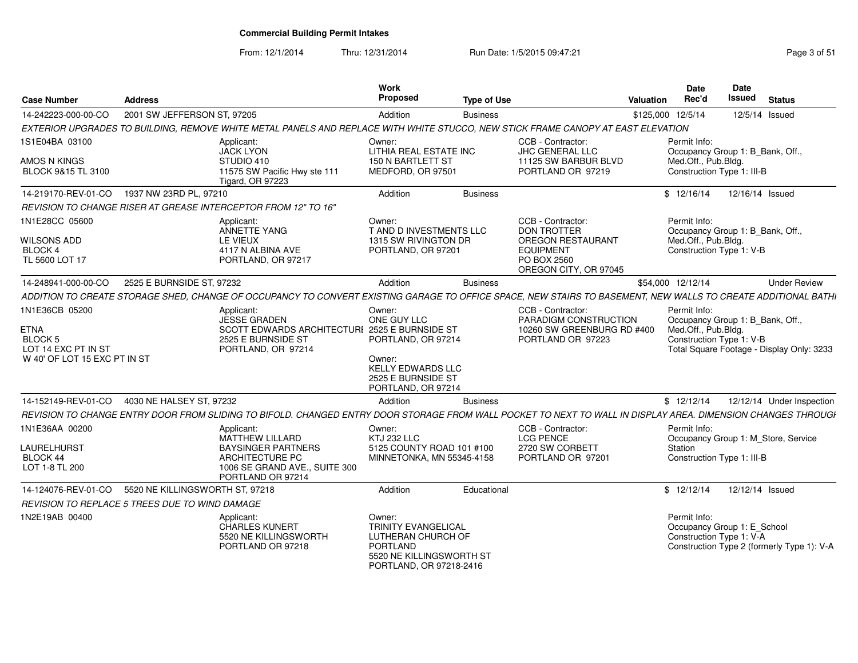From: 12/1/2014

Thru: 12/31/2014 Run Date: 1/5/2015 09:47:21 Research 2010 12/31/2014 Page 3 of 51

| <b>Case Number</b>                                                       | <b>Address</b>                                        |                                                                                                                                                               | Work<br><b>Proposed</b>                                                                                                | <b>Type of Use</b> |                                                                                                                                 | Valuation         | <b>Date</b><br>Rec'd                                                                                 | Date<br><b>Issued</b> | <b>Status</b>                              |
|--------------------------------------------------------------------------|-------------------------------------------------------|---------------------------------------------------------------------------------------------------------------------------------------------------------------|------------------------------------------------------------------------------------------------------------------------|--------------------|---------------------------------------------------------------------------------------------------------------------------------|-------------------|------------------------------------------------------------------------------------------------------|-----------------------|--------------------------------------------|
| 14-242223-000-00-CO                                                      | 2001 SW JEFFERSON ST, 97205                           |                                                                                                                                                               | Addition                                                                                                               | <b>Business</b>    |                                                                                                                                 | \$125,000 12/5/14 |                                                                                                      | 12/5/14 Issued        |                                            |
|                                                                          |                                                       | EXTERIOR UPGRADES TO BUILDING, REMOVE WHITE METAL PANELS AND REPLACE WITH WHITE STUCCO, NEW STICK FRAME CANOPY AT EAST ELEVATION                              |                                                                                                                        |                    |                                                                                                                                 |                   |                                                                                                      |                       |                                            |
| 1S1E04BA 03100<br>AMOS N KINGS<br>BLOCK 9&15 TL 3100                     |                                                       | Applicant:<br><b>JACK LYON</b><br>STUDIO 410<br>11575 SW Pacific Hwy ste 111<br>Tigard, OR 97223                                                              | Owner:<br>LITHIA REAL ESTATE INC<br><b>150 N BARTLETT ST</b><br>MEDFORD, OR 97501                                      |                    | CCB - Contractor:<br>JHC GENERAL LLC<br>11125 SW BARBUR BLVD<br>PORTLAND OR 97219                                               |                   | Permit Info:<br>Occupancy Group 1: B_Bank, Off.<br>Med.Off., Pub.Bldg.<br>Construction Type 1: III-B |                       |                                            |
| 14-219170-REV-01-CO                                                      | 1937 NW 23RD PL, 97210                                |                                                                                                                                                               | Addition                                                                                                               | <b>Business</b>    |                                                                                                                                 |                   | \$12/16/14                                                                                           | 12/16/14 Issued       |                                            |
|                                                                          |                                                       | REVISION TO CHANGE RISER AT GREASE INTERCEPTOR FROM 12" TO 16"                                                                                                |                                                                                                                        |                    |                                                                                                                                 |                   |                                                                                                      |                       |                                            |
| 1N1E28CC 05600<br><b>WILSONS ADD</b><br><b>BLOCK 4</b><br>TL 5600 LOT 17 |                                                       | Applicant:<br>ANNETTE YANG<br>LE VIEUX<br>4117 N ALBINA AVE<br>PORTLAND, OR 97217                                                                             | Owner:<br>T AND D INVESTMENTS LLC<br>1315 SW RIVINGTON DR<br>PORTLAND, OR 97201                                        |                    | CCB - Contractor:<br><b>DON TROTTER</b><br><b>OREGON RESTAURANT</b><br><b>EQUIPMENT</b><br>PO BOX 2560<br>OREGON CITY, OR 97045 |                   | Permit Info:<br>Occupancy Group 1: B_Bank, Off.<br>Med.Off., Pub.Bldg.<br>Construction Type 1: V-B   |                       |                                            |
| 14-248941-000-00-CO                                                      | 2525 E BURNSIDE ST, 97232                             |                                                                                                                                                               | Addition                                                                                                               | <b>Business</b>    |                                                                                                                                 |                   | \$54,000 12/12/14                                                                                    |                       | <b>Under Review</b>                        |
|                                                                          |                                                       | ADDITION TO CREATE STORAGE SHED, CHANGE OF OCCUPANCY TO CONVERT EXISTING GARAGE TO OFFICE SPACE, NEW STAIRS TO BASEMENT, NEW WALLS TO CREATE ADDITIONAL BATHI |                                                                                                                        |                    |                                                                                                                                 |                   |                                                                                                      |                       |                                            |
| 1N1E36CB 05200<br>ETNA<br>BLOCK 5<br>LOT 14 EXC PT IN ST                 |                                                       | Applicant:<br><b>JESSE GRADEN</b><br>SCOTT EDWARDS ARCHITECTURE 2525 E BURNSIDE ST<br>2525 E BURNSIDE ST<br>PORTLAND, OR 97214                                | Owner:<br>ONE GUY LLC<br>PORTLAND, OR 97214                                                                            |                    | CCB - Contractor:<br>PARADIGM CONSTRUCTION<br>10260 SW GREENBURG RD #400<br>PORTLAND OR 97223                                   |                   | Permit Info:<br>Occupancy Group 1: B Bank, Off.<br>Med.Off., Pub.Bldg.<br>Construction Type 1: V-B   |                       | Total Square Footage - Display Only: 3233  |
| W 40' OF LOT 15 EXC PT IN ST                                             |                                                       |                                                                                                                                                               | Owner:<br><b>KELLY EDWARDS LLC</b><br>2525 E BURNSIDE ST<br>PORTLAND, OR 97214                                         |                    |                                                                                                                                 |                   |                                                                                                      |                       |                                            |
| 14-152149-REV-01-CO                                                      | 4030 NE HALSEY ST. 97232                              |                                                                                                                                                               | Addition                                                                                                               | <b>Business</b>    |                                                                                                                                 |                   | \$12/12/14                                                                                           |                       | 12/12/14 Under Inspection                  |
|                                                                          |                                                       | REVISION TO CHANGE ENTRY DOOR FROM SLIDING TO BIFOLD. CHANGED ENTRY DOOR STORAGE FROM WALL POCKET TO NEXT TO WALL IN DISPLAY AREA. DIMENSION CHANGES THROUGH  |                                                                                                                        |                    |                                                                                                                                 |                   |                                                                                                      |                       |                                            |
| 1N1E36AA 00200<br>LAURELHURST<br>BLOCK 44<br>LOT 1-8 TL 200              |                                                       | Applicant:<br><b>MATTHEW LILLARD</b><br><b>BAYSINGER PARTNERS</b><br><b>ARCHITECTURE PC</b><br>1006 SE GRAND AVE., SUITE 300<br>PORTLAND OR 97214             | Owner:<br><b>KTJ 232 LLC</b><br>5125 COUNTY ROAD 101 #100<br><b>MINNETONKA, MN 55345-4158</b>                          |                    | CCB - Contractor:<br><b>LCG PENCE</b><br>2720 SW CORBETT<br>PORTLAND OR 97201                                                   |                   | Permit Info:<br>Occupancy Group 1: M_Store, Service<br>Station<br>Construction Type 1: III-B         |                       |                                            |
| 14-124076-REV-01-CO                                                      | 5520 NE KILLINGSWORTH ST, 97218                       |                                                                                                                                                               | Addition                                                                                                               | Educational        |                                                                                                                                 |                   | \$12/12/14                                                                                           | 12/12/14 Issued       |                                            |
|                                                                          | <b>REVISION TO REPLACE 5 TREES DUE TO WIND DAMAGE</b> |                                                                                                                                                               |                                                                                                                        |                    |                                                                                                                                 |                   |                                                                                                      |                       |                                            |
| 1N2E19AB 00400                                                           |                                                       | Applicant:<br>CHARLES KUNERT<br>5520 NE KILLINGSWORTH<br>PORTLAND OR 97218                                                                                    | Owner:<br>TRINITY EVANGELICAL<br>LUTHERAN CHURCH OF<br>PORTLAND<br>5520 NE KILLINGSWORTH ST<br>PORTLAND, OR 97218-2416 |                    |                                                                                                                                 |                   | Permit Info:<br>Occupancy Group 1: E_School<br>Construction Type 1: V-A                              |                       | Construction Type 2 (formerly Type 1): V-A |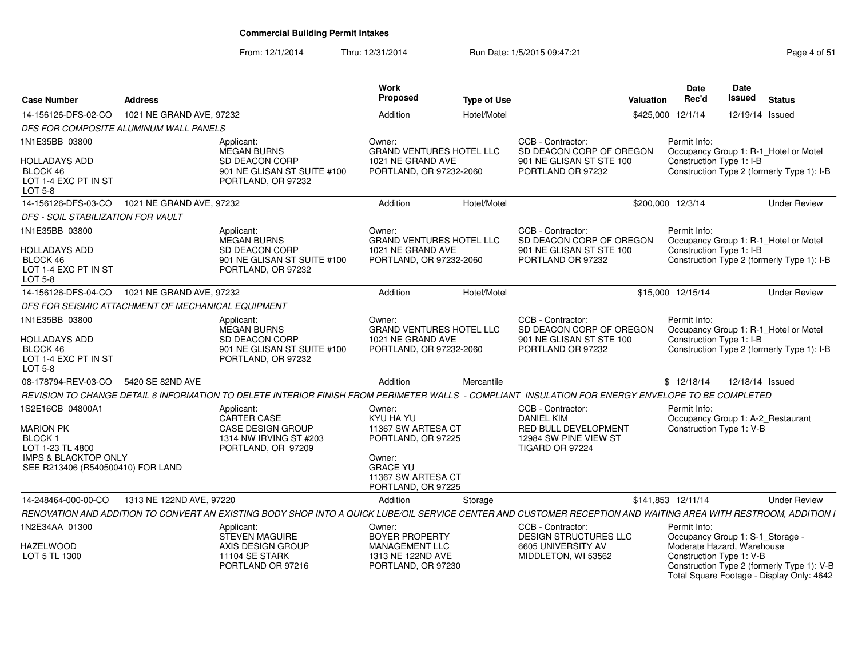From: 12/1/2014Thru: 12/31/2014 Run Date: 1/5/2015 09:47:21 Research 2010 Rage 4 of 51

| <b>Case Number</b>                                                                                                                 | <b>Address</b>           |                                                                                                                                                                  | Work<br>Proposed                                                                                                  | <b>Type of Use</b> |                                                                                                | <b>Valuation</b>   | <b>Date</b><br>Rec'd                                   | <b>Date</b><br>Issued | <b>Status</b>                                                                           |
|------------------------------------------------------------------------------------------------------------------------------------|--------------------------|------------------------------------------------------------------------------------------------------------------------------------------------------------------|-------------------------------------------------------------------------------------------------------------------|--------------------|------------------------------------------------------------------------------------------------|--------------------|--------------------------------------------------------|-----------------------|-----------------------------------------------------------------------------------------|
| 14-156126-DFS-02-CO                                                                                                                | 1021 NE GRAND AVE, 97232 |                                                                                                                                                                  | Addition                                                                                                          | Hotel/Motel        |                                                                                                | \$425,000 12/1/14  |                                                        |                       | 12/19/14 Issued                                                                         |
| DFS FOR COMPOSITE ALUMINUM WALL PANELS                                                                                             |                          |                                                                                                                                                                  |                                                                                                                   |                    |                                                                                                |                    |                                                        |                       |                                                                                         |
| 1N1E35BB 03800<br><b>HOLLADAYS ADD</b>                                                                                             |                          | Applicant:<br>MEGAN BURNS<br>SD DEACON CORP                                                                                                                      | Owner:<br><b>GRAND VENTURES HOTEL LLC</b><br>1021 NE GRAND AVE                                                    |                    | CCB - Contractor:<br>SD DEACON CORP OF OREGON<br>901 NE GLISAN ST STE 100                      |                    | Permit Info:<br>Construction Type 1: I-B               |                       | Occupancy Group 1: R-1_Hotel or Motel                                                   |
| BLOCK 46<br>LOT 1-4 EXC PT IN ST<br><b>LOT 5-8</b>                                                                                 |                          | 901 NE GLISAN ST SUITE #100<br>PORTLAND, OR 97232                                                                                                                | PORTLAND, OR 97232-2060                                                                                           |                    | PORTLAND OR 97232                                                                              |                    |                                                        |                       | Construction Type 2 (formerly Type 1): I-B                                              |
| 14-156126-DFS-03-CO                                                                                                                | 1021 NE GRAND AVE, 97232 |                                                                                                                                                                  | Addition                                                                                                          | Hotel/Motel        |                                                                                                | \$200,000 12/3/14  |                                                        |                       | <b>Under Review</b>                                                                     |
| DFS - SOIL STABILIZATION FOR VAULT                                                                                                 |                          |                                                                                                                                                                  |                                                                                                                   |                    |                                                                                                |                    |                                                        |                       |                                                                                         |
| 1N1E35BB 03800                                                                                                                     |                          | Applicant:<br><b>MEGAN BURNS</b>                                                                                                                                 | Owner:<br><b>GRAND VENTURES HOTEL LLC</b>                                                                         |                    | CCB - Contractor:<br>SD DEACON CORP OF OREGON                                                  |                    | Permit Info:                                           |                       | Occupancy Group 1: R-1_Hotel or Motel                                                   |
| <b>HOLLADAYS ADD</b><br>BLOCK 46<br>LOT 1-4 EXC PT IN ST<br><b>LOT 5-8</b>                                                         |                          | SD DEACON CORP<br>901 NE GLISAN ST SUITE #100<br>PORTLAND, OR 97232                                                                                              | 1021 NE GRAND AVE<br>PORTLAND, OR 97232-2060                                                                      |                    | 901 NE GLISAN ST STE 100<br>PORTLAND OR 97232                                                  |                    | Construction Type 1: I-B                               |                       | Construction Type 2 (formerly Type 1): I-B                                              |
| 14-156126-DFS-04-CO                                                                                                                | 1021 NE GRAND AVE, 97232 |                                                                                                                                                                  | Addition                                                                                                          | Hotel/Motel        |                                                                                                | \$15,000 12/15/14  |                                                        |                       | <b>Under Review</b>                                                                     |
| DFS FOR SEISMIC ATTACHMENT OF MECHANICAL EQUIPMENT                                                                                 |                          |                                                                                                                                                                  |                                                                                                                   |                    |                                                                                                |                    |                                                        |                       |                                                                                         |
| 1N1E35BB 03800<br><b>HOLLADAYS ADD</b><br>BLOCK 46<br>LOT 1-4 EXC PT IN ST<br><b>LOT 5-8</b>                                       |                          | Applicant:<br><b>MEGAN BURNS</b><br>SD DEACON CORP<br>901 NE GLISAN ST SUITE #100<br>PORTLAND, OR 97232                                                          | Owner:<br>GRAND VENTURES HOTEL LLC<br>1021 NE GRAND AVE<br>PORTLAND, OR 97232-2060                                |                    | CCB - Contractor:<br>SD DEACON CORP OF OREGON<br>901 NE GLISAN ST STE 100<br>PORTLAND OR 97232 |                    | Permit Info:<br>Construction Type 1: I-B               |                       | Occupancy Group 1: R-1_Hotel or Motel<br>Construction Type 2 (formerly Type 1): I-B     |
| 08-178794-REV-03-CO                                                                                                                | 5420 SE 82ND AVE         |                                                                                                                                                                  | Addition                                                                                                          | Mercantile         |                                                                                                |                    | \$12/18/14                                             |                       | 12/18/14 Issued                                                                         |
|                                                                                                                                    |                          | REVISION TO CHANGE DETAIL 6 INFORMATION TO DELETE INTERIOR FINISH FROM PERIMETER WALLS - COMPLIANT INSULATION FOR ENERGY ENVELOPE TO BE COMPLETED                |                                                                                                                   |                    |                                                                                                |                    |                                                        |                       |                                                                                         |
| 1S2E16CB 04800A1                                                                                                                   |                          | Applicant:<br><b>CARTER CASE</b>                                                                                                                                 | Owner:<br>KYU HA YU                                                                                               |                    | CCB - Contractor:<br><b>DANIEL KIM</b>                                                         |                    | Permit Info:                                           |                       | Occupancy Group 1: A-2 Restaurant                                                       |
| <b>MARION PK</b><br>BLOCK <sub>1</sub><br>LOT 1-23 TL 4800<br><b>IMPS &amp; BLACKTOP ONLY</b><br>SEE R213406 (R540500410) FOR LAND |                          | CASE DESIGN GROUP<br>1314 NW IRVING ST #203<br>PORTLAND, OR 97209                                                                                                | 11367 SW ARTESA CT<br>PORTLAND, OR 97225<br>Owner:<br><b>GRACE YU</b><br>11367 SW ARTESA CT<br>PORTLAND, OR 97225 |                    | RED BULL DEVELOPMENT<br>12984 SW PINE VIEW ST<br>TIGARD OR 97224                               |                    | Construction Type 1: V-B                               |                       |                                                                                         |
| 14-248464-000-00-CO                                                                                                                | 1313 NE 122ND AVE, 97220 |                                                                                                                                                                  | Addition                                                                                                          | Storage            |                                                                                                | \$141,853 12/11/14 |                                                        |                       | <b>Under Review</b>                                                                     |
|                                                                                                                                    |                          | RENOVATION AND ADDITION TO CONVERT AN EXISTING BODY SHOP INTO A QUICK LUBE/OIL SERVICE CENTER AND CUSTOMER RECEPTION AND WAITING AREA WITH RESTROOM, ADDITION I. |                                                                                                                   |                    |                                                                                                |                    |                                                        |                       |                                                                                         |
| 1N2E34AA 01300                                                                                                                     |                          | Applicant:<br><b>STEVEN MAGUIRE</b>                                                                                                                              | Owner:<br><b>BOYER PROPERTY</b>                                                                                   |                    | CCB - Contractor:<br>DESIGN STRUCTURES LLC                                                     |                    | Permit Info:                                           |                       | Occupancy Group 1: S-1_Storage -                                                        |
| <b>HAZELWOOD</b><br>LOT 5 TL 1300                                                                                                  |                          | AXIS DESIGN GROUP<br>11104 SE STARK<br>PORTLAND OR 97216                                                                                                         | MANAGEMENT LLC<br>1313 NE 122ND AVE<br>PORTLAND, OR 97230                                                         |                    | 6605 UNIVERSITY AV<br>MIDDLETON, WI 53562                                                      |                    | Moderate Hazard, Warehouse<br>Construction Type 1: V-B |                       | Construction Type 2 (formerly Type 1): V-B<br>Total Square Footage - Display Only: 4642 |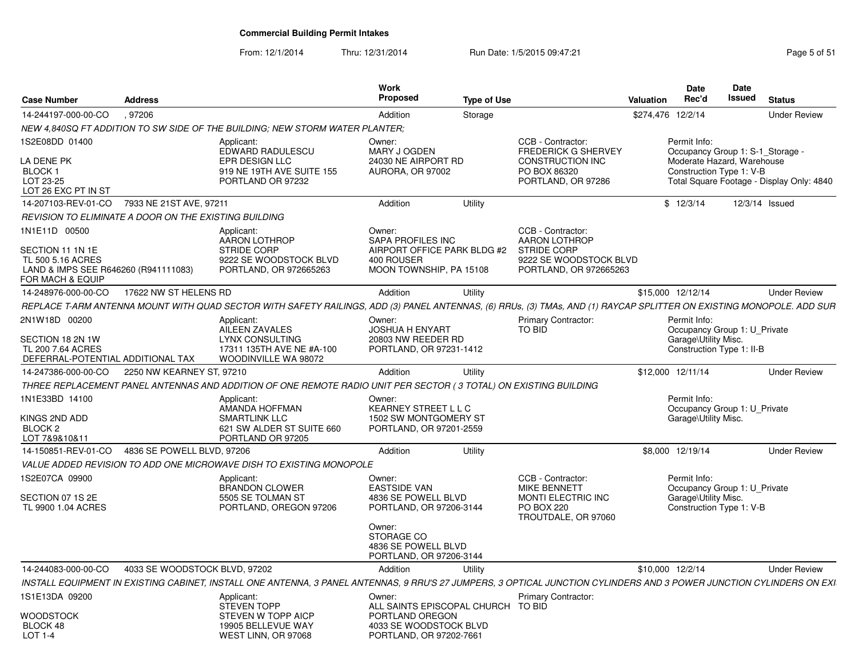From: 12/1/2014Thru: 12/31/2014 Run Date: 1/5/2015 09:47:21 Page 5 of 51

| <b>Case Number</b>                                                                                                 | <b>Address</b>                |                                                                                                                                                                      | <b>Work</b><br><b>Proposed</b>                                                                      | <b>Type of Use</b> |                                                                                                              | Valuation         | <b>Date</b><br>Rec'd                                                                                       | <b>Date</b><br>Issued | <b>Status</b>                             |
|--------------------------------------------------------------------------------------------------------------------|-------------------------------|----------------------------------------------------------------------------------------------------------------------------------------------------------------------|-----------------------------------------------------------------------------------------------------|--------------------|--------------------------------------------------------------------------------------------------------------|-------------------|------------------------------------------------------------------------------------------------------------|-----------------------|-------------------------------------------|
| 14-244197-000-00-CO                                                                                                | .97206                        |                                                                                                                                                                      | Addition                                                                                            | Storage            |                                                                                                              | \$274,476 12/2/14 |                                                                                                            |                       | <b>Under Review</b>                       |
|                                                                                                                    |                               | NEW 4.840SQ FT ADDITION TO SW SIDE OF THE BUILDING: NEW STORM WATER PLANTER:                                                                                         |                                                                                                     |                    |                                                                                                              |                   |                                                                                                            |                       |                                           |
| 1S2E08DD 01400<br>LA DENE PK<br>BLOCK 1                                                                            |                               | Applicant:<br>EDWARD RADULESCU<br>EPR DESIGN LLC<br>919 NE 19TH AVE SUITE 155                                                                                        | Owner:<br>MARY J OGDEN<br>24030 NE AIRPORT RD<br>AURORA, OR 97002                                   |                    | CCB - Contractor:<br><b>FREDERICK G SHERVEY</b><br><b>CONSTRUCTION INC</b><br>PO BOX 86320                   |                   | Permit Info:<br>Occupancy Group 1: S-1_Storage -<br>Moderate Hazard, Warehouse<br>Construction Type 1: V-B |                       |                                           |
| LOT 23-25<br>LOT 26 EXC PT IN ST                                                                                   |                               | PORTLAND OR 97232                                                                                                                                                    |                                                                                                     |                    | PORTLAND, OR 97286                                                                                           |                   |                                                                                                            |                       | Total Square Footage - Display Only: 4840 |
| 14-207103-REV-01-CO                                                                                                | 7933 NE 21ST AVE, 97211       |                                                                                                                                                                      | Addition                                                                                            | Utility            |                                                                                                              |                   | \$12/3/14                                                                                                  |                       | 12/3/14 Issued                            |
| REVISION TO ELIMINATE A DOOR ON THE EXISTING BUILDING                                                              |                               |                                                                                                                                                                      |                                                                                                     |                    |                                                                                                              |                   |                                                                                                            |                       |                                           |
| 1N1E11D 00500<br>SECTION 11 1N 1E<br>TL 500 5.16 ACRES<br>LAND & IMPS SEE R646260 (R941111083)<br>FOR MACH & EQUIP |                               | Applicant:<br><b>AARON LOTHROP</b><br><b>STRIDE CORP</b><br>9222 SE WOODSTOCK BLVD<br>PORTLAND, OR 972665263                                                         | Owner:<br>SAPA PROFILES INC<br>AIRPORT OFFICE PARK BLDG #2<br>400 ROUSER<br>MOON TOWNSHIP, PA 15108 |                    | CCB - Contractor:<br>AARON LOTHROP<br><b>STRIDE CORP</b><br>9222 SE WOODSTOCK BLVD<br>PORTLAND, OR 972665263 |                   |                                                                                                            |                       |                                           |
| 14-248976-000-00-CO                                                                                                | 17622 NW ST HELENS RD         |                                                                                                                                                                      | Addition                                                                                            | Utility            |                                                                                                              |                   | \$15,000 12/12/14                                                                                          |                       | <b>Under Review</b>                       |
|                                                                                                                    |                               | REPLACE T-ARM ANTENNA MOUNT WITH QUAD SECTOR WITH SAFETY RAILINGS, ADD (3) PANEL ANTENNAS, (6) RRUs, (3) TMAs, AND (1) RAYCAP SPLITTER ON EXISTING MONOPOLE. ADD SUR |                                                                                                     |                    |                                                                                                              |                   |                                                                                                            |                       |                                           |
| 2N1W18D 00200                                                                                                      |                               | Applicant:<br><b>AILEEN ZAVALES</b>                                                                                                                                  | Owner:<br><b>JOSHUA H ENYART</b>                                                                    |                    | <b>Primary Contractor:</b><br><b>TO BID</b>                                                                  |                   | Permit Info:<br>Occupancy Group 1: U_Private                                                               |                       |                                           |
| SECTION 18 2N 1W<br>TL 200 7.64 ACRES<br>DEFERRAL-POTENTIAL ADDITIONAL TAX                                         |                               | <b>LYNX CONSULTING</b><br>17311 135TH AVE NE #A-100<br>WOODINVILLE WA 98072                                                                                          | 20803 NW REEDER RD<br>PORTLAND, OR 97231-1412                                                       |                    |                                                                                                              |                   | Garage\Utility Misc.<br>Construction Type 1: II-B                                                          |                       |                                           |
| 14-247386-000-00-CO                                                                                                | 2250 NW KEARNEY ST, 97210     |                                                                                                                                                                      | Addition                                                                                            | Utility            |                                                                                                              |                   | \$12,000 12/11/14                                                                                          |                       | <b>Under Review</b>                       |
|                                                                                                                    |                               | THREE REPLACEMENT PANEL ANTENNAS AND ADDITION OF ONE REMOTE RADIO UNIT PER SECTOR (3 TOTAL) ON EXISTING BUILDING                                                     |                                                                                                     |                    |                                                                                                              |                   |                                                                                                            |                       |                                           |
| 1N1E33BD 14100<br>KINGS 2ND ADD<br>BLOCK <sub>2</sub><br>LOT 7&9&10&11                                             |                               | Applicant:<br>AMANDA HOFFMAN<br><b>SMARTLINK LLC</b><br>621 SW ALDER ST SUITE 660<br>PORTLAND OR 97205                                                               | Owner:<br><b>KEARNEY STREET L L C</b><br>1502 SW MONTGOMERY ST<br>PORTLAND, OR 97201-2559           |                    |                                                                                                              |                   | Permit Info:<br>Occupancy Group 1: U_Private<br>Garage\Utility Misc.                                       |                       |                                           |
| 14-150851-REV-01-CO                                                                                                | 4836 SE POWELL BLVD, 97206    |                                                                                                                                                                      | Addition                                                                                            | Utility            |                                                                                                              |                   | \$8,000 12/19/14                                                                                           |                       | <b>Under Review</b>                       |
|                                                                                                                    |                               | VALUE ADDED REVISION TO ADD ONE MICROWAVE DISH TO EXISTING MONOPOLE                                                                                                  |                                                                                                     |                    |                                                                                                              |                   |                                                                                                            |                       |                                           |
| 1S2E07CA 09900<br>SECTION 07 1S 2E<br>TL 9900 1.04 ACRES                                                           |                               | Applicant:<br><b>BRANDON CLOWER</b><br>5505 SE TOLMAN ST<br>PORTLAND, OREGON 97206                                                                                   | Owner:<br><b>EASTSIDE VAN</b><br>4836 SE POWELL BLVD<br>PORTLAND, OR 97206-3144                     |                    | CCB - Contractor:<br><b>MIKE BENNETT</b><br>MONTI ELECTRIC INC<br><b>PO BOX 220</b><br>TROUTDALE, OR 97060   |                   | Permit Info:<br>Occupancy Group 1: U Private<br>Garage\Utility Misc.<br>Construction Type 1: V-B           |                       |                                           |
|                                                                                                                    |                               |                                                                                                                                                                      | Owner:<br>STORAGE CO<br>4836 SE POWELL BLVD<br>PORTLAND, OR 97206-3144                              |                    |                                                                                                              |                   |                                                                                                            |                       |                                           |
| 14-244083-000-00-CO                                                                                                | 4033 SE WOODSTOCK BLVD, 97202 |                                                                                                                                                                      | Addition                                                                                            | Utility            |                                                                                                              |                   | \$10,000 12/2/14                                                                                           |                       | <b>Under Review</b>                       |
|                                                                                                                    |                               | INSTALL EQUIPMENT IN EXISTING CABINET, INSTALL ONE ANTENNA, 3 PANEL ANTENNAS, 9 RRU'S 27 JUMPERS, 3 OPTICAL JUNCTION CYLINDERS AND 3 POWER JUNCTION CYLINDERS ON EXI |                                                                                                     |                    |                                                                                                              |                   |                                                                                                            |                       |                                           |
| 1S1E13DA 09200                                                                                                     |                               | Applicant:<br><b>STEVEN TOPP</b>                                                                                                                                     | Owner:<br>ALL SAINTS EPISCOPAL CHURCH                                                               |                    | <b>Primary Contractor:</b><br>TO BID                                                                         |                   |                                                                                                            |                       |                                           |
| WOODSTOCK<br>BLOCK 48<br>LOT 1-4                                                                                   |                               | STEVEN W TOPP AICP<br>19905 BELLEVUE WAY<br>WEST LINN, OR 97068                                                                                                      | PORTLAND OREGON<br>4033 SE WOODSTOCK BLVD<br>PORTLAND, OR 97202-7661                                |                    |                                                                                                              |                   |                                                                                                            |                       |                                           |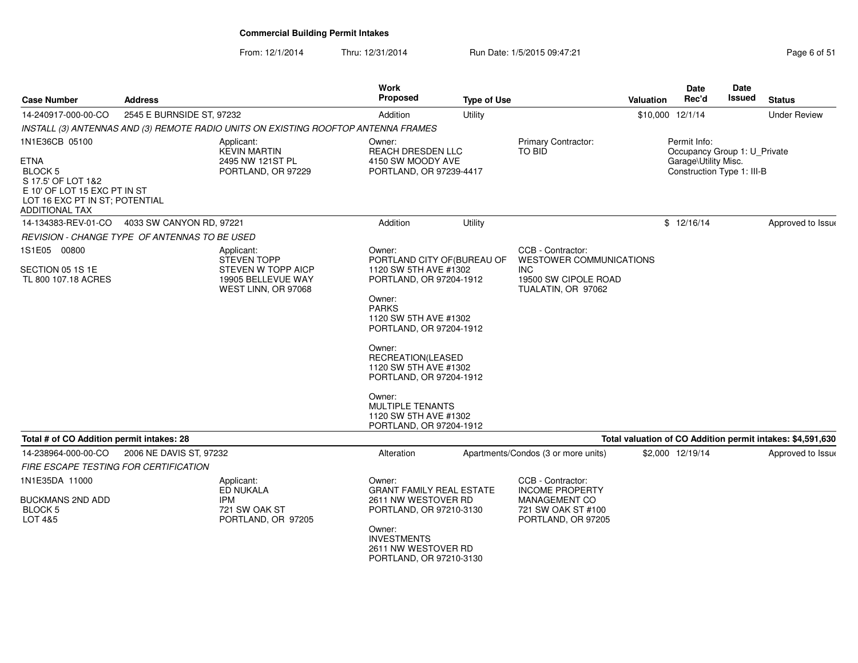From: 12/1/2014Thru: 12/31/2014 Run Date: 1/5/2015 09:47:21 Page 6 of 51

| <b>Case Number</b>                                                                                                                                               | <b>Address</b>                                                   |                                                                                                     | Work<br><b>Proposed</b>                                                                                                                                                                                                                                                                                                                             | <b>Type of Use</b> |                                                                                                                 | Valuation | Date<br>Rec'd                                                                                      | Date<br>Issued | <b>Status</b>                                              |
|------------------------------------------------------------------------------------------------------------------------------------------------------------------|------------------------------------------------------------------|-----------------------------------------------------------------------------------------------------|-----------------------------------------------------------------------------------------------------------------------------------------------------------------------------------------------------------------------------------------------------------------------------------------------------------------------------------------------------|--------------------|-----------------------------------------------------------------------------------------------------------------|-----------|----------------------------------------------------------------------------------------------------|----------------|------------------------------------------------------------|
| 14-240917-000-00-CO                                                                                                                                              | 2545 E BURNSIDE ST, 97232                                        |                                                                                                     | Addition                                                                                                                                                                                                                                                                                                                                            | Utility            |                                                                                                                 |           | \$10,000 12/1/14                                                                                   |                | <b>Under Review</b>                                        |
|                                                                                                                                                                  |                                                                  | INSTALL (3) ANTENNAS AND (3) REMOTE RADIO UNITS ON EXISTING ROOFTOP ANTENNA FRAMES                  |                                                                                                                                                                                                                                                                                                                                                     |                    |                                                                                                                 |           |                                                                                                    |                |                                                            |
| 1N1E36CB 05100<br><b>ETNA</b><br><b>BLOCK 5</b><br>S 17.5' OF LOT 1&2<br>E 10' OF LOT 15 EXC PT IN ST<br>LOT 16 EXC PT IN ST; POTENTIAL<br><b>ADDITIONAL TAX</b> |                                                                  | Applicant:<br><b>KEVIN MARTIN</b><br>2495 NW 121ST PL<br>PORTLAND, OR 97229                         | Owner:<br><b>REACH DRESDEN LLC</b><br>4150 SW MOODY AVE<br>PORTLAND, OR 97239-4417                                                                                                                                                                                                                                                                  |                    | <b>Primary Contractor:</b><br>TO BID                                                                            |           | Permit Info:<br>Occupancy Group 1: U Private<br>Garage\Utility Misc.<br>Construction Type 1: III-B |                |                                                            |
| 14-134383-REV-01-CO                                                                                                                                              | 4033 SW CANYON RD, 97221                                         |                                                                                                     | Addition                                                                                                                                                                                                                                                                                                                                            | Utility            |                                                                                                                 |           | \$12/16/14                                                                                         |                | Approved to Issue                                          |
|                                                                                                                                                                  | <b>REVISION - CHANGE TYPE OF ANTENNAS TO BE USED</b>             |                                                                                                     |                                                                                                                                                                                                                                                                                                                                                     |                    |                                                                                                                 |           |                                                                                                    |                |                                                            |
| 1S1E05 00800<br>SECTION 05 1S 1E<br>TL 800 107.18 ACRES                                                                                                          |                                                                  | Applicant:<br><b>STEVEN TOPP</b><br>STEVEN W TOPP AICP<br>19905 BELLEVUE WAY<br>WEST LINN, OR 97068 | Owner:<br>PORTLAND CITY OF (BUREAU OF<br>1120 SW 5TH AVE #1302<br>PORTLAND, OR 97204-1912<br>Owner:<br><b>PARKS</b><br>1120 SW 5TH AVE #1302<br>PORTLAND, OR 97204-1912<br>Owner:<br>RECREATION(LEASED<br>1120 SW 5TH AVE #1302<br>PORTLAND, OR 97204-1912<br>Owner:<br><b>MULTIPLE TENANTS</b><br>1120 SW 5TH AVE #1302<br>PORTLAND, OR 97204-1912 |                    | CCB - Contractor:<br><b>WESTOWER COMMUNICATIONS</b><br><b>INC</b><br>19500 SW CIPOLE ROAD<br>TUALATIN, OR 97062 |           |                                                                                                    |                |                                                            |
| Total # of CO Addition permit intakes: 28                                                                                                                        |                                                                  |                                                                                                     |                                                                                                                                                                                                                                                                                                                                                     |                    |                                                                                                                 |           |                                                                                                    |                | Total valuation of CO Addition permit intakes: \$4,591,630 |
| 14-238964-000-00-CO                                                                                                                                              | 2006 NE DAVIS ST, 97232<br>FIRE ESCAPE TESTING FOR CERTIFICATION |                                                                                                     | Alteration                                                                                                                                                                                                                                                                                                                                          |                    | Apartments/Condos (3 or more units)                                                                             |           | \$2,000 12/19/14                                                                                   |                | Approved to Issue                                          |
| 1N1E35DA 11000<br>BUCKMANS 2ND ADD<br><b>BLOCK 5</b><br>LOT 4&5                                                                                                  |                                                                  | Applicant:<br>ED NUKALA<br><b>IPM</b><br>721 SW OAK ST<br>PORTLAND, OR 97205                        | Owner:<br><b>GRANT FAMILY REAL ESTATE</b><br>2611 NW WESTOVER RD<br>PORTLAND, OR 97210-3130<br>Owner:<br><b>INVESTMENTS</b><br>2611 NW WESTOVER RD<br>PORTLAND, OR 97210-3130                                                                                                                                                                       |                    | CCB - Contractor:<br><b>INCOME PROPERTY</b><br><b>MANAGEMENT CO</b><br>721 SW OAK ST #100<br>PORTLAND, OR 97205 |           |                                                                                                    |                |                                                            |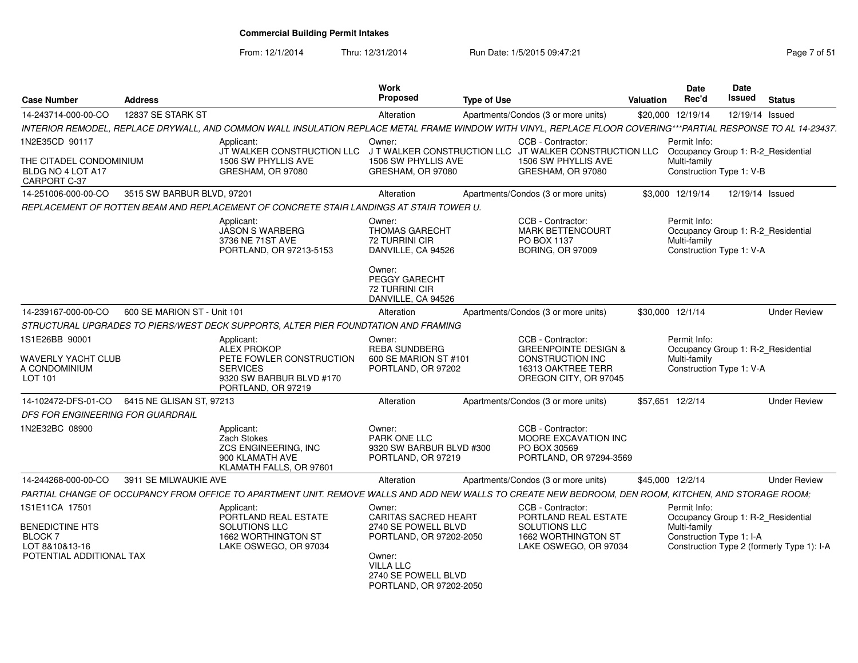From: 12/1/2014

Thru: 12/31/2014 Run Date: 1/5/2015 09:47:21 Page 7 of 51

| <b>Case Number</b>                                                                         | <b>Address</b>              |                                                                                                                                                                | Work<br><b>Proposed</b>                                                                                                                                                 | <b>Type of Use</b> |                                                                                                                                | <b>Valuation</b> | Date<br>Rec'd                                                                                  | <b>Date</b><br>Issued | <b>Status</b>                              |
|--------------------------------------------------------------------------------------------|-----------------------------|----------------------------------------------------------------------------------------------------------------------------------------------------------------|-------------------------------------------------------------------------------------------------------------------------------------------------------------------------|--------------------|--------------------------------------------------------------------------------------------------------------------------------|------------------|------------------------------------------------------------------------------------------------|-----------------------|--------------------------------------------|
| 14-243714-000-00-CO                                                                        | 12837 SE STARK ST           |                                                                                                                                                                | Alteration                                                                                                                                                              |                    | Apartments/Condos (3 or more units)                                                                                            |                  | \$20,000 12/19/14                                                                              | 12/19/14 Issued       |                                            |
|                                                                                            |                             | INTERIOR REMODEL, REPLACE DRYWALL, AND COMMON WALL INSULATION REPLACE METAL FRAME WINDOW WITH VINYL, REPLACE FLOOR COVERING***PARTIAL RESPONSE TO AL 14-23437. |                                                                                                                                                                         |                    |                                                                                                                                |                  |                                                                                                |                       |                                            |
| 1N2E35CD 90117                                                                             |                             | Applicant:<br>JT WALKER CONSTRUCTION LLC                                                                                                                       | Owner:                                                                                                                                                                  |                    | CCB - Contractor:<br>J T WALKER CONSTRUCTION LLC JT WALKER CONSTRUCTION LLC                                                    |                  | Permit Info:<br>Occupancy Group 1: R-2_Residential                                             |                       |                                            |
| THE CITADEL CONDOMINIUM<br>BLDG NO 4 LOT A17<br>CARPORT C-37                               |                             | 1506 SW PHYLLIS AVE<br>GRESHAM, OR 97080                                                                                                                       | 1506 SW PHYLLIS AVE<br>GRESHAM, OR 97080                                                                                                                                |                    | 1506 SW PHYLLIS AVE<br>GRESHAM, OR 97080                                                                                       |                  | Multi-family<br>Construction Type 1: V-B                                                       |                       |                                            |
| 14-251006-000-00-CO                                                                        | 3515 SW BARBUR BLVD, 97201  |                                                                                                                                                                | Alteration                                                                                                                                                              |                    | Apartments/Condos (3 or more units)                                                                                            |                  | \$3,000 12/19/14                                                                               | 12/19/14 Issued       |                                            |
|                                                                                            |                             | REPLACEMENT OF ROTTEN BEAM AND REPLACEMENT OF CONCRETE STAIR LANDINGS AT STAIR TOWER U.                                                                        |                                                                                                                                                                         |                    |                                                                                                                                |                  |                                                                                                |                       |                                            |
|                                                                                            |                             | Applicant:<br><b>JASON S WARBERG</b><br>3736 NE 71ST AVE<br>PORTLAND, OR 97213-5153                                                                            | Owner:<br><b>THOMAS GARECHT</b><br>72 TURRINI CIR<br>DANVILLE, CA 94526<br>Owner:<br><b>PEGGY GARECHT</b><br>72 TURRINI CIR<br>DANVILLE, CA 94526                       |                    | CCB - Contractor:<br>MARK BETTENCOURT<br>PO BOX 1137<br><b>BORING, OR 97009</b>                                                |                  | Permit Info:<br>Occupancy Group 1: R-2 Residential<br>Multi-family<br>Construction Type 1: V-A |                       |                                            |
| 14-239167-000-00-CO                                                                        | 600 SE MARION ST - Unit 101 |                                                                                                                                                                | Alteration                                                                                                                                                              |                    | Apartments/Condos (3 or more units)                                                                                            |                  | \$30,000 12/1/14                                                                               |                       | <b>Under Review</b>                        |
|                                                                                            |                             | STRUCTURAL UPGRADES TO PIERS/WEST DECK SUPPORTS, ALTER PIER FOUNDTATION AND FRAMING                                                                            |                                                                                                                                                                         |                    |                                                                                                                                |                  |                                                                                                |                       |                                            |
| 1S1E26BB 90001<br>WAVERLY YACHT CLUB<br>A CONDOMINIUM<br>LOT 101                           |                             | Applicant:<br><b>ALEX PROKOP</b><br>PETE FOWLER CONSTRUCTION<br><b>SERVICES</b><br>9320 SW BARBUR BLVD #170<br>PORTLAND, OR 97219                              | Owner:<br><b>REBA SUNDBERG</b><br>600 SE MARION ST #101<br>PORTLAND, OR 97202                                                                                           |                    | CCB - Contractor:<br><b>GREENPOINTE DESIGN &amp;</b><br><b>CONSTRUCTION INC</b><br>16313 OAKTREE TERR<br>OREGON CITY, OR 97045 |                  | Permit Info:<br>Occupancy Group 1: R-2_Residential<br>Multi-family<br>Construction Type 1: V-A |                       |                                            |
| 14-102472-DFS-01-CO                                                                        | 6415 NE GLISAN ST, 97213    |                                                                                                                                                                | Alteration                                                                                                                                                              |                    | Apartments/Condos (3 or more units)                                                                                            |                  | \$57,651 12/2/14                                                                               |                       | <b>Under Review</b>                        |
| DFS FOR ENGINEERING FOR GUARDRAIL                                                          |                             |                                                                                                                                                                |                                                                                                                                                                         |                    |                                                                                                                                |                  |                                                                                                |                       |                                            |
| 1N2E32BC 08900                                                                             |                             | Applicant:<br>Zach Stokes<br>ZCS ENGINEERING, INC<br>900 KLAMATH AVE<br>KLAMATH FALLS, OR 97601                                                                | Owner:<br><b>PARK ONE LLC</b><br>9320 SW BARBUR BLVD #300<br>PORTLAND, OR 97219                                                                                         |                    | CCB - Contractor:<br>MOORE EXCAVATION INC<br>PO BOX 30569<br>PORTLAND, OR 97294-3569                                           |                  |                                                                                                |                       |                                            |
| 14-244268-000-00-CO                                                                        | 3911 SE MILWAUKIE AVE       |                                                                                                                                                                | Alteration                                                                                                                                                              |                    | Apartments/Condos (3 or more units)                                                                                            |                  | \$45,000 12/2/14                                                                               |                       | <b>Under Review</b>                        |
|                                                                                            |                             | PARTIAL CHANGE OF OCCUPANCY FROM OFFICE TO APARTMENT UNIT. REMOVE WALLS AND ADD NEW WALLS TO CREATE NEW BEDROOM, DEN ROOM, KITCHEN, AND STORAGE ROOM;          |                                                                                                                                                                         |                    |                                                                                                                                |                  |                                                                                                |                       |                                            |
| 1S1E11CA 17501<br>BENEDICTINE HTS<br>BLOCK 7<br>LOT 8&10&13-16<br>POTENTIAL ADDITIONAL TAX |                             | Applicant:<br>PORTLAND REAL ESTATE<br>SOLUTIONS LLC<br>1662 WORTHINGTON ST<br>LAKE OSWEGO, OR 97034                                                            | Owner:<br><b>CARITAS SACRED HEART</b><br>2740 SE POWELL BLVD<br>PORTLAND, OR 97202-2050<br>Owner:<br><b>VILLA LLC</b><br>2740 SE POWELL BLVD<br>PORTLAND, OR 97202-2050 |                    | CCB - Contractor:<br>PORTLAND REAL ESTATE<br>SOLUTIONS LLC<br>1662 WORTHINGTON ST<br>LAKE OSWEGO, OR 97034                     |                  | Permit Info:<br>Occupancy Group 1: R-2 Residential<br>Multi-family<br>Construction Type 1: I-A |                       | Construction Type 2 (formerly Type 1): I-A |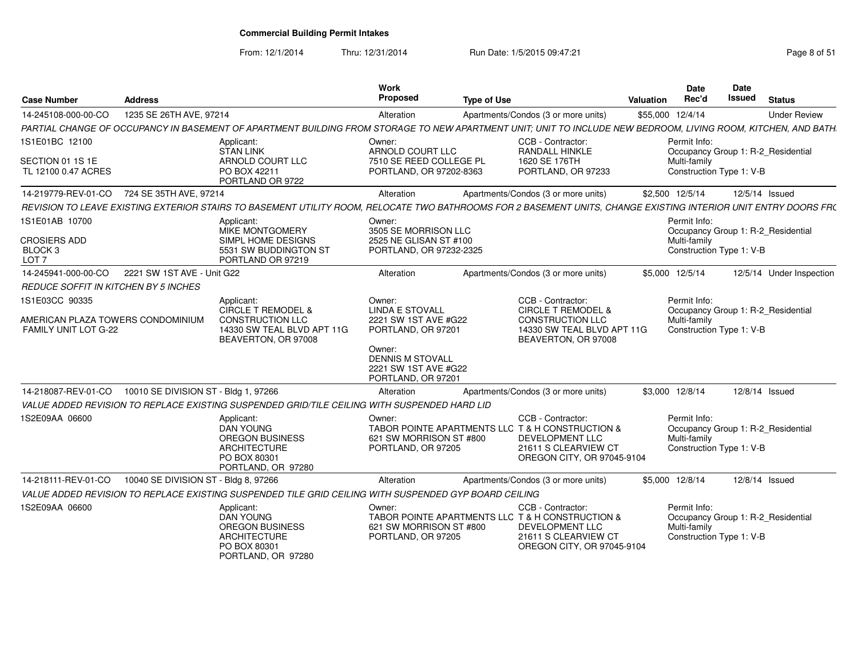From: 12/1/2014

Thru: 12/31/2014 Run Date: 1/5/2015 09:47:21 Page 8 of 51

| <b>Case Number</b>                                               | <b>Address</b>                       |                                                                                                                                                                 | Work<br>Proposed                                                                | <b>Type of Use</b> |                                                                                                                                                | <b>Valuation</b> | Date<br>Rec'd                                            | <b>Date</b><br>Issued | <b>Status</b>                      |
|------------------------------------------------------------------|--------------------------------------|-----------------------------------------------------------------------------------------------------------------------------------------------------------------|---------------------------------------------------------------------------------|--------------------|------------------------------------------------------------------------------------------------------------------------------------------------|------------------|----------------------------------------------------------|-----------------------|------------------------------------|
| 14-245108-000-00-CO                                              | 1235 SE 26TH AVE, 97214              |                                                                                                                                                                 | Alteration                                                                      |                    | Apartments/Condos (3 or more units)                                                                                                            |                  | \$55,000 12/4/14                                         |                       | <b>Under Review</b>                |
|                                                                  |                                      | PARTIAL CHANGE OF OCCUPANCY IN BASEMENT OF APARTMENT BUILDING FROM STORAGE TO NEW APARTMENT UNIT; UNIT TO INCLUDE NEW BEDROOM, LIVING ROOM, KITCHEN, AND BATH.  |                                                                                 |                    |                                                                                                                                                |                  |                                                          |                       |                                    |
| 1S1E01BC 12100                                                   |                                      | Applicant:<br><b>STAN LINK</b>                                                                                                                                  | Owner:<br>ARNOLD COURT LLC                                                      |                    | CCB - Contractor:<br>RANDALL HINKLE                                                                                                            |                  | Permit Info:                                             |                       | Occupancy Group 1: R-2_Residential |
| SECTION 01 1S 1E<br>TL 12100 0.47 ACRES                          |                                      | ARNOLD COURT LLC<br>PO BOX 42211<br>PORTLAND OR 9722                                                                                                            | 7510 SE REED COLLEGE PL<br>PORTLAND, OR 97202-8363                              |                    | 1620 SE 176TH<br>PORTLAND, OR 97233                                                                                                            |                  | Multi-family<br>Construction Type 1: V-B                 |                       |                                    |
| 14-219779-REV-01-CO                                              | 724 SE 35TH AVE, 97214               |                                                                                                                                                                 | Alteration                                                                      |                    | Apartments/Condos (3 or more units)                                                                                                            |                  | \$2,500 12/5/14                                          |                       | 12/5/14 Issued                     |
|                                                                  |                                      | REVISION TO LEAVE EXISTING EXTERIOR STAIRS TO BASEMENT UTILITY ROOM, RELOCATE TWO BATHROOMS FOR 2 BASEMENT UNITS, CHANGE EXISTING INTERIOR UNIT ENTRY DOORS FR( |                                                                                 |                    |                                                                                                                                                |                  |                                                          |                       |                                    |
| 1S1E01AB 10700                                                   |                                      | Applicant:<br>MIKE MONTGOMERY                                                                                                                                   | Owner:<br>3505 SE MORRISON LLC                                                  |                    |                                                                                                                                                |                  | Permit Info:                                             |                       | Occupancy Group 1: R-2_Residential |
| <b>CROSIERS ADD</b><br>BLOCK <sub>3</sub><br>LOT <sub>7</sub>    |                                      | SIMPL HOME DESIGNS<br>5531 SW BUDDINGTON ST<br>PORTLAND OR 97219                                                                                                | 2525 NE GLISAN ST #100<br>PORTLAND, OR 97232-2325                               |                    |                                                                                                                                                |                  | Multi-family<br>Construction Type 1: V-B                 |                       |                                    |
| 14-245941-000-00-CO                                              | 2221 SW 1ST AVE - Unit G22           |                                                                                                                                                                 | Alteration                                                                      |                    | Apartments/Condos (3 or more units)                                                                                                            |                  | \$5,000 12/5/14                                          |                       | 12/5/14 Under Inspection           |
| REDUCE SOFFIT IN KITCHEN BY 5 INCHES                             |                                      |                                                                                                                                                                 |                                                                                 |                    |                                                                                                                                                |                  |                                                          |                       |                                    |
| 1S1E03CC 90335                                                   |                                      | Applicant:<br>CIRCLE T REMODEL &                                                                                                                                | Owner:<br><b>LINDA E STOVALL</b>                                                |                    | CCB - Contractor:<br><b>CIRCLE T REMODEL &amp;</b>                                                                                             |                  | Permit Info:                                             |                       | Occupancy Group 1: R-2_Residential |
| AMERICAN PLAZA TOWERS CONDOMINIUM<br><b>FAMILY UNIT LOT G-22</b> |                                      | <b>CONSTRUCTION LLC</b><br>14330 SW TEAL BLVD APT 11G<br>BEAVERTON, OR 97008                                                                                    | 2221 SW 1ST AVE #G22<br>PORTLAND, OR 97201                                      |                    | <b>CONSTRUCTION LLC</b><br>14330 SW TEAL BLVD APT 11G<br>BEAVERTON, OR 97008                                                                   |                  | Multi-family<br>Construction Type 1: V-B                 |                       |                                    |
|                                                                  |                                      |                                                                                                                                                                 | Owner:<br><b>DENNIS M STOVALL</b><br>2221 SW 1ST AVE #G22<br>PORTLAND, OR 97201 |                    |                                                                                                                                                |                  |                                                          |                       |                                    |
| 14-218087-REV-01-CO                                              | 10010 SE DIVISION ST - Bldg 1, 97266 |                                                                                                                                                                 | Alteration                                                                      |                    | Apartments/Condos (3 or more units)                                                                                                            |                  | \$3,000 12/8/14                                          |                       | 12/8/14 Issued                     |
|                                                                  |                                      | VALUE ADDED REVISION TO REPLACE EXISTING SUSPENDED GRID/TILE CEILING WITH SUSPENDED HARD LID                                                                    |                                                                                 |                    |                                                                                                                                                |                  |                                                          |                       |                                    |
| 1S2E09AA 06600                                                   |                                      | Applicant:<br><b>DAN YOUNG</b><br>OREGON BUSINESS<br><b>ARCHITECTURE</b><br>PO BOX 80301<br>PORTLAND, OR 97280                                                  | Owner:<br>621 SW MORRISON ST #800<br>PORTLAND, OR 97205                         |                    | CCB - Contractor:<br>TABOR POINTE APARTMENTS LLC T & H CONSTRUCTION &<br>DEVELOPMENT LLC<br>21611 S CLEARVIEW CT<br>OREGON CITY, OR 97045-9104 |                  | Permit Info:<br>Multi-family<br>Construction Type 1: V-B |                       | Occupancy Group 1: R-2_Residential |
| 14-218111-REV-01-CO                                              | 10040 SE DIVISION ST - Bldg 8, 97266 |                                                                                                                                                                 | Alteration                                                                      |                    | Apartments/Condos (3 or more units)                                                                                                            |                  | \$5,000 12/8/14                                          |                       | 12/8/14 Issued                     |
|                                                                  |                                      | VALUE ADDED REVISION TO REPLACE EXISTING SUSPENDED TILE GRID CEILING WITH SUSPENDED GYP BOARD CEILING                                                           |                                                                                 |                    |                                                                                                                                                |                  |                                                          |                       |                                    |
| 1S2E09AA 06600                                                   |                                      | Applicant:<br><b>DAN YOUNG</b><br>OREGON BUSINESS<br><b>ARCHITECTURE</b><br>PO BOX 80301<br>PORTLAND, OR 97280                                                  | Owner:<br>621 SW MORRISON ST #800<br>PORTLAND, OR 97205                         |                    | CCB - Contractor:<br>TABOR POINTE APARTMENTS LLC T & H CONSTRUCTION &<br>DEVELOPMENT LLC<br>21611 S CLEARVIEW CT<br>OREGON CITY, OR 97045-9104 |                  | Permit Info:<br>Multi-family<br>Construction Type 1: V-B |                       | Occupancy Group 1: R-2_Residential |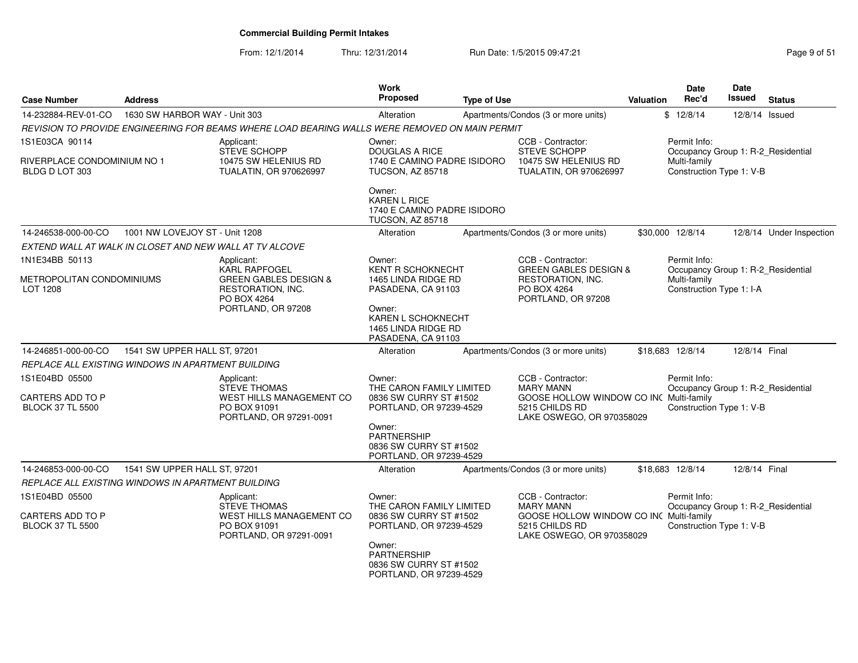From: 12/1/2014Thru: 12/31/2014 Run Date: 1/5/2015 09:47:21 Page 9 of 51

| <b>Case Number</b>                                      | <b>Address</b>                 |                                                                                                | Work<br><b>Proposed</b>                                                                 | <b>Type of Use</b> |                                                                                        | <b>Valuation</b> | Date<br>Rec'd                                      | Date<br><b>Issued</b> | <b>Status</b>            |
|---------------------------------------------------------|--------------------------------|------------------------------------------------------------------------------------------------|-----------------------------------------------------------------------------------------|--------------------|----------------------------------------------------------------------------------------|------------------|----------------------------------------------------|-----------------------|--------------------------|
| 14-232884-REV-01-CO                                     | 1630 SW HARBOR WAY - Unit 303  |                                                                                                | Alteration                                                                              |                    | Apartments/Condos (3 or more units)                                                    |                  | \$12/8/14                                          | 12/8/14 Issued        |                          |
|                                                         |                                | REVISION TO PROVIDE ENGINEERING FOR BEAMS WHERE LOAD BEARING WALLS WERE REMOVED ON MAIN PERMIT |                                                                                         |                    |                                                                                        |                  |                                                    |                       |                          |
| 1S1E03CA 90114                                          |                                | Applicant:<br><b>STEVE SCHOPP</b>                                                              | Owner:<br><b>DOUGLAS A RICE</b>                                                         |                    | CCB - Contractor:<br>STEVE SCHOPP                                                      |                  | Permit Info:<br>Occupancy Group 1: R-2_Residential |                       |                          |
| RIVERPLACE CONDOMINIUM NO 1<br>BLDG D LOT 303           |                                | 10475 SW HELENIUS RD<br>TUALATIN, OR 970626997                                                 | 1740 E CAMINO PADRE ISIDORO<br><b>TUCSON, AZ 85718</b>                                  |                    | 10475 SW HELENIUS RD<br><b>TUALATIN, OR 970626997</b>                                  |                  | Multi-family<br>Construction Type 1: V-B           |                       |                          |
|                                                         |                                |                                                                                                | Owner:<br><b>KAREN L RICE</b><br>1740 E CAMINO PADRE ISIDORO<br><b>TUCSON, AZ 85718</b> |                    |                                                                                        |                  |                                                    |                       |                          |
| 14-246538-000-00-CO                                     | 1001 NW LOVEJOY ST - Unit 1208 |                                                                                                | Alteration                                                                              |                    | Apartments/Condos (3 or more units)                                                    |                  | \$30,000 12/8/14                                   |                       | 12/8/14 Under Inspection |
| EXTEND WALL AT WALK IN CLOSET AND NEW WALL AT TV ALCOVE |                                |                                                                                                |                                                                                         |                    |                                                                                        |                  |                                                    |                       |                          |
| 1N1E34BB 50113                                          |                                | Applicant:<br><b>KARL RAPFOGEL</b>                                                             | Owner:<br><b>KENT R SCHOKNECHT</b>                                                      |                    | CCB - Contractor:<br><b>GREEN GABLES DESIGN &amp;</b>                                  |                  | Permit Info:<br>Occupancy Group 1: R-2 Residential |                       |                          |
| METROPOLITAN CONDOMINIUMS<br>LOT 1208                   |                                | <b>GREEN GABLES DESIGN &amp;</b><br>RESTORATION, INC.<br>PO BOX 4264                           | 1465 LINDA RIDGE RD<br>PASADENA, CA 91103                                               |                    | RESTORATION, INC.<br>PO BOX 4264<br>PORTLAND, OR 97208                                 |                  | Multi-family<br>Construction Type 1: I-A           |                       |                          |
|                                                         |                                | PORTLAND, OR 97208                                                                             | Owner:<br>KAREN L SCHOKNECHT<br>1465 LINDA RIDGE RD<br>PASADENA, CA 91103               |                    |                                                                                        |                  |                                                    |                       |                          |
| 14-246851-000-00-CO                                     | 1541 SW UPPER HALL ST, 97201   |                                                                                                | Alteration                                                                              |                    | Apartments/Condos (3 or more units)                                                    |                  | \$18,683 12/8/14                                   | 12/8/14 Final         |                          |
| REPLACE ALL EXISTING WINDOWS IN APARTMENT BUILDING      |                                |                                                                                                |                                                                                         |                    |                                                                                        |                  |                                                    |                       |                          |
| 1S1E04BD 05500                                          |                                | Applicant:<br><b>STEVE THOMAS</b>                                                              | Owner:<br>THE CARON FAMILY LIMITED                                                      |                    | CCB - Contractor:<br><b>MARY MANN</b>                                                  |                  | Permit Info:<br>Occupancy Group 1: R-2_Residential |                       |                          |
| <b>CARTERS ADD TO P</b><br><b>BLOCK 37 TL 5500</b>      |                                | WEST HILLS MANAGEMENT CO<br>PO BOX 91091<br>PORTLAND, OR 97291-0091                            | 0836 SW CURRY ST #1502<br>PORTLAND, OR 97239-4529                                       |                    | GOOSE HOLLOW WINDOW CO INC Multi-family<br>5215 CHILDS RD<br>LAKE OSWEGO, OR 970358029 |                  | Construction Type 1: V-B                           |                       |                          |
|                                                         |                                |                                                                                                | Owner:<br><b>PARTNERSHIP</b><br>0836 SW CURRY ST #1502<br>PORTLAND, OR 97239-4529       |                    |                                                                                        |                  |                                                    |                       |                          |
| 14-246853-000-00-CO                                     | 1541 SW UPPER HALL ST, 97201   |                                                                                                | Alteration                                                                              |                    | Apartments/Condos (3 or more units)                                                    |                  | \$18,683 12/8/14                                   | 12/8/14 Final         |                          |
| REPLACE ALL EXISTING WINDOWS IN APARTMENT BUILDING      |                                |                                                                                                |                                                                                         |                    |                                                                                        |                  |                                                    |                       |                          |
| 1S1E04BD 05500                                          |                                | Applicant:<br><b>STEVE THOMAS</b>                                                              | Owner:<br>THE CARON FAMILY LIMITED                                                      |                    | CCB - Contractor:<br><b>MARY MANN</b>                                                  |                  | Permit Info:<br>Occupancy Group 1: R-2_Residential |                       |                          |
| <b>CARTERS ADD TO P</b><br><b>BLOCK 37 TL 5500</b>      |                                | WEST HILLS MANAGEMENT CO<br>PO BOX 91091<br>PORTLAND, OR 97291-0091                            | 0836 SW CURRY ST #1502<br>PORTLAND, OR 97239-4529                                       |                    | GOOSE HOLLOW WINDOW CO INC Multi-family<br>5215 CHILDS RD<br>LAKE OSWEGO, OR 970358029 |                  | Construction Type 1: V-B                           |                       |                          |
|                                                         |                                |                                                                                                | Owner:<br><b>PARTNERSHIP</b><br>0836 SW CURRY ST #1502<br>PORTLAND, OR 97239-4529       |                    |                                                                                        |                  |                                                    |                       |                          |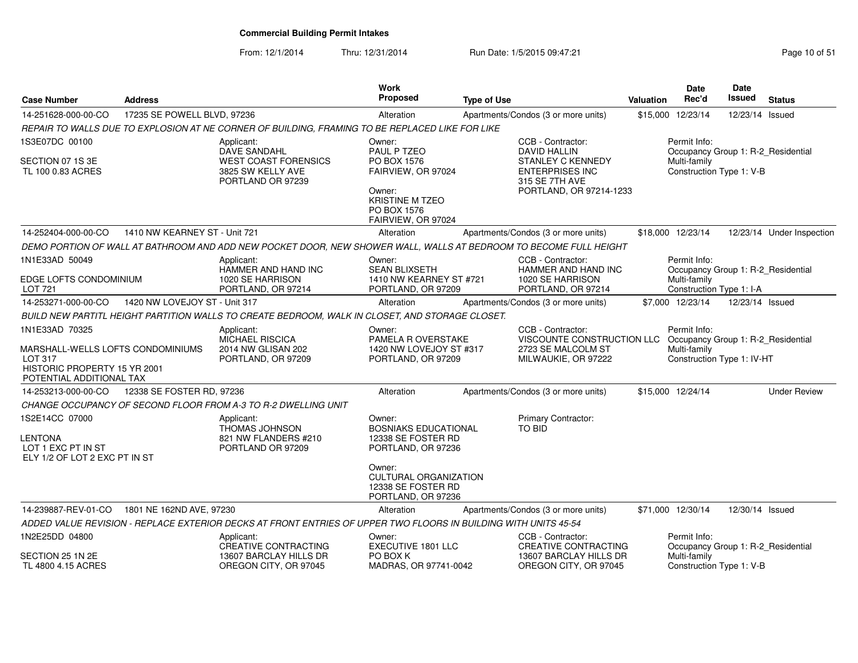| <b>Case Number</b>                                                                                                         | <b>Address</b>                                                   |                                                                                                                   | Work<br>Proposed                                                                                           | <b>Type of Use</b>                     |                                                                                                                                 | Valuation                                | <b>Date</b><br>Rec'd                                       | Date<br>Issued  | <b>Status</b>                      |
|----------------------------------------------------------------------------------------------------------------------------|------------------------------------------------------------------|-------------------------------------------------------------------------------------------------------------------|------------------------------------------------------------------------------------------------------------|----------------------------------------|---------------------------------------------------------------------------------------------------------------------------------|------------------------------------------|------------------------------------------------------------|-----------------|------------------------------------|
| 14-251628-000-00-CO                                                                                                        | 17235 SE POWELL BLVD, 97236                                      |                                                                                                                   | Alteration                                                                                                 |                                        | Apartments/Condos (3 or more units)                                                                                             |                                          | \$15,000 12/23/14                                          | 12/23/14 Issued |                                    |
|                                                                                                                            |                                                                  | REPAIR TO WALLS DUE TO EXPLOSION AT NE CORNER OF BUILDING, FRAMING TO BE REPLACED LIKE FOR LIKE                   |                                                                                                            |                                        |                                                                                                                                 |                                          |                                                            |                 |                                    |
| 1S3E07DC 00100                                                                                                             |                                                                  | Applicant:<br>DAVE SANDAHL                                                                                        | Owner:<br>PAUL P TZEO                                                                                      |                                        | CCB - Contractor:<br><b>DAVID HALLIN</b>                                                                                        |                                          | Permit Info:                                               |                 | Occupancy Group 1: R-2 Residential |
| SECTION 07 1S 3E<br>TL 100 0.83 ACRES                                                                                      |                                                                  | <b>WEST COAST FORENSICS</b><br>3825 SW KELLY AVE<br>PORTLAND OR 97239                                             | PO BOX 1576<br>FAIRVIEW, OR 97024<br>Owner:<br><b>KRISTINE M TZEO</b><br>PO BOX 1576<br>FAIRVIEW, OR 97024 |                                        | <b>STANLEY C KENNEDY</b><br><b>ENTERPRISES INC</b><br>315 SE 7TH AVE<br>PORTLAND, OR 97214-1233                                 |                                          | Multi-family<br>Construction Type 1: V-B                   |                 |                                    |
| 14-252404-000-00-CO                                                                                                        | 1410 NW KEARNEY ST - Unit 721                                    |                                                                                                                   | Alteration                                                                                                 |                                        | Apartments/Condos (3 or more units)                                                                                             |                                          | \$18,000 12/23/14                                          |                 | 12/23/14 Under Inspection          |
|                                                                                                                            |                                                                  | DEMO PORTION OF WALL AT BATHROOM AND ADD NEW POCKET DOOR, NEW SHOWER WALL, WALLS AT BEDROOM TO BECOME FULL HEIGHT |                                                                                                            |                                        |                                                                                                                                 |                                          |                                                            |                 |                                    |
| 1N1E33AD 50049                                                                                                             |                                                                  | Applicant:<br>HAMMER AND HAND INC                                                                                 | Owner:<br><b>SEAN BLIXSETH</b>                                                                             |                                        | CCB - Contractor:<br><b>HAMMER AND HAND INC</b>                                                                                 |                                          | Permit Info:                                               |                 | Occupancy Group 1: R-2_Residential |
| <b>LOT 721</b>                                                                                                             | EDGE LOFTS CONDOMINIUM<br>1020 SE HARRISON<br>PORTLAND, OR 97214 |                                                                                                                   | 1410 NW KEARNEY ST #721<br>PORTLAND, OR 97209                                                              | 1020 SE HARRISON<br>PORTLAND, OR 97214 |                                                                                                                                 | Multi-family<br>Construction Type 1: I-A |                                                            |                 |                                    |
| 14-253271-000-00-CO                                                                                                        | 1420 NW LOVEJOY ST - Unit 317                                    |                                                                                                                   | Alteration                                                                                                 |                                        | Apartments/Condos (3 or more units)                                                                                             |                                          | \$7.000 12/23/14                                           | 12/23/14 Issued |                                    |
|                                                                                                                            |                                                                  | BUILD NEW PARTITL HEIGHT PARTITION WALLS TO CREATE BEDROOM, WALK IN CLOSET, AND STORAGE CLOSET.                   |                                                                                                            |                                        |                                                                                                                                 |                                          |                                                            |                 |                                    |
| 1N1E33AD 70325<br>MARSHALL-WELLS LOFTS CONDOMINIUMS<br>LOT 317<br>HISTORIC PROPERTY 15 YR 2001<br>POTENTIAL ADDITIONAL TAX |                                                                  | Applicant:<br><b>MICHAEL RISCICA</b><br>2014 NW GLISAN 202<br>PORTLAND, OR 97209                                  | Owner:<br>PAMELA R OVERSTAKE<br>1420 NW LOVEJOY ST #317<br>PORTLAND, OR 97209                              |                                        | CCB - Contractor:<br>VISCOUNTE CONSTRUCTION LLC Occupancy Group 1: R-2_Residential<br>2723 SE MALCOLM ST<br>MILWAUKIE, OR 97222 |                                          | Permit Info:<br>Multi-family<br>Construction Type 1: IV-HT |                 |                                    |
| 14-253213-000-00-CO                                                                                                        | 12338 SE FOSTER RD, 97236                                        |                                                                                                                   | Alteration                                                                                                 |                                        | Apartments/Condos (3 or more units)                                                                                             |                                          | \$15,000 12/24/14                                          |                 | <b>Under Review</b>                |
|                                                                                                                            |                                                                  | CHANGE OCCUPANCY OF SECOND FLOOR FROM A-3 TO R-2 DWELLING UNIT                                                    |                                                                                                            |                                        |                                                                                                                                 |                                          |                                                            |                 |                                    |
| 1S2E14CC 07000<br>LENTONA<br>LOT 1 EXC PT IN ST<br>ELY 1/2 OF LOT 2 EXC PT IN ST                                           |                                                                  | Applicant:<br><b>THOMAS JOHNSON</b><br>821 NW FLANDERS #210<br>PORTLAND OR 97209                                  | Owner:<br><b>BOSNIAKS EDUCATIONAL</b><br>12338 SE FOSTER RD<br>PORTLAND, OR 97236<br>Owner:                |                                        | <b>Primary Contractor:</b><br>TO BID                                                                                            |                                          |                                                            |                 |                                    |
|                                                                                                                            |                                                                  |                                                                                                                   | <b>CULTURAL ORGANIZATION</b><br>12338 SE FOSTER RD<br>PORTLAND, OR 97236                                   |                                        |                                                                                                                                 |                                          |                                                            |                 |                                    |
| 14-239887-REV-01-CO                                                                                                        | 1801 NE 162ND AVE, 97230                                         |                                                                                                                   | Alteration                                                                                                 |                                        | Apartments/Condos (3 or more units)                                                                                             |                                          | \$71,000 12/30/14                                          | 12/30/14 Issued |                                    |
|                                                                                                                            |                                                                  | ADDED VALUE REVISION - REPLACE EXTERIOR DECKS AT FRONT ENTRIES OF UPPER TWO FLOORS IN BUILDING WITH UNITS 45-54   |                                                                                                            |                                        |                                                                                                                                 |                                          |                                                            |                 |                                    |
| 1N2E25DD 04800                                                                                                             |                                                                  | Applicant:<br><b>CREATIVE CONTRACTING</b>                                                                         | Owner:<br><b>EXECUTIVE 1801 LLC</b>                                                                        |                                        | CCB - Contractor:<br><b>CREATIVE CONTRACTING</b>                                                                                |                                          | Permit Info:<br>Occupancy Group 1: R-2_Residential         |                 |                                    |
| SECTION 25 1N 2E<br>TL 4800 4.15 ACRES                                                                                     |                                                                  | 13607 BARCLAY HILLS DR<br>OREGON CITY, OR 97045                                                                   | PO BOX K<br>MADRAS, OR 97741-0042                                                                          |                                        | 13607 BARCLAY HILLS DR<br>OREGON CITY, OR 97045                                                                                 |                                          | Multi-family<br>Construction Type 1: V-B                   |                 |                                    |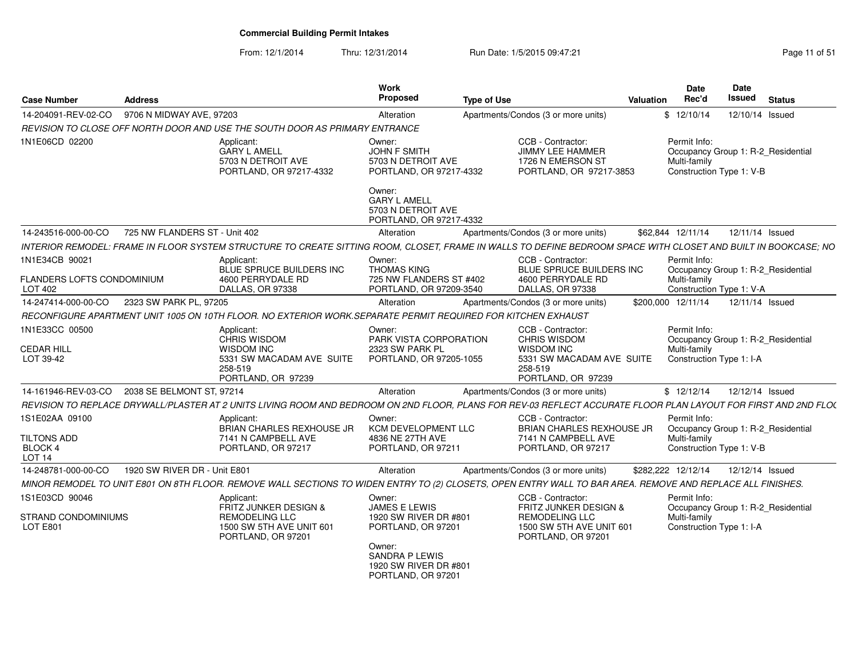From: 12/1/2014Thru: 12/31/2014 Run Date: 1/5/2015 09:47:21 Rege 11 of 51

| <b>Case Number</b>                                                   | <b>Address</b>                |                                                                                                                                                                 | <b>Work</b><br><b>Proposed</b>                                                                           | <b>Type of Use</b> |                                                                                                                      | <b>Valuation</b> | Date<br>Rec'd                                                                                  | Date<br>Issued  | <b>Status</b> |
|----------------------------------------------------------------------|-------------------------------|-----------------------------------------------------------------------------------------------------------------------------------------------------------------|----------------------------------------------------------------------------------------------------------|--------------------|----------------------------------------------------------------------------------------------------------------------|------------------|------------------------------------------------------------------------------------------------|-----------------|---------------|
| 14-204091-REV-02-CO                                                  | 9706 N MIDWAY AVE, 97203      |                                                                                                                                                                 | Alteration                                                                                               |                    | Apartments/Condos (3 or more units)                                                                                  |                  | \$12/10/14                                                                                     | 12/10/14 Issued |               |
|                                                                      |                               | REVISION TO CLOSE OFF NORTH DOOR AND USE THE SOUTH DOOR AS PRIMARY ENTRANCE                                                                                     |                                                                                                          |                    |                                                                                                                      |                  |                                                                                                |                 |               |
| 1N1E06CD 02200                                                       |                               | Applicant:<br><b>GARY L AMELL</b><br>5703 N DETROIT AVE<br>PORTLAND, OR 97217-4332                                                                              | Owner:<br>JOHN F SMITH<br>5703 N DETROIT AVE<br>PORTLAND, OR 97217-4332<br>Owner:<br><b>GARY L AMELL</b> |                    | CCB - Contractor:<br><b>JIMMY LEE HAMMER</b><br>1726 N EMERSON ST<br>PORTLAND, OR 97217-3853                         |                  | Permit Info:<br>Occupancy Group 1: R-2_Residential<br>Multi-family<br>Construction Type 1: V-B |                 |               |
|                                                                      |                               |                                                                                                                                                                 | 5703 N DETROIT AVE<br>PORTLAND, OR 97217-4332                                                            |                    |                                                                                                                      |                  |                                                                                                |                 |               |
| 14-243516-000-00-CO                                                  | 725 NW FLANDERS ST - Unit 402 |                                                                                                                                                                 | Alteration                                                                                               |                    | Apartments/Condos (3 or more units)                                                                                  |                  | \$62,844 12/11/14                                                                              | 12/11/14 Issued |               |
|                                                                      |                               | INTERIOR REMODEL: FRAME IN FLOOR SYSTEM STRUCTURE TO CREATE SITTING ROOM, CLOSET, FRAME IN WALLS TO DEFINE BEDROOM SPACE WITH CLOSET AND BUILT IN BOOKCASE; NO  |                                                                                                          |                    |                                                                                                                      |                  |                                                                                                |                 |               |
| 1N1E34CB 90021<br>FLANDERS LOFTS CONDOMINIUM                         |                               | Applicant:<br><b>BLUE SPRUCE BUILDERS INC</b><br>4600 PERRYDALE RD                                                                                              | Owner:<br><b>THOMAS KING</b><br>725 NW FLANDERS ST #402                                                  |                    | CCB - Contractor:<br><b>BLUE SPRUCE BUILDERS INC</b><br>4600 PERRYDALE RD                                            |                  | Permit Info:<br>Occupancy Group 1: R-2 Residential<br>Multi-family                             |                 |               |
| LOT 402                                                              |                               | DALLAS, OR 97338                                                                                                                                                | PORTLAND, OR 97209-3540                                                                                  |                    | DALLAS, OR 97338                                                                                                     |                  | Construction Type 1: V-A                                                                       |                 |               |
| 14-247414-000-00-CO                                                  | 2323 SW PARK PL, 97205        |                                                                                                                                                                 | Alteration                                                                                               |                    | Apartments/Condos (3 or more units)                                                                                  |                  | \$200.000 12/11/14                                                                             | 12/11/14 Issued |               |
|                                                                      |                               | RECONFIGURE APARTMENT UNIT 1005 ON 10TH FLOOR. NO EXTERIOR WORK. SEPARATE PERMIT REQUIRED FOR KITCHEN EXHAUST                                                   |                                                                                                          |                    |                                                                                                                      |                  |                                                                                                |                 |               |
| 1N1E33CC 00500<br><b>CEDAR HILL</b><br>LOT 39-42                     |                               | Applicant:<br><b>CHRIS WISDOM</b><br><b>WISDOM INC</b><br>5331 SW MACADAM AVE SUITE<br>258-519<br>PORTLAND, OR 97239                                            | Owner:<br>PARK VISTA CORPORATION<br>2323 SW PARK PL<br>PORTLAND, OR 97205-1055                           |                    | CCB - Contractor:<br>CHRIS WISDOM<br><b>WISDOM INC</b><br>5331 SW MACADAM AVE SUITE<br>258-519<br>PORTLAND, OR 97239 |                  | Permit Info:<br>Occupancy Group 1: R-2_Residential<br>Multi-family<br>Construction Type 1: I-A |                 |               |
| 14-161946-REV-03-CO                                                  | 2038 SE BELMONT ST, 97214     |                                                                                                                                                                 | Alteration                                                                                               |                    | Apartments/Condos (3 or more units)                                                                                  |                  | \$12/12/14                                                                                     | 12/12/14 Issued |               |
|                                                                      |                               | REVISION TO REPLACE DRYWALL/PLASTER AT 2 UNITS LIVING ROOM AND BEDROOM ON 2ND FLOOR, PLANS FOR REV-03 REFLECT ACCURATE FLOOR PLAN LAYOUT FOR FIRST AND 2ND FLO( |                                                                                                          |                    |                                                                                                                      |                  |                                                                                                |                 |               |
| 1S1E02AA 09100<br>TILTONS ADD<br><b>BLOCK 4</b><br>LOT <sub>14</sub> |                               | Applicant:<br>BRIAN CHARLES REXHOUSE JR<br>7141 N CAMPBELL AVE<br>PORTLAND, OR 97217                                                                            | Owner:<br>KCM DEVELOPMENT LLC<br>4836 NE 27TH AVE<br>PORTLAND, OR 97211                                  |                    | CCB - Contractor:<br>BRIAN CHARLES REXHOUSE JR<br>7141 N CAMPBELL AVE<br>PORTLAND, OR 97217                          |                  | Permit Info:<br>Occupancy Group 1: R-2_Residential<br>Multi-family<br>Construction Type 1: V-B |                 |               |
| 14-248781-000-00-CO                                                  | 1920 SW RIVER DR - Unit E801  |                                                                                                                                                                 | Alteration                                                                                               |                    | Apartments/Condos (3 or more units)                                                                                  |                  | \$282,222 12/12/14                                                                             | 12/12/14 Issued |               |
|                                                                      |                               | MINOR REMODEL TO UNIT E801 ON 8TH FLOOR. REMOVE WALL SECTIONS TO WIDEN ENTRY TO (2) CLOSETS, OPEN ENTRY WALL TO BAR AREA. REMOVE AND REPLACE ALL FINISHES.      |                                                                                                          |                    |                                                                                                                      |                  |                                                                                                |                 |               |
| 1S1E03CD 90046<br>STRAND CONDOMINIUMS<br><b>LOT E801</b>             |                               | Applicant:<br>FRITZ JUNKER DESIGN &<br><b>REMODELING LLC</b><br>1500 SW 5TH AVE UNIT 601                                                                        | Owner:<br><b>JAMES E LEWIS</b><br>1920 SW RIVER DR #801<br>PORTLAND, OR 97201                            |                    | CCB - Contractor:<br>FRITZ JUNKER DESIGN &<br><b>REMODELING LLC</b><br>1500 SW 5TH AVE UNIT 601                      |                  | Permit Info:<br>Occupancy Group 1: R-2 Residential<br>Multi-family<br>Construction Type 1: I-A |                 |               |
|                                                                      |                               | PORTLAND, OR 97201                                                                                                                                              | Owner:<br>SANDRA P LEWIS<br>1920 SW RIVER DR #801<br>PORTLAND, OR 97201                                  |                    | PORTLAND, OR 97201                                                                                                   |                  |                                                                                                |                 |               |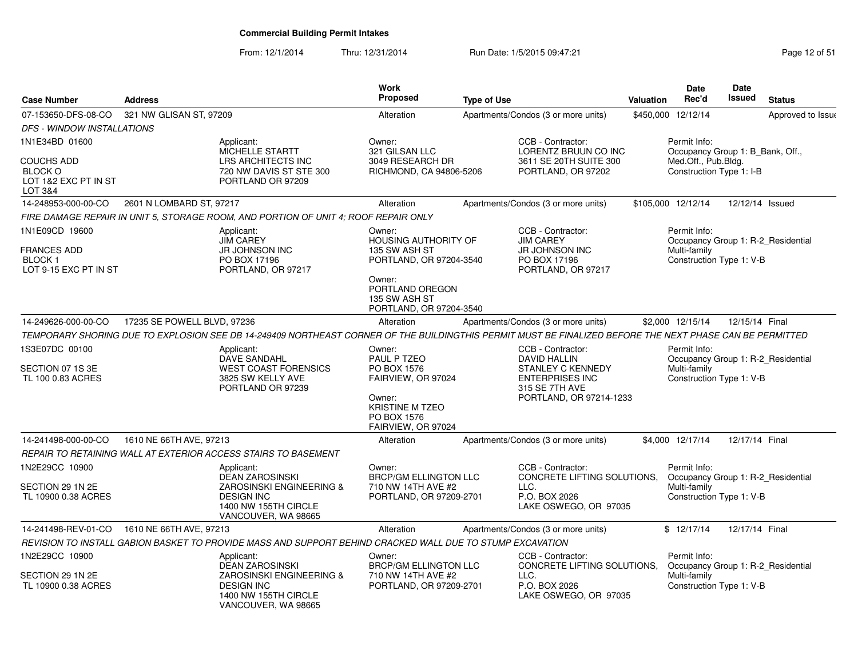From: 12/1/2014Thru: 12/31/2014 Run Date: 1/5/2015 09:47:21 Research 2010 Page 12 of 51

| <b>Case Number</b>                                                             | <b>Address</b>              |                                                                                                                                                          | <b>Work</b><br><b>Proposed</b>                                                                                                                             | <b>Type of Use</b> |                                                                                                                               | <b>Valuation</b> | Date<br>Rec'd                                                                                  | <b>Date</b><br><b>Issued</b> | <b>Status</b>     |
|--------------------------------------------------------------------------------|-----------------------------|----------------------------------------------------------------------------------------------------------------------------------------------------------|------------------------------------------------------------------------------------------------------------------------------------------------------------|--------------------|-------------------------------------------------------------------------------------------------------------------------------|------------------|------------------------------------------------------------------------------------------------|------------------------------|-------------------|
| 07-153650-DFS-08-CO                                                            | 321 NW GLISAN ST, 97209     |                                                                                                                                                          | Alteration                                                                                                                                                 |                    | Apartments/Condos (3 or more units)                                                                                           |                  | \$450,000 12/12/14                                                                             |                              | Approved to Issue |
| <b>DFS - WINDOW INSTALLATIONS</b>                                              |                             |                                                                                                                                                          |                                                                                                                                                            |                    |                                                                                                                               |                  |                                                                                                |                              |                   |
| 1N1E34BD 01600                                                                 |                             | Applicant:                                                                                                                                               | Owner:                                                                                                                                                     |                    | CCB - Contractor:                                                                                                             |                  | Permit Info:                                                                                   |                              |                   |
| <b>COUCHS ADD</b><br><b>BLOCK O</b><br>LOT 1&2 EXC PT IN ST<br>LOT 3&4         |                             | MICHELLE STARTT<br>LRS ARCHITECTS INC<br>720 NW DAVIS ST STE 300<br>PORTLAND OR 97209                                                                    | 321 GILSAN LLC<br>3049 RESEARCH DR<br>RICHMOND, CA 94806-5206                                                                                              |                    | LORENTZ BRUUN CO INC<br>3611 SE 20TH SUITE 300<br>PORTLAND, OR 97202                                                          |                  | Occupancy Group 1: B_Bank, Off.,<br>Med.Off., Pub.Bldg.<br>Construction Type 1: I-B            |                              |                   |
| 14-248953-000-00-CO                                                            | 2601 N LOMBARD ST, 97217    |                                                                                                                                                          | Alteration                                                                                                                                                 |                    | Apartments/Condos (3 or more units)                                                                                           |                  | \$105,000 12/12/14                                                                             | 12/12/14 Issued              |                   |
|                                                                                |                             | FIRE DAMAGE REPAIR IN UNIT 5, STORAGE ROOM, AND PORTION OF UNIT 4; ROOF REPAIR ONLY                                                                      |                                                                                                                                                            |                    |                                                                                                                               |                  |                                                                                                |                              |                   |
| 1N1E09CD 19600<br><b>FRANCES ADD</b><br><b>BLOCK1</b><br>LOT 9-15 EXC PT IN ST |                             | Applicant:<br><b>JIM CAREY</b><br><b>JR JOHNSON INC</b><br>PO BOX 17196<br>PORTLAND, OR 97217                                                            | Owner:<br><b>HOUSING AUTHORITY OF</b><br>135 SW ASH ST<br>PORTLAND, OR 97204-3540<br>Owner:<br>PORTLAND OREGON<br>135 SW ASH ST<br>PORTLAND, OR 97204-3540 |                    | CCB - Contractor:<br><b>JIM CAREY</b><br>JR JOHNSON INC<br>PO BOX 17196<br>PORTLAND, OR 97217                                 |                  | Permit Info:<br>Occupancy Group 1: R-2 Residential<br>Multi-family<br>Construction Type 1: V-B |                              |                   |
| 14-249626-000-00-CO                                                            | 17235 SE POWELL BLVD, 97236 |                                                                                                                                                          | Alteration                                                                                                                                                 |                    | Apartments/Condos (3 or more units)                                                                                           |                  | \$2,000 12/15/14                                                                               | 12/15/14 Final               |                   |
|                                                                                |                             | TEMPORARY SHORING DUE TO EXPLOSION SEE DB 14-249409 NORTHEAST CORNER OF THE BUILDINGTHIS PERMIT MUST BE FINALIZED BEFORE THE NEXT PHASE CAN BE PERMITTED |                                                                                                                                                            |                    |                                                                                                                               |                  |                                                                                                |                              |                   |
| 1S3E07DC 00100<br>SECTION 07 1S 3E<br>TL 100 0.83 ACRES                        |                             | Applicant:<br>DAVE SANDAHL<br><b>WEST COAST FORENSICS</b><br>3825 SW KELLY AVE<br>PORTLAND OR 97239                                                      | Owner:<br>PAUL P TZEO<br>PO BOX 1576<br>FAIRVIEW, OR 97024<br>Owner:<br><b>KRISTINE M TZEO</b><br>PO BOX 1576<br>FAIRVIEW, OR 97024                        |                    | CCB - Contractor:<br>DAVID HALLIN<br>STANLEY C KENNEDY<br><b>ENTERPRISES INC</b><br>315 SE 7TH AVE<br>PORTLAND, OR 97214-1233 |                  | Permit Info:<br>Occupancy Group 1: R-2_Residential<br>Multi-family<br>Construction Type 1: V-B |                              |                   |
| 14-241498-000-00-CO                                                            | 1610 NE 66TH AVE, 97213     |                                                                                                                                                          | Alteration                                                                                                                                                 |                    | Apartments/Condos (3 or more units)                                                                                           |                  | \$4.000 12/17/14                                                                               | 12/17/14 Final               |                   |
|                                                                                |                             | REPAIR TO RETAINING WALL AT EXTERIOR ACCESS STAIRS TO BASEMENT                                                                                           |                                                                                                                                                            |                    |                                                                                                                               |                  |                                                                                                |                              |                   |
| 1N2E29CC 10900<br>SECTION 29 1N 2E<br>TL 10900 0.38 ACRES                      |                             | Applicant:<br><b>DEAN ZAROSINSKI</b><br>ZAROSINSKI ENGINEERING &<br><b>DESIGN INC</b><br>1400 NW 155TH CIRCLE<br>VANCOUVER, WA 98665                     | Owner:<br><b>BRCP/GM ELLINGTON LLC</b><br>710 NW 14TH AVE #2<br>PORTLAND, OR 97209-2701                                                                    |                    | CCB - Contractor:<br>CONCRETE LIFTING SOLUTIONS,<br>LLC.<br>P.O. BOX 2026<br>LAKE OSWEGO, OR 97035                            |                  | Permit Info:<br>Occupancy Group 1: R-2_Residential<br>Multi-family<br>Construction Type 1: V-B |                              |                   |
| 14-241498-REV-01-CO 1610 NE 66TH AVE, 97213                                    |                             |                                                                                                                                                          | Alteration                                                                                                                                                 |                    | Apartments/Condos (3 or more units)                                                                                           |                  | \$12/17/14                                                                                     | 12/17/14 Final               |                   |
|                                                                                |                             | REVISION TO INSTALL GABION BASKET TO PROVIDE MASS AND SUPPORT BEHIND CRACKED WALL DUE TO STUMP EXCAVATION                                                |                                                                                                                                                            |                    |                                                                                                                               |                  |                                                                                                |                              |                   |
| 1N2E29CC 10900<br>SECTION 29 1N 2E<br>TL 10900 0.38 ACRES                      |                             | Applicant:<br><b>DEAN ZAROSINSKI</b><br>ZAROSINSKI ENGINEERING &<br><b>DESIGN INC</b><br>1400 NW 155TH CIRCLE<br>VANCOUVER, WA 98665                     | Owner:<br><b>BRCP/GM ELLINGTON LLC</b><br>710 NW 14TH AVE #2<br>PORTLAND, OR 97209-2701                                                                    |                    | CCB - Contractor:<br>CONCRETE LIFTING SOLUTIONS,<br>LLC.<br>P.O. BOX 2026<br>LAKE OSWEGO, OR 97035                            |                  | Permit Info:<br>Occupancy Group 1: R-2 Residential<br>Multi-family<br>Construction Type 1: V-B |                              |                   |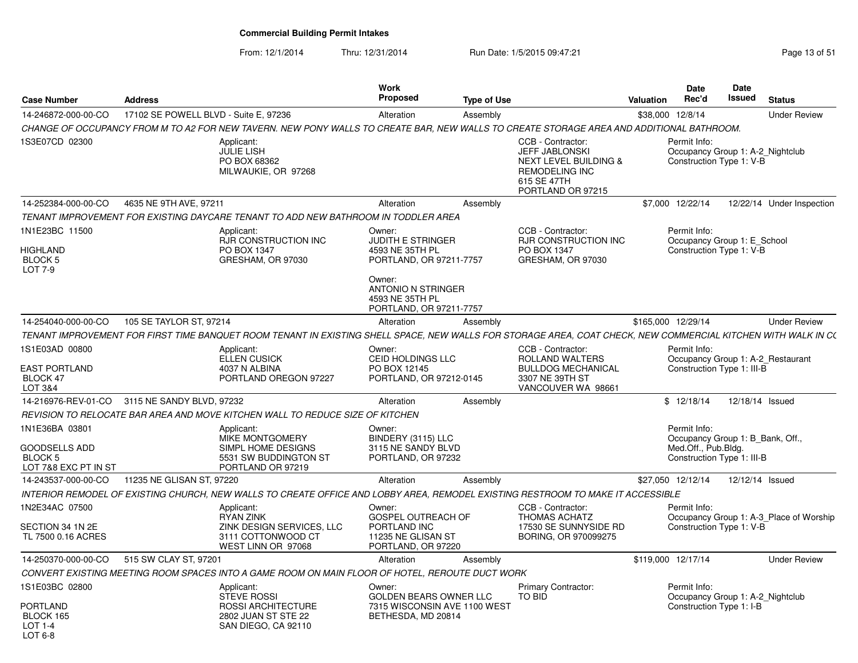| <b>Case Number</b>                                                               | <b>Address</b>                                |                                                                                                                                                               | <b>Work</b><br><b>Proposed</b>                                                    | <b>Type of Use</b> |                                                                                                                                      | Valuation          | <b>Date</b><br>Rec'd                                                                                 | <b>Date</b><br>Issued | <b>Status</b>                           |
|----------------------------------------------------------------------------------|-----------------------------------------------|---------------------------------------------------------------------------------------------------------------------------------------------------------------|-----------------------------------------------------------------------------------|--------------------|--------------------------------------------------------------------------------------------------------------------------------------|--------------------|------------------------------------------------------------------------------------------------------|-----------------------|-----------------------------------------|
| 14-246872-000-00-CO                                                              | 17102 SE POWELL BLVD - Suite E, 97236         |                                                                                                                                                               | Alteration                                                                        | Assembly           |                                                                                                                                      |                    | \$38,000 12/8/14                                                                                     |                       | <b>Under Review</b>                     |
|                                                                                  |                                               | CHANGE OF OCCUPANCY FROM M TO A2 FOR NEW TAVERN. NEW PONY WALLS TO CREATE BAR, NEW WALLS TO CREATE STORAGE AREA AND ADDITIONAL BATHROOM.                      |                                                                                   |                    |                                                                                                                                      |                    |                                                                                                      |                       |                                         |
| 1S3E07CD 02300                                                                   |                                               | Applicant:<br>JULIE LISH<br>PO BOX 68362<br>MILWAUKIE, OR 97268                                                                                               |                                                                                   |                    | CCB - Contractor:<br>JEFF JABLONSKI<br><b>NEXT LEVEL BUILDING &amp;</b><br><b>REMODELING INC</b><br>615 SE 47TH<br>PORTLAND OR 97215 |                    | Permit Info:<br>Occupancy Group 1: A-2_Nightclub<br>Construction Type 1: V-B                         |                       |                                         |
| 14-252384-000-00-CO                                                              | 4635 NE 9TH AVE, 97211                        |                                                                                                                                                               | Alteration                                                                        | Assembly           |                                                                                                                                      |                    | \$7,000 12/22/14                                                                                     |                       | 12/22/14 Under Inspection               |
|                                                                                  |                                               | TENANT IMPROVEMENT FOR EXISTING DAYCARE TENANT TO ADD NEW BATHROOM IN TODDLER AREA                                                                            |                                                                                   |                    |                                                                                                                                      |                    |                                                                                                      |                       |                                         |
| 1N1E23BC 11500<br>HIGHLAND<br>BLOCK <sub>5</sub><br>LOT 7-9                      |                                               | Applicant:<br><b>RJR CONSTRUCTION INC</b><br>PO BOX 1347<br>GRESHAM, OR 97030                                                                                 | Owner:<br><b>JUDITH E STRINGER</b><br>4593 NE 35TH PL<br>PORTLAND, OR 97211-7757  |                    | CCB - Contractor:<br><b>RJR CONSTRUCTION INC</b><br>PO BOX 1347<br>GRESHAM, OR 97030                                                 |                    | Permit Info:<br>Occupancy Group 1: E_School<br>Construction Type 1: V-B                              |                       |                                         |
|                                                                                  |                                               |                                                                                                                                                               | Owner:<br><b>ANTONIO N STRINGER</b><br>4593 NE 35TH PL<br>PORTLAND, OR 97211-7757 |                    |                                                                                                                                      |                    |                                                                                                      |                       |                                         |
| 14-254040-000-00-CO                                                              | 105 SE TAYLOR ST, 97214                       |                                                                                                                                                               | Alteration                                                                        | Assembly           |                                                                                                                                      | \$165,000 12/29/14 |                                                                                                      |                       | <b>Under Review</b>                     |
|                                                                                  |                                               | TENANT IMPROVEMENT FOR FIRST TIME BANQUET ROOM TENANT IN EXISTING SHELL SPACE, NEW WALLS FOR STORAGE AREA, COAT CHECK, NEW COMMERCIAL KITCHEN WITH WALK IN C( |                                                                                   |                    |                                                                                                                                      |                    |                                                                                                      |                       |                                         |
| 1S1E03AD 00800<br><b>EAST PORTLAND</b><br>BLOCK 47<br>LOT 3&4                    |                                               | Applicant:<br><b>ELLEN CUSICK</b><br>4037 N ALBINA<br>PORTLAND OREGON 97227                                                                                   | Owner:<br>CEID HOLDINGS LLC<br>PO BOX 12145<br>PORTLAND, OR 97212-0145            |                    | CCB - Contractor:<br>ROLLAND WALTERS<br><b>BULLDOG MECHANICAL</b><br>3307 NE 39TH ST<br>VANCOUVER WA 98661                           |                    | Permit Info:<br>Construction Type 1: III-B                                                           |                       | Occupancy Group 1: A-2 Restaurant       |
|                                                                                  | 14-216976-REV-01-CO 3115 NE SANDY BLVD, 97232 |                                                                                                                                                               | Alteration                                                                        | Assembly           |                                                                                                                                      |                    | \$12/18/14                                                                                           |                       | 12/18/14 Issued                         |
|                                                                                  |                                               | REVISION TO RELOCATE BAR AREA AND MOVE KITCHEN WALL TO REDUCE SIZE OF KITCHEN                                                                                 |                                                                                   |                    |                                                                                                                                      |                    |                                                                                                      |                       |                                         |
| 1N1E36BA 03801<br><b>GOODSELLS ADD</b><br><b>BLOCK 5</b><br>LOT 7&8 EXC PT IN ST |                                               | Applicant:<br><b>MIKE MONTGOMERY</b><br>SIMPL HOME DESIGNS<br>5531 SW BUDDINGTON ST<br>PORTLAND OR 97219                                                      | Owner:<br>BINDERY (3115) LLC<br>3115 NE SANDY BLVD<br>PORTLAND, OR 97232          |                    |                                                                                                                                      |                    | Permit Info:<br>Occupancy Group 1: B Bank, Off.<br>Med.Off., Pub.Bldg.<br>Construction Type 1: III-B |                       |                                         |
| 14-243537-000-00-CO                                                              | 11235 NE GLISAN ST, 97220                     |                                                                                                                                                               | Alteration                                                                        | Assembly           |                                                                                                                                      |                    | \$27,050 12/12/14                                                                                    |                       | 12/12/14 Issued                         |
|                                                                                  |                                               | INTERIOR REMODEL OF EXISTING CHURCH. NEW WALLS TO CREATE OFFICE AND LOBBY AREA. REMODEL EXISTING RESTROOM TO MAKE IT ACCESSIBLE                               |                                                                                   |                    |                                                                                                                                      |                    |                                                                                                      |                       |                                         |
| 1N2E34AC 07500                                                                   |                                               | Applicant:<br>RYAN ZINK                                                                                                                                       | Owner:<br>GOSPEL OUTREACH OF                                                      |                    | CCB - Contractor:<br><b>THOMAS ACHATZ</b>                                                                                            |                    | Permit Info:                                                                                         |                       | Occupancy Group 1: A-3 Place of Worship |
| SECTION 34 1N 2E<br>TL 7500 0.16 ACRES                                           |                                               | ZINK DESIGN SERVICES, LLC<br>3111 COTTONWOOD CT<br>WEST LINN OR 97068                                                                                         | PORTLAND INC<br>11235 NE GLISAN ST<br>PORTLAND, OR 97220                          |                    | 17530 SE SUNNYSIDE RD<br>BORING, OR 970099275                                                                                        |                    | Construction Type 1: V-B                                                                             |                       |                                         |
| 14-250370-000-00-CO                                                              | 515 SW CLAY ST, 97201                         |                                                                                                                                                               | Alteration                                                                        | Assembly           |                                                                                                                                      |                    | \$119,000 12/17/14                                                                                   |                       | <b>Under Review</b>                     |
|                                                                                  |                                               | CONVERT EXISTING MEETING ROOM SPACES INTO A GAME ROOM ON MAIN FLOOR OF HOTEL, REROUTE DUCT WORK                                                               |                                                                                   |                    |                                                                                                                                      |                    |                                                                                                      |                       |                                         |
| 1S1E03BC 02800                                                                   |                                               | Applicant:<br><b>STEVE ROSSI</b>                                                                                                                              | Owner:<br>GOLDEN BEARS OWNER LLC                                                  |                    | <b>Primary Contractor:</b><br><b>TO BID</b>                                                                                          |                    | Permit Info:<br>Occupancy Group 1: A-2_Nightclub                                                     |                       |                                         |
| PORTLAND<br>BLOCK 165<br>LOT 1-4<br>LOT 6-8                                      |                                               | ROSSI ARCHITECTURE<br>2802 JUAN ST STE 22<br>SAN DIEGO, CA 92110                                                                                              | 7315 WISCONSIN AVE 1100 WEST<br>BETHESDA, MD 20814                                |                    |                                                                                                                                      |                    | Construction Type 1: I-B                                                                             |                       |                                         |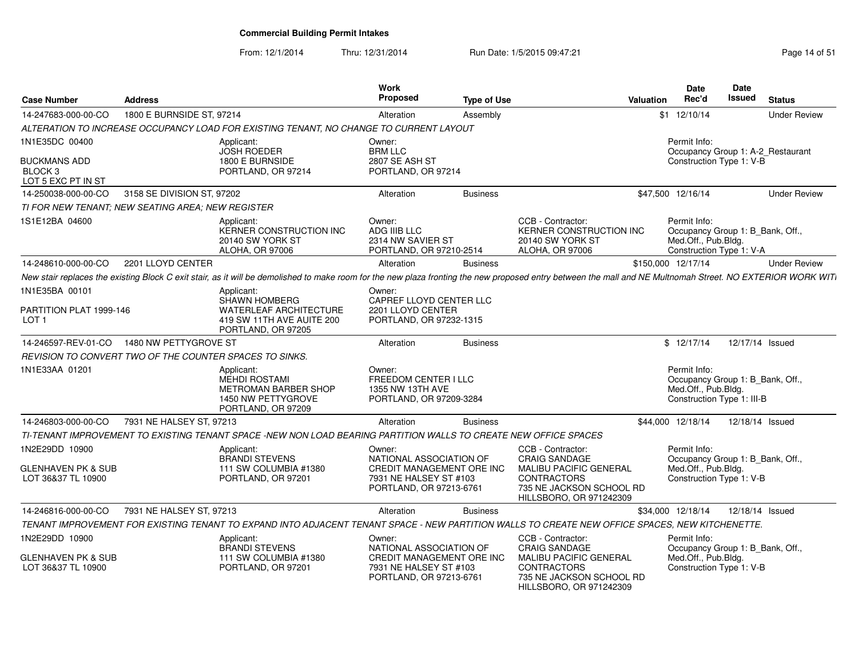From: 12/1/2014

Thru: 12/31/2014 Run Date: 1/5/2015 09:47:21 Research 2010 Rage 14 of 51

| <b>Case Number</b>                                              | <b>Address</b>             |                                                                                                                                                                                                            | <b>Work</b><br>Proposed                                                        | <b>Type of Use</b> |                                                                                                            | Valuation | <b>Date</b><br>Rec'd                                                                                  | Date<br>Issued  | <b>Status</b>                     |
|-----------------------------------------------------------------|----------------------------|------------------------------------------------------------------------------------------------------------------------------------------------------------------------------------------------------------|--------------------------------------------------------------------------------|--------------------|------------------------------------------------------------------------------------------------------------|-----------|-------------------------------------------------------------------------------------------------------|-----------------|-----------------------------------|
| 14-247683-000-00-CO                                             | 1800 E BURNSIDE ST, 97214  |                                                                                                                                                                                                            | Alteration                                                                     | Assembly           |                                                                                                            |           | \$1 12/10/14                                                                                          |                 | <b>Under Review</b>               |
|                                                                 |                            | ALTERATION TO INCREASE OCCUPANCY LOAD FOR EXISTING TENANT, NO CHANGE TO CURRENT LAYOUT                                                                                                                     |                                                                                |                    |                                                                                                            |           |                                                                                                       |                 |                                   |
| 1N1E35DC 00400                                                  |                            | Applicant:                                                                                                                                                                                                 | Owner:                                                                         |                    |                                                                                                            |           | Permit Info:                                                                                          |                 |                                   |
| <b>BUCKMANS ADD</b><br>BLOCK <sub>3</sub><br>LOT 5 EXC PT IN ST |                            | <b>JOSH ROEDER</b><br>1800 E BURNSIDE<br>PORTLAND, OR 97214                                                                                                                                                | <b>BRM LLC</b><br>2807 SE ASH ST<br>PORTLAND, OR 97214                         |                    |                                                                                                            |           | Construction Type 1: V-B                                                                              |                 | Occupancy Group 1: A-2_Restaurant |
| 14-250038-000-00-CO                                             | 3158 SE DIVISION ST, 97202 |                                                                                                                                                                                                            | Alteration                                                                     | <b>Business</b>    |                                                                                                            |           | \$47,500 12/16/14                                                                                     |                 | <b>Under Review</b>               |
| TI FOR NEW TENANT: NEW SEATING AREA: NEW REGISTER               |                            |                                                                                                                                                                                                            |                                                                                |                    |                                                                                                            |           |                                                                                                       |                 |                                   |
| 1S1E12BA 04600                                                  |                            | Applicant:<br><b>KERNER CONSTRUCTION INC</b><br>20140 SW YORK ST<br>ALOHA, OR 97006                                                                                                                        | Owner:<br>ADG IIIB LLC<br>2314 NW SAVIER ST<br>PORTLAND, OR 97210-2514         |                    | CCB - Contractor:<br>KERNER CONSTRUCTION INC<br>20140 SW YORK ST<br>ALOHA, OR 97006                        |           | Permit Info:<br>Occupancy Group 1: B_Bank, Off.,<br>Med.Off., Pub.Bldg.<br>Construction Type 1: V-A   |                 |                                   |
| 14-248610-000-00-CO                                             | 2201 LLOYD CENTER          |                                                                                                                                                                                                            | Alteration                                                                     | <b>Business</b>    |                                                                                                            |           | \$150,000 12/17/14                                                                                    |                 | <b>Under Review</b>               |
|                                                                 |                            | New stair replaces the existing Block C exit stair, as it will be demolished to make room for the new plaza fronting the new proposed entry between the mall and NE Multnomah Street. NO EXTERIOR WORK WIT |                                                                                |                    |                                                                                                            |           |                                                                                                       |                 |                                   |
| 1N1E35BA 00101                                                  |                            | Applicant:                                                                                                                                                                                                 | Owner:                                                                         |                    |                                                                                                            |           |                                                                                                       |                 |                                   |
| PARTITION PLAT 1999-146<br>LOT <sub>1</sub>                     |                            | <b>SHAWN HOMBERG</b><br>WATERLEAF ARCHITECTURE<br>419 SW 11TH AVE AUITE 200<br>PORTLAND, OR 97205                                                                                                          | CAPREF LLOYD CENTER LLC<br>2201 LLOYD CENTER<br>PORTLAND, OR 97232-1315        |                    |                                                                                                            |           |                                                                                                       |                 |                                   |
| 14-246597-REV-01-CO                                             | 1480 NW PETTYGROVE ST      |                                                                                                                                                                                                            | Alteration                                                                     | <b>Business</b>    |                                                                                                            |           | \$12/17/14                                                                                            | 12/17/14 Issued |                                   |
| REVISION TO CONVERT TWO OF THE COUNTER SPACES TO SINKS.         |                            |                                                                                                                                                                                                            |                                                                                |                    |                                                                                                            |           |                                                                                                       |                 |                                   |
| 1N1E33AA 01201                                                  |                            | Applicant:<br><b>MEHDI ROSTAMI</b><br>METROMAN BARBER SHOP<br>1450 NW PETTYGROVE<br>PORTLAND, OR 97209                                                                                                     | Owner:<br>FREEDOM CENTER I LLC<br>1355 NW 13TH AVE<br>PORTLAND, OR 97209-3284  |                    |                                                                                                            |           | Permit Info:<br>Occupancy Group 1: B_Bank, Off.,<br>Med.Off., Pub.Bldg.<br>Construction Type 1: III-B |                 |                                   |
| 14-246803-000-00-CO                                             | 7931 NE HALSEY ST, 97213   |                                                                                                                                                                                                            | Alteration                                                                     | <b>Business</b>    |                                                                                                            |           | \$44,000 12/18/14                                                                                     | 12/18/14 Issued |                                   |
|                                                                 |                            | TI-TENANT IMPROVEMENT TO EXISTING TENANT SPACE -NEW NON LOAD BEARING PARTITION WALLS TO CREATE NEW OFFICE SPACES                                                                                           |                                                                                |                    |                                                                                                            |           |                                                                                                       |                 |                                   |
| 1N2E29DD 10900                                                  |                            | Applicant:<br><b>BRANDI STEVENS</b>                                                                                                                                                                        | Owner:<br>NATIONAL ASSOCIATION OF                                              |                    | CCB - Contractor:<br><b>CRAIG SANDAGE</b>                                                                  |           | Permit Info:<br>Occupancy Group 1: B Bank, Off.,                                                      |                 |                                   |
| <b>GLENHAVEN PK &amp; SUB</b><br>LOT 36&37 TL 10900             |                            | 111 SW COLUMBIA #1380<br>PORTLAND, OR 97201                                                                                                                                                                | CREDIT MANAGEMENT ORE INC<br>7931 NE HALSEY ST #103<br>PORTLAND, OR 97213-6761 |                    | <b>MALIBU PACIFIC GENERAL</b><br><b>CONTRACTORS</b><br>735 NE JACKSON SCHOOL RD<br>HILLSBORO, OR 971242309 |           | Med.Off., Pub.Bldg.<br>Construction Type 1: V-B                                                       |                 |                                   |
| 14-246816-000-00-CO                                             | 7931 NE HALSEY ST, 97213   |                                                                                                                                                                                                            | Alteration                                                                     | <b>Business</b>    |                                                                                                            |           | \$34,000 12/18/14                                                                                     | 12/18/14 Issued |                                   |
|                                                                 |                            | TENANT IMPROVEMENT FOR EXISTING TENANT TO EXPAND INTO ADJACENT TENANT SPACE - NEW PARTITION WALLS TO CREATE NEW OFFICE SPACES, NEW KITCHENETTE.                                                            |                                                                                |                    |                                                                                                            |           |                                                                                                       |                 |                                   |
| 1N2E29DD 10900                                                  |                            | Applicant:<br><b>BRANDI STEVENS</b>                                                                                                                                                                        | Owner:<br>NATIONAL ASSOCIATION OF                                              |                    | CCB - Contractor:<br><b>CRAIG SANDAGE</b>                                                                  |           | Permit Info:<br>Occupancy Group 1: B_Bank, Off.,                                                      |                 |                                   |
| <b>GLENHAVEN PK &amp; SUB</b><br>LOT 36&37 TL 10900             |                            | 111 SW COLUMBIA #1380<br>PORTLAND, OR 97201                                                                                                                                                                | CREDIT MANAGEMENT ORE INC<br>7931 NE HALSEY ST #103<br>PORTLAND, OR 97213-6761 |                    | <b>MALIBU PACIFIC GENERAL</b><br><b>CONTRACTORS</b><br>735 NE JACKSON SCHOOL RD<br>HILLSBORO, OR 971242309 |           | Med.Off., Pub.Bldg.<br>Construction Type 1: V-B                                                       |                 |                                   |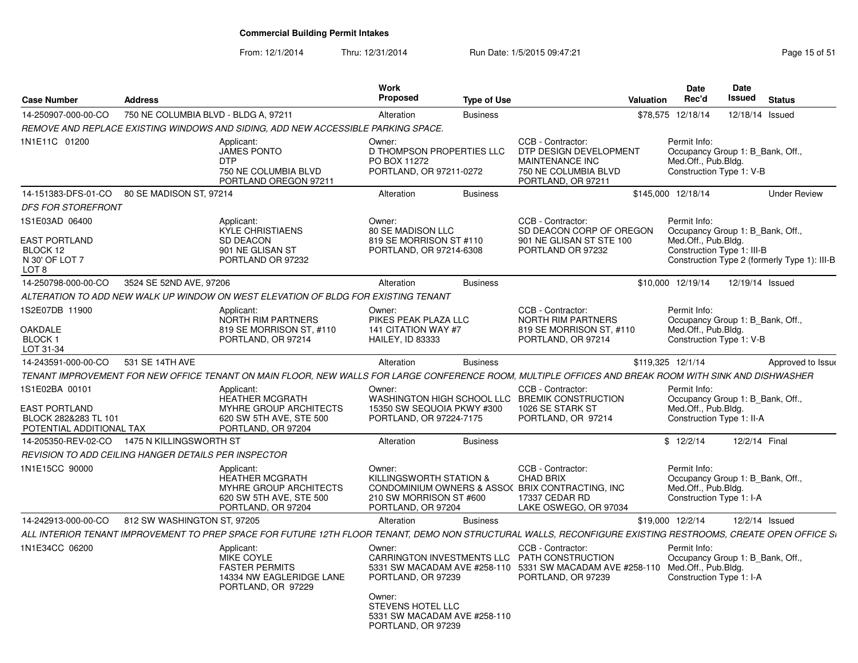From: 12/1/2014

Thru: 12/31/2014 Run Date: 1/5/2015 09:47:21 Research 2010 Rage 15 of 51

| <b>Case Number</b>                                                                         | <b>Address</b>                       |                                                                                                                                                              | <b>Work</b><br><b>Proposed</b>                                                     | <b>Type of Use</b> |                                                                                                                                                      | <b>Valuation</b> | <b>Date</b><br>Rec'd                                                                                  | Date<br><b>Issued</b> | <b>Status</b>                                |
|--------------------------------------------------------------------------------------------|--------------------------------------|--------------------------------------------------------------------------------------------------------------------------------------------------------------|------------------------------------------------------------------------------------|--------------------|------------------------------------------------------------------------------------------------------------------------------------------------------|------------------|-------------------------------------------------------------------------------------------------------|-----------------------|----------------------------------------------|
| 14-250907-000-00-CO                                                                        | 750 NE COLUMBIA BLVD - BLDG A, 97211 |                                                                                                                                                              | Alteration                                                                         | <b>Business</b>    |                                                                                                                                                      |                  | \$78,575 12/18/14                                                                                     | 12/18/14 Issued       |                                              |
|                                                                                            |                                      | REMOVE AND REPLACE EXISTING WINDOWS AND SIDING. ADD NEW ACCESSIBLE PARKING SPACE.                                                                            |                                                                                    |                    |                                                                                                                                                      |                  |                                                                                                       |                       |                                              |
| 1N1E11C 01200                                                                              |                                      | Applicant:<br><b>JAMES PONTO</b><br><b>DTP</b><br>750 NE COLUMBIA BLVD<br>PORTLAND OREGON 97211                                                              | Owner:<br>D THOMPSON PROPERTIES LLC<br>PO BOX 11272<br>PORTLAND, OR 97211-0272     |                    | CCB - Contractor:<br>DTP DESIGN DEVELOPMENT<br>MAINTENANCE INC<br>750 NE COLUMBIA BLVD<br>PORTLAND, OR 97211                                         |                  | Permit Info:<br>Occupancy Group 1: B_Bank, Off.,<br>Med.Off., Pub.Bldg.<br>Construction Type 1: V-B   |                       |                                              |
| 14-151383-DFS-01-CO 80 SE MADISON ST, 97214                                                |                                      |                                                                                                                                                              | Alteration                                                                         | <b>Business</b>    |                                                                                                                                                      |                  | \$145,000 12/18/14                                                                                    |                       | <b>Under Review</b>                          |
| <b>DFS FOR STOREFRONT</b>                                                                  |                                      |                                                                                                                                                              |                                                                                    |                    |                                                                                                                                                      |                  |                                                                                                       |                       |                                              |
| 1S1E03AD 06400<br><b>EAST PORTLAND</b><br>BLOCK 12<br>N 30' OF LOT 7<br>LOT <sub>8</sub>   |                                      | Applicant:<br><b>KYLE CHRISTIAENS</b><br><b>SD DEACON</b><br>901 NE GLISAN ST<br>PORTLAND OR 97232                                                           | Owner:<br>80 SE MADISON LLC<br>819 SE MORRISON ST #110<br>PORTLAND, OR 97214-6308  |                    | CCB - Contractor:<br>SD DEACON CORP OF OREGON<br>901 NE GLISAN ST STE 100<br>PORTLAND OR 97232                                                       |                  | Permit Info:<br>Occupancy Group 1: B Bank, Off.,<br>Med.Off., Pub.Bldg.<br>Construction Type 1: III-B |                       | Construction Type 2 (formerly Type 1): III-B |
| 14-250798-000-00-CO                                                                        | 3524 SE 52ND AVE, 97206              |                                                                                                                                                              | Alteration                                                                         | <b>Business</b>    |                                                                                                                                                      |                  | \$10,000 12/19/14                                                                                     | 12/19/14 Issued       |                                              |
|                                                                                            |                                      | ALTERATION TO ADD NEW WALK UP WINDOW ON WEST ELEVATION OF BLDG FOR EXISTING TENANT                                                                           |                                                                                    |                    |                                                                                                                                                      |                  |                                                                                                       |                       |                                              |
| 1S2E07DB 11900                                                                             |                                      | Applicant:<br>NORTH RIM PARTNERS                                                                                                                             | Owner:<br>PIKES PEAK PLAZA LLC                                                     |                    | CCB - Contractor:<br>NORTH RIM PARTNERS                                                                                                              |                  | Permit Info:<br>Occupancy Group 1: B_Bank, Off.,                                                      |                       |                                              |
| OAKDALE<br>BLOCK 1<br>LOT 31-34                                                            |                                      | 819 SE MORRISON ST, #110<br>PORTLAND, OR 97214                                                                                                               | 141 CITATION WAY #7<br>HAILEY, ID 83333                                            |                    | 819 SE MORRISON ST, #110<br>PORTLAND, OR 97214                                                                                                       |                  | Med.Off., Pub.Bldg.<br>Construction Type 1: V-B                                                       |                       |                                              |
| 14-243591-000-00-CO                                                                        | 531 SE 14TH AVE                      |                                                                                                                                                              | Alteration                                                                         | <b>Business</b>    |                                                                                                                                                      |                  | \$119,325 12/1/14                                                                                     |                       | Approved to Issue                            |
|                                                                                            |                                      | TENANT IMPROVEMENT FOR NEW OFFICE TENANT ON MAIN FLOOR, NEW WALLS FOR LARGE CONFERENCE ROOM, MULTIPLE OFFICES AND BREAK ROOM WITH SINK AND DISHWASHER        |                                                                                    |                    |                                                                                                                                                      |                  |                                                                                                       |                       |                                              |
| 1S1E02BA 00101<br><b>EAST PORTLAND</b><br>BLOCK 282&283 TL 101<br>POTENTIAL ADDITIONAL TAX |                                      | Applicant:<br><b>HEATHER MCGRATH</b><br>MYHRE GROUP ARCHITECTS<br>620 SW 5TH AVE, STE 500<br>PORTLAND, OR 97204                                              | Owner:<br>15350 SW SEQUOIA PKWY #300<br>PORTLAND, OR 97224-7175                    |                    | CCB - Contractor:<br>WASHINGTON HIGH SCHOOL LLC BREMIK CONSTRUCTION<br>1026 SE STARK ST<br>PORTLAND, OR 97214                                        |                  | Permit Info:<br>Occupancy Group 1: B Bank, Off.,<br>Med.Off., Pub.Bldg.<br>Construction Type 1: II-A  |                       |                                              |
| 14-205350-REV-02-CO                                                                        | 1475 N KILLINGSWORTH ST              |                                                                                                                                                              | Alteration                                                                         | <b>Business</b>    |                                                                                                                                                      |                  | \$12/2/14                                                                                             | 12/2/14 Final         |                                              |
| REVISION TO ADD CEILING HANGER DETAILS PER INSPECTOR                                       |                                      |                                                                                                                                                              |                                                                                    |                    |                                                                                                                                                      |                  |                                                                                                       |                       |                                              |
| 1N1E15CC 90000                                                                             |                                      | Applicant:<br><b>HEATHER MCGRATH</b><br>MYHRE GROUP ARCHITECTS<br>620 SW 5TH AVE, STE 500<br>PORTLAND, OR 97204                                              | Owner:<br>KILLINGSWORTH STATION &<br>210 SW MORRISON ST #600<br>PORTLAND, OR 97204 |                    | CCB - Contractor:<br><b>CHAD BRIX</b><br>CONDOMINIUM OWNERS & ASSO( BRIX CONTRACTING, INC<br>17337 CEDAR RD<br>LAKE OSWEGO, OR 97034                 |                  | Permit Info:<br>Occupancy Group 1: B Bank, Off.,<br>Med.Off., Pub.Bldg.<br>Construction Type 1: I-A   |                       |                                              |
| 14-242913-000-00-CO                                                                        | 812 SW WASHINGTON ST, 97205          |                                                                                                                                                              | Alteration                                                                         | <b>Business</b>    |                                                                                                                                                      |                  | \$19,000 12/2/14                                                                                      |                       | 12/2/14 Issued                               |
|                                                                                            |                                      | ALL INTERIOR TENANT IMPROVEMENT TO PREP SPACE FOR FUTURE 12TH FLOOR TENANT. DEMO NON STRUCTURAL WALLS. RECONFIGURE EXISTING RESTROOMS. CREATE OPEN OFFICE SI |                                                                                    |                    |                                                                                                                                                      |                  |                                                                                                       |                       |                                              |
| 1N1E34CC 06200                                                                             |                                      | Applicant:<br><b>MIKE COYLE</b><br><b>FASTER PERMITS</b><br>14334 NW EAGLERIDGE LANE<br>PORTLAND, OR 97229                                                   | Owner:<br>PORTLAND, OR 97239<br>Owner:                                             |                    | CCB - Contractor:<br>CARRINGTON INVESTMENTS LLC PATH CONSTRUCTION<br>5331 SW MACADAM AVE #258-110 5331 SW MACADAM AVE #258-110<br>PORTLAND, OR 97239 |                  | Permit Info:<br>Occupancy Group 1: B_Bank, Off.,<br>Med.Off., Pub.Bldg.<br>Construction Type 1: I-A   |                       |                                              |
|                                                                                            |                                      |                                                                                                                                                              | <b>STEVENS HOTEL LLC</b><br>5331 SW MACADAM AVE #258-110<br>PORTLAND, OR 97239     |                    |                                                                                                                                                      |                  |                                                                                                       |                       |                                              |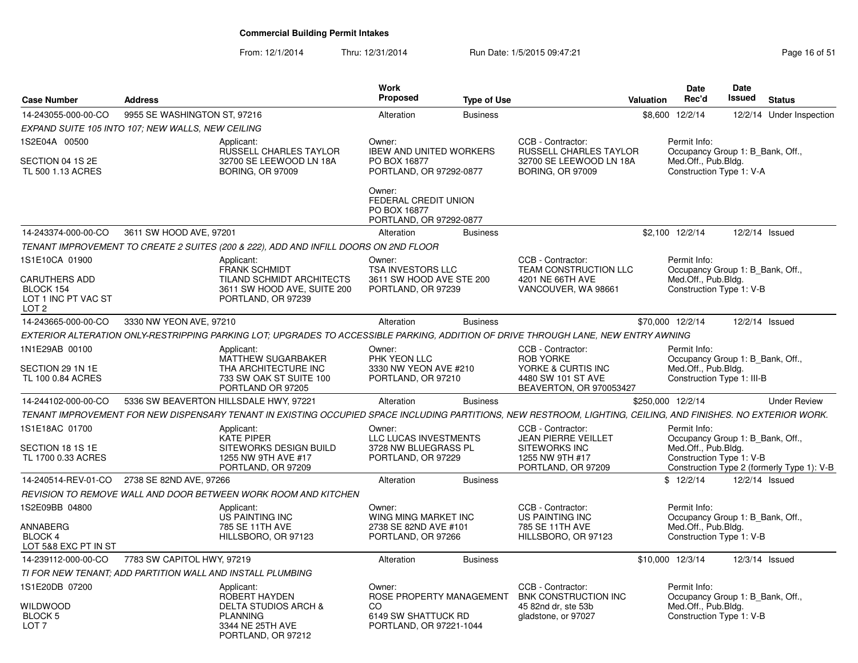From: 12/1/2014Thru: 12/31/2014 Run Date: 1/5/2015 09:47:21 Page 16 of 51

| <b>Case Number</b>                                                           | <b>Address</b>                                    |                                                                                                                                                                | Work<br><b>Proposed</b>                                                             | <b>Type of Use</b> |                                                                                                              | <b>Valuation</b> | <b>Date</b><br>Rec'd                                                                                  | Date<br><b>Issued</b> | <b>Status</b>                              |
|------------------------------------------------------------------------------|---------------------------------------------------|----------------------------------------------------------------------------------------------------------------------------------------------------------------|-------------------------------------------------------------------------------------|--------------------|--------------------------------------------------------------------------------------------------------------|------------------|-------------------------------------------------------------------------------------------------------|-----------------------|--------------------------------------------|
| 14-243055-000-00-CO                                                          | 9955 SE WASHINGTON ST, 97216                      |                                                                                                                                                                | Alteration                                                                          | <b>Business</b>    |                                                                                                              |                  | \$8,600 12/2/14                                                                                       | 12/2/14               | Under Inspection                           |
|                                                                              | EXPAND SUITE 105 INTO 107; NEW WALLS, NEW CEILING |                                                                                                                                                                |                                                                                     |                    |                                                                                                              |                  |                                                                                                       |                       |                                            |
| 1S2E04A 00500<br>SECTION 04 1S 2E<br>TL 500 1.13 ACRES                       |                                                   | Applicant:<br>RUSSELL CHARLES TAYLOR<br>32700 SE LEEWOOD LN 18A<br><b>BORING, OR 97009</b>                                                                     | Owner:<br><b>IBEW AND UNITED WORKERS</b><br>PO BOX 16877<br>PORTLAND, OR 97292-0877 |                    | CCB - Contractor:<br>RUSSELL CHARLES TAYLOR<br>32700 SE LEEWOOD LN 18A<br><b>BORING, OR 97009</b>            |                  | Permit Info:<br>Occupancy Group 1: B_Bank, Off.,<br>Med.Off., Pub.Bldg.<br>Construction Type 1: V-A   |                       |                                            |
|                                                                              |                                                   |                                                                                                                                                                | Owner:<br>FEDERAL CREDIT UNION<br>PO BOX 16877<br>PORTLAND, OR 97292-0877           |                    |                                                                                                              |                  |                                                                                                       |                       |                                            |
| 14-243374-000-00-CO                                                          | 3611 SW HOOD AVE, 97201                           |                                                                                                                                                                | Alteration                                                                          | <b>Business</b>    |                                                                                                              |                  | \$2,100 12/2/14                                                                                       |                       | 12/2/14 Issued                             |
|                                                                              |                                                   | TENANT IMPROVEMENT TO CREATE 2 SUITES (200 & 222), ADD AND INFILL DOORS ON 2ND FLOOR                                                                           |                                                                                     |                    |                                                                                                              |                  |                                                                                                       |                       |                                            |
| 1S1E10CA 01900                                                               |                                                   | Applicant:                                                                                                                                                     | Owner:                                                                              |                    | CCB - Contractor:                                                                                            |                  | Permit Info:                                                                                          |                       |                                            |
| <b>CARUTHERS ADD</b><br>BLOCK 154<br>LOT 1 INC PT VAC ST<br>LOT <sub>2</sub> |                                                   | <b>FRANK SCHMIDT</b><br>TILAND SCHMIDT ARCHITECTS<br>3611 SW HOOD AVE, SUITE 200<br>PORTLAND, OR 97239                                                         | TSA INVESTORS LLC<br>3611 SW HOOD AVE STE 200<br>PORTLAND, OR 97239                 |                    | <b>TEAM CONSTRUCTION LLC</b><br>4201 NE 66TH AVE<br>VANCOUVER, WA 98661                                      |                  | Occupancy Group 1: B_Bank, Off.,<br>Med.Off., Pub.Bldg.<br>Construction Type 1: V-B                   |                       |                                            |
| 14-243665-000-00-CO                                                          | 3330 NW YEON AVE, 97210                           |                                                                                                                                                                | Alteration                                                                          | <b>Business</b>    |                                                                                                              |                  | \$70,000 12/2/14                                                                                      |                       | 12/2/14 Issued                             |
|                                                                              |                                                   | EXTERIOR ALTERATION ONLY-RESTRIPPING PARKING LOT; UPGRADES TO ACCESSIBLE PARKING, ADDITION OF DRIVE THROUGH LANE, NEW ENTRY AWNING                             |                                                                                     |                    |                                                                                                              |                  |                                                                                                       |                       |                                            |
| 1N1E29AB 00100<br>SECTION 29 1N 1E<br>TL 100 0.84 ACRES                      |                                                   | Applicant:<br><b>MATTHEW SUGARBAKER</b><br>THA ARCHITECTURE INC<br>733 SW OAK ST SUITE 100<br>PORTLAND OR 97205                                                | Owner:<br>PHK YEON LLC<br>3330 NW YEON AVE #210<br>PORTLAND, OR 97210               |                    | CCB - Contractor:<br><b>ROB YORKE</b><br>YORKE & CURTIS INC<br>4480 SW 101 ST AVE<br>BEAVERTON, OR 970053427 |                  | Permit Info:<br>Occupancy Group 1: B Bank, Off.,<br>Med.Off., Pub.Bldg.<br>Construction Type 1: III-B |                       |                                            |
| 14-244102-000-00-CO                                                          |                                                   | 5336 SW BEAVERTON HILLSDALE HWY, 97221                                                                                                                         | Alteration                                                                          | <b>Business</b>    |                                                                                                              |                  | \$250,000 12/2/14                                                                                     |                       | <b>Under Review</b>                        |
|                                                                              |                                                   | TENANT IMPROVEMENT FOR NEW DISPENSARY TENANT IN EXISTING OCCUPIED SPACE INCLUDING PARTITIONS. NEW RESTROOM, LIGHTING, CEILING, AND FINISHES. NO EXTERIOR WORK. |                                                                                     |                    |                                                                                                              |                  |                                                                                                       |                       |                                            |
| 1S1E18AC 01700<br>SECTION 18 1S 1E<br>TL 1700 0.33 ACRES                     |                                                   | Applicant:<br>KATE PIPER<br>SITEWORKS DESIGN BUILD<br>1255 NW 9TH AVE #17                                                                                      | Owner:<br>LLC LUCAS INVESTMENTS<br>3728 NW BLUEGRASS PL<br>PORTLAND, OR 97229       |                    | CCB - Contractor:<br><b>JEAN PIERRE VEILLET</b><br><b>SITEWORKS INC</b><br>1255 NW 9TH #17                   |                  | Permit Info:<br>Occupancy Group 1: B_Bank, Off.,<br>Med.Off., Pub.Bldg.<br>Construction Type 1: V-B   |                       |                                            |
| 14-240514-REV-01-CO                                                          | 2738 SE 82ND AVE, 97266                           | PORTLAND, OR 97209                                                                                                                                             | Alteration                                                                          | <b>Business</b>    | PORTLAND, OR 97209                                                                                           |                  | \$12/2/14                                                                                             | 12/2/14 Issued        | Construction Type 2 (formerly Type 1): V-B |
|                                                                              |                                                   | REVISION TO REMOVE WALL AND DOOR BETWEEN WORK ROOM AND KITCHEN                                                                                                 |                                                                                     |                    |                                                                                                              |                  |                                                                                                       |                       |                                            |
| 1S2E09BB 04800                                                               |                                                   | Applicant:<br>US PAINTING INC                                                                                                                                  | Owner:<br>WING MING MARKET INC                                                      |                    | CCB - Contractor:<br><b>US PAINTING INC</b>                                                                  |                  | Permit Info:<br>Occupancy Group 1: B Bank, Off.,                                                      |                       |                                            |
| <b>ANNABERG</b><br>BLOCK 4<br>LOT 5&8 EXC PT IN ST                           |                                                   | 785 SE 11TH AVE<br>HILLSBORO, OR 97123                                                                                                                         | 2738 SE 82ND AVE #101<br>PORTLAND, OR 97266                                         |                    | 785 SE 11TH AVE<br>HILLSBORO, OR 97123                                                                       |                  | Med.Off., Pub.Bldg.<br>Construction Type 1: V-B                                                       |                       |                                            |
| 14-239112-000-00-CO                                                          | 7783 SW CAPITOL HWY, 97219                        |                                                                                                                                                                | Alteration                                                                          | <b>Business</b>    |                                                                                                              |                  | \$10,000 12/3/14                                                                                      |                       | 12/3/14 Issued                             |
|                                                                              |                                                   | TI FOR NEW TENANT: ADD PARTITION WALL AND INSTALL PLUMBING                                                                                                     |                                                                                     |                    |                                                                                                              |                  |                                                                                                       |                       |                                            |
| 1S1E20DB 07200<br><b>WILDWOOD</b>                                            |                                                   | Applicant:<br>ROBERT HAYDEN<br><b>DELTA STUDIOS ARCH &amp;</b>                                                                                                 | Owner:<br>ROSE PROPERTY MANAGEMENT<br>CO.                                           |                    | CCB - Contractor:<br><b>BNK CONSTRUCTION INC</b><br>45 82nd dr. ste 53b                                      |                  | Permit Info:<br>Occupancy Group 1: B_Bank, Off.,<br>Med.Off., Pub.Bldg.                               |                       |                                            |
| <b>BLOCK 5</b><br>LOT <sub>7</sub>                                           |                                                   | <b>PLANNING</b><br>3344 NE 25TH AVE<br>PORTLAND, OR 97212                                                                                                      | 6149 SW SHATTUCK RD<br>PORTLAND, OR 97221-1044                                      |                    | gladstone, or 97027                                                                                          |                  | Construction Type 1: V-B                                                                              |                       |                                            |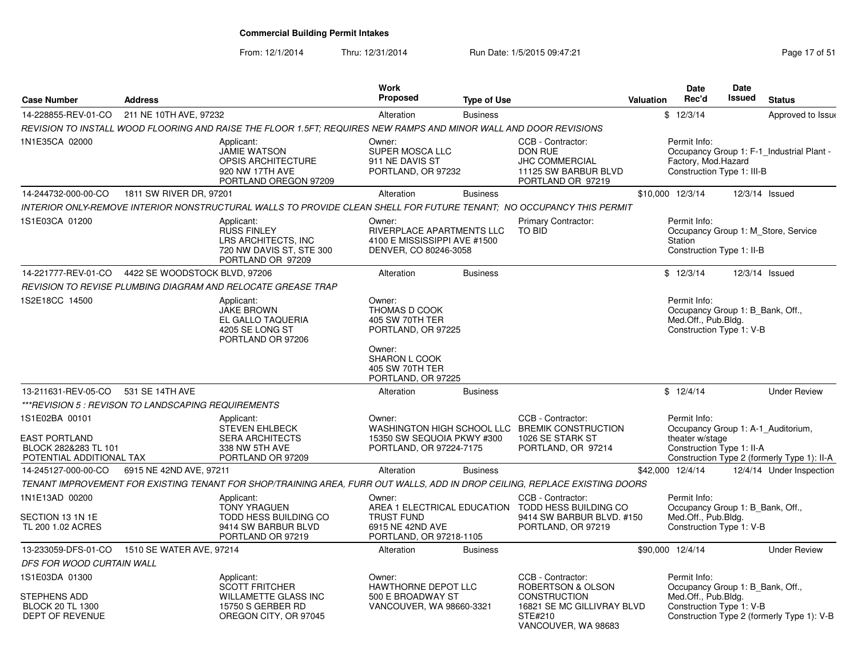From: 12/1/2014

Thru: 12/31/2014 Run Date: 1/5/2015 09:47:21 Research 2010 Rage 17 of 51

| <b>Case Number</b>                                                                         | <b>Address</b>                                      |                                                                                                                            | Work<br><b>Proposed</b>                                                                      | <b>Type of Use</b> |                                                                                                               | <b>Valuation</b> | <b>Date</b><br>Rec'd                                                                                | <b>Date</b><br><b>Issued</b> | <b>Status</b>                               |
|--------------------------------------------------------------------------------------------|-----------------------------------------------------|----------------------------------------------------------------------------------------------------------------------------|----------------------------------------------------------------------------------------------|--------------------|---------------------------------------------------------------------------------------------------------------|------------------|-----------------------------------------------------------------------------------------------------|------------------------------|---------------------------------------------|
| 14-228855-REV-01-CO                                                                        | 211 NE 10TH AVE, 97232                              |                                                                                                                            | Alteration                                                                                   | <b>Business</b>    |                                                                                                               |                  | \$12/3/14                                                                                           |                              | Approved to Issue                           |
|                                                                                            |                                                     | REVISION TO INSTALL WOOD FLOORING AND RAISE THE FLOOR 1.5FT: REQUIRES NEW RAMPS AND MINOR WALL AND DOOR REVISIONS          |                                                                                              |                    |                                                                                                               |                  |                                                                                                     |                              |                                             |
| 1N1E35CA 02000                                                                             |                                                     | Applicant:<br><b>JAMIE WATSON</b><br><b>OPSIS ARCHITECTURE</b><br>920 NW 17TH AVE<br>PORTLAND OREGON 97209                 | Owner:<br>SUPER MOSCA LLC<br>911 NE DAVIS ST<br>PORTLAND, OR 97232                           |                    | CCB - Contractor:<br>DON RUE<br><b>JHC COMMERCIAL</b><br>11125 SW BARBUR BLVD<br>PORTLAND OR 97219            |                  | Permit Info:<br>Factory, Mod.Hazard<br>Construction Type 1: III-B                                   |                              | Occupancy Group 1: F-1 Industrial Plant -   |
| 14-244732-000-00-CO                                                                        | 1811 SW RIVER DR, 97201                             |                                                                                                                            | Alteration                                                                                   | <b>Business</b>    |                                                                                                               |                  | \$10,000 12/3/14                                                                                    |                              | 12/3/14 Issued                              |
|                                                                                            |                                                     | INTERIOR ONLY-REMOVE INTERIOR NONSTRUCTURAL WALLS TO PROVIDE CLEAN SHELL FOR FUTURE TENANT: NO OCCUPANCY THIS PERMIT       |                                                                                              |                    |                                                                                                               |                  |                                                                                                     |                              |                                             |
| 1S1E03CA 01200                                                                             |                                                     | Applicant:<br><b>RUSS FINLEY</b><br>LRS ARCHITECTS, INC<br>720 NW DAVIS ST, STE 300<br>PORTLAND OR 97209                   | Owner:<br>RIVERPLACE APARTMENTS LLC<br>4100 E MISSISSIPPI AVE #1500<br>DENVER, CO 80246-3058 |                    | <b>Primary Contractor:</b><br><b>TO BID</b>                                                                   |                  | Permit Info:<br>Station<br>Construction Type 1: II-B                                                |                              | Occupancy Group 1: M Store, Service         |
| 14-221777-REV-01-CO                                                                        | 4422 SE WOODSTOCK BLVD, 97206                       |                                                                                                                            | Alteration                                                                                   | <b>Business</b>    |                                                                                                               |                  | \$12/3/14                                                                                           |                              | 12/3/14 Issued                              |
|                                                                                            |                                                     | REVISION TO REVISE PLUMBING DIAGRAM AND RELOCATE GREASE TRAP                                                               |                                                                                              |                    |                                                                                                               |                  |                                                                                                     |                              |                                             |
| 1S2E18CC 14500                                                                             |                                                     | Applicant:<br><b>JAKE BROWN</b><br>EL GALLO TAQUERIA<br>4205 SE LONG ST<br>PORTLAND OR 97206                               | Owner:<br>THOMAS D COOK<br>405 SW 70TH TER<br>PORTLAND, OR 97225                             |                    |                                                                                                               |                  | Permit Info:<br>Occupancy Group 1: B_Bank, Off.,<br>Med.Off., Pub.Bldg.<br>Construction Type 1: V-B |                              |                                             |
|                                                                                            |                                                     |                                                                                                                            | Owner:<br>SHARON L COOK<br>405 SW 70TH TER<br>PORTLAND, OR 97225                             |                    |                                                                                                               |                  |                                                                                                     |                              |                                             |
| 13-211631-REV-05-CO                                                                        | 531 SE 14TH AVE                                     |                                                                                                                            | Alteration                                                                                   | <b>Business</b>    |                                                                                                               |                  | \$12/4/14                                                                                           |                              | <b>Under Review</b>                         |
|                                                                                            | ***REVISION 5 : REVISON TO LANDSCAPING REQUIREMENTS |                                                                                                                            |                                                                                              |                    |                                                                                                               |                  |                                                                                                     |                              |                                             |
| 1S1E02BA 00101<br><b>EAST PORTLAND</b><br>BLOCK 282&283 TL 101<br>POTENTIAL ADDITIONAL TAX |                                                     | Applicant:<br><b>STEVEN EHLBECK</b><br><b>SERA ARCHITECTS</b><br>338 NW 5TH AVE<br>PORTLAND OR 97209                       | Owner:<br>15350 SW SEQUOIA PKWY #300<br>PORTLAND, OR 97224-7175                              |                    | CCB - Contractor:<br>WASHINGTON HIGH SCHOOL LLC BREMIK CONSTRUCTION<br>1026 SE STARK ST<br>PORTLAND, OR 97214 |                  | Permit Info:<br>Occupancy Group 1: A-1_Auditorium,<br>theater w/stage<br>Construction Type 1: II-A  |                              | Construction Type 2 (formerly Type 1): II-A |
| 14-245127-000-00-CO                                                                        | 6915 NE 42ND AVE, 97211                             |                                                                                                                            | Alteration                                                                                   | <b>Business</b>    |                                                                                                               |                  | \$42,000 12/4/14                                                                                    |                              | 12/4/14 Under Inspection                    |
|                                                                                            |                                                     | TENANT IMPROVEMENT FOR EXISTING TENANT FOR SHOP/TRAINING AREA, FURR OUT WALLS, ADD IN DROP CEILING, REPLACE EXISTING DOORS |                                                                                              |                    |                                                                                                               |                  |                                                                                                     |                              |                                             |
| 1N1E13AD 00200                                                                             |                                                     | Applicant:<br><b>TONY YRAGUEN</b>                                                                                          | Owner:                                                                                       |                    | CCB - Contractor:<br>AREA 1 ELECTRICAL EDUCATION TODD HESS BUILDING CO                                        |                  | Permit Info:<br>Occupancy Group 1: B_Bank, Off.,                                                    |                              |                                             |
| SECTION 13 1N 1E<br>TL 200 1.02 ACRES                                                      |                                                     | <b>TODD HESS BUILDING CO</b><br>9414 SW BARBUR BLVD<br>PORTLAND OR 97219                                                   | <b>TRUST FUND</b><br>6915 NE 42ND AVE<br>PORTLAND, OR 97218-1105                             |                    | 9414 SW BARBUR BLVD, #150<br>PORTLAND, OR 97219                                                               |                  | Med.Off., Pub.Bldg.<br>Construction Type 1: V-B                                                     |                              |                                             |
|                                                                                            | 13-233059-DFS-01-CO 1510 SE WATER AVE, 97214        |                                                                                                                            | Alteration                                                                                   | <b>Business</b>    |                                                                                                               |                  | \$90,000 12/4/14                                                                                    |                              | <b>Under Review</b>                         |
| DFS FOR WOOD CURTAIN WALL                                                                  |                                                     |                                                                                                                            |                                                                                              |                    |                                                                                                               |                  |                                                                                                     |                              |                                             |
| 1S1E03DA 01300                                                                             |                                                     | Applicant:<br>SCOTT FRITCHER                                                                                               | Owner:<br>HAWTHORNE DEPOT LLC                                                                |                    | CCB - Contractor:<br>ROBERTSON & OLSON                                                                        |                  | Permit Info:<br>Occupancy Group 1: B_Bank, Off.,                                                    |                              |                                             |
| STEPHENS ADD<br><b>BLOCK 20 TL 1300</b><br><b>DEPT OF REVENUE</b>                          |                                                     | WILLAMETTE GLASS INC<br>15750 S GERBER RD<br>OREGON CITY, OR 97045                                                         | 500 E BROADWAY ST<br>VANCOUVER, WA 98660-3321                                                |                    | <b>CONSTRUCTION</b><br>16821 SE MC GILLIVRAY BLVD<br>STE#210<br>VANCOUVER, WA 98683                           |                  | Med.Off., Pub.Bldg.<br>Construction Type 1: V-B                                                     |                              | Construction Type 2 (formerly Type 1): V-B  |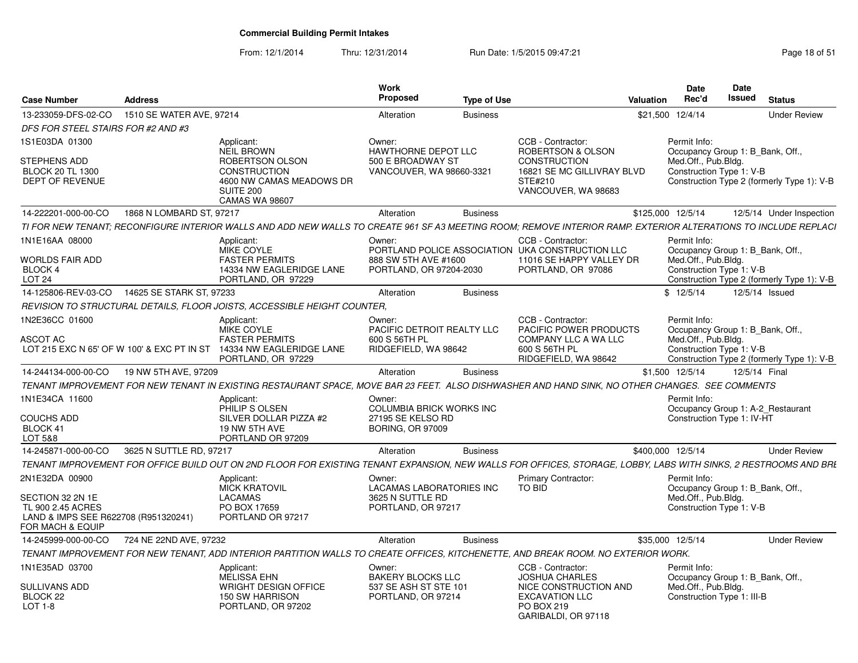| 13-233059-DFS-02-CO<br>1510 SE WATER AVE, 97214<br>\$21.500 12/4/14<br>Alteration<br><b>Business</b><br>DFS FOR STEEL STAIRS FOR #2 AND #3<br>1S1E03DA 01300<br>CCB - Contractor:<br>Applicant:<br>Owner:<br>Permit Info:<br><b>NEIL BROWN</b><br>HAWTHORNE DEPOT LLC<br>ROBERTSON & OLSON<br>Occupancy Group 1: B_Bank, Off.,<br>Med.Off., Pub.Bldg.<br>STEPHENS ADD<br>ROBERTSON OLSON<br>500 E BROADWAY ST<br><b>CONSTRUCTION</b><br><b>CONSTRUCTION</b><br>VANCOUVER, WA 98660-3321<br>16821 SE MC GILLIVRAY BLVD<br>Construction Type 1: V-B<br><b>BLOCK 20 TL 1300</b><br>Construction Type 2 (formerly Type 1): V-B<br>DEPT OF REVENUE<br>4600 NW CAMAS MEADOWS DR<br>STE#210<br>SUITE 200<br>VANCOUVER, WA 98683<br><b>CAMAS WA 98607</b><br>1868 N LOMBARD ST, 97217<br>\$125,000 12/5/14<br>14-222201-000-00-CO<br>Alteration<br><b>Business</b><br>TI FOR NEW TENANT: RECONFIGURE INTERIOR WALLS AND ADD NEW WALLS TO CREATE 961 SF A3 MEETING ROOM: REMOVE INTERIOR RAMP. EXTERIOR ALTERATIONS TO INCLUDE REPLACI<br>1N1E16AA 08000<br>CCB - Contractor:<br>Permit Info:<br>Applicant:<br>Owner:<br><b>MIKE COYLE</b><br>PORTLAND POLICE ASSOCIATION UKA CONSTRUCTION LLC<br>Occupancy Group 1: B_Bank, Off.,<br>11016 SE HAPPY VALLEY DR<br><b>FASTER PERMITS</b><br>888 SW 5TH AVE #1600<br>Med.Off., Pub.Bldg.<br><b>WORLDS FAIR ADD</b><br>Construction Type 1: V-B<br>BLOCK 4<br>14334 NW EAGLERIDGE LANE<br>PORTLAND, OR 97204-2030<br>PORTLAND, OR 97086<br>PORTLAND, OR 97229<br>LOT <sub>24</sub><br>Construction Type 2 (formerly Type 1): V-B<br>14-125806-REV-03-CO<br>14625 SE STARK ST, 97233<br>\$12/5/14<br>12/5/14 Issued<br>Alteration<br><b>Business</b><br>REVISION TO STRUCTURAL DETAILS, FLOOR JOISTS, ACCESSIBLE HEIGHT COUNTER,<br>1N2E36CC 01600<br>CCB - Contractor:<br>Permit Info:<br>Applicant:<br>Owner:<br>MIKE COYLE<br>PACIFIC DETROIT REALTY LLC<br>PACIFIC POWER PRODUCTS<br>Occupancy Group 1: B Bank, Off.,<br><b>FASTER PERMITS</b><br>600 S 56TH PL<br>COMPANY LLC A WA LLC<br>Med.Off., Pub.Bldg.<br><b>ASCOT AC</b><br>LOT 215 EXC N 65' OF W 100' & EXC PT IN ST 14334 NW EAGLERIDGE LANE<br>RIDGEFIELD, WA 98642<br>600 S 56TH PL<br>Construction Type 1: V-B<br>RIDGEFIELD, WA 98642<br>Construction Type 2 (formerly Type 1): V-B<br>PORTLAND, OR 97229<br>19 NW 5TH AVE, 97209<br>\$1,500 12/5/14<br>12/5/14 Final<br>14-244134-000-00-CO<br>Alteration<br><b>Business</b><br>TENANT IMPROVEMENT FOR NEW TENANT IN EXISTING RESTAURANT SPACE, MOVE BAR 23 FEET. ALSO DISHWASHER AND HAND SINK, NO OTHER CHANGES. SEE COMMENTS<br>1N1E34CA 11600<br>Permit Info:<br>Applicant:<br>Owner:<br>PHILIP S OLSEN<br><b>COLUMBIA BRICK WORKS INC</b><br>Occupancy Group 1: A-2 Restaurant<br><b>COUCHS ADD</b><br>Construction Type 1: IV-HT<br>SILVER DOLLAR PIZZA #2<br>27195 SE KELSO RD<br>BLOCK 41<br><b>BORING, OR 97009</b><br>19 NW 5TH AVE<br>LOT 5&8<br>PORTLAND OR 97209<br>14-245871-000-00-CO<br>3625 N SUTTLE RD, 97217<br>Alteration<br><b>Business</b><br>\$400.000 12/5/14<br>TENANT IMPROVEMENT FOR OFFICE BUILD OUT ON 2ND FLOOR FOR EXISTING TENANT EXPANSION, NEW WALLS FOR OFFICES, STORAGE, LOBBY, LABS WITH SINKS, 2 RESTROOMS AND BRI<br>2N1E32DA 00900<br>Primary Contractor:<br>Applicant:<br>Permit Info:<br>Owner:<br><b>MICK KRATOVIL</b><br>Occupancy Group 1: B_Bank, Off.,<br>LACAMAS LABORATORIES INC<br>TO BID<br>SECTION 32 2N 1E<br><b>LACAMAS</b><br>3625 N SUTTLE RD<br>Med.Off., Pub.Bldg.<br>PO BOX 17659<br>Construction Type 1: V-B<br>TL 900 2.45 ACRES<br>PORTLAND, OR 97217<br>LAND & IMPS SEE R622708 (R951320241)<br>PORTLAND OR 97217<br>FOR MACH & EQUIP<br>\$35,000 12/5/14<br>724 NE 22ND AVE, 97232<br>Alteration<br><b>Business</b><br>14-245999-000-00-CO<br>TENANT IMPROVEMENT FOR NEW TENANT, ADD INTERIOR PARTITION WALLS TO CREATE OFFICES, KITCHENETTE, AND BREAK ROOM. NO EXTERIOR WORK.<br>1N1E35AD 03700<br>CCB - Contractor:<br>Applicant:<br>Permit Info:<br>Owner:<br>Occupancy Group 1: B_Bank, Off., | <b>Case Number</b> | <b>Address</b> |                    | Work<br><b>Proposed</b>  | <b>Type of Use</b> |                       | Valuation | <b>Date</b><br>Rec'd | Date<br><b>Issued</b> | <b>Status</b>            |
|----------------------------------------------------------------------------------------------------------------------------------------------------------------------------------------------------------------------------------------------------------------------------------------------------------------------------------------------------------------------------------------------------------------------------------------------------------------------------------------------------------------------------------------------------------------------------------------------------------------------------------------------------------------------------------------------------------------------------------------------------------------------------------------------------------------------------------------------------------------------------------------------------------------------------------------------------------------------------------------------------------------------------------------------------------------------------------------------------------------------------------------------------------------------------------------------------------------------------------------------------------------------------------------------------------------------------------------------------------------------------------------------------------------------------------------------------------------------------------------------------------------------------------------------------------------------------------------------------------------------------------------------------------------------------------------------------------------------------------------------------------------------------------------------------------------------------------------------------------------------------------------------------------------------------------------------------------------------------------------------------------------------------------------------------------------------------------------------------------------------------------------------------------------------------------------------------------------------------------------------------------------------------------------------------------------------------------------------------------------------------------------------------------------------------------------------------------------------------------------------------------------------------------------------------------------------------------------------------------------------------------------------------------------------------------------------------------------------------------------------------------------------------------------------------------------------------------------------------------------------------------------------------------------------------------------------------------------------------------------------------------------------------------------------------------------------------------------------------------------------------------------------------------------------------------------------------------------------------------------------------------------------------------------------------------------------------------------------------------------------------------------------------------------------------------------------------------------------------------------------------------------------------------------------------------------------------------------------------------------------------------------------------------------------------------------------------------------------------------------------------------------------------------------------------------------------------------------------------------------------------------------------------------------------------------------------------------------------------------------------------------------------------|--------------------|----------------|--------------------|--------------------------|--------------------|-----------------------|-----------|----------------------|-----------------------|--------------------------|
|                                                                                                                                                                                                                                                                                                                                                                                                                                                                                                                                                                                                                                                                                                                                                                                                                                                                                                                                                                                                                                                                                                                                                                                                                                                                                                                                                                                                                                                                                                                                                                                                                                                                                                                                                                                                                                                                                                                                                                                                                                                                                                                                                                                                                                                                                                                                                                                                                                                                                                                                                                                                                                                                                                                                                                                                                                                                                                                                                                                                                                                                                                                                                                                                                                                                                                                                                                                                                                                                                                                                                                                                                                                                                                                                                                                                                                                                                                                                                                                                                            |                    |                |                    |                          |                    |                       |           |                      |                       | <b>Under Review</b>      |
|                                                                                                                                                                                                                                                                                                                                                                                                                                                                                                                                                                                                                                                                                                                                                                                                                                                                                                                                                                                                                                                                                                                                                                                                                                                                                                                                                                                                                                                                                                                                                                                                                                                                                                                                                                                                                                                                                                                                                                                                                                                                                                                                                                                                                                                                                                                                                                                                                                                                                                                                                                                                                                                                                                                                                                                                                                                                                                                                                                                                                                                                                                                                                                                                                                                                                                                                                                                                                                                                                                                                                                                                                                                                                                                                                                                                                                                                                                                                                                                                                            |                    |                |                    |                          |                    |                       |           |                      |                       |                          |
|                                                                                                                                                                                                                                                                                                                                                                                                                                                                                                                                                                                                                                                                                                                                                                                                                                                                                                                                                                                                                                                                                                                                                                                                                                                                                                                                                                                                                                                                                                                                                                                                                                                                                                                                                                                                                                                                                                                                                                                                                                                                                                                                                                                                                                                                                                                                                                                                                                                                                                                                                                                                                                                                                                                                                                                                                                                                                                                                                                                                                                                                                                                                                                                                                                                                                                                                                                                                                                                                                                                                                                                                                                                                                                                                                                                                                                                                                                                                                                                                                            |                    |                |                    |                          |                    |                       |           |                      |                       |                          |
|                                                                                                                                                                                                                                                                                                                                                                                                                                                                                                                                                                                                                                                                                                                                                                                                                                                                                                                                                                                                                                                                                                                                                                                                                                                                                                                                                                                                                                                                                                                                                                                                                                                                                                                                                                                                                                                                                                                                                                                                                                                                                                                                                                                                                                                                                                                                                                                                                                                                                                                                                                                                                                                                                                                                                                                                                                                                                                                                                                                                                                                                                                                                                                                                                                                                                                                                                                                                                                                                                                                                                                                                                                                                                                                                                                                                                                                                                                                                                                                                                            |                    |                |                    |                          |                    |                       |           |                      |                       |                          |
|                                                                                                                                                                                                                                                                                                                                                                                                                                                                                                                                                                                                                                                                                                                                                                                                                                                                                                                                                                                                                                                                                                                                                                                                                                                                                                                                                                                                                                                                                                                                                                                                                                                                                                                                                                                                                                                                                                                                                                                                                                                                                                                                                                                                                                                                                                                                                                                                                                                                                                                                                                                                                                                                                                                                                                                                                                                                                                                                                                                                                                                                                                                                                                                                                                                                                                                                                                                                                                                                                                                                                                                                                                                                                                                                                                                                                                                                                                                                                                                                                            |                    |                |                    |                          |                    |                       |           |                      |                       | 12/5/14 Under Inspection |
|                                                                                                                                                                                                                                                                                                                                                                                                                                                                                                                                                                                                                                                                                                                                                                                                                                                                                                                                                                                                                                                                                                                                                                                                                                                                                                                                                                                                                                                                                                                                                                                                                                                                                                                                                                                                                                                                                                                                                                                                                                                                                                                                                                                                                                                                                                                                                                                                                                                                                                                                                                                                                                                                                                                                                                                                                                                                                                                                                                                                                                                                                                                                                                                                                                                                                                                                                                                                                                                                                                                                                                                                                                                                                                                                                                                                                                                                                                                                                                                                                            |                    |                |                    |                          |                    |                       |           |                      |                       |                          |
|                                                                                                                                                                                                                                                                                                                                                                                                                                                                                                                                                                                                                                                                                                                                                                                                                                                                                                                                                                                                                                                                                                                                                                                                                                                                                                                                                                                                                                                                                                                                                                                                                                                                                                                                                                                                                                                                                                                                                                                                                                                                                                                                                                                                                                                                                                                                                                                                                                                                                                                                                                                                                                                                                                                                                                                                                                                                                                                                                                                                                                                                                                                                                                                                                                                                                                                                                                                                                                                                                                                                                                                                                                                                                                                                                                                                                                                                                                                                                                                                                            |                    |                |                    |                          |                    |                       |           |                      |                       |                          |
|                                                                                                                                                                                                                                                                                                                                                                                                                                                                                                                                                                                                                                                                                                                                                                                                                                                                                                                                                                                                                                                                                                                                                                                                                                                                                                                                                                                                                                                                                                                                                                                                                                                                                                                                                                                                                                                                                                                                                                                                                                                                                                                                                                                                                                                                                                                                                                                                                                                                                                                                                                                                                                                                                                                                                                                                                                                                                                                                                                                                                                                                                                                                                                                                                                                                                                                                                                                                                                                                                                                                                                                                                                                                                                                                                                                                                                                                                                                                                                                                                            |                    |                |                    |                          |                    |                       |           |                      |                       |                          |
|                                                                                                                                                                                                                                                                                                                                                                                                                                                                                                                                                                                                                                                                                                                                                                                                                                                                                                                                                                                                                                                                                                                                                                                                                                                                                                                                                                                                                                                                                                                                                                                                                                                                                                                                                                                                                                                                                                                                                                                                                                                                                                                                                                                                                                                                                                                                                                                                                                                                                                                                                                                                                                                                                                                                                                                                                                                                                                                                                                                                                                                                                                                                                                                                                                                                                                                                                                                                                                                                                                                                                                                                                                                                                                                                                                                                                                                                                                                                                                                                                            |                    |                |                    |                          |                    |                       |           |                      |                       |                          |
|                                                                                                                                                                                                                                                                                                                                                                                                                                                                                                                                                                                                                                                                                                                                                                                                                                                                                                                                                                                                                                                                                                                                                                                                                                                                                                                                                                                                                                                                                                                                                                                                                                                                                                                                                                                                                                                                                                                                                                                                                                                                                                                                                                                                                                                                                                                                                                                                                                                                                                                                                                                                                                                                                                                                                                                                                                                                                                                                                                                                                                                                                                                                                                                                                                                                                                                                                                                                                                                                                                                                                                                                                                                                                                                                                                                                                                                                                                                                                                                                                            |                    |                |                    |                          |                    |                       |           |                      |                       |                          |
|                                                                                                                                                                                                                                                                                                                                                                                                                                                                                                                                                                                                                                                                                                                                                                                                                                                                                                                                                                                                                                                                                                                                                                                                                                                                                                                                                                                                                                                                                                                                                                                                                                                                                                                                                                                                                                                                                                                                                                                                                                                                                                                                                                                                                                                                                                                                                                                                                                                                                                                                                                                                                                                                                                                                                                                                                                                                                                                                                                                                                                                                                                                                                                                                                                                                                                                                                                                                                                                                                                                                                                                                                                                                                                                                                                                                                                                                                                                                                                                                                            |                    |                |                    |                          |                    |                       |           |                      |                       |                          |
|                                                                                                                                                                                                                                                                                                                                                                                                                                                                                                                                                                                                                                                                                                                                                                                                                                                                                                                                                                                                                                                                                                                                                                                                                                                                                                                                                                                                                                                                                                                                                                                                                                                                                                                                                                                                                                                                                                                                                                                                                                                                                                                                                                                                                                                                                                                                                                                                                                                                                                                                                                                                                                                                                                                                                                                                                                                                                                                                                                                                                                                                                                                                                                                                                                                                                                                                                                                                                                                                                                                                                                                                                                                                                                                                                                                                                                                                                                                                                                                                                            |                    |                |                    |                          |                    |                       |           |                      |                       |                          |
|                                                                                                                                                                                                                                                                                                                                                                                                                                                                                                                                                                                                                                                                                                                                                                                                                                                                                                                                                                                                                                                                                                                                                                                                                                                                                                                                                                                                                                                                                                                                                                                                                                                                                                                                                                                                                                                                                                                                                                                                                                                                                                                                                                                                                                                                                                                                                                                                                                                                                                                                                                                                                                                                                                                                                                                                                                                                                                                                                                                                                                                                                                                                                                                                                                                                                                                                                                                                                                                                                                                                                                                                                                                                                                                                                                                                                                                                                                                                                                                                                            |                    |                |                    |                          |                    |                       |           |                      |                       |                          |
|                                                                                                                                                                                                                                                                                                                                                                                                                                                                                                                                                                                                                                                                                                                                                                                                                                                                                                                                                                                                                                                                                                                                                                                                                                                                                                                                                                                                                                                                                                                                                                                                                                                                                                                                                                                                                                                                                                                                                                                                                                                                                                                                                                                                                                                                                                                                                                                                                                                                                                                                                                                                                                                                                                                                                                                                                                                                                                                                                                                                                                                                                                                                                                                                                                                                                                                                                                                                                                                                                                                                                                                                                                                                                                                                                                                                                                                                                                                                                                                                                            |                    |                |                    |                          |                    |                       |           |                      |                       |                          |
|                                                                                                                                                                                                                                                                                                                                                                                                                                                                                                                                                                                                                                                                                                                                                                                                                                                                                                                                                                                                                                                                                                                                                                                                                                                                                                                                                                                                                                                                                                                                                                                                                                                                                                                                                                                                                                                                                                                                                                                                                                                                                                                                                                                                                                                                                                                                                                                                                                                                                                                                                                                                                                                                                                                                                                                                                                                                                                                                                                                                                                                                                                                                                                                                                                                                                                                                                                                                                                                                                                                                                                                                                                                                                                                                                                                                                                                                                                                                                                                                                            |                    |                |                    |                          |                    |                       |           |                      |                       |                          |
|                                                                                                                                                                                                                                                                                                                                                                                                                                                                                                                                                                                                                                                                                                                                                                                                                                                                                                                                                                                                                                                                                                                                                                                                                                                                                                                                                                                                                                                                                                                                                                                                                                                                                                                                                                                                                                                                                                                                                                                                                                                                                                                                                                                                                                                                                                                                                                                                                                                                                                                                                                                                                                                                                                                                                                                                                                                                                                                                                                                                                                                                                                                                                                                                                                                                                                                                                                                                                                                                                                                                                                                                                                                                                                                                                                                                                                                                                                                                                                                                                            |                    |                |                    |                          |                    |                       |           |                      |                       |                          |
|                                                                                                                                                                                                                                                                                                                                                                                                                                                                                                                                                                                                                                                                                                                                                                                                                                                                                                                                                                                                                                                                                                                                                                                                                                                                                                                                                                                                                                                                                                                                                                                                                                                                                                                                                                                                                                                                                                                                                                                                                                                                                                                                                                                                                                                                                                                                                                                                                                                                                                                                                                                                                                                                                                                                                                                                                                                                                                                                                                                                                                                                                                                                                                                                                                                                                                                                                                                                                                                                                                                                                                                                                                                                                                                                                                                                                                                                                                                                                                                                                            |                    |                |                    |                          |                    |                       |           |                      |                       | <b>Under Review</b>      |
|                                                                                                                                                                                                                                                                                                                                                                                                                                                                                                                                                                                                                                                                                                                                                                                                                                                                                                                                                                                                                                                                                                                                                                                                                                                                                                                                                                                                                                                                                                                                                                                                                                                                                                                                                                                                                                                                                                                                                                                                                                                                                                                                                                                                                                                                                                                                                                                                                                                                                                                                                                                                                                                                                                                                                                                                                                                                                                                                                                                                                                                                                                                                                                                                                                                                                                                                                                                                                                                                                                                                                                                                                                                                                                                                                                                                                                                                                                                                                                                                                            |                    |                |                    |                          |                    |                       |           |                      |                       |                          |
|                                                                                                                                                                                                                                                                                                                                                                                                                                                                                                                                                                                                                                                                                                                                                                                                                                                                                                                                                                                                                                                                                                                                                                                                                                                                                                                                                                                                                                                                                                                                                                                                                                                                                                                                                                                                                                                                                                                                                                                                                                                                                                                                                                                                                                                                                                                                                                                                                                                                                                                                                                                                                                                                                                                                                                                                                                                                                                                                                                                                                                                                                                                                                                                                                                                                                                                                                                                                                                                                                                                                                                                                                                                                                                                                                                                                                                                                                                                                                                                                                            |                    |                |                    |                          |                    |                       |           |                      |                       |                          |
|                                                                                                                                                                                                                                                                                                                                                                                                                                                                                                                                                                                                                                                                                                                                                                                                                                                                                                                                                                                                                                                                                                                                                                                                                                                                                                                                                                                                                                                                                                                                                                                                                                                                                                                                                                                                                                                                                                                                                                                                                                                                                                                                                                                                                                                                                                                                                                                                                                                                                                                                                                                                                                                                                                                                                                                                                                                                                                                                                                                                                                                                                                                                                                                                                                                                                                                                                                                                                                                                                                                                                                                                                                                                                                                                                                                                                                                                                                                                                                                                                            |                    |                |                    |                          |                    |                       |           |                      |                       |                          |
|                                                                                                                                                                                                                                                                                                                                                                                                                                                                                                                                                                                                                                                                                                                                                                                                                                                                                                                                                                                                                                                                                                                                                                                                                                                                                                                                                                                                                                                                                                                                                                                                                                                                                                                                                                                                                                                                                                                                                                                                                                                                                                                                                                                                                                                                                                                                                                                                                                                                                                                                                                                                                                                                                                                                                                                                                                                                                                                                                                                                                                                                                                                                                                                                                                                                                                                                                                                                                                                                                                                                                                                                                                                                                                                                                                                                                                                                                                                                                                                                                            |                    |                |                    |                          |                    |                       |           |                      |                       | <b>Under Review</b>      |
|                                                                                                                                                                                                                                                                                                                                                                                                                                                                                                                                                                                                                                                                                                                                                                                                                                                                                                                                                                                                                                                                                                                                                                                                                                                                                                                                                                                                                                                                                                                                                                                                                                                                                                                                                                                                                                                                                                                                                                                                                                                                                                                                                                                                                                                                                                                                                                                                                                                                                                                                                                                                                                                                                                                                                                                                                                                                                                                                                                                                                                                                                                                                                                                                                                                                                                                                                                                                                                                                                                                                                                                                                                                                                                                                                                                                                                                                                                                                                                                                                            |                    |                |                    |                          |                    |                       |           |                      |                       |                          |
|                                                                                                                                                                                                                                                                                                                                                                                                                                                                                                                                                                                                                                                                                                                                                                                                                                                                                                                                                                                                                                                                                                                                                                                                                                                                                                                                                                                                                                                                                                                                                                                                                                                                                                                                                                                                                                                                                                                                                                                                                                                                                                                                                                                                                                                                                                                                                                                                                                                                                                                                                                                                                                                                                                                                                                                                                                                                                                                                                                                                                                                                                                                                                                                                                                                                                                                                                                                                                                                                                                                                                                                                                                                                                                                                                                                                                                                                                                                                                                                                                            |                    |                | <b>MELISSA EHN</b> | <b>BAKERY BLOCKS LLC</b> |                    | <b>JOSHUA CHARLES</b> |           |                      |                       |                          |
| SULLIVANS ADD<br><b>WRIGHT DESIGN OFFICE</b><br>NICE CONSTRUCTION AND<br>Med.Off., Pub.Bldg.<br>537 SE ASH ST STE 101<br>BLOCK <sub>22</sub><br>150 SW HARRISON<br>PORTLAND, OR 97214<br><b>EXCAVATION LLC</b><br>Construction Type 1: III-B<br>PO BOX 219<br>LOT 1-8<br>PORTLAND, OR 97202<br>GARIBALDI, OR 97118                                                                                                                                                                                                                                                                                                                                                                                                                                                                                                                                                                                                                                                                                                                                                                                                                                                                                                                                                                                                                                                                                                                                                                                                                                                                                                                                                                                                                                                                                                                                                                                                                                                                                                                                                                                                                                                                                                                                                                                                                                                                                                                                                                                                                                                                                                                                                                                                                                                                                                                                                                                                                                                                                                                                                                                                                                                                                                                                                                                                                                                                                                                                                                                                                                                                                                                                                                                                                                                                                                                                                                                                                                                                                                         |                    |                |                    |                          |                    |                       |           |                      |                       |                          |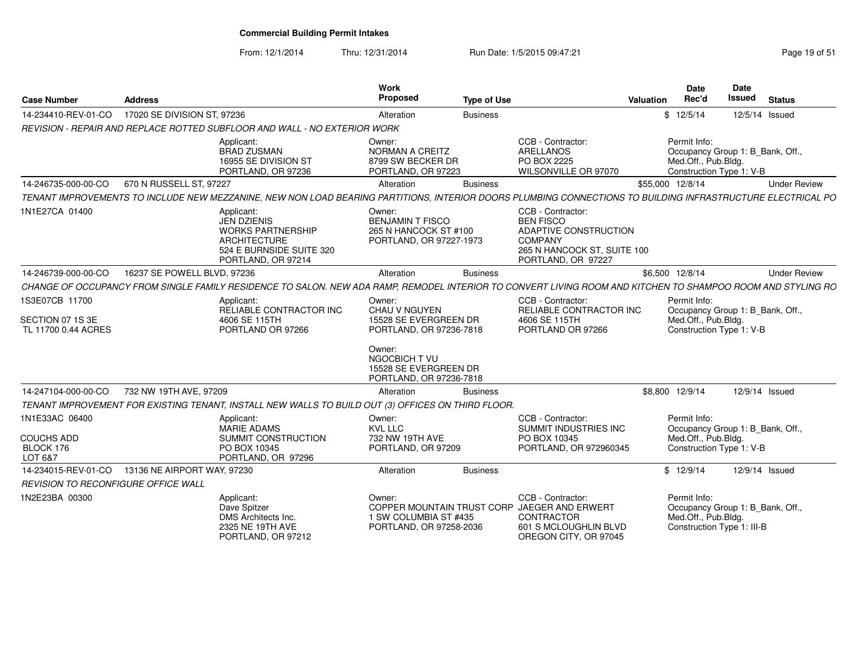From: 12/1/2014Thru: 12/31/2014 Run Date: 1/5/2015 09:47:21 Rege 19 of 51

| Page 19 of 5 |  |  |
|--------------|--|--|
|              |  |  |

| <b>Case Number</b>                                        | <b>Address</b>              |                                                                                                                                                             | <b>Work</b><br><b>Proposed</b>                                                        | <b>Type of Use</b> |                                                                                                                                       | Valuation | <b>Date</b><br>Rec'd                | Date<br>Issued                                                | <b>Status</b> |                     |
|-----------------------------------------------------------|-----------------------------|-------------------------------------------------------------------------------------------------------------------------------------------------------------|---------------------------------------------------------------------------------------|--------------------|---------------------------------------------------------------------------------------------------------------------------------------|-----------|-------------------------------------|---------------------------------------------------------------|---------------|---------------------|
| 14-234410-REV-01-CO                                       | 17020 SE DIVISION ST, 97236 |                                                                                                                                                             | Alteration                                                                            | <b>Business</b>    |                                                                                                                                       |           | \$12/5/14                           | 12/5/14 Issued                                                |               |                     |
|                                                           |                             | REVISION - REPAIR AND REPLACE ROTTED SUBFLOOR AND WALL - NO EXTERIOR WORK                                                                                   |                                                                                       |                    |                                                                                                                                       |           |                                     |                                                               |               |                     |
|                                                           |                             | Applicant:<br><b>BRAD ZUSMAN</b><br>16955 SE DIVISION ST<br>PORTLAND, OR 97236                                                                              | Owner:<br><b>NORMAN A CREITZ</b><br>8799 SW BECKER DR<br>PORTLAND, OR 97223           |                    | CCB - Contractor:<br>ARELLANOS<br>PO BOX 2225<br>WILSONVILLE OR 97070                                                                 |           | Permit Info:<br>Med.Off., Pub.Bldg. | Occupancy Group 1: B Bank, Off.,<br>Construction Type 1: V-B  |               |                     |
| 14-246735-000-00-CO                                       | 670 N RUSSELL ST, 97227     |                                                                                                                                                             | Alteration                                                                            | <b>Business</b>    |                                                                                                                                       |           | \$55,000 12/8/14                    |                                                               |               | <b>Under Review</b> |
|                                                           |                             | TENANT IMPROVEMENTS TO INCLUDE NEW MEZZANINE. NEW NON LOAD BEARING PARTITIONS. INTERIOR DOORS PLUMBING CONNECTIONS TO BUILDING INFRASTRUCTURE ELECTRICAL PO |                                                                                       |                    |                                                                                                                                       |           |                                     |                                                               |               |                     |
| 1N1E27CA 01400                                            |                             | Applicant:<br>JEN DZIENIS<br><b>WORKS PARTNERSHIP</b><br><b>ARCHITECTURE</b><br>524 E BURNSIDE SUITE 320<br>PORTLAND, OR 97214                              | Owner:<br><b>BENJAMIN T FISCO</b><br>265 N HANCOCK ST #100<br>PORTLAND, OR 97227-1973 |                    | CCB - Contractor:<br><b>BEN FISCO</b><br>ADAPTIVE CONSTRUCTION<br><b>COMPANY</b><br>265 N HANCOCK ST, SUITE 100<br>PORTLAND, OR 97227 |           |                                     |                                                               |               |                     |
| 14-246739-000-00-CO                                       | 16237 SE POWELL BLVD, 97236 |                                                                                                                                                             | Alteration                                                                            | <b>Business</b>    |                                                                                                                                       |           | \$6,500 12/8/14                     |                                                               |               | <b>Under Review</b> |
|                                                           |                             | CHANGE OF OCCUPANCY FROM SINGLE FAMILY RESIDENCE TO SALON. NEW ADA RAMP, REMODEL INTERIOR TO CONVERT LIVING ROOM AND KITCHEN TO SHAMPOO ROOM AND STYLING RO |                                                                                       |                    |                                                                                                                                       |           |                                     |                                                               |               |                     |
| 1S3E07CB 11700<br>SECTION 07 1S 3E<br>TL 11700 0.44 ACRES |                             | Applicant:<br>RELIABLE CONTRACTOR INC<br>4606 SE 115TH<br>PORTLAND OR 97266                                                                                 | Owner:<br><b>CHAU V NGUYEN</b><br>15528 SE EVERGREEN DR<br>PORTLAND, OR 97236-7818    |                    | CCB - Contractor:<br>RELIABLE CONTRACTOR INC<br>4606 SE 115TH<br>PORTLAND OR 97266                                                    |           | Permit Info:<br>Med.Off., Pub.Bldg. | Occupancy Group 1: B_Bank, Off.<br>Construction Type 1: V-B   |               |                     |
|                                                           |                             |                                                                                                                                                             | Owner:<br>NGOCBICH TVU<br>15528 SE EVERGREEN DR<br>PORTLAND, OR 97236-7818            |                    |                                                                                                                                       |           |                                     |                                                               |               |                     |
| 14-247104-000-00-CO                                       | 732 NW 19TH AVE, 97209      |                                                                                                                                                             | Alteration                                                                            | <b>Business</b>    |                                                                                                                                       |           | \$8,800 12/9/14                     | 12/9/14 Issued                                                |               |                     |
|                                                           |                             | TENANT IMPROVEMENT FOR EXISTING TENANT, INSTALL NEW WALLS TO BUILD OUT (3) OFFICES ON THIRD FLOOR.                                                          |                                                                                       |                    |                                                                                                                                       |           |                                     |                                                               |               |                     |
| 1N1E33AC 06400                                            |                             | Applicant:<br><b>MARIE ADAMS</b>                                                                                                                            | Owner:<br>KVL LLC                                                                     |                    | CCB - Contractor:<br>SUMMIT INDUSTRIES INC                                                                                            |           | Permit Info:                        | Occupancy Group 1: B Bank, Off.                               |               |                     |
| <b>COUCHS ADD</b><br>BLOCK 176<br>LOT 6&7                 |                             | SUMMIT CONSTRUCTION<br>PO BOX 10345<br>PORTLAND, OR 97296                                                                                                   | 732 NW 19TH AVE<br>PORTLAND, OR 97209                                                 |                    | PO BOX 10345<br>PORTLAND, OR 972960345                                                                                                |           | Med.Off., Pub.Bldg.                 | Construction Type 1: V-B                                      |               |                     |
| 14-234015-REV-01-CO                                       | 13136 NE AIRPORT WAY, 97230 |                                                                                                                                                             | Alteration                                                                            | <b>Business</b>    |                                                                                                                                       |           | \$12/9/14                           | 12/9/14 Issued                                                |               |                     |
| <b>REVISION TO RECONFIGURE OFFICE WALL</b>                |                             |                                                                                                                                                             |                                                                                       |                    |                                                                                                                                       |           |                                     |                                                               |               |                     |
| 1N2E23BA 00300                                            |                             | Applicant:<br>Dave Spitzer<br>DMS Architects Inc.<br>2325 NE 19TH AVE<br>PORTLAND, OR 97212                                                                 | Owner:<br>1 SW COLUMBIA ST #435<br>PORTLAND, OR 97258-2036                            |                    | CCB - Contractor:<br>COPPER MOUNTAIN TRUST CORP JAEGER AND ERWERT<br>CONTRACTOR<br>601 S MCLOUGHLIN BLVD<br>OREGON CITY, OR 97045     |           | Permit Info:<br>Med.Off., Pub.Bldg. | Occupancy Group 1: B Bank, Off.<br>Construction Type 1: III-B |               |                     |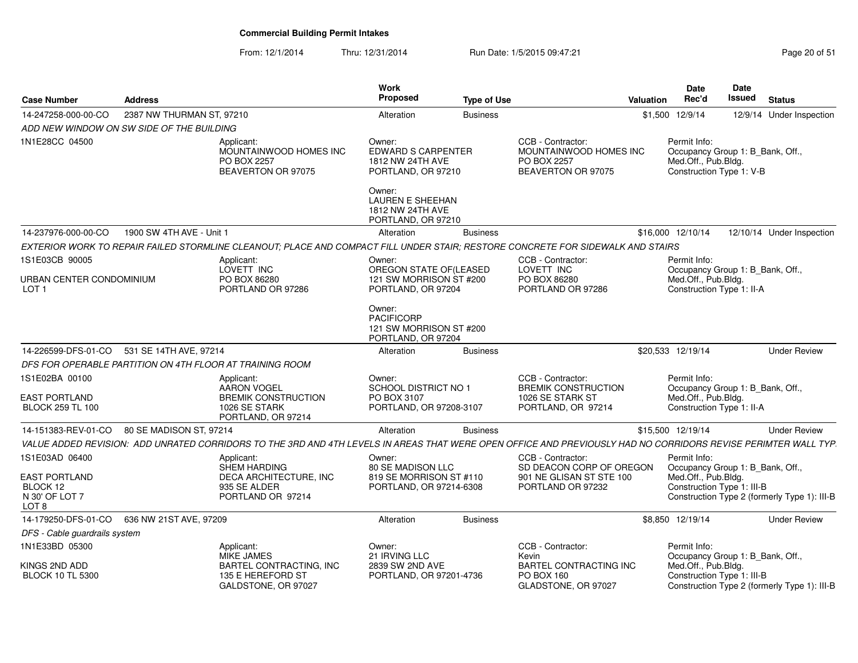| <b>Case Number</b>                             | <b>Address</b>            |                                                                                                                                                                | Work<br>Proposed                                                             | <b>Type of Use</b> |                                                                                  | <b>Valuation</b> | Date<br>Rec'd                                                                                       | Date<br><b>Issued</b> | <b>Status</b>                                |
|------------------------------------------------|---------------------------|----------------------------------------------------------------------------------------------------------------------------------------------------------------|------------------------------------------------------------------------------|--------------------|----------------------------------------------------------------------------------|------------------|-----------------------------------------------------------------------------------------------------|-----------------------|----------------------------------------------|
| 14-247258-000-00-CO                            | 2387 NW THURMAN ST, 97210 |                                                                                                                                                                | Alteration                                                                   | <b>Business</b>    |                                                                                  |                  | \$1,500 12/9/14                                                                                     |                       | 12/9/14 Under Inspection                     |
| ADD NEW WINDOW ON SW SIDE OF THE BUILDING      |                           |                                                                                                                                                                |                                                                              |                    |                                                                                  |                  |                                                                                                     |                       |                                              |
| 1N1E28CC 04500                                 |                           | Applicant:<br>MOUNTAINWOOD HOMES INC<br>PO BOX 2257<br>BEAVERTON OR 97075                                                                                      | Owner:<br>EDWARD S CARPENTER<br>1812 NW 24TH AVE<br>PORTLAND, OR 97210       |                    | CCB - Contractor:<br>MOUNTAINWOOD HOMES INC<br>PO BOX 2257<br>BEAVERTON OR 97075 |                  | Permit Info:<br>Occupancy Group 1: B_Bank, Off.,<br>Med.Off., Pub.Bldg.<br>Construction Type 1: V-B |                       |                                              |
|                                                |                           |                                                                                                                                                                | Owner:<br>LAUREN E SHEEHAN<br>1812 NW 24TH AVE<br>PORTLAND, OR 97210         |                    |                                                                                  |                  |                                                                                                     |                       |                                              |
| 14-237976-000-00-CO                            | 1900 SW 4TH AVE - Unit 1  |                                                                                                                                                                | Alteration                                                                   | <b>Business</b>    |                                                                                  |                  | \$16,000 12/10/14                                                                                   |                       | 12/10/14 Under Inspection                    |
|                                                |                           | EXTERIOR WORK TO REPAIR FAILED STORMLINE CLEANOUT; PLACE AND COMPACT FILL UNDER STAIR; RESTORE CONCRETE FOR SIDEWALK AND STAIRS                                |                                                                              |                    |                                                                                  |                  |                                                                                                     |                       |                                              |
| 1S1E03CB 90005<br>URBAN CENTER CONDOMINIUM     |                           | Applicant:<br>LOVETT INC<br>PO BOX 86280                                                                                                                       | Owner:<br>OREGON STATE OF(LEASED<br>121 SW MORRISON ST #200                  |                    | CCB - Contractor:<br>LOVETT INC<br>PO BOX 86280                                  |                  | Permit Info:<br>Occupancy Group 1: B_Bank, Off.,<br>Med.Off., Pub.Bldg.                             |                       |                                              |
| LOT <sub>1</sub>                               |                           | PORTLAND OR 97286                                                                                                                                              | PORTLAND, OR 97204                                                           |                    | PORTLAND OR 97286                                                                |                  | Construction Type 1: II-A                                                                           |                       |                                              |
|                                                |                           |                                                                                                                                                                | Owner:<br><b>PACIFICORP</b><br>121 SW MORRISON ST #200<br>PORTLAND, OR 97204 |                    |                                                                                  |                  |                                                                                                     |                       |                                              |
| 14-226599-DFS-01-CO                            | 531 SE 14TH AVE, 97214    |                                                                                                                                                                | Alteration                                                                   | <b>Business</b>    |                                                                                  |                  | \$20.533 12/19/14                                                                                   |                       | <b>Under Review</b>                          |
|                                                |                           | DFS FOR OPERABLE PARTITION ON 4TH FLOOR AT TRAINING ROOM                                                                                                       |                                                                              |                    |                                                                                  |                  |                                                                                                     |                       |                                              |
| 1S1E02BA 00100<br><b>EAST PORTLAND</b>         |                           | Applicant:<br><b>AARON VOGEL</b><br><b>BREMIK CONSTRUCTION</b>                                                                                                 | Owner:<br>SCHOOL DISTRICT NO 1<br>PO BOX 3107                                |                    | CCB - Contractor:<br><b>BREMIK CONSTRUCTION</b><br>1026 SE STARK ST              |                  | Permit Info:<br>Occupancy Group 1: B_Bank, Off.,<br>Med.Off., Pub.Bldg.                             |                       |                                              |
| <b>BLOCK 259 TL 100</b>                        |                           | 1026 SE STARK<br>PORTLAND, OR 97214                                                                                                                            | PORTLAND, OR 97208-3107                                                      |                    | PORTLAND, OR 97214                                                               |                  | Construction Type 1: II-A                                                                           |                       |                                              |
| 14-151383-REV-01-CO                            | 80 SE MADISON ST, 97214   |                                                                                                                                                                | Alteration                                                                   | <b>Business</b>    |                                                                                  |                  | \$15,500 12/19/14                                                                                   |                       | <b>Under Review</b>                          |
|                                                |                           | VALUE ADDED REVISION: ADD UNRATED CORRIDORS TO THE 3RD AND 4TH LEVELS IN AREAS THAT WERE OPEN OFFICE AND PREVIOUSLY HAD NO CORRIDORS REVISE PERIMTER WALL TYP. |                                                                              |                    |                                                                                  |                  |                                                                                                     |                       |                                              |
| 1S1E03AD 06400<br><b>EAST PORTLAND</b>         |                           | Applicant:<br>SHEM HARDING                                                                                                                                     | Owner:<br>80 SE MADISON LLC                                                  |                    | CCB - Contractor:<br>SD DEACON CORP OF OREGON                                    |                  | Permit Info:<br>Occupancy Group 1: B_Bank, Off.,<br>Med.Off., Pub.Bldg.                             |                       |                                              |
| BLOCK 12<br>N 30' OF LOT 7<br>LOT <sub>8</sub> |                           | DECA ARCHITECTURE, INC<br>935 SE ALDER<br>PORTLAND OR 97214                                                                                                    | 819 SE MORRISON ST #110<br>PORTLAND, OR 97214-6308                           |                    | 901 NE GLISAN ST STE 100<br>PORTLAND OR 97232                                    |                  | Construction Type 1: III-B                                                                          |                       | Construction Type 2 (formerly Type 1): III-B |
| 14-179250-DFS-01-CO                            | 636 NW 21ST AVE, 97209    |                                                                                                                                                                | Alteration                                                                   | <b>Business</b>    |                                                                                  |                  | \$8,850 12/19/14                                                                                    |                       | <b>Under Review</b>                          |
| DFS - Cable guardrails system                  |                           |                                                                                                                                                                |                                                                              |                    |                                                                                  |                  |                                                                                                     |                       |                                              |
| 1N1E33BD 05300                                 |                           | Applicant:<br><b>MIKE JAMES</b>                                                                                                                                | Owner:<br>21 IRVING LLC                                                      |                    | CCB - Contractor:<br>Kevin                                                       |                  | Permit Info:<br>Occupancy Group 1: B_Bank, Off.,                                                    |                       |                                              |
| KINGS 2ND ADD<br><b>BLOCK 10 TL 5300</b>       |                           | BARTEL CONTRACTING, INC<br>135 E HEREFORD ST<br>GALDSTONE, OR 97027                                                                                            | 2839 SW 2ND AVE<br>PORTLAND, OR 97201-4736                                   |                    | <b>BARTEL CONTRACTING INC</b><br>PO BOX 160<br>GLADSTONE, OR 97027               |                  | Med.Off., Pub.Bldg.<br>Construction Type 1: III-B                                                   |                       | Construction Type 2 (formerly Type 1): III-B |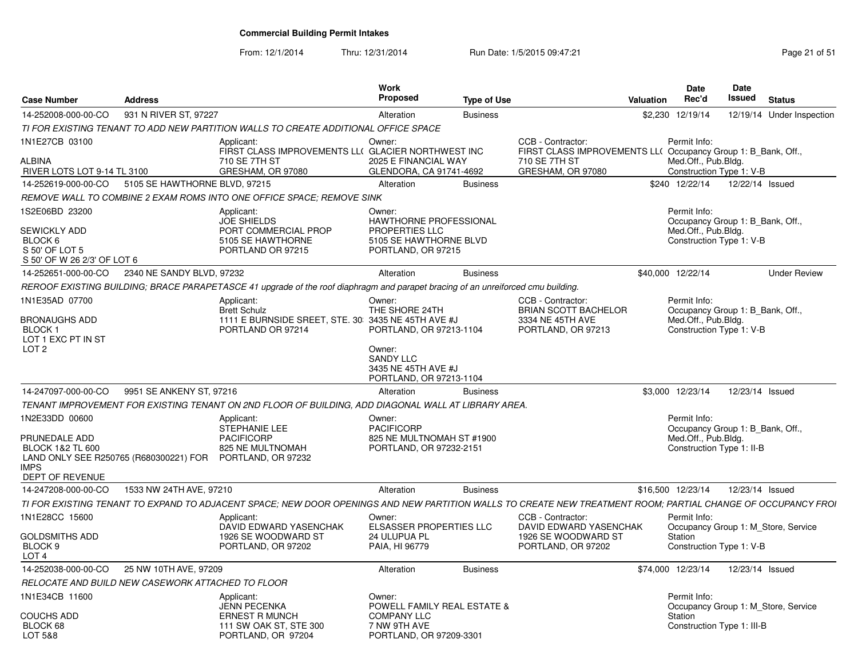From: 12/1/2014Thru: 12/31/2014 Run Date: 1/5/2015 09:47:21 Research 2010 12:31/2014 Page 21 of 51

| <b>Case Number</b>                                                                                                                         | <b>Address</b>                |                                                                                                                                                              | Work<br><b>Proposed</b>                                                                                   | <b>Type of Use</b> |                                                                                    | Valuation | Date<br>Rec'd                                                                                        | <b>Date</b><br>Issued | <b>Status</b>                       |
|--------------------------------------------------------------------------------------------------------------------------------------------|-------------------------------|--------------------------------------------------------------------------------------------------------------------------------------------------------------|-----------------------------------------------------------------------------------------------------------|--------------------|------------------------------------------------------------------------------------|-----------|------------------------------------------------------------------------------------------------------|-----------------------|-------------------------------------|
| 14-252008-000-00-CO                                                                                                                        | 931 N RIVER ST, 97227         |                                                                                                                                                              | Alteration                                                                                                | <b>Business</b>    |                                                                                    |           | \$2,230 12/19/14                                                                                     |                       | 12/19/14 Under Inspection           |
|                                                                                                                                            |                               | TI FOR EXISTING TENANT TO ADD NEW PARTITION WALLS TO CREATE ADDITIONAL OFFICE SPACE                                                                          |                                                                                                           |                    |                                                                                    |           |                                                                                                      |                       |                                     |
| 1N1E27CB 03100                                                                                                                             |                               | Applicant:<br>FIRST CLASS IMPROVEMENTS LL( GLACIER NORTHWEST INC                                                                                             | Owner:                                                                                                    |                    | CCB - Contractor:<br>FIRST CLASS IMPROVEMENTS LL( Occupancy Group 1: B Bank, Off., |           | Permit Info:                                                                                         |                       |                                     |
| ALBINA<br>RIVER LOTS LOT 9-14 TL 3100                                                                                                      |                               | 710 SE 7TH ST<br>GRESHAM, OR 97080                                                                                                                           | 2025 E FINANCIAL WAY<br>GLENDORA, CA 91741-4692                                                           |                    | 710 SE 7TH ST<br>GRESHAM, OR 97080                                                 |           | Med.Off., Pub.Bldg.<br>Construction Type 1: V-B                                                      |                       |                                     |
| 14-252619-000-00-CO                                                                                                                        | 5105 SE HAWTHORNE BLVD, 97215 |                                                                                                                                                              | Alteration                                                                                                | <b>Business</b>    |                                                                                    |           | \$240 12/22/14                                                                                       | 12/22/14 Issued       |                                     |
|                                                                                                                                            |                               | REMOVE WALL TO COMBINE 2 EXAM ROMS INTO ONE OFFICE SPACE; REMOVE SINK                                                                                        |                                                                                                           |                    |                                                                                    |           |                                                                                                      |                       |                                     |
| 1S2E06BD 23200<br>SEWICKLY ADD<br>BLOCK 6<br>S 50' OF LOT 5<br>S 50' OF W 26 2/3' OF LOT 6                                                 |                               | Applicant:<br><b>JOE SHIELDS</b><br>PORT COMMERCIAL PROP<br>5105 SE HAWTHORNE<br>PORTLAND OR 97215                                                           | Owner:<br>HAWTHORNE PROFESSIONAL<br><b>PROPERTIES LLC</b><br>5105 SE HAWTHORNE BLVD<br>PORTLAND, OR 97215 |                    |                                                                                    |           | Permit Info:<br>Occupancy Group 1: B Bank, Off.,<br>Med.Off., Pub.Bldg.<br>Construction Type 1: V-B  |                       |                                     |
| 14-252651-000-00-CO                                                                                                                        | 2340 NE SANDY BLVD, 97232     |                                                                                                                                                              | Alteration                                                                                                | <b>Business</b>    |                                                                                    |           | \$40,000 12/22/14                                                                                    |                       | <b>Under Review</b>                 |
|                                                                                                                                            |                               | REROOF EXISTING BUILDING; BRACE PARAPETASCE 41 upgrade of the roof diaphragm and parapet bracing of an unreiforced cmu building.                             |                                                                                                           |                    |                                                                                    |           |                                                                                                      |                       |                                     |
| 1N1E35AD 07700<br><b>BRONAUGHS ADD</b>                                                                                                     |                               | Applicant:<br><b>Brett Schulz</b><br>1111 E BURNSIDE SREET, STE. 30 3435 NE 45TH AVE #J                                                                      | Owner:<br>THE SHORE 24TH                                                                                  |                    | CCB - Contractor:<br><b>BRIAN SCOTT BACHELOR</b><br>3334 NE 45TH AVE               |           | Permit Info:<br>Occupancy Group 1: B Bank, Off.,<br>Med.Off., Pub.Bldg.                              |                       |                                     |
| BLOCK 1<br>LOT 1 EXC PT IN ST<br>LOT <sub>2</sub>                                                                                          |                               | PORTLAND OR 97214                                                                                                                                            | PORTLAND, OR 97213-1104<br>Owner:<br><b>SANDY LLC</b><br>3435 NE 45TH AVE #J<br>PORTLAND, OR 97213-1104   |                    | PORTLAND, OR 97213                                                                 |           | Construction Type 1: V-B                                                                             |                       |                                     |
| 14-247097-000-00-CO                                                                                                                        | 9951 SE ANKENY ST. 97216      |                                                                                                                                                              | Alteration                                                                                                | <b>Business</b>    |                                                                                    |           | \$3,000 12/23/14                                                                                     | 12/23/14 Issued       |                                     |
|                                                                                                                                            |                               | TENANT IMPROVEMENT FOR EXISTING TENANT ON 2ND FLOOR OF BUILDING, ADD DIAGONAL WALL AT LIBRARY AREA.                                                          |                                                                                                           |                    |                                                                                    |           |                                                                                                      |                       |                                     |
| 1N2E33DD 00600<br>PRUNEDALE ADD<br><b>BLOCK 1&amp;2 TL 600</b><br>LAND ONLY SEE R250765 (R680300221) FOR PORTLAND, OR 97232<br><b>IMPS</b> |                               | Applicant:<br><b>STEPHANIE LEE</b><br><b>PACIFICORP</b><br>825 NE MULTNOMAH                                                                                  | Owner:<br><b>PACIFICORP</b><br>825 NE MULTNOMAH ST #1900<br>PORTLAND, OR 97232-2151                       |                    |                                                                                    |           | Permit Info:<br>Occupancy Group 1: B_Bank, Off.,<br>Med.Off., Pub.Bldg.<br>Construction Type 1: II-B |                       |                                     |
| DEPT OF REVENUE                                                                                                                            |                               |                                                                                                                                                              |                                                                                                           |                    |                                                                                    |           |                                                                                                      |                       |                                     |
| 14-247208-000-00-CO                                                                                                                        | 1533 NW 24TH AVE, 97210       |                                                                                                                                                              | Alteration                                                                                                | <b>Business</b>    |                                                                                    |           | \$16,500 12/23/14                                                                                    | 12/23/14 Issued       |                                     |
|                                                                                                                                            |                               | TI FOR EXISTING TENANT TO EXPAND TO ADJACENT SPACE; NEW DOOR OPENINGS AND NEW PARTITION WALLS TO CREATE NEW TREATMENT ROOM; PARTIAL CHANGE OF OCCUPANCY FROI |                                                                                                           |                    |                                                                                    |           |                                                                                                      |                       |                                     |
| 1N1E28CC 15600                                                                                                                             |                               | Applicant:<br>DAVID EDWARD YASENCHAK                                                                                                                         | Owner:<br>ELSASSER PROPERTIES LLC                                                                         |                    | CCB - Contractor:<br>DAVID EDWARD YASENCHAK                                        |           | Permit Info:                                                                                         |                       | Occupancy Group 1: M Store, Service |
| <b>GOLDSMITHS ADD</b><br>BLOCK 9<br>LOT <sub>4</sub>                                                                                       |                               | 1926 SE WOODWARD ST<br>PORTLAND, OR 97202                                                                                                                    | 24 ULUPUA PL<br>PAIA, HI 96779                                                                            |                    | 1926 SE WOODWARD ST<br>PORTLAND, OR 97202                                          |           | Station<br>Construction Type 1: V-B                                                                  |                       |                                     |
| 14-252038-000-00-CO                                                                                                                        | 25 NW 10TH AVE, 97209         |                                                                                                                                                              | Alteration                                                                                                | <b>Business</b>    |                                                                                    |           | \$74,000 12/23/14                                                                                    | 12/23/14 Issued       |                                     |
| RELOCATE AND BUILD NEW CASEWORK ATTACHED TO FLOOR                                                                                          |                               |                                                                                                                                                              |                                                                                                           |                    |                                                                                    |           |                                                                                                      |                       |                                     |
| 1N1E34CB 11600                                                                                                                             |                               | Applicant:<br>JENN PECENKA                                                                                                                                   | Owner:<br><b>POWELL FAMILY REAL ESTATE &amp;</b>                                                          |                    |                                                                                    |           | Permit Info:                                                                                         |                       | Occupancy Group 1: M Store, Service |
| COUCHS ADD<br>BLOCK 68<br>LOT 5&8                                                                                                          |                               | ERNEST R MUNCH<br>111 SW OAK ST, STE 300<br>PORTLAND, OR 97204                                                                                               | <b>COMPANY LLC</b><br>7 NW 9TH AVE<br>PORTLAND, OR 97209-3301                                             |                    |                                                                                    |           | Station<br>Construction Type 1: III-B                                                                |                       |                                     |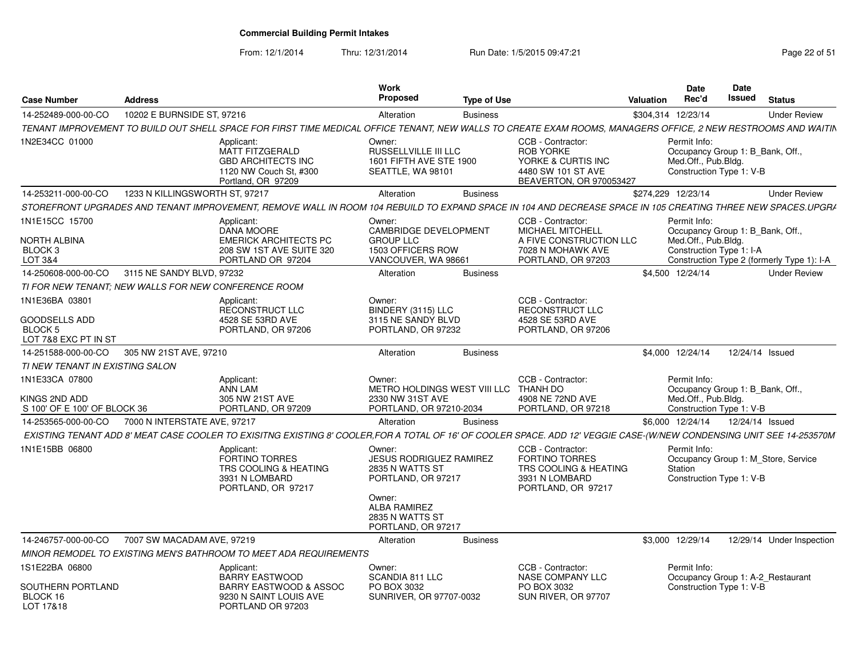From: 12/1/2014

Thru: 12/31/2014 Run Date: 1/5/2015 09:47:21 Research 2010 Rage 22 of 51

| <b>Case Number</b>                                              | <b>Address</b>                                       |                                                                                                                                                                       | <b>Work</b><br><b>Proposed</b>                                                                                     | <b>Type of Use</b> |                                                                                                              | Valuation | <b>Date</b><br>Rec'd                                                                                | <b>Date</b><br>Issued | <b>Status</b>                              |
|-----------------------------------------------------------------|------------------------------------------------------|-----------------------------------------------------------------------------------------------------------------------------------------------------------------------|--------------------------------------------------------------------------------------------------------------------|--------------------|--------------------------------------------------------------------------------------------------------------|-----------|-----------------------------------------------------------------------------------------------------|-----------------------|--------------------------------------------|
| 14-252489-000-00-CO                                             | 10202 E BURNSIDE ST, 97216                           |                                                                                                                                                                       | Alteration                                                                                                         | <b>Business</b>    |                                                                                                              |           | \$304,314 12/23/14                                                                                  |                       | <b>Under Review</b>                        |
|                                                                 |                                                      | TENANT IMPROVEMENT TO BUILD OUT SHELL SPACE FOR FIRST TIME MEDICAL OFFICE TENANT, NEW WALLS TO CREATE EXAM ROOMS, MANAGERS OFFICE, 2 NEW RESTROOMS AND WAITIN         |                                                                                                                    |                    |                                                                                                              |           |                                                                                                     |                       |                                            |
| 1N2E34CC 01000                                                  |                                                      | Applicant:<br>MATT FITZGERALD<br><b>GBD ARCHITECTS INC</b><br>1120 NW Couch St, #300<br>Portland, OR 97209                                                            | Owner:<br>RUSSELLVILLE III LLC<br>1601 FIFTH AVE STE 1900<br>SEATTLE, WA 98101                                     |                    | CCB - Contractor:<br><b>ROB YORKE</b><br>YORKE & CURTIS INC<br>4480 SW 101 ST AVE<br>BEAVERTON, OR 970053427 |           | Permit Info:<br>Occupancy Group 1: B_Bank, Off.,<br>Med.Off., Pub.Bldg.<br>Construction Type 1: V-B |                       |                                            |
| 14-253211-000-00-CO                                             | 1233 N KILLINGSWORTH ST, 97217                       |                                                                                                                                                                       | Alteration                                                                                                         | <b>Business</b>    |                                                                                                              |           | \$274,229 12/23/14                                                                                  |                       | <b>Under Review</b>                        |
|                                                                 |                                                      | STOREFRONT UPGRADES AND TENANT IMPROVEMENT, REMOVE WALL IN ROOM 104 REBUILD TO EXPAND SPACE IN 104 AND DECREASE SPACE IN 105 CREATING THREE NEW SPACES.UPGR/          |                                                                                                                    |                    |                                                                                                              |           |                                                                                                     |                       |                                            |
| 1N1E15CC 15700<br>NORTH ALBINA<br>BLOCK <sub>3</sub><br>LOT 3&4 |                                                      | Applicant:<br>DANA MOORE<br><b>EMERICK ARCHITECTS PC</b><br>208 SW 1ST AVE SUITE 320<br>PORTLAND OR 97204                                                             | Owner:<br><b>CAMBRIDGE DEVELOPMENT</b><br><b>GROUP LLC</b><br>1503 OFFICERS ROW<br>VANCOUVER, WA 98661             |                    | CCB - Contractor:<br>MICHAEL MITCHELL<br>A FIVE CONSTRUCTION LLC<br>7028 N MOHAWK AVE<br>PORTLAND, OR 97203  |           | Permit Info:<br>Occupancy Group 1: B Bank, Off<br>Med.Off., Pub.Bldg.<br>Construction Type 1: I-A   |                       | Construction Type 2 (formerly Type 1): I-A |
| 14-250608-000-00-CO                                             | 3115 NE SANDY BLVD, 97232                            |                                                                                                                                                                       | Alteration                                                                                                         | <b>Business</b>    |                                                                                                              |           | \$4,500 12/24/14                                                                                    |                       | <b>Under Review</b>                        |
|                                                                 | TI FOR NEW TENANT: NEW WALLS FOR NEW CONFERENCE ROOM |                                                                                                                                                                       |                                                                                                                    |                    |                                                                                                              |           |                                                                                                     |                       |                                            |
| 1N1E36BA 03801<br><b>GOODSELLS ADD</b><br><b>BLOCK 5</b>        |                                                      | Applicant:<br><b>RECONSTRUCT LLC</b><br>4528 SE 53RD AVE<br>PORTLAND, OR 97206                                                                                        | Owner:<br>BINDERY (3115) LLC<br>3115 NE SANDY BLVD<br>PORTLAND, OR 97232                                           |                    | CCB - Contractor:<br><b>RECONSTRUCT LLC</b><br>4528 SE 53RD AVE<br>PORTLAND, OR 97206                        |           |                                                                                                     |                       |                                            |
| LOT 7&8 EXC PT IN ST                                            |                                                      |                                                                                                                                                                       |                                                                                                                    |                    |                                                                                                              |           |                                                                                                     |                       |                                            |
| 14-251588-000-00-CO                                             | 305 NW 21ST AVE, 97210                               |                                                                                                                                                                       | Alteration                                                                                                         | <b>Business</b>    |                                                                                                              |           | \$4,000 12/24/14                                                                                    | 12/24/14 Issued       |                                            |
| TI NEW TENANT IN EXISTING SALON                                 |                                                      |                                                                                                                                                                       |                                                                                                                    |                    |                                                                                                              |           |                                                                                                     |                       |                                            |
| 1N1E33CA 07800<br>KINGS 2ND ADD<br>S 100' OF E 100' OF BLOCK 36 |                                                      | Applicant:<br><b>ANN LAM</b><br>305 NW 21ST AVE<br>PORTLAND, OR 97209                                                                                                 | Owner:<br>METRO HOLDINGS WEST VIII LLC<br>2330 NW 31ST AVE<br>PORTLAND, OR 97210-2034                              |                    | CCB - Contractor:<br>THANH DO<br>4908 NE 72ND AVE<br>PORTLAND, OR 97218                                      |           | Permit Info:<br>Occupancy Group 1: B Bank, Off<br>Med.Off., Pub.Blda.<br>Construction Type 1: V-B   |                       |                                            |
| 14-253565-000-00-CO                                             | 7000 N INTERSTATE AVE, 97217                         |                                                                                                                                                                       | Alteration                                                                                                         | <b>Business</b>    |                                                                                                              |           | \$6,000 12/24/14                                                                                    | 12/24/14 Issued       |                                            |
|                                                                 |                                                      | EXISTING TENANT ADD 8' MEAT CASE COOLER TO EXISITNG EXISTING 8' COOLER, FOR A TOTAL OF 16' OF COOLER SPACE. ADD 12' VEGGIE CASE-(W/NEW CONDENSING UNIT SEE 14-253570M |                                                                                                                    |                    |                                                                                                              |           |                                                                                                     |                       |                                            |
| 1N1E15BB 06800                                                  |                                                      | Applicant:<br><b>FORTINO TORRES</b><br>TRS COOLING & HEATING<br>3931 N LOMBARD<br>PORTLAND, OR 97217                                                                  | Owner:<br><b>JESUS RODRIGUEZ RAMIREZ</b><br>2835 N WATTS ST<br>PORTLAND, OR 97217<br>Owner:<br><b>ALBA RAMIREZ</b> |                    | CCB - Contractor:<br><b>FORTINO TORRES</b><br>TRS COOLING & HEATING<br>3931 N LOMBARD<br>PORTLAND, OR 97217  |           | Permit Info:<br>Occupancy Group 1: M Store, Service<br>Station<br>Construction Type 1: V-B          |                       |                                            |
|                                                                 |                                                      |                                                                                                                                                                       | 2835 N WATTS ST<br>PORTLAND, OR 97217                                                                              |                    |                                                                                                              |           |                                                                                                     |                       |                                            |
| 14-246757-000-00-CO                                             | 7007 SW MACADAM AVE, 97219                           |                                                                                                                                                                       | Alteration                                                                                                         | <b>Business</b>    |                                                                                                              |           | \$3,000 12/29/14                                                                                    |                       | 12/29/14 Under Inspection                  |
|                                                                 |                                                      | MINOR REMODEL TO EXISTING MEN'S BATHROOM TO MEET ADA REQUIREMENTS                                                                                                     |                                                                                                                    |                    |                                                                                                              |           |                                                                                                     |                       |                                            |
| 1S1E22BA 06800                                                  |                                                      | Applicant:<br><b>BARRY EASTWOOD</b><br>BARRY EASTWOOD & ASSOC                                                                                                         | Owner:<br>SCANDIA 811 LLC<br>PO BOX 3032                                                                           |                    | CCB - Contractor:<br>NASE COMPANY LLC<br>PO BOX 3032                                                         |           | Permit Info:<br>Occupancy Group 1: A-2 Restaurant<br>Construction Type 1: V-B                       |                       |                                            |
| SOUTHERN PORTLAND<br>BLOCK 16<br>LOT 17&18                      |                                                      | 9230 N SAINT LOUIS AVE<br>PORTLAND OR 97203                                                                                                                           | SUNRIVER, OR 97707-0032                                                                                            |                    | SUN RIVER, OR 97707                                                                                          |           |                                                                                                     |                       |                                            |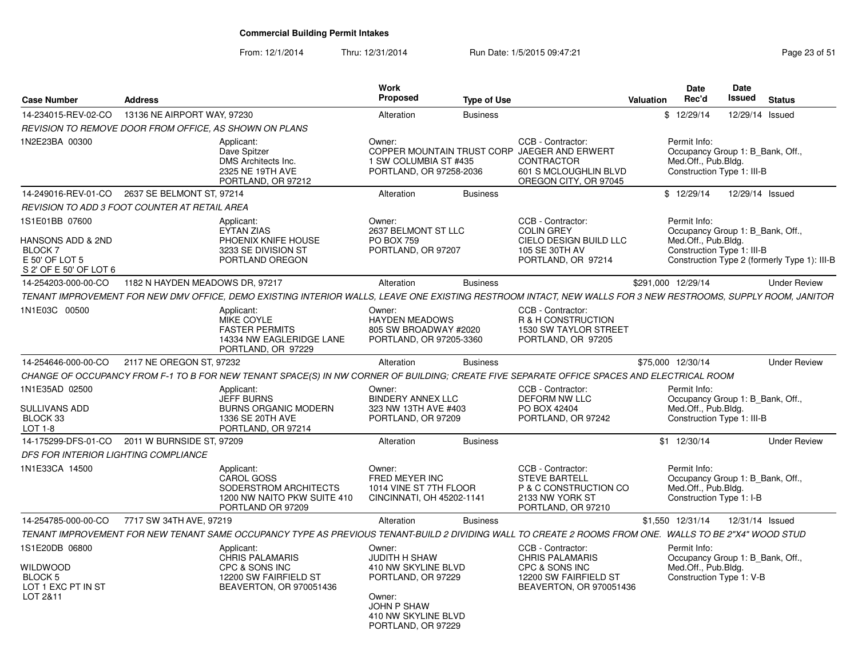From: 12/1/2014

| <b>Case Number</b>                                                             | <b>Address</b>                                                                                                                                               | Work<br>Proposed<br><b>Type of Use</b>                                                                     |                                                                                                                   | Date<br><b>Date</b><br>Issued<br>Rec'd<br><b>Valuation</b>                                            | <b>Status</b>       |
|--------------------------------------------------------------------------------|--------------------------------------------------------------------------------------------------------------------------------------------------------------|------------------------------------------------------------------------------------------------------------|-------------------------------------------------------------------------------------------------------------------|-------------------------------------------------------------------------------------------------------|---------------------|
| 14-234015-REV-02-CO                                                            | 13136 NE AIRPORT WAY, 97230                                                                                                                                  | Alteration<br><b>Business</b>                                                                              |                                                                                                                   | \$12/29/14                                                                                            | 12/29/14 Issued     |
|                                                                                | <b>REVISION TO REMOVE DOOR FROM OFFICE. AS SHOWN ON PLANS</b>                                                                                                |                                                                                                            |                                                                                                                   |                                                                                                       |                     |
| 1N2E23BA 00300                                                                 | Applicant:<br>Dave Spitzer<br>DMS Architects Inc.<br>2325 NE 19TH AVE<br>PORTLAND, OR 97212                                                                  | Owner:<br>COPPER MOUNTAIN TRUST CORP JAEGER AND ERWERT<br>1 SW COLUMBIA ST #435<br>PORTLAND, OR 97258-2036 | CCB - Contractor:<br><b>CONTRACTOR</b><br>601 S MCLOUGHLIN BLVD<br>OREGON CITY, OR 97045                          | Permit Info:<br>Occupancy Group 1: B_Bank, Off.,<br>Med.Off., Pub.Bldg.<br>Construction Type 1: III-B |                     |
|                                                                                | 14-249016-REV-01-CO 2637 SE BELMONT ST. 97214                                                                                                                | <b>Business</b><br>Alteration                                                                              |                                                                                                                   | \$12/29/14                                                                                            | 12/29/14 Issued     |
|                                                                                | REVISION TO ADD 3 FOOT COUNTER AT RETAIL AREA                                                                                                                |                                                                                                            |                                                                                                                   |                                                                                                       |                     |
| 1S1E01BB 07600<br><b>HANSONS ADD &amp; 2ND</b><br>BLOCK 7                      | Applicant:<br><b>EYTAN ZIAS</b><br>PHOENIX KNIFE HOUSE<br>3233 SE DIVISION ST                                                                                | Owner:<br>2637 BELMONT ST LLC<br><b>PO BOX 759</b><br>PORTLAND, OR 97207                                   | CCB - Contractor:<br><b>COLIN GREY</b><br>CIELO DESIGN BUILD LLC<br>105 SE 30TH AV                                | Permit Info:<br>Occupancy Group 1: B Bank, Off.,<br>Med.Off., Pub.Bldg.<br>Construction Type 1: III-B |                     |
| E 50' OF LOT 5<br>S 2' OF E 50' OF LOT 6                                       | PORTLAND OREGON                                                                                                                                              |                                                                                                            | PORTLAND, OR 97214                                                                                                | Construction Type 2 (formerly Type 1): III-B                                                          |                     |
| 14-254203-000-00-CO                                                            | 1182 N HAYDEN MEADOWS DR, 97217                                                                                                                              | <b>Business</b><br>Alteration                                                                              |                                                                                                                   | \$291,000 12/29/14                                                                                    | <b>Under Review</b> |
|                                                                                | TENANT IMPROVEMENT FOR NEW DMV OFFICE, DEMO EXISTING INTERIOR WALLS, LEAVE ONE EXISTING RESTROOM INTACT, NEW WALLS FOR 3 NEW RESTROOMS, SUPPLY ROOM, JANITOR |                                                                                                            |                                                                                                                   |                                                                                                       |                     |
| 1N1E03C 00500                                                                  | Applicant:<br>MIKE COYLE<br><b>FASTER PERMITS</b><br>14334 NW EAGLERIDGE LANE<br>PORTLAND, OR 97229                                                          | Owner:<br><b>HAYDEN MEADOWS</b><br>805 SW BROADWAY #2020<br>PORTLAND, OR 97205-3360                        | CCB - Contractor:<br>R & H CONSTRUCTION<br>1530 SW TAYLOR STREET<br>PORTLAND, OR 97205                            |                                                                                                       |                     |
| 14-254646-000-00-CO                                                            | 2117 NE OREGON ST, 97232                                                                                                                                     | Alteration<br><b>Business</b>                                                                              |                                                                                                                   | \$75,000 12/30/14                                                                                     | <b>Under Review</b> |
|                                                                                | CHANGE OF OCCUPANCY FROM F-1 TO B FOR NEW TENANT SPACE(S) IN NW CORNER OF BUILDING: CREATE FIVE SEPARATE OFFICE SPACES AND ELECTRICAL ROOM                   |                                                                                                            |                                                                                                                   |                                                                                                       |                     |
| 1N1E35AD 02500<br>SULLIVANS ADD<br>BLOCK 33<br>$LOT 1-8$                       | Applicant:<br><b>JEFF BURNS</b><br><b>BURNS ORGANIC MODERN</b><br>1336 SE 20TH AVE<br>PORTLAND, OR 97214                                                     | Owner:<br><b>BINDERY ANNEX LLC</b><br>323 NW 13TH AVE #403<br>PORTLAND, OR 97209                           | CCB - Contractor:<br>DEFORM NW LLC<br>PO BOX 42404<br>PORTLAND, OR 97242                                          | Permit Info:<br>Occupancy Group 1: B_Bank, Off.,<br>Med.Off., Pub.Bldg.<br>Construction Type 1: III-B |                     |
|                                                                                | 14-175299-DFS-01-CO  2011 W BURNSIDE ST, 97209                                                                                                               | Alteration<br><b>Business</b>                                                                              |                                                                                                                   | $$1$ 12/30/14                                                                                         | <b>Under Review</b> |
| DFS FOR INTERIOR LIGHTING COMPLIANCE                                           |                                                                                                                                                              |                                                                                                            |                                                                                                                   |                                                                                                       |                     |
| 1N1E33CA 14500                                                                 | Applicant:<br>CAROL GOSS<br>SODERSTROM ARCHITECTS<br>1200 NW NAITO PKW SUITE 410<br>PORTLAND OR 97209                                                        | Owner:<br>FRED MEYER INC<br>1014 VINE ST 7TH FLOOR<br>CINCINNATI, OH 45202-1141                            | CCB - Contractor:<br><b>STEVE BARTELL</b><br>P & C CONSTRUCTION CO<br>2133 NW YORK ST<br>PORTLAND, OR 97210       | Permit Info:<br>Occupancy Group 1: B Bank, Off.,<br>Med.Off., Pub.Bldg.<br>Construction Type 1: I-B   |                     |
| 14-254785-000-00-CO                                                            | 7717 SW 34TH AVE, 97219                                                                                                                                      | Alteration<br><b>Business</b>                                                                              |                                                                                                                   | \$1,550 12/31/14                                                                                      | 12/31/14 Issued     |
|                                                                                | TENANT IMPROVEMENT FOR NEW TENANT SAME OCCUPANCY TYPE AS PREVIOUS TENANT-BUILD 2 DIVIDING WALL TO CREATE 2 ROOMS FROM ONE. WALLS TO BE 2"X4" WOOD STUD       |                                                                                                            |                                                                                                                   |                                                                                                       |                     |
| 1S1E20DB 06800<br><b>WILDWOOD</b><br>BLOCK 5<br>LOT 1 EXC PT IN ST<br>LOT 2&11 | Applicant:<br><b>CHRIS PALAMARIS</b><br>CPC & SONS INC<br>12200 SW FAIRFIELD ST<br>BEAVERTON, OR 970051436                                                   | Owner:<br>JUDITH H SHAW<br>410 NW SKYLINE BLVD<br>PORTLAND, OR 97229<br>Owner:                             | CCB - Contractor:<br><b>CHRIS PALAMARIS</b><br>CPC & SONS INC<br>12200 SW FAIRFIELD ST<br>BEAVERTON, OR 970051436 | Permit Info:<br>Occupancy Group 1: B_Bank, Off.,<br>Med.Off., Pub.Bldg.<br>Construction Type 1: V-B   |                     |
|                                                                                |                                                                                                                                                              | JOHN P SHAW<br>410 NW SKYLINE BLVD<br>PORTLAND, OR 97229                                                   |                                                                                                                   |                                                                                                       |                     |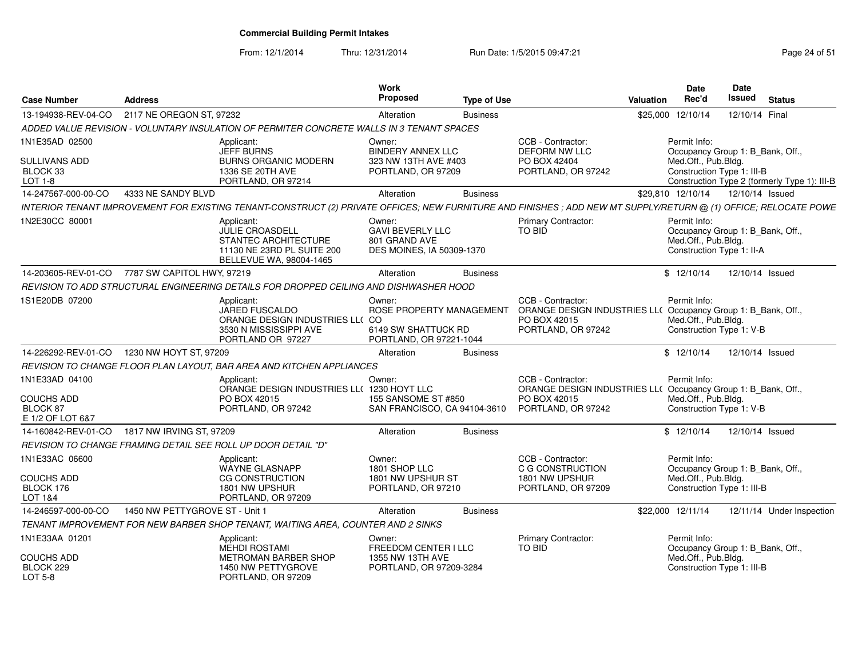From: 12/1/2014

Thru: 12/31/2014 Run Date: 1/5/2015 09:47:21 Research 2010 Rage 24 of 51

| <b>Case Number</b>                                                  | <b>Address</b>                 |                                                                                                                                                                  | Work<br><b>Proposed</b>                                                              | <b>Type of Use</b> |                                                                                                                          | Valuation | Date<br>Rec'd                                                                                         | <b>Date</b><br>Issued | <b>Status</b>                                |
|---------------------------------------------------------------------|--------------------------------|------------------------------------------------------------------------------------------------------------------------------------------------------------------|--------------------------------------------------------------------------------------|--------------------|--------------------------------------------------------------------------------------------------------------------------|-----------|-------------------------------------------------------------------------------------------------------|-----------------------|----------------------------------------------|
| 13-194938-REV-04-CO                                                 | 2117 NE OREGON ST, 97232       |                                                                                                                                                                  | Alteration                                                                           | <b>Business</b>    |                                                                                                                          |           | \$25,000 12/10/14                                                                                     | 12/10/14 Final        |                                              |
|                                                                     |                                | ADDED VALUE REVISION - VOLUNTARY INSULATION OF PERMITER CONCRETE WALLS IN 3 TENANT SPACES                                                                        |                                                                                      |                    |                                                                                                                          |           |                                                                                                       |                       |                                              |
| 1N1E35AD 02500<br><b>SULLIVANS ADD</b><br>BLOCK 33<br>LOT 1-8       |                                | Applicant:<br><b>JEFF BURNS</b><br><b>BURNS ORGANIC MODERN</b><br>1336 SE 20TH AVE<br>PORTLAND, OR 97214                                                         | Owner:<br><b>BINDERY ANNEX LLC</b><br>323 NW 13TH AVE #403<br>PORTLAND, OR 97209     |                    | CCB - Contractor:<br>DEFORM NW LLC<br>PO BOX 42404<br>PORTLAND, OR 97242                                                 |           | Permit Info:<br>Occupancy Group 1: B_Bank, Off.,<br>Med.Off., Pub.Bldg.<br>Construction Type 1: III-B |                       | Construction Type 2 (formerly Type 1): III-B |
| 14-247567-000-00-CO                                                 | 4333 NE SANDY BLVD             |                                                                                                                                                                  | Alteration                                                                           | <b>Business</b>    |                                                                                                                          |           | \$29.810 12/10/14                                                                                     | 12/10/14 Issued       |                                              |
|                                                                     |                                | INTERIOR TENANT IMPROVEMENT FOR EXISTING TENANT-CONSTRUCT (2) PRIVATE OFFICES; NEW FURNITURE AND FINISHES ; ADD NEW MT SUPPLY/RETURN @ (1) OFFICE; RELOCATE POWE |                                                                                      |                    |                                                                                                                          |           |                                                                                                       |                       |                                              |
| 1N2E30CC 80001                                                      |                                | Applicant:<br>JULIE CROASDELL<br>STANTEC ARCHITECTURE<br>11130 NE 23RD PL SUITE 200<br>BELLEVUE WA, 98004-1465                                                   | Owner:<br><b>GAVI BEVERLY LLC</b><br>801 GRAND AVE<br>DES MOINES, IA 50309-1370      |                    | <b>Primary Contractor:</b><br>TO BID                                                                                     |           | Permit Info:<br>Occupancy Group 1: B Bank, Off.,<br>Med.Off., Pub.Bldg.<br>Construction Type 1: II-A  |                       |                                              |
| 14-203605-REV-01-CO                                                 | 7787 SW CAPITOL HWY, 97219     |                                                                                                                                                                  | Alteration                                                                           | <b>Business</b>    |                                                                                                                          |           | \$12/10/14                                                                                            | 12/10/14 Issued       |                                              |
|                                                                     |                                | REVISION TO ADD STRUCTURAL ENGINEERING DETAILS FOR DROPPED CEILING AND DISHWASHER HOOD                                                                           |                                                                                      |                    |                                                                                                                          |           |                                                                                                       |                       |                                              |
| 1S1E20DB 07200                                                      |                                | Applicant:<br>JARED FUSCALDO<br>ORANGE DESIGN INDUSTRIES LL( CO<br>3530 N MISSISSIPPI AVE<br>PORTLAND OR 97227                                                   | Owner:<br>ROSE PROPERTY MANAGEMENT<br>6149 SW SHATTUCK RD<br>PORTLAND, OR 97221-1044 |                    | CCB - Contractor:<br>ORANGE DESIGN INDUSTRIES LL( Occupancy Group 1: B_Bank, Off.,<br>PO BOX 42015<br>PORTLAND, OR 97242 |           | Permit Info:<br>Med.Off., Pub.Bldg.<br>Construction Type 1: V-B                                       |                       |                                              |
| 14-226292-REV-01-CO                                                 | 1230 NW HOYT ST, 97209         |                                                                                                                                                                  | Alteration                                                                           | <b>Business</b>    |                                                                                                                          |           | \$12/10/14                                                                                            | 12/10/14 Issued       |                                              |
|                                                                     |                                | REVISION TO CHANGE FLOOR PLAN LAYOUT, BAR AREA AND KITCHEN APPLIANCES                                                                                            |                                                                                      |                    |                                                                                                                          |           |                                                                                                       |                       |                                              |
| 1N1E33AD 04100<br><b>COUCHS ADD</b><br>BLOCK 87<br>E 1/2 OF LOT 6&7 |                                | Applicant:<br>ORANGE DESIGN INDUSTRIES LL( 1230 HOYT LLC<br>PO BOX 42015<br>PORTLAND, OR 97242                                                                   | Owner:<br>155 SANSOME ST #850<br>SAN FRANCISCO, CA 94104-3610                        |                    | CCB - Contractor:<br>ORANGE DESIGN INDUSTRIES LL( Occupancy Group 1: B_Bank, Off.,<br>PO BOX 42015<br>PORTLAND, OR 97242 |           | Permit Info:<br>Med.Off., Pub.Bldg.<br>Construction Type 1: V-B                                       |                       |                                              |
| 14-160842-REV-01-CO                                                 | 1817 NW IRVING ST, 97209       |                                                                                                                                                                  | Alteration                                                                           | <b>Business</b>    |                                                                                                                          |           | \$12/10/14                                                                                            | 12/10/14 Issued       |                                              |
|                                                                     |                                | REVISION TO CHANGE FRAMING DETAIL SEE ROLL UP DOOR DETAIL "D"                                                                                                    |                                                                                      |                    |                                                                                                                          |           |                                                                                                       |                       |                                              |
| 1N1E33AC 06600<br><b>COUCHS ADD</b><br>BLOCK 176<br>LOT 1&4         |                                | Applicant:<br><b>WAYNE GLASNAPP</b><br><b>CG CONSTRUCTION</b><br>1801 NW UPSHUR<br>PORTLAND, OR 97209                                                            | Owner:<br>1801 SHOP LLC<br>1801 NW UPSHUR ST<br>PORTLAND, OR 97210                   |                    | CCB - Contractor:<br>C G CONSTRUCTION<br>1801 NW UPSHUR<br>PORTLAND, OR 97209                                            |           | Permit Info:<br>Occupancy Group 1: B Bank, Off.,<br>Med.Off., Pub.Bldg.<br>Construction Type 1: III-B |                       |                                              |
| 14-246597-000-00-CO                                                 | 1450 NW PETTYGROVE ST - Unit 1 |                                                                                                                                                                  | Alteration                                                                           | <b>Business</b>    |                                                                                                                          |           | \$22,000 12/11/14                                                                                     |                       | 12/11/14 Under Inspection                    |
|                                                                     |                                | TENANT IMPROVEMENT FOR NEW BARBER SHOP TENANT, WAITING AREA, COUNTER AND 2 SINKS                                                                                 |                                                                                      |                    |                                                                                                                          |           |                                                                                                       |                       |                                              |
| 1N1E33AA 01201<br>COUCHS ADD                                        |                                | Applicant:<br><b>MEHDI ROSTAMI</b><br><b>METROMAN BARBER SHOP</b>                                                                                                | Owner:<br>FREEDOM CENTER I LLC<br>1355 NW 13TH AVE                                   |                    | Primary Contractor:<br>TO BID                                                                                            |           | Permit Info:<br>Occupancy Group 1: B_Bank, Off.,<br>Med.Off., Pub.Bldg.                               |                       |                                              |
| BLOCK 229<br>LOT 5-8                                                |                                | 1450 NW PETTYGROVE<br>PORTLAND, OR 97209                                                                                                                         | PORTLAND, OR 97209-3284                                                              |                    |                                                                                                                          |           | Construction Type 1: III-B                                                                            |                       |                                              |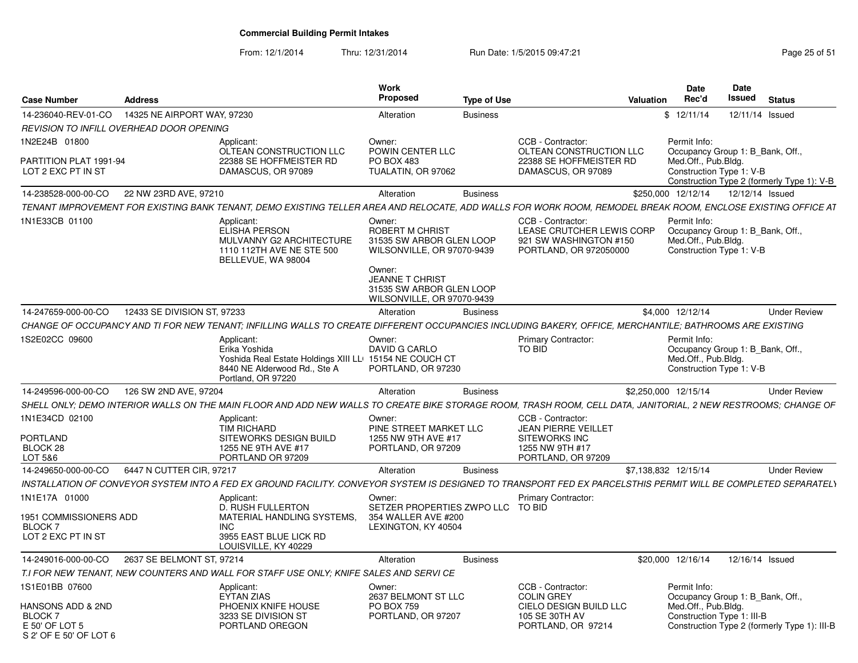| <b>Case Number</b>                                                                    | <b>Address</b>              |                                                                                                                                                                | <b>Work</b><br>Proposed                                                                                                 | <b>Type of Use</b> |                                                                                                                 | <b>Valuation</b> | Date<br>Rec'd                                                                                                                         | <b>Date</b><br>Issued | <b>Status</b>       |
|---------------------------------------------------------------------------------------|-----------------------------|----------------------------------------------------------------------------------------------------------------------------------------------------------------|-------------------------------------------------------------------------------------------------------------------------|--------------------|-----------------------------------------------------------------------------------------------------------------|------------------|---------------------------------------------------------------------------------------------------------------------------------------|-----------------------|---------------------|
| 14-236040-REV-01-CO                                                                   | 14325 NE AIRPORT WAY, 97230 |                                                                                                                                                                | Alteration                                                                                                              | <b>Business</b>    |                                                                                                                 |                  | \$12/11/14                                                                                                                            | 12/11/14 Issued       |                     |
| REVISION TO INFILL OVERHEAD DOOR OPENING                                              |                             |                                                                                                                                                                |                                                                                                                         |                    |                                                                                                                 |                  |                                                                                                                                       |                       |                     |
| 1N2E24B 01800                                                                         |                             | Applicant                                                                                                                                                      | Owner:                                                                                                                  |                    | CCB - Contractor:                                                                                               |                  | Permit Info:                                                                                                                          |                       |                     |
| PARTITION PLAT 1991-94<br>LOT 2 EXC PT IN ST                                          |                             | OLTEAN CONSTRUCTION LLC<br>22388 SE HOFFMEISTER RD<br>DAMASCUS, OR 97089                                                                                       | POWIN CENTER LLC<br>PO BOX 483<br>TUALATIN, OR 97062                                                                    |                    | OLTEAN CONSTRUCTION LLC<br>22388 SE HOFFMEISTER RD<br>DAMASCUS, OR 97089                                        |                  | Occupancy Group 1: B_Bank, Off.,<br>Med.Off., Pub.Bldg.<br>Construction Type 1: V-B<br>Construction Type 2 (formerly Type 1): V-B     |                       |                     |
| 14-238528-000-00-CO                                                                   | 22 NW 23RD AVE, 97210       |                                                                                                                                                                | Alteration                                                                                                              | <b>Business</b>    |                                                                                                                 |                  | \$250,000 12/12/14                                                                                                                    | 12/12/14 Issued       |                     |
|                                                                                       |                             | TENANT IMPROVEMENT FOR EXISTING BANK TENANT, DEMO EXISTING TELLER AREA AND RELOCATE, ADD WALLS FOR WORK ROOM, REMODEL BREAK ROOM, ENCLOSE EXISTING OFFICE AT   |                                                                                                                         |                    |                                                                                                                 |                  |                                                                                                                                       |                       |                     |
| 1N1E33CB 01100                                                                        |                             | Applicant<br>ELISHA PERSON<br>MULVANNY G2 ARCHITECTURE<br>1110 112TH AVE NE STE 500<br>BELLEVUE, WA 98004                                                      | Owner:<br>ROBERT M CHRIST<br>31535 SW ARBOR GLEN LOOP<br>WILSONVILLE, OR 97070-9439<br>Owner:<br><b>JEANNE T CHRIST</b> |                    | CCB - Contractor:<br>LEASE CRUTCHER LEWIS CORP<br>921 SW WASHINGTON #150<br>PORTLAND, OR 972050000              |                  | Permit Info:<br>Occupancy Group 1: B_Bank, Off.,<br>Med.Off., Pub.Bldg.<br>Construction Type 1: V-B                                   |                       |                     |
|                                                                                       |                             |                                                                                                                                                                | 31535 SW ARBOR GLEN LOOP<br>WILSONVILLE, OR 97070-9439                                                                  |                    |                                                                                                                 |                  |                                                                                                                                       |                       |                     |
| 14-247659-000-00-CO                                                                   | 12433 SE DIVISION ST, 97233 |                                                                                                                                                                | Alteration                                                                                                              | <b>Business</b>    |                                                                                                                 |                  | \$4,000 12/12/14                                                                                                                      |                       | <b>Under Review</b> |
|                                                                                       |                             | CHANGE OF OCCUPANCY AND TI FOR NEW TENANT; INFILLING WALLS TO CREATE DIFFERENT OCCUPANCIES INCLUDING BAKERY, OFFICE, MERCHANTILE; BATHROOMS ARE EXISTING       |                                                                                                                         |                    |                                                                                                                 |                  |                                                                                                                                       |                       |                     |
| 1S2E02CC 09600                                                                        |                             | Applicant:<br>Erika Yoshida<br>Yoshida Real Estate Holdings XIII LLI 15154 NE COUCH CT<br>8440 NE Alderwood Rd., Ste A<br>Portland, OR 97220                   | Owner:<br>DAVID G CARLO<br>PORTLAND, OR 97230                                                                           |                    | <b>Primary Contractor:</b><br>TO BID                                                                            |                  | Permit Info:<br>Occupancy Group 1: B Bank, Off.,<br>Med.Off., Pub.Bldg.<br>Construction Type 1: V-B                                   |                       |                     |
| 14-249596-000-00-CO                                                                   | 126 SW 2ND AVE, 97204       |                                                                                                                                                                | Alteration                                                                                                              | <b>Business</b>    |                                                                                                                 |                  | \$2.250.000 12/15/14                                                                                                                  |                       | <b>Under Review</b> |
|                                                                                       |                             | SHELL ONLY; DEMO INTERIOR WALLS ON THE MAIN FLOOR AND ADD NEW WALLS TO CREATE BIKE STORAGE ROOM, TRASH ROOM, CELL DATA, JANITORIAL, 2 NEW RESTROOMS; CHANGE OF |                                                                                                                         |                    |                                                                                                                 |                  |                                                                                                                                       |                       |                     |
| 1N1E34CD 02100<br><b>PORTLAND</b><br>BLOCK 28<br>LOT 5&6                              |                             | Applicant:<br><b>TIM RICHARD</b><br>SITEWORKS DESIGN BUILD<br>1255 NE 9TH AVE #17<br>PORTLAND OR 97209                                                         | Owner<br>PINE STREET MARKET LLC<br>1255 NW 9TH AVE #17<br>PORTLAND, OR 97209                                            |                    | CCB - Contractor<br><b>JEAN PIERRE VEILLET</b><br><b>SITEWORKS INC</b><br>1255 NW 9TH #17<br>PORTLAND, OR 97209 |                  |                                                                                                                                       |                       |                     |
| 14-249650-000-00-CO                                                                   | 6447 N CUTTER CIR, 97217    |                                                                                                                                                                | Alteration                                                                                                              | <b>Business</b>    |                                                                                                                 |                  | \$7,138,832 12/15/14                                                                                                                  |                       | <b>Under Review</b> |
|                                                                                       |                             | INSTALLATION OF CONVEYOR SYSTEM INTO A FED EX GROUND FACILITY. CONVEYOR SYSTEM IS DESIGNED TO TRANSPORT FED EX PARCELSTHIS PERMIT WILL BE COMPLETED SEPARATELY |                                                                                                                         |                    |                                                                                                                 |                  |                                                                                                                                       |                       |                     |
| 1N1E17A 01000<br><b>1951 COMMISSIONERS ADD</b><br><b>BLOCK7</b><br>LOT 2 EXC PT IN ST |                             | Applicant:<br>D. RUSH FULLERTON<br>MATERIAL HANDLING SYSTEMS.<br><b>INC</b><br>3955 EAST BLUE LICK RD<br>LOUISVILLE, KY 40229                                  | Owner:<br>SETZER PROPERTIES ZWPO LLC TO BID<br>354 WALLER AVE #200<br>LEXINGTON, KY 40504                               |                    | <b>Primary Contractor:</b>                                                                                      |                  |                                                                                                                                       |                       |                     |
| 14-249016-000-00-CO                                                                   | 2637 SE BELMONT ST, 97214   |                                                                                                                                                                | Alteration                                                                                                              | <b>Business</b>    |                                                                                                                 |                  | \$20,000 12/16/14                                                                                                                     | 12/16/14 Issued       |                     |
|                                                                                       |                             | T.I FOR NEW TENANT, NEW COUNTERS AND WALL FOR STAFF USE ONLY; KNIFE SALES AND SERVI CE                                                                         |                                                                                                                         |                    |                                                                                                                 |                  |                                                                                                                                       |                       |                     |
| 1S1E01BB 07600                                                                        |                             | Applicant:                                                                                                                                                     | Owner:                                                                                                                  |                    | CCB - Contractor:                                                                                               |                  | Permit Info:                                                                                                                          |                       |                     |
| HANSONS ADD & 2ND<br>BLOCK 7<br>E 50' OF LOT 5<br>S 2' OF E 50' OF LOT 6              |                             | <b>EYTAN ZIAS</b><br>PHOENIX KNIFE HOUSE<br>3233 SE DIVISION ST<br>PORTLAND OREGON                                                                             | 2637 BELMONT ST LLC<br><b>PO BOX 759</b><br>PORTLAND, OR 97207                                                          |                    | <b>COLIN GREY</b><br>CIELO DESIGN BUILD LLC<br>105 SE 30TH AV<br>PORTLAND, OR 97214                             |                  | Occupancy Group 1: B_Bank, Off.,<br>Med.Off., Pub.Bldg.<br>Construction Type 1: III-B<br>Construction Type 2 (formerly Type 1): III-B |                       |                     |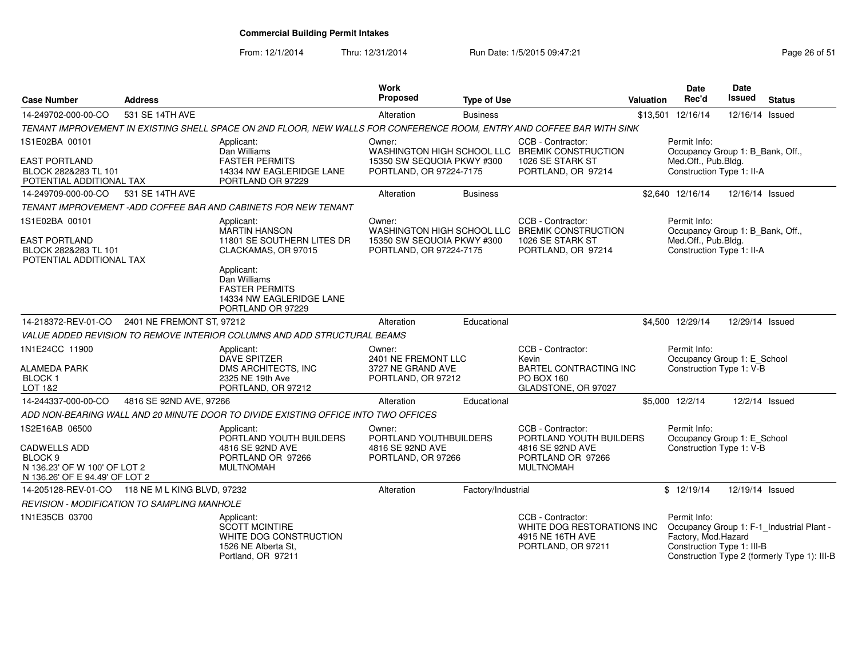From: 12/1/2014

| <b>Case Number</b>                                                                                                            | <b>Address</b>            |                                                                                                                        | <b>Work</b><br>Proposed                                                    | <b>Type of Use</b> |                                                                                                               | <b>Valuation</b> | <b>Date</b><br>Rec'd                                                                                 | <b>Date</b><br>Issued | <b>Status</b>                                                                             |
|-------------------------------------------------------------------------------------------------------------------------------|---------------------------|------------------------------------------------------------------------------------------------------------------------|----------------------------------------------------------------------------|--------------------|---------------------------------------------------------------------------------------------------------------|------------------|------------------------------------------------------------------------------------------------------|-----------------------|-------------------------------------------------------------------------------------------|
| 14-249702-000-00-CO                                                                                                           | 531 SE 14TH AVE           |                                                                                                                        | Alteration                                                                 | <b>Business</b>    |                                                                                                               |                  | \$13,501 12/16/14                                                                                    | 12/16/14 Issued       |                                                                                           |
|                                                                                                                               |                           | TENANT IMPROVEMENT IN EXISTING SHELL SPACE ON 2ND FLOOR, NEW WALLS FOR CONFERENCE ROOM, ENTRY AND COFFEE BAR WITH SINK |                                                                            |                    |                                                                                                               |                  |                                                                                                      |                       |                                                                                           |
| 1S1E02BA 00101<br><b>EAST PORTLAND</b><br>BLOCK 282&283 TL 101<br>POTENTIAL ADDITIONAL TAX                                    |                           | Applicant:<br>Dan Williams<br><b>FASTER PERMITS</b><br>14334 NW EAGLERIDGE LANE<br>PORTLAND OR 97229                   | Owner:<br>15350 SW SEQUOIA PKWY #300<br>PORTLAND, OR 97224-7175            |                    | CCB - Contractor:<br>WASHINGTON HIGH SCHOOL LLC BREMIK CONSTRUCTION<br>1026 SE STARK ST<br>PORTLAND, OR 97214 |                  | Permit Info:<br>Occupancy Group 1: B_Bank, Off.,<br>Med.Off., Pub.Bldg.<br>Construction Type 1: II-A |                       |                                                                                           |
| 14-249709-000-00-CO                                                                                                           | 531 SE 14TH AVE           |                                                                                                                        | Alteration                                                                 | <b>Business</b>    |                                                                                                               |                  | \$2,640 12/16/14                                                                                     | 12/16/14 Issued       |                                                                                           |
|                                                                                                                               |                           | TENANT IMPROVEMENT - ADD COFFEE BAR AND CABINETS FOR NEW TENANT                                                        |                                                                            |                    |                                                                                                               |                  |                                                                                                      |                       |                                                                                           |
| 1S1E02BA 00101<br><b>EAST PORTLAND</b><br>BLOCK 282&283 TL 101<br>POTENTIAL ADDITIONAL TAX                                    |                           | Applicant:<br><b>MARTIN HANSON</b><br>11801 SE SOUTHERN LITES DR<br>CLACKAMAS, OR 97015                                | Owner:<br>15350 SW SEQUOIA PKWY #300<br>PORTLAND, OR 97224-7175            |                    | CCB - Contractor:<br>WASHINGTON HIGH SCHOOL LLC BREMIK CONSTRUCTION<br>1026 SE STARK ST<br>PORTLAND, OR 97214 |                  | Permit Info:<br>Occupancy Group 1: B_Bank, Off.,<br>Med.Off., Pub.Bldg.<br>Construction Type 1: II-A |                       |                                                                                           |
|                                                                                                                               |                           | Applicant:<br>Dan Williams<br><b>FASTER PERMITS</b><br>14334 NW EAGLERIDGE LANE<br>PORTLAND OR 97229                   |                                                                            |                    |                                                                                                               |                  |                                                                                                      |                       |                                                                                           |
| 14-218372-REV-01-CO                                                                                                           | 2401 NE FREMONT ST. 97212 |                                                                                                                        | Alteration                                                                 | Educational        |                                                                                                               |                  | \$4.500 12/29/14                                                                                     | 12/29/14 Issued       |                                                                                           |
|                                                                                                                               |                           | VALUE ADDED REVISION TO REMOVE INTERIOR COLUMNS AND ADD STRUCTURAL BEAMS                                               |                                                                            |                    |                                                                                                               |                  |                                                                                                      |                       |                                                                                           |
| 1N1E24CC 11900<br><b>ALAMEDA PARK</b><br><b>BLOCK1</b><br>LOT 1&2                                                             |                           | Applicant:<br>DAVE SPITZER<br>DMS ARCHITECTS, INC<br>2325 NE 19th Ave<br>PORTLAND, OR 97212                            | Owner:<br>2401 NE FREMONT LLC<br>3727 NE GRAND AVE<br>PORTLAND, OR 97212   |                    | CCB - Contractor:<br>Kevin<br><b>BARTEL CONTRACTING INC</b><br>PO BOX 160<br>GLADSTONE, OR 97027              |                  | Permit Info:<br>Occupancy Group 1: E School<br>Construction Type 1: V-B                              |                       |                                                                                           |
| 14-244337-000-00-CO                                                                                                           | 4816 SE 92ND AVE, 97266   |                                                                                                                        | Alteration                                                                 | Educational        |                                                                                                               |                  | \$5,000 12/2/14                                                                                      | 12/2/14 Issued        |                                                                                           |
|                                                                                                                               |                           | ADD NON-BEARING WALL AND 20 MINUTE DOOR TO DIVIDE EXISTING OFFICE INTO TWO OFFICES                                     |                                                                            |                    |                                                                                                               |                  |                                                                                                      |                       |                                                                                           |
| 1S2E16AB 06500<br><b>CADWELLS ADD</b><br>BLOCK <sub>9</sub><br>N 136.23' OF W 100' OF LOT 2<br>N 136.26' OF E 94.49' OF LOT 2 |                           | Applicant:<br>PORTLAND YOUTH BUILDERS<br>4816 SE 92ND AVE<br>PORTLAND OR 97266<br><b>MULTNOMAH</b>                     | Owner:<br>PORTLAND YOUTHBUILDERS<br>4816 SE 92ND AVE<br>PORTLAND, OR 97266 |                    | CCB - Contractor:<br>PORTLAND YOUTH BUILDERS<br>4816 SE 92ND AVE<br>PORTLAND OR 97266<br><b>MULTNOMAH</b>     |                  | Permit Info:<br>Occupancy Group 1: E_School<br>Construction Type 1: V-B                              |                       |                                                                                           |
| 14-205128-REV-01-CO 118 NE M L KING BLVD, 97232                                                                               |                           |                                                                                                                        | Alteration                                                                 | Factory/Industrial |                                                                                                               |                  | \$12/19/14                                                                                           | 12/19/14 Issued       |                                                                                           |
| <b>REVISION - MODIFICATION TO SAMPLING MANHOLE</b>                                                                            |                           |                                                                                                                        |                                                                            |                    |                                                                                                               |                  |                                                                                                      |                       |                                                                                           |
| 1N1E35CB 03700                                                                                                                |                           | Applicant:<br><b>SCOTT MCINTIRE</b><br>WHITE DOG CONSTRUCTION<br>1526 NE Alberta St.<br>Portland, OR 97211             |                                                                            |                    | CCB - Contractor:<br>WHITE DOG RESTORATIONS INC<br>4915 NE 16TH AVE<br>PORTLAND, OR 97211                     |                  | Permit Info:<br>Factory, Mod.Hazard<br>Construction Type 1: III-B                                    |                       | Occupancy Group 1: F-1_Industrial Plant -<br>Construction Type 2 (formerly Type 1): III-B |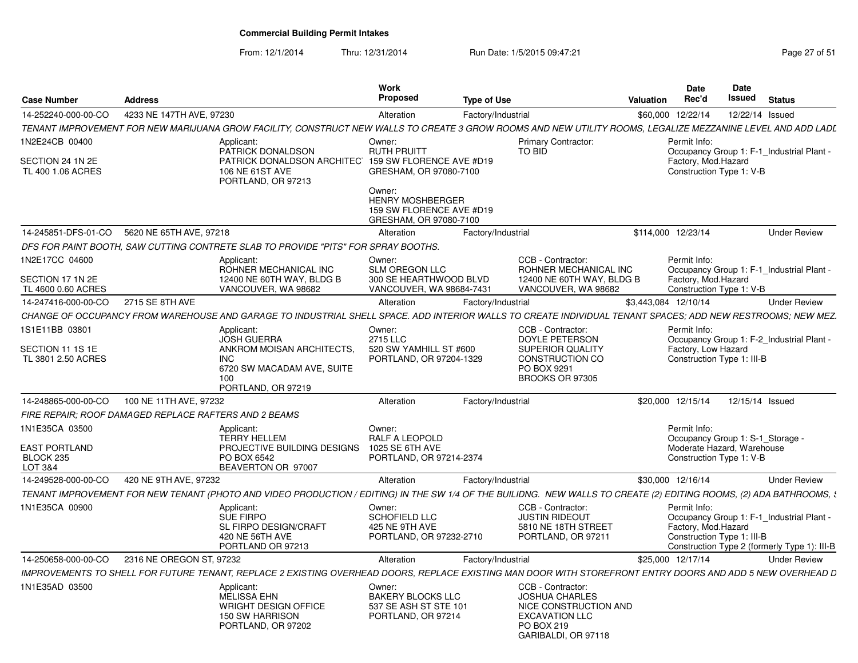From: 12/1/2014

Thru: 12/31/2014 Run Date: 1/5/2015 09:47:21 Research 2010 Rage 27 of 51

| <b>Case Number</b>                                      | <b>Address</b>                                        |                                                                                                                                                                     | Work<br>Proposed                                                                        | <b>Type of Use</b> |                                                                   | Valuation            | Date<br>Rec'd                                                   | <b>Date</b><br>Issued | <b>Status</b>                                |
|---------------------------------------------------------|-------------------------------------------------------|---------------------------------------------------------------------------------------------------------------------------------------------------------------------|-----------------------------------------------------------------------------------------|--------------------|-------------------------------------------------------------------|----------------------|-----------------------------------------------------------------|-----------------------|----------------------------------------------|
| 14-252240-000-00-CO                                     | 4233 NE 147TH AVE, 97230                              |                                                                                                                                                                     | Alteration                                                                              | Factory/Industrial |                                                                   |                      | \$60,000 12/22/14                                               | 12/22/14 Issued       |                                              |
|                                                         |                                                       | TENANT IMPROVEMENT FOR NEW MARIJUANA GROW FACILITY. CONSTRUCT NEW WALLS TO CREATE 3 GROW ROOMS AND NEW UTILITY ROOMS. LEGALIZE MEZZANINE LEVEL AND ADD LADL         |                                                                                         |                    |                                                                   |                      |                                                                 |                       |                                              |
| 1N2E24CB 00400<br>SECTION 24 1N 2E<br>TL 400 1.06 ACRES |                                                       | Applicant:<br>PATRICK DONALDSON<br>PATRICK DONALDSON ARCHITECT<br>106 NE 61ST AVE                                                                                   | Owner:<br><b>RUTH PRUITT</b><br>159 SW FLORENCE AVE #D19<br>GRESHAM, OR 97080-7100      |                    | <b>Primary Contractor:</b><br>TO BID                              |                      | Permit Info:<br>Factory, Mod.Hazard<br>Construction Type 1: V-B |                       | Occupancy Group 1: F-1_Industrial Plant -    |
|                                                         |                                                       | PORTLAND, OR 97213                                                                                                                                                  | Owner:<br><b>HENRY MOSHBERGER</b><br>159 SW FLORENCE AVE #D19<br>GRESHAM, OR 97080-7100 |                    |                                                                   |                      |                                                                 |                       |                                              |
| 14-245851-DFS-01-CO                                     | 5620 NE 65TH AVE, 97218                               |                                                                                                                                                                     | Alteration                                                                              | Factory/Industrial |                                                                   | \$114,000 12/23/14   |                                                                 |                       | <b>Under Review</b>                          |
|                                                         |                                                       | DFS FOR PAINT BOOTH, SAW CUTTING CONTRETE SLAB TO PROVIDE "PITS" FOR SPRAY BOOTHS.                                                                                  |                                                                                         |                    |                                                                   |                      |                                                                 |                       |                                              |
| 1N2E17CC 04600                                          |                                                       | Applicant:                                                                                                                                                          | Owner:                                                                                  |                    | CCB - Contractor:                                                 |                      | Permit Info:                                                    |                       |                                              |
|                                                         |                                                       | ROHNER MECHANICAL INC                                                                                                                                               | SLM OREGON LLC                                                                          |                    | ROHNER MECHANICAL INC                                             |                      |                                                                 |                       | Occupancy Group 1: F-1_Industrial Plant -    |
| SECTION 17 1N 2E                                        |                                                       | 12400 NE 60TH WAY, BLDG B                                                                                                                                           | 300 SE HEARTHWOOD BLVD                                                                  |                    | 12400 NE 60TH WAY, BLDG B                                         |                      | Factory, Mod.Hazard                                             |                       |                                              |
| TL 4600 0.60 ACRES                                      |                                                       | VANCOUVER, WA 98682                                                                                                                                                 | VANCOUVER, WA 98684-7431                                                                |                    | VANCOUVER, WA 98682                                               |                      | Construction Type 1: V-B                                        |                       |                                              |
| 14-247416-000-00-CO                                     | 2715 SE 8TH AVE                                       |                                                                                                                                                                     | Alteration                                                                              | Factory/Industrial |                                                                   | \$3,443,084 12/10/14 |                                                                 |                       | <b>Under Review</b>                          |
|                                                         |                                                       | CHANGE OF OCCUPANCY FROM WAREHOUSE AND GARAGE TO INDUSTRIAL SHELL SPACE. ADD INTERIOR WALLS TO CREATE INDIVIDUAL TENANT SPACES: ADD NEW RESTROOMS: NEW MEZ.         |                                                                                         |                    |                                                                   |                      |                                                                 |                       |                                              |
| IS1E11BB 03801                                          |                                                       | Applicant                                                                                                                                                           | Owner:                                                                                  |                    | CCB - Contractor:                                                 |                      | Permit Info:                                                    |                       |                                              |
|                                                         |                                                       | <b>JOSH GUERRA</b>                                                                                                                                                  | 2715 LLC                                                                                |                    | <b>DOYLE PETERSON</b>                                             |                      |                                                                 |                       | Occupancy Group 1: F-2_Industrial Plant -    |
| SECTION 11 1S 1E<br>TL 3801 2.50 ACRES                  |                                                       | ANKROM MOISAN ARCHITECTS.<br><b>INC</b>                                                                                                                             | 520 SW YAMHILL ST #600<br>PORTLAND, OR 97204-1329                                       |                    | SUPERIOR QUALITY<br>CONSTRUCTION CO                               |                      | Factory, Low Hazard<br>Construction Type 1: III-B               |                       |                                              |
|                                                         |                                                       | 6720 SW MACADAM AVE, SUITE<br>100<br>PORTLAND, OR 97219                                                                                                             |                                                                                         |                    | PO BOX 9291<br>BROOKS OR 97305                                    |                      |                                                                 |                       |                                              |
| 14-248865-000-00-CO                                     | 100 NE 11TH AVE, 97232                                |                                                                                                                                                                     | Alteration                                                                              | Factory/Industrial |                                                                   |                      | \$20,000 12/15/14                                               | 12/15/14 Issued       |                                              |
|                                                         | FIRE REPAIR: ROOF DAMAGED REPLACE RAFTERS AND 2 BEAMS |                                                                                                                                                                     |                                                                                         |                    |                                                                   |                      |                                                                 |                       |                                              |
| 1N1E35CA 03500                                          |                                                       | Applicant:                                                                                                                                                          | Owner:                                                                                  |                    |                                                                   |                      | Permit Info:                                                    |                       |                                              |
|                                                         |                                                       | <b>TERRY HELLEM</b>                                                                                                                                                 | RALF A LEOPOLD                                                                          |                    |                                                                   |                      | Occupancy Group 1: S-1_Storage -                                |                       |                                              |
| <b>EAST PORTLAND</b>                                    |                                                       | PROJECTIVE BUILDING DESIGNS                                                                                                                                         | 1025 SE 6TH AVE                                                                         |                    |                                                                   |                      | Moderate Hazard, Warehouse                                      |                       |                                              |
| BLOCK 235                                               |                                                       | PO BOX 6542                                                                                                                                                         | PORTLAND, OR 97214-2374                                                                 |                    |                                                                   |                      | Construction Type 1: V-B                                        |                       |                                              |
| LOT 3&4                                                 |                                                       | BEAVERTON OR 97007                                                                                                                                                  |                                                                                         |                    |                                                                   |                      |                                                                 |                       |                                              |
| 14-249528-000-00-CO                                     | 420 NE 9TH AVE, 97232                                 |                                                                                                                                                                     | Alteration                                                                              | Factory/Industrial |                                                                   |                      | \$30.000 12/16/14                                               |                       | <b>Under Review</b>                          |
|                                                         |                                                       | TENANT IMPROVEMENT FOR NEW TENANT (PHOTO AND VIDEO PRODUCTION / EDITING) IN THE SW 1/4 OF THE BUILIDNG. NEW WALLS TO CREATE (2) EDITING ROOMS, (2) ADA BATHROOMS, { |                                                                                         |                    |                                                                   |                      |                                                                 |                       |                                              |
| 1N1E35CA 00900                                          |                                                       | Applicant:<br>SUE FIRPO<br>SL FIRPO DESIGN/CRAFT                                                                                                                    | Owner:<br>SCHOFIELD LLC<br>425 NE 9TH AVE                                               |                    | CCB - Contractor:<br><b>JUSTIN RIDEOUT</b><br>5810 NE 18TH STREET |                      | Permit Info:<br>Factory, Mod.Hazard                             |                       | Occupancy Group 1: F-1_Industrial Plant -    |
|                                                         |                                                       | 420 NE 56TH AVE<br>PORTLAND OR 97213                                                                                                                                | PORTLAND, OR 97232-2710                                                                 |                    | PORTLAND, OR 97211                                                |                      | Construction Type 1: III-B                                      |                       | Construction Type 2 (formerly Type 1): III-B |
| 14-250658-000-00-CO                                     | 2316 NE OREGON ST, 97232                              |                                                                                                                                                                     | Alteration                                                                              | Factory/Industrial |                                                                   |                      | \$25,000 12/17/14                                               |                       | <b>Under Review</b>                          |
|                                                         |                                                       | IMPROVEMENTS TO SHELL FOR FUTURE TENANT, REPLACE 2 EXISTING OVERHEAD DOORS, REPLACE EXISTING MAN DOOR WITH STOREFRONT ENTRY DOORS AND ADD 5 NEW OVERHEAD D          |                                                                                         |                    |                                                                   |                      |                                                                 |                       |                                              |
|                                                         |                                                       |                                                                                                                                                                     |                                                                                         |                    |                                                                   |                      |                                                                 |                       |                                              |
| 1N1E35AD 03500                                          |                                                       | Applicant:<br><b>MELISSA EHN</b>                                                                                                                                    | Owner:<br><b>BAKERY BLOCKS LLC</b>                                                      |                    | CCB - Contractor:<br><b>JOSHUA CHARLES</b>                        |                      |                                                                 |                       |                                              |
|                                                         |                                                       | <b>WRIGHT DESIGN OFFICE</b>                                                                                                                                         | 537 SE ASH ST STE 101                                                                   |                    | NICE CONSTRUCTION AND                                             |                      |                                                                 |                       |                                              |
|                                                         |                                                       | 150 SW HARRISON                                                                                                                                                     | PORTLAND, OR 97214                                                                      |                    | <b>EXCAVATION LLC</b>                                             |                      |                                                                 |                       |                                              |
|                                                         |                                                       | PORTLAND, OR 97202                                                                                                                                                  |                                                                                         |                    | PO BOX 219<br>GARIBALDI, OR 97118                                 |                      |                                                                 |                       |                                              |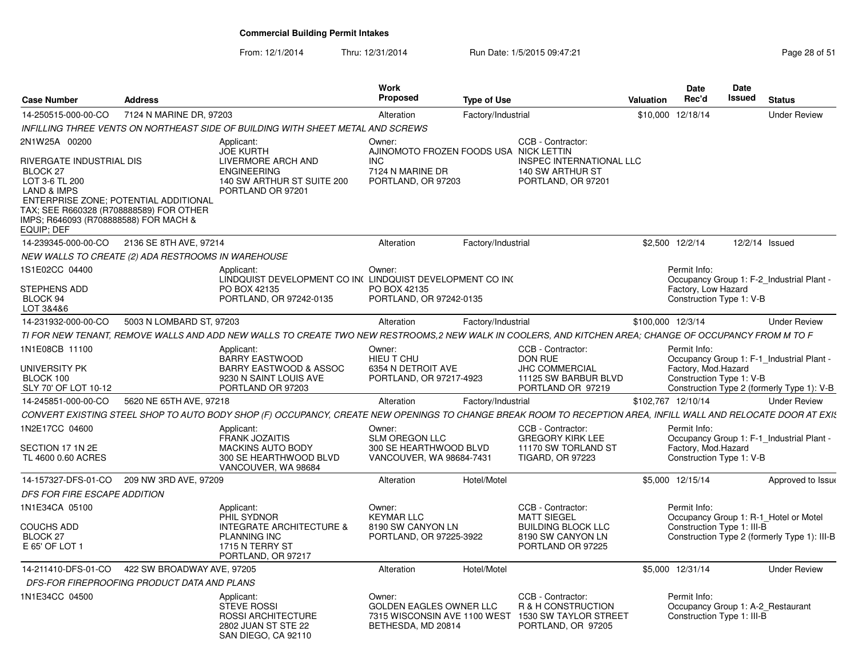| <b>Case Number</b>                                  | <b>Address</b>                                     |                                                                                                                                                                | Work<br>Proposed                                                                               | <b>Type of Use</b> |                                                                                        | Valuation          | Date<br>Rec'd                                   | Date<br><b>Issued</b> | <b>Status</b>                                |  |
|-----------------------------------------------------|----------------------------------------------------|----------------------------------------------------------------------------------------------------------------------------------------------------------------|------------------------------------------------------------------------------------------------|--------------------|----------------------------------------------------------------------------------------|--------------------|-------------------------------------------------|-----------------------|----------------------------------------------|--|
| 14-250515-000-00-CO                                 | 7124 N MARINE DR. 97203                            |                                                                                                                                                                | Alteration                                                                                     | Factory/Industrial |                                                                                        | \$10,000 12/18/14  |                                                 |                       | <b>Under Review</b>                          |  |
|                                                     |                                                    | INFILLING THREE VENTS ON NORTHEAST SIDE OF BUILDING WITH SHEET METAL AND SCREWS                                                                                |                                                                                                |                    |                                                                                        |                    |                                                 |                       |                                              |  |
| 2N1W25A 00200<br>RIVERGATE INDUSTRIAL DIS           |                                                    | Applicant:<br><b>JOE KURTH</b><br>LIVERMORE ARCH AND                                                                                                           | Owner:<br>AJINOMOTO FROZEN FOODS USA NICK LETTIN<br><b>INC</b>                                 |                    | CCB - Contractor:<br>INSPEC INTERNATIONAL LLC                                          |                    |                                                 |                       |                                              |  |
| BLOCK 27<br>LOT 3-6 TL 200                          |                                                    | <b>ENGINEERING</b><br>140 SW ARTHUR ST SUITE 200                                                                                                               | 7124 N MARINE DR<br>PORTLAND, OR 97203                                                         |                    | 140 SW ARTHUR ST<br>PORTLAND, OR 97201                                                 |                    |                                                 |                       |                                              |  |
| <b>LAND &amp; IMPS</b>                              | ENTERPRISE ZONE; POTENTIAL ADDITIONAL              | PORTLAND OR 97201                                                                                                                                              |                                                                                                |                    |                                                                                        |                    |                                                 |                       |                                              |  |
| IMPS; R646093 (R708888588) FOR MACH &<br>EQUIP; DEF | TAX: SEE R660328 (R708888589) FOR OTHER            |                                                                                                                                                                |                                                                                                |                    |                                                                                        |                    |                                                 |                       |                                              |  |
|                                                     | 14-239345-000-00-CO 2136 SE 8TH AVE, 97214         |                                                                                                                                                                | Alteration                                                                                     | Factory/Industrial |                                                                                        | \$2,500 12/2/14    |                                                 |                       | 12/2/14 Issued                               |  |
|                                                     | NEW WALLS TO CREATE (2) ADA RESTROOMS IN WAREHOUSE |                                                                                                                                                                |                                                                                                |                    |                                                                                        |                    |                                                 |                       |                                              |  |
| 1S1E02CC 04400                                      |                                                    | Applicant:<br>LINDQUIST DEVELOPMENT CO IN( LINDQUIST DEVELOPMENT CO IN(                                                                                        | Owner:                                                                                         |                    |                                                                                        |                    | Permit Info:                                    |                       | Occupancy Group 1: F-2 Industrial Plant -    |  |
| STEPHENS ADD<br>BLOCK 94<br>LOT 3&4&6               |                                                    | PO BOX 42135<br>PORTLAND, OR 97242-0135                                                                                                                        | PO BOX 42135<br>PORTLAND, OR 97242-0135                                                        |                    |                                                                                        |                    | Factory, Low Hazard<br>Construction Type 1: V-B |                       |                                              |  |
| 14-231932-000-00-CO                                 | 5003 N LOMBARD ST, 97203                           |                                                                                                                                                                | Alteration                                                                                     | Factory/Industrial |                                                                                        | \$100,000 12/3/14  |                                                 |                       | <b>Under Review</b>                          |  |
|                                                     |                                                    | TI FOR NEW TENANT, REMOVE WALLS AND ADD NEW WALLS TO CREATE TWO NEW RESTROOMS,2 NEW WALK IN COOLERS, AND KITCHEN AREA; CHANGE OF OCCUPANCY FROM M TO F         |                                                                                                |                    |                                                                                        |                    |                                                 |                       |                                              |  |
| 1N1E08CB 11100                                      |                                                    | Applicant:<br>BARRY EASTWOOD                                                                                                                                   | Owner:<br>HIEU T CHU                                                                           |                    | CCB - Contractor:<br><b>DON RUE</b>                                                    |                    | Permit Info:                                    |                       | Occupancy Group 1: F-1 Industrial Plant -    |  |
| UNIVERSITY PK<br>BLOCK 100<br>SLY 70' OF LOT 10-12  |                                                    | <b>BARRY EASTWOOD &amp; ASSOC</b><br>9230 N SAINT LOUIS AVE<br>PORTLAND OR 97203                                                                               | 6354 N DETROIT AVE<br>PORTLAND, OR 97217-4923                                                  |                    | <b>JHC COMMERCIAL</b><br>11125 SW BARBUR BLVD<br>PORTLAND OR 97219                     |                    | Factory, Mod.Hazard<br>Construction Type 1: V-B |                       | Construction Type 2 (formerly Type 1): V-B   |  |
| 14-245851-000-00-CO                                 | 5620 NE 65TH AVE, 97218                            |                                                                                                                                                                | Alteration                                                                                     | Factory/Industrial |                                                                                        | \$102.767 12/10/14 |                                                 |                       | <b>Under Review</b>                          |  |
|                                                     |                                                    | CONVERT EXISTING STEEL SHOP TO AUTO BODY SHOP (F) OCCUPANCY, CREATE NEW OPENINGS TO CHANGE BREAK ROOM TO RECEPTION AREA, INFILL WALL AND RELOCATE DOOR AT EXIS |                                                                                                |                    |                                                                                        |                    |                                                 |                       |                                              |  |
| 1N2E17CC 04600                                      |                                                    | Applicant:                                                                                                                                                     | Owner:                                                                                         |                    | CCB - Contractor:                                                                      |                    | Permit Info:                                    |                       |                                              |  |
| SECTION 17 1N 2E<br>TL 4600 0.60 ACRES              |                                                    | <b>FRANK JOZAITIS</b><br><b>MACKINS AUTO BODY</b><br>300 SE HEARTHWOOD BLVD<br>VANCOUVER, WA 98684                                                             | <b>SLM OREGON LLC</b><br>300 SE HEARTHWOOD BLVD<br>VANCOUVER, WA 98684-7431                    |                    | <b>GREGORY KIRK LEE</b><br>11170 SW TORLAND ST<br><b>TIGARD, OR 97223</b>              |                    | Factory, Mod.Hazard<br>Construction Type 1: V-B |                       | Occupancy Group 1: F-1 Industrial Plant -    |  |
|                                                     | 14-157327-DFS-01-CO 209 NW 3RD AVE, 97209          |                                                                                                                                                                | Alteration                                                                                     | Hotel/Motel        |                                                                                        |                    | \$5,000 12/15/14                                |                       | Approved to Issue                            |  |
| DFS FOR FIRE ESCAPE ADDITION                        |                                                    |                                                                                                                                                                |                                                                                                |                    |                                                                                        |                    |                                                 |                       |                                              |  |
| 1N1E34CA 05100                                      |                                                    | Applicant:                                                                                                                                                     | Owner:                                                                                         |                    | CCB - Contractor:                                                                      |                    | Permit Info:                                    |                       |                                              |  |
|                                                     |                                                    | PHIL SYDNOR                                                                                                                                                    | <b>KEYMAR LLC</b>                                                                              |                    | <b>MATT SIEGEL</b>                                                                     |                    |                                                 |                       | Occupancy Group 1: R-1 Hotel or Motel        |  |
| <b>COUCHS ADD</b><br><b>BLOCK 27</b>                |                                                    | <b>INTEGRATE ARCHITECTURE &amp;</b><br>PLANNING INC                                                                                                            | 8190 SW CANYON LN<br>PORTLAND, OR 97225-3922                                                   |                    | <b>BUILDING BLOCK LLC</b><br>8190 SW CANYON LN                                         |                    | Construction Type 1: III-B                      |                       | Construction Type 2 (formerly Type 1): III-B |  |
| E 65' OF LOT 1                                      |                                                    | 1715 N TERRY ST<br>PORTLAND, OR 97217                                                                                                                          |                                                                                                |                    | PORTLAND OR 97225                                                                      |                    |                                                 |                       |                                              |  |
| 14-211410-DFS-01-CO                                 | 422 SW BROADWAY AVE, 97205                         |                                                                                                                                                                | Alteration                                                                                     | Hotel/Motel        |                                                                                        |                    | \$5,000 12/31/14                                |                       | <b>Under Review</b>                          |  |
|                                                     | DFS-FOR FIREPROOFING PRODUCT DATA AND PLANS        |                                                                                                                                                                |                                                                                                |                    |                                                                                        |                    |                                                 |                       |                                              |  |
| 1N1E34CC 04500                                      |                                                    | Applicant:<br><b>STEVE ROSSI</b><br><b>ROSSI ARCHITECTURE</b><br>2802 JUAN ST STE 22<br>SAN DIEGO, CA 92110                                                    | Owner:<br><b>GOLDEN EAGLES OWNER LLC</b><br>7315 WISCONSIN AVE 1100 WEST<br>BETHESDA, MD 20814 |                    | CCB - Contractor:<br>R & H CONSTRUCTION<br>1530 SW TAYLOR STREET<br>PORTLAND, OR 97205 |                    | Permit Info:<br>Construction Type 1: III-B      |                       | Occupancy Group 1: A-2 Restaurant            |  |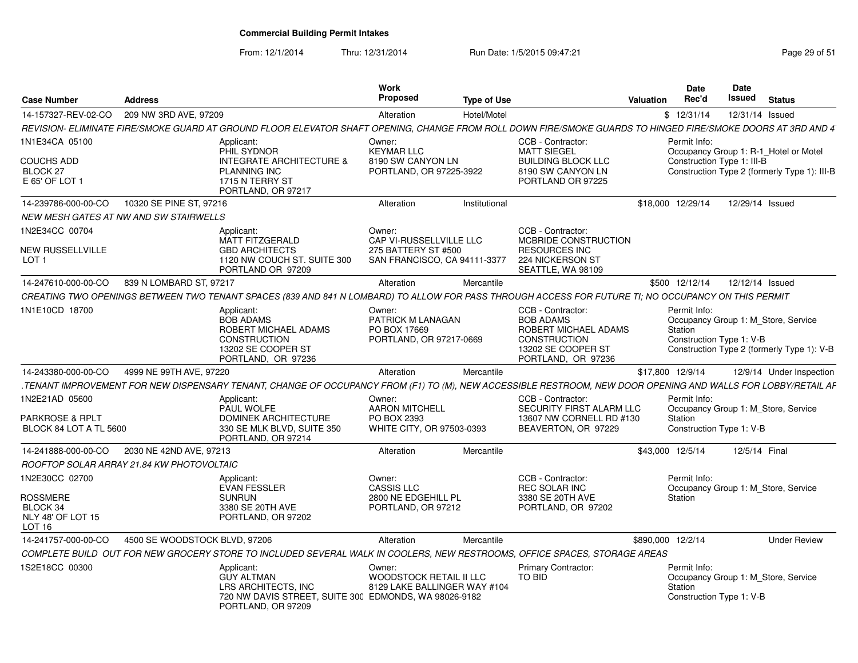From: 12/1/2014

| <b>Case Number</b>                                                    | <b>Address</b>                            |                                                                                                                                                              | <b>Work</b><br><b>Proposed</b>                                    | <b>Type of Use</b> |                                                                     | Valuation         | <b>Date</b><br>Rec'd                                | Date<br>Issued | <b>Status</b>                                |
|-----------------------------------------------------------------------|-------------------------------------------|--------------------------------------------------------------------------------------------------------------------------------------------------------------|-------------------------------------------------------------------|--------------------|---------------------------------------------------------------------|-------------------|-----------------------------------------------------|----------------|----------------------------------------------|
| 14-157327-REV-02-CO                                                   | 209 NW 3RD AVE, 97209                     |                                                                                                                                                              | Alteration                                                        | Hotel/Motel        |                                                                     |                   | \$12/31/14                                          |                | 12/31/14 Issued                              |
|                                                                       |                                           | REVISION- ELIMINATE FIRE/SMOKE GUARD AT GROUND FLOOR ELEVATOR SHAFT OPENING. CHANGE FROM ROLL DOWN FIRE/SMOKE GUARDS TO HINGED FIRE/SMOKE DOORS AT 3RD AND 4 |                                                                   |                    |                                                                     |                   |                                                     |                |                                              |
| 1N1E34CA 05100                                                        |                                           | Applicant:<br>PHIL SYDNOR                                                                                                                                    | Owner:<br><b>KEYMAR LLC</b>                                       |                    | CCB - Contractor:<br><b>MATT SIEGEL</b>                             |                   | Permit Info:                                        |                | Occupancy Group 1: R-1 Hotel or Motel        |
| <b>COUCHS ADD</b><br>BLOCK 27<br>E 65' OF LOT 1                       |                                           | <b>INTEGRATE ARCHITECTURE &amp;</b><br><b>PLANNING INC</b><br>1715 N TERRY ST<br>PORTLAND, OR 97217                                                          | 8190 SW CANYON LN<br>PORTLAND, OR 97225-3922                      |                    | <b>BUILDING BLOCK LLC</b><br>8190 SW CANYON LN<br>PORTLAND OR 97225 |                   | Construction Type 1: III-B                          |                | Construction Type 2 (formerly Type 1): III-B |
| 14-239786-000-00-CO                                                   | 10320 SE PINE ST, 97216                   |                                                                                                                                                              | Alteration                                                        | Institutional      |                                                                     |                   | \$18,000 12/29/14                                   |                | 12/29/14 Issued                              |
|                                                                       | NEW MESH GATES AT NW AND SW STAIRWELLS    |                                                                                                                                                              |                                                                   |                    |                                                                     |                   |                                                     |                |                                              |
| 1N2E34CC 00704<br>NEW RUSSELLVILLE                                    |                                           | Applicant:<br><b>MATT FITZGERALD</b><br><b>GBD ARCHITECTS</b>                                                                                                | Owner:<br><b>CAP VI-RUSSELLVILLE LLC</b><br>275 BATTERY ST #500   |                    | CCB - Contractor:<br>MCBRIDE CONSTRUCTION<br><b>RESOURCES INC</b>   |                   |                                                     |                |                                              |
| LOT 1                                                                 |                                           | 1120 NW COUCH ST. SUITE 300<br>PORTLAND OR 97209                                                                                                             | SAN FRANCISCO, CA 94111-3377                                      |                    | 224 NICKERSON ST<br>SEATTLE, WA 98109                               |                   |                                                     |                |                                              |
| 14-247610-000-00-CO                                                   | 839 N LOMBARD ST, 97217                   |                                                                                                                                                              | Alteration                                                        | Mercantile         |                                                                     |                   | \$500 12/12/14                                      |                | 12/12/14 Issued                              |
|                                                                       |                                           | CREATING TWO OPENINGS BETWEEN TWO TENANT SPACES (839 AND 841 N LOMBARD) TO ALLOW FOR PASS THROUGH ACCESS FOR FUTURE TI: NO OCCUPANCY ON THIS PERMIT          |                                                                   |                    |                                                                     |                   |                                                     |                |                                              |
| 1N1E10CD 18700                                                        |                                           | Applicant:<br><b>BOB ADAMS</b><br>ROBERT MICHAEL ADAMS                                                                                                       | Owner:<br><b>PATRICK M LANAGAN</b><br>PO BOX 17669                |                    | CCB - Contractor:<br><b>BOB ADAMS</b><br>ROBERT MICHAEL ADAMS       |                   | Permit Info:<br>Station                             |                | Occupancy Group 1: M Store, Service          |
|                                                                       |                                           | <b>CONSTRUCTION</b><br>13202 SE COOPER ST<br>PORTLAND, OR 97236                                                                                              | PORTLAND, OR 97217-0669                                           |                    | <b>CONSTRUCTION</b><br>13202 SE COOPER ST<br>PORTLAND, OR 97236     |                   | Construction Type 1: V-B                            |                | Construction Type 2 (formerly Type 1): V-B   |
| 14-243380-000-00-CO                                                   | 4999 NE 99TH AVE, 97220                   |                                                                                                                                                              | Alteration                                                        | Mercantile         |                                                                     | \$17,800 12/9/14  |                                                     |                | 12/9/14 Under Inspection                     |
|                                                                       |                                           | .TENANT IMPROVEMENT FOR NEW DISPENSARY TENANT, CHANGE OF OCCUPANCY FROM (F1) TO (M), NEW ACCESSIBLE RESTROOM, NEW DOOR OPENING AND WALLS FOR LOBBY/RETAIL AF |                                                                   |                    |                                                                     |                   |                                                     |                |                                              |
| 1N2E21AD 05600                                                        |                                           | Applicant:<br>PAUL WOLFE                                                                                                                                     | Owner:<br><b>AARON MITCHELL</b>                                   |                    | CCB - Contractor:<br><b>SECURITY FIRST ALARM LLC</b>                |                   | Permit Info:                                        |                | Occupancy Group 1: M Store, Service          |
| <b>PARKROSE &amp; RPLT</b><br>BLOCK 84 LOT A TL 5600                  |                                           | <b>DOMINEK ARCHITECTURE</b><br>330 SE MLK BLVD, SUITE 350<br>PORTLAND, OR 97214                                                                              | PO BOX 2393<br>WHITE CITY, OR 97503-0393                          |                    | 13607 NW CORNELL RD #130<br>BEAVERTON, OR 97229                     |                   | Station<br>Construction Type 1: V-B                 |                |                                              |
| 14-241888-000-00-CO                                                   | 2030 NE 42ND AVE, 97213                   |                                                                                                                                                              | Alteration                                                        | Mercantile         |                                                                     | \$43,000 12/5/14  |                                                     |                | 12/5/14 Final                                |
|                                                                       | ROOFTOP SOLAR ARRAY 21.84 KW PHOTOVOLTAIC |                                                                                                                                                              |                                                                   |                    |                                                                     |                   |                                                     |                |                                              |
| 1N2E30CC 02700                                                        |                                           | Applicant:<br><b>EVAN FESSLER</b>                                                                                                                            | Owner:<br><b>CASSIS LLC</b>                                       |                    | CCB - Contractor:<br><b>REC SOLAR INC</b>                           |                   | Permit Info:                                        |                | Occupancy Group 1: M Store, Service          |
| <b>ROSSMERE</b><br>BLOCK 34<br>NLY 48' OF LOT 15<br>LOT <sub>16</sub> |                                           | <b>SUNRUN</b><br>3380 SE 20TH AVE<br>PORTLAND, OR 97202                                                                                                      | 2800 NE EDGEHILL PL<br>PORTLAND, OR 97212                         |                    | 3380 SE 20TH AVE<br>PORTLAND, OR 97202                              |                   | Station                                             |                |                                              |
| 14-241757-000-00-CO                                                   | 4500 SE WOODSTOCK BLVD, 97206             |                                                                                                                                                              | Alteration                                                        | Mercantile         |                                                                     | \$890,000 12/2/14 |                                                     |                | <b>Under Review</b>                          |
|                                                                       |                                           | COMPLETE BUILD  OUT FOR NEW GROCERY STORE TO INCLUDED SEVERAL WALK IN COOLERS. NEW RESTROOMS, OFFICE SPACES, STORAGE AREAS                                   |                                                                   |                    |                                                                     |                   |                                                     |                |                                              |
| 1S2E18CC 00300                                                        |                                           | Applicant:<br><b>GUY ALTMAN</b><br>LRS ARCHITECTS, INC<br>720 NW DAVIS STREET, SUITE 300 EDMONDS, WA 98026-9182                                              | Owner:<br>WOODSTOCK RETAIL II LLC<br>8129 LAKE BALLINGER WAY #104 |                    | <b>Primary Contractor:</b><br><b>TO BID</b>                         |                   | Permit Info:<br>Station<br>Construction Type 1: V-B |                | Occupancy Group 1: M Store, Service          |
|                                                                       |                                           | PORTLAND, OR 97209                                                                                                                                           |                                                                   |                    |                                                                     |                   |                                                     |                |                                              |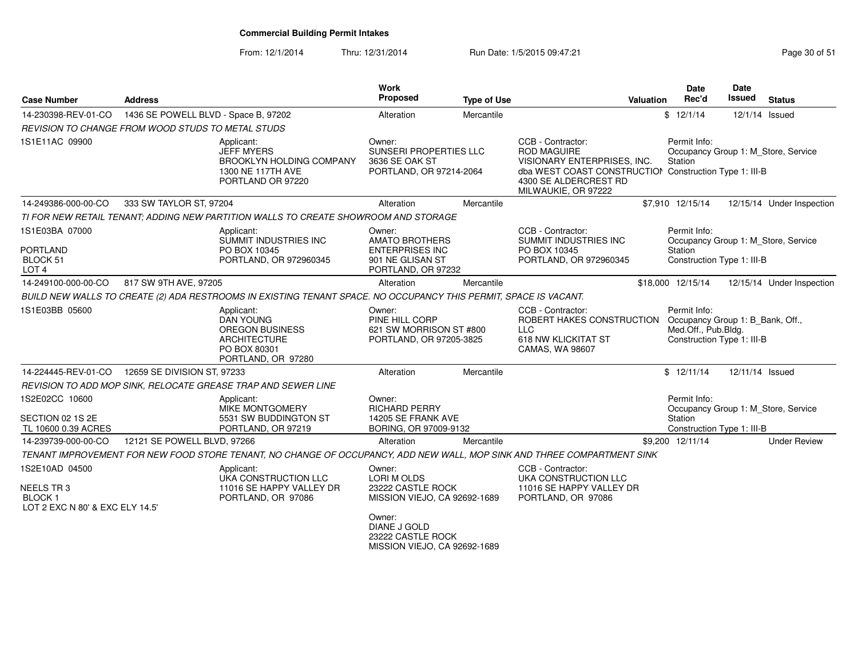From: 12/1/2014Thru: 12/31/2014 Run Date: 1/5/2015 09:47:21 Research 2010 12:31/2014 Page 30 of 51

| <b>Case Number</b>                                                                     | <b>Address</b>                       |                                                                                                                         | Work<br>Proposed                                                                                                                                                        | <b>Type of Use</b> |                                                                                                                                                                                  | <b>Valuation</b> | Date<br>Rec'd                                                                                         | <b>Date</b><br><b>Issued</b> | <b>Status</b>                       |
|----------------------------------------------------------------------------------------|--------------------------------------|-------------------------------------------------------------------------------------------------------------------------|-------------------------------------------------------------------------------------------------------------------------------------------------------------------------|--------------------|----------------------------------------------------------------------------------------------------------------------------------------------------------------------------------|------------------|-------------------------------------------------------------------------------------------------------|------------------------------|-------------------------------------|
| 14-230398-REV-01-CO                                                                    | 1436 SE POWELL BLVD - Space B, 97202 |                                                                                                                         | Alteration                                                                                                                                                              | Mercantile         |                                                                                                                                                                                  |                  | \$12/1/14                                                                                             | 12/1/14 Issued               |                                     |
| REVISION TO CHANGE FROM WOOD STUDS TO METAL STUDS                                      |                                      |                                                                                                                         |                                                                                                                                                                         |                    |                                                                                                                                                                                  |                  |                                                                                                       |                              |                                     |
| 1S1E11AC 09900                                                                         |                                      | Applicant:<br><b>JEFF MYERS</b><br><b>BROOKLYN HOLDING COMPANY</b><br>1300 NE 117TH AVE<br>PORTLAND OR 97220            | Owner:<br><b>SUNSERI PROPERTIES LLC</b><br>3636 SE OAK ST<br>PORTLAND, OR 97214-2064                                                                                    |                    | CCB - Contractor:<br><b>ROD MAGUIRE</b><br>VISIONARY ENTERPRISES, INC.<br>dba WEST COAST CONSTRUCTION Construction Type 1: III-B<br>4300 SE ALDERCREST RD<br>MILWAUKIE, OR 97222 |                  | Permit Info:<br>Station                                                                               |                              | Occupancy Group 1: M_Store, Service |
| 14-249386-000-00-CO                                                                    | 333 SW TAYLOR ST, 97204              |                                                                                                                         | Alteration                                                                                                                                                              | Mercantile         |                                                                                                                                                                                  |                  | \$7,910 12/15/14                                                                                      |                              | 12/15/14 Under Inspection           |
|                                                                                        |                                      | TI FOR NEW RETAIL TENANT; ADDING NEW PARTITION WALLS TO CREATE SHOWROOM AND STORAGE                                     |                                                                                                                                                                         |                    |                                                                                                                                                                                  |                  |                                                                                                       |                              |                                     |
| 1S1E03BA 07000<br><b>PORTLAND</b><br>BLOCK 51<br>LOT <sub>4</sub>                      |                                      | Applicant:<br>SUMMIT INDUSTRIES INC<br>PO BOX 10345<br>PORTLAND, OR 972960345                                           | Owner:<br><b>AMATO BROTHERS</b><br><b>ENTERPRISES INC</b><br>901 NE GLISAN ST<br>PORTLAND, OR 97232                                                                     |                    | CCB - Contractor:<br>SUMMIT INDUSTRIES INC<br>PO BOX 10345<br>PORTLAND, OR 972960345                                                                                             |                  | Permit Info:<br>Station<br>Construction Type 1: III-B                                                 |                              | Occupancy Group 1: M_Store, Service |
| 14-249100-000-00-CO                                                                    | 817 SW 9TH AVE, 97205                |                                                                                                                         | Alteration                                                                                                                                                              | Mercantile         |                                                                                                                                                                                  |                  | \$18,000 12/15/14                                                                                     |                              | 12/15/14 Under Inspection           |
|                                                                                        |                                      | BUILD NEW WALLS TO CREATE (2) ADA RESTROOMS IN EXISTING TENANT SPACE. NO OCCUPANCY THIS PERMIT, SPACE IS VACANT.        |                                                                                                                                                                         |                    |                                                                                                                                                                                  |                  |                                                                                                       |                              |                                     |
| 1S1E03BB 05600                                                                         |                                      | Applicant:<br><b>DAN YOUNG</b><br>OREGON BUSINESS<br>ARCHITECTURE<br>PO BOX 80301<br>PORTLAND, OR 97280                 | Owner:<br>PINE HILL CORP<br>621 SW MORRISON ST #800<br>PORTLAND, OR 97205-3825                                                                                          |                    | CCB - Contractor:<br>ROBERT HAKES CONSTRUCTION<br><b>LLC</b><br>618 NW KLICKITAT ST<br>CAMAS, WA 98607                                                                           |                  | Permit Info:<br>Occupancy Group 1: B_Bank, Off.,<br>Med.Off., Pub.Bldg.<br>Construction Type 1: III-B |                              |                                     |
| 14-224445-REV-01-CO                                                                    | 12659 SE DIVISION ST, 97233          |                                                                                                                         | Alteration                                                                                                                                                              | Mercantile         |                                                                                                                                                                                  |                  | \$12/11/14                                                                                            | 12/11/14 Issued              |                                     |
|                                                                                        |                                      | REVISION TO ADD MOP SINK, RELOCATE GREASE TRAP AND SEWER LINE                                                           |                                                                                                                                                                         |                    |                                                                                                                                                                                  |                  |                                                                                                       |                              |                                     |
| 1S2E02CC 10600<br>SECTION 02 1S 2E<br>TL 10600 0.39 ACRES                              |                                      | Applicant:<br>MIKE MONTGOMERY<br>5531 SW BUDDINGTON ST<br>PORTLAND, OR 97219                                            | Owner:<br><b>RICHARD PERRY</b><br>14205 SE FRANK AVE<br>BORING, OR 97009-9132                                                                                           |                    |                                                                                                                                                                                  |                  | Permit Info:<br>Station<br>Construction Type 1: III-B                                                 |                              | Occupancy Group 1: M Store, Service |
| 14-239739-000-00-CO                                                                    | 12121 SE POWELL BLVD, 97266          |                                                                                                                         | Alteration                                                                                                                                                              | Mercantile         |                                                                                                                                                                                  |                  | \$9,200 12/11/14                                                                                      |                              | <b>Under Review</b>                 |
|                                                                                        |                                      | TENANT IMPROVEMENT FOR NEW FOOD STORE TENANT, NO CHANGE OF OCCUPANCY, ADD NEW WALL, MOP SINK AND THREE COMPARTMENT SINK |                                                                                                                                                                         |                    |                                                                                                                                                                                  |                  |                                                                                                       |                              |                                     |
| 1S2E10AD 04500<br><b>NEELS TR3</b><br><b>BLOCK1</b><br>LOT 2 EXC N 80' & EXC ELY 14.5' |                                      | Applicant:<br>UKA CONSTRUCTION LLC<br>11016 SE HAPPY VALLEY DR<br>PORTLAND, OR 97086                                    | Owner:<br><b>LORI M OLDS</b><br>23222 CASTLE ROCK<br>MISSION VIEJO, CA 92692-1689<br>Owner:<br><b>DIANE J GOLD</b><br>23222 CASTLE ROCK<br>MISSION VIEJO, CA 92692-1689 |                    | CCB - Contractor:<br>UKA CONSTRUCTION LLC<br>11016 SE HAPPY VALLEY DR<br>PORTLAND, OR 97086                                                                                      |                  |                                                                                                       |                              |                                     |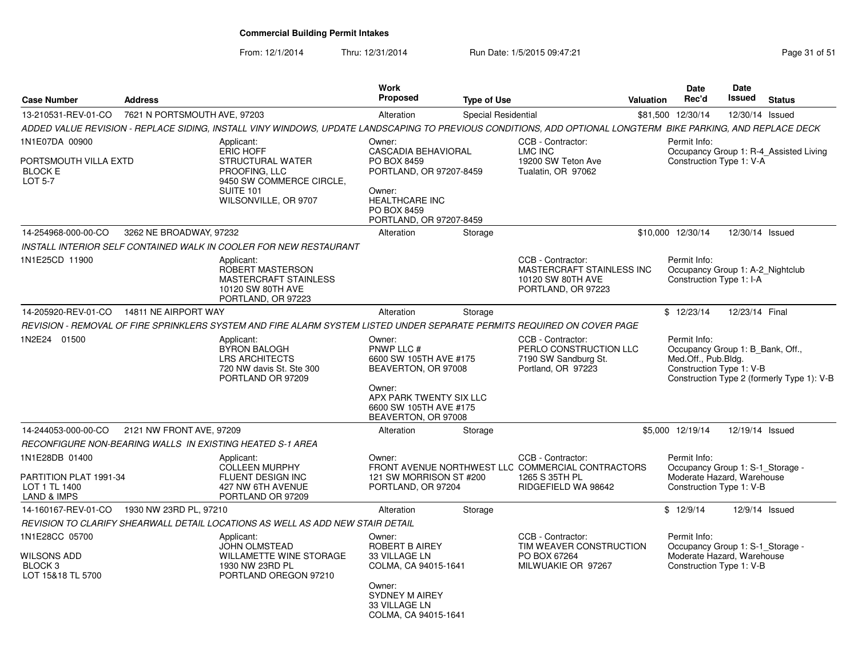From: 12/1/2014

Thru: 12/31/2014 Run Date: 1/5/2015 09:47:21 Research 2010 12:31/2014 Page 31 of 51

| <b>Case Number</b>                                                          | <b>Address</b>               |                                                                                                                                                              | <b>Work</b><br><b>Proposed</b>                                                                                                                              | <b>Type of Use</b>  |                                                                                                                 | <b>Valuation</b> | <b>Date</b><br>Rec'd                                                                                       | <b>Date</b><br><b>Issued</b> | <b>Status</b>                              |
|-----------------------------------------------------------------------------|------------------------------|--------------------------------------------------------------------------------------------------------------------------------------------------------------|-------------------------------------------------------------------------------------------------------------------------------------------------------------|---------------------|-----------------------------------------------------------------------------------------------------------------|------------------|------------------------------------------------------------------------------------------------------------|------------------------------|--------------------------------------------|
| 13-210531-REV-01-CO                                                         | 7621 N PORTSMOUTH AVE, 97203 |                                                                                                                                                              | Alteration                                                                                                                                                  | Special Residential |                                                                                                                 |                  | \$81,500 12/30/14                                                                                          | 12/30/14 Issued              |                                            |
|                                                                             |                              | ADDED VALUE REVISION - REPLACE SIDING, INSTALL VINY WINDOWS, UPDATE LANDSCAPING TO PREVIOUS CONDITIONS, ADD OPTIONAL LONGTERM BIKE PARKING, AND REPLACE DECK |                                                                                                                                                             |                     |                                                                                                                 |                  |                                                                                                            |                              |                                            |
| 1N1E07DA 00900<br>PORTSMOUTH VILLA EXTD<br><b>BLOCK E</b><br><b>LOT 5-7</b> |                              | Applicant:<br><b>ERIC HOFF</b><br>STRUCTURAL WATER<br>PROOFING, LLC<br>9450 SW COMMERCE CIRCLE,<br>SUITE 101<br>WILSONVILLE, OR 9707                         | Owner:<br><b>CASCADIA BEHAVIORAL</b><br>PO BOX 8459<br>PORTLAND, OR 97207-8459<br>Owner:<br><b>HEALTHCARE INC</b><br>PO BOX 8459<br>PORTLAND, OR 97207-8459 |                     | CCB - Contractor:<br>LMC INC<br>19200 SW Teton Ave<br>Tualatin, OR 97062                                        |                  | Permit Info:<br>Construction Type 1: V-A                                                                   |                              | Occupancy Group 1: R-4_Assisted Living     |
| 14-254968-000-00-CO                                                         | 3262 NE BROADWAY, 97232      |                                                                                                                                                              | Alteration                                                                                                                                                  | Storage             |                                                                                                                 |                  | \$10,000 12/30/14                                                                                          | 12/30/14 Issued              |                                            |
|                                                                             |                              | INSTALL INTERIOR SELF CONTAINED WALK IN COOLER FOR NEW RESTAURANT                                                                                            |                                                                                                                                                             |                     |                                                                                                                 |                  |                                                                                                            |                              |                                            |
| 1N1E25CD 11900                                                              |                              | Applicant:<br>ROBERT MASTERSON<br><b>MASTERCRAFT STAINLESS</b><br>10120 SW 80TH AVE<br>PORTLAND, OR 97223                                                    |                                                                                                                                                             |                     | CCB - Contractor:<br>MASTERCRAFT STAINLESS INC<br>10120 SW 80TH AVE<br>PORTLAND, OR 97223                       |                  | Permit Info:<br>Occupancy Group 1: A-2 Nightclub<br>Construction Type 1: I-A                               |                              |                                            |
| 14-205920-REV-01-CO                                                         | 14811 NE AIRPORT WAY         |                                                                                                                                                              | Alteration                                                                                                                                                  | Storage             |                                                                                                                 |                  | \$12/23/14                                                                                                 | 12/23/14 Final               |                                            |
|                                                                             |                              | REVISION - REMOVAL OF FIRE SPRINKLERS SYSTEM AND FIRE ALARM SYSTEM LISTED UNDER SEPARATE PERMITS REQUIRED ON COVER PAGE                                      |                                                                                                                                                             |                     |                                                                                                                 |                  |                                                                                                            |                              |                                            |
| 1N2E24 01500                                                                |                              | Applicant:<br><b>BYRON BALOGH</b><br><b>LRS ARCHITECTS</b><br>720 NW davis St. Ste 300<br>PORTLAND OR 97209                                                  | Owner:<br>PNWP LLC #<br>6600 SW 105TH AVE #175<br>BEAVERTON, OR 97008<br>Owner:<br>APX PARK TWENTY SIX LLC<br>6600 SW 105TH AVE #175<br>BEAVERTON, OR 97008 |                     | CCB - Contractor:<br>PERLO CONSTRUCTION LLC<br>7190 SW Sandburg St.<br>Portland, OR 97223                       |                  | Permit Info:<br>Occupancy Group 1: B Bank, Off.,<br>Med.Off., Pub.Bldg.<br>Construction Type 1: V-B        |                              | Construction Type 2 (formerly Type 1): V-B |
| 14-244053-000-00-CO                                                         | 2121 NW FRONT AVE, 97209     |                                                                                                                                                              | Alteration                                                                                                                                                  | Storage             |                                                                                                                 |                  | \$5,000 12/19/14                                                                                           | 12/19/14 Issued              |                                            |
|                                                                             |                              | RECONFIGURE NON-BEARING WALLS IN EXISTING HEATED S-1 AREA                                                                                                    |                                                                                                                                                             |                     |                                                                                                                 |                  |                                                                                                            |                              |                                            |
| 1N1E28DB 01400<br>PARTITION PLAT 1991-34<br>LOT 1 TL 1400<br>LAND & IMPS    |                              | Applicant:<br><b>COLLEEN MURPHY</b><br>FLUENT DESIGN INC<br>427 NW 6TH AVENUE<br>PORTLAND OR 97209                                                           | Owner:<br>121 SW MORRISON ST #200<br>PORTLAND, OR 97204                                                                                                     |                     | CCB - Contractor:<br>FRONT AVENUE NORTHWEST LLC COMMERCIAL CONTRACTORS<br>1265 S 35TH PL<br>RIDGEFIELD WA 98642 |                  | Permit Info:<br>Occupancy Group 1: S-1 Storage -<br>Moderate Hazard, Warehouse<br>Construction Type 1: V-B |                              |                                            |
| 14-160167-REV-01-CO                                                         | 1930 NW 23RD PL, 97210       |                                                                                                                                                              | Alteration                                                                                                                                                  | Storage             |                                                                                                                 |                  | \$12/9/14                                                                                                  |                              | 12/9/14 Issued                             |
|                                                                             |                              | REVISION TO CLARIFY SHEARWALL DETAIL LOCATIONS AS WELL AS ADD NEW STAIR DETAIL                                                                               |                                                                                                                                                             |                     |                                                                                                                 |                  |                                                                                                            |                              |                                            |
| 1N1E28CC 05700<br>WILSONS ADD<br>BLOCK <sub>3</sub><br>LOT 15&18 TL 5700    |                              | Applicant:<br><b>JOHN OLMSTEAD</b><br><b>WILLAMETTE WINE STORAGE</b><br>1930 NW 23RD PL<br>PORTLAND OREGON 97210                                             | Owner:<br><b>ROBERT B AIREY</b><br>33 VILLAGE LN<br>COLMA, CA 94015-1641<br>Owner:<br><b>SYDNEY M AIREY</b><br>33 VILLAGE LN<br>COLMA, CA 94015-1641        |                     | CCB - Contractor:<br>TIM WEAVER CONSTRUCTION<br>PO BOX 67264<br>MILWUAKIE OR 97267                              |                  | Permit Info:<br>Occupancy Group 1: S-1_Storage -<br>Moderate Hazard, Warehouse<br>Construction Type 1: V-B |                              |                                            |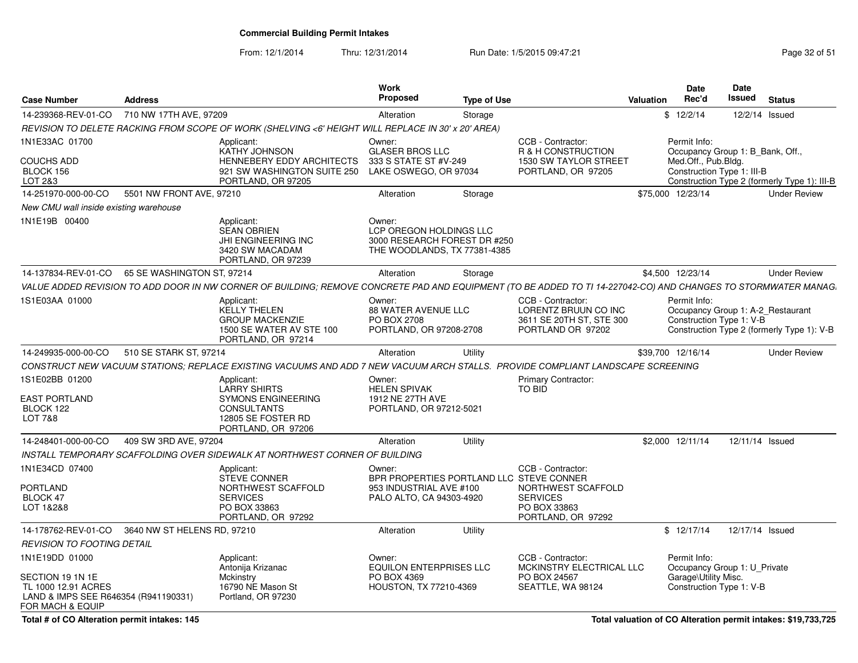From: 12/1/2014

Thru: 12/31/2014 Run Date: 1/5/2015 09:47:21 Page 32 of 51

| <b>Case Number</b>                                                                                                    | <b>Address</b>              |                                                                                                                                                                | <b>Work</b><br><b>Proposed</b>                                                                            | <b>Type of Use</b> |                                                                                                  | Valuation | Date<br>Rec'd                                                                                    | <b>Date</b><br>Issued | <b>Status</b>                                |
|-----------------------------------------------------------------------------------------------------------------------|-----------------------------|----------------------------------------------------------------------------------------------------------------------------------------------------------------|-----------------------------------------------------------------------------------------------------------|--------------------|--------------------------------------------------------------------------------------------------|-----------|--------------------------------------------------------------------------------------------------|-----------------------|----------------------------------------------|
| 14-239368-REV-01-CO                                                                                                   | 710 NW 17TH AVE, 97209      |                                                                                                                                                                | Alteration                                                                                                | Storage            |                                                                                                  |           | \$12/2/14                                                                                        | 12/2/14 Issued        |                                              |
|                                                                                                                       |                             | REVISION TO DELETE RACKING FROM SCOPE OF WORK (SHELVING <6' HEIGHT WILL REPLACE IN 30' x 20' AREA)                                                             |                                                                                                           |                    |                                                                                                  |           |                                                                                                  |                       |                                              |
| 1N1E33AC 01700<br>COUCHS ADD                                                                                          |                             | Applicant:<br><b>KATHY JOHNSON</b><br>HENNEBERY EDDY ARCHITECTS                                                                                                | Owner:<br><b>GLASER BROS LLC</b><br>333 S STATE ST #V-249                                                 |                    | CCB - Contractor:<br>R & H CONSTRUCTION<br>1530 SW TAYLOR STREET                                 |           | Permit Info:<br>Occupancy Group 1: B_Bank, Off.,<br>Med.Off., Pub.Bldg.                          |                       |                                              |
| BLOCK 156<br>LOT 2&3                                                                                                  |                             | 921 SW WASHINGTON SUITE 250<br>PORTLAND, OR 97205                                                                                                              | LAKE OSWEGO, OR 97034                                                                                     |                    | PORTLAND, OR 97205                                                                               |           | Construction Type 1: III-B                                                                       |                       | Construction Type 2 (formerly Type 1): III-B |
| 14-251970-000-00-CO                                                                                                   | 5501 NW FRONT AVE, 97210    |                                                                                                                                                                | Alteration                                                                                                | Storage            |                                                                                                  |           | \$75,000 12/23/14                                                                                |                       | <b>Under Review</b>                          |
| New CMU wall inside existing warehouse                                                                                |                             |                                                                                                                                                                |                                                                                                           |                    |                                                                                                  |           |                                                                                                  |                       |                                              |
| 1N1E19B 00400                                                                                                         |                             | Applicant:<br><b>SEAN OBRIEN</b><br>JHI ENGINEERING INC<br>3420 SW MACADAM<br>PORTLAND, OR 97239                                                               | Owner:<br>LCP OREGON HOLDINGS LLC<br>3000 RESEARCH FOREST DR #250<br>THE WOODLANDS, TX 77381-4385         |                    |                                                                                                  |           |                                                                                                  |                       |                                              |
| 14-137834-REV-01-CO                                                                                                   | 65 SE WASHINGTON ST, 97214  |                                                                                                                                                                | Alteration                                                                                                | Storage            |                                                                                                  |           | \$4,500 12/23/14                                                                                 |                       | <b>Under Review</b>                          |
|                                                                                                                       |                             | VALUE ADDED REVISION TO ADD DOOR IN NW CORNER OF BUILDING; REMOVE CONCRETE PAD AND EQUIPMENT (TO BE ADDED TO TI 14-227042-CO) AND CHANGES TO STORMWATER MANAG. |                                                                                                           |                    |                                                                                                  |           |                                                                                                  |                       |                                              |
| 1S1E03AA 01000                                                                                                        |                             | Applicant:<br><b>KELLY THELEN</b><br><b>GROUP MACKENZIE</b><br>1500 SE WATER AV STE 100<br>PORTLAND, OR 97214                                                  | Owner:<br><b>88 WATER AVENUE LLC</b><br>PO BOX 2708<br>PORTLAND, OR 97208-2708                            |                    | CCB - Contractor:<br>LORENTZ BRUUN CO INC<br>3611 SE 20TH ST, STE 300<br>PORTLAND OR 97202       |           | Permit Info:<br>Occupancy Group 1: A-2_Restaurant<br>Construction Type 1: V-B                    |                       | Construction Type 2 (formerly Type 1): V-B   |
| 14-249935-000-00-CO                                                                                                   | 510 SE STARK ST, 97214      |                                                                                                                                                                | Alteration                                                                                                | Utility            |                                                                                                  |           | \$39,700 12/16/14                                                                                |                       | <b>Under Review</b>                          |
|                                                                                                                       |                             | CONSTRUCT NEW VACUUM STATIONS; REPLACE EXISTING VACUUMS AND ADD 7 NEW VACUUM ARCH STALLS. PROVIDE COMPLIANT LANDSCAPE SCREENING                                |                                                                                                           |                    |                                                                                                  |           |                                                                                                  |                       |                                              |
| 1S1E02BB 01200<br>EAST PORTLAND<br>BLOCK 122<br><b>LOT 7&amp;8</b>                                                    |                             | Applicant:<br><b>LARRY SHIRTS</b><br><b>SYMONS ENGINEERING</b><br><b>CONSULTANTS</b><br>12805 SE FOSTER RD<br>PORTLAND, OR 97206                               | Owner:<br><b>HELEN SPIVAK</b><br>1912 NE 27TH AVE<br>PORTLAND, OR 97212-5021                              |                    | Primary Contractor:<br>TO BID                                                                    |           |                                                                                                  |                       |                                              |
| 14-248401-000-00-CO                                                                                                   | 409 SW 3RD AVE, 97204       |                                                                                                                                                                | Alteration                                                                                                | Utility            |                                                                                                  |           | \$2,000 12/11/14                                                                                 | 12/11/14 Issued       |                                              |
|                                                                                                                       |                             | INSTALL TEMPORARY SCAFFOLDING OVER SIDEWALK AT NORTHWEST CORNER OF BUILDING                                                                                    |                                                                                                           |                    |                                                                                                  |           |                                                                                                  |                       |                                              |
| 1N1E34CD 07400<br>PORTLAND<br>BLOCK 47<br>LOT 1&2&8                                                                   |                             | Applicant:<br><b>STEVE CONNER</b><br>NORTHWEST SCAFFOLD<br><b>SERVICES</b><br>PO BOX 33863<br>PORTLAND, OR 97292                                               | Owner:<br>BPR PROPERTIES PORTLAND LLC STEVE CONNER<br>953 INDUSTRIAL AVE #100<br>PALO ALTO, CA 94303-4920 |                    | CCB - Contractor:<br>NORTHWEST SCAFFOLD<br><b>SERVICES</b><br>PO BOX 33863<br>PORTLAND, OR 97292 |           |                                                                                                  |                       |                                              |
| 14-178762-REV-01-CO                                                                                                   | 3640 NW ST HELENS RD, 97210 |                                                                                                                                                                | Alteration                                                                                                | Utility            |                                                                                                  |           | \$12/17/14                                                                                       | 12/17/14 Issued       |                                              |
| <b>REVISION TO FOOTING DETAIL</b>                                                                                     |                             |                                                                                                                                                                |                                                                                                           |                    |                                                                                                  |           |                                                                                                  |                       |                                              |
| 1N1E19DD 01000<br>SECTION 19 1N 1E<br>TL 1000 12.91 ACRES<br>LAND & IMPS SEE R646354 (R941190331)<br>FOR MACH & EQUIP |                             | Applicant:<br>Antonija Krizanac<br>Mckinstry<br>16790 NE Mason St<br>Portland, OR 97230                                                                        | Owner:<br><b>EQUILON ENTERPRISES LLC</b><br>PO BOX 4369<br>HOUSTON, TX 77210-4369                         |                    | CCB - Contractor:<br>MCKINSTRY ELECTRICAL LLC<br>PO BOX 24567<br>SEATTLE, WA 98124               |           | Permit Info:<br>Occupancy Group 1: U_Private<br>Garage\Utility Misc.<br>Construction Type 1: V-B |                       |                                              |

**Total # of CO Alteration permit intakes: 145**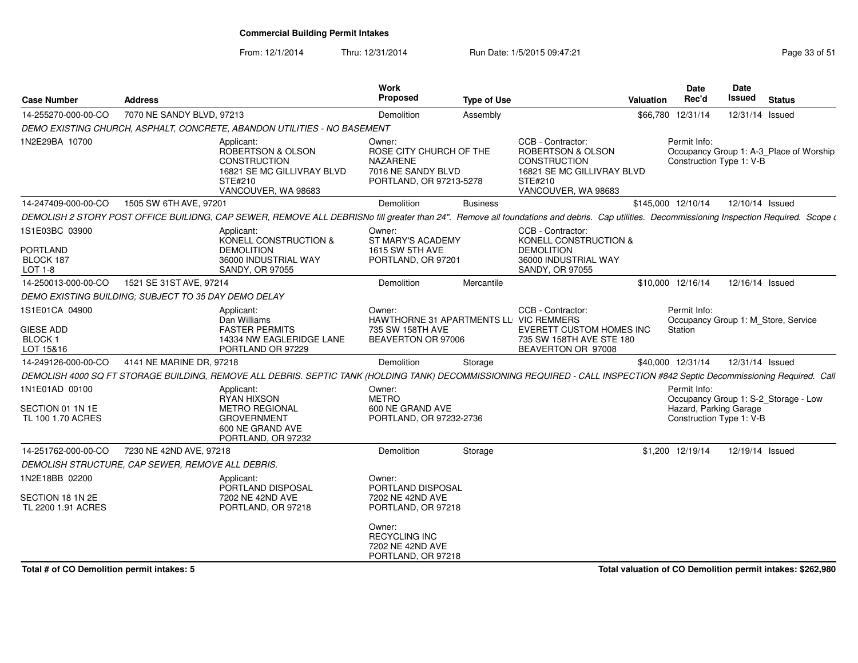From: 12/1/2014Thru: 12/31/2014 Run Date: 1/5/2015 09:47:21 Rege 33 of 51

| <b>Case Number</b>                                               | <b>Address</b>            |                                                                                                                                                                                              | Work<br><b>Proposed</b>                                                                               | <b>Type of Use</b> |                                                                                                                               | Valuation | <b>Date</b><br>Rec'd                                               | Date<br>Issued  | <b>Status</b>                           |
|------------------------------------------------------------------|---------------------------|----------------------------------------------------------------------------------------------------------------------------------------------------------------------------------------------|-------------------------------------------------------------------------------------------------------|--------------------|-------------------------------------------------------------------------------------------------------------------------------|-----------|--------------------------------------------------------------------|-----------------|-----------------------------------------|
| 14-255270-000-00-CO                                              | 7070 NE SANDY BLVD, 97213 |                                                                                                                                                                                              | Demolition                                                                                            | Assembly           |                                                                                                                               | \$66,780  | 12/31/14                                                           | 12/31/14 Issued |                                         |
|                                                                  |                           | DEMO EXISTING CHURCH, ASPHALT, CONCRETE, ABANDON UTILITIES - NO BASEMENT                                                                                                                     |                                                                                                       |                    |                                                                                                                               |           |                                                                    |                 |                                         |
| 1N2E29BA 10700                                                   |                           | Applicant:<br>ROBERTSON & OLSON<br><b>CONSTRUCTION</b><br>16821 SE MC GILLIVRAY BLVD<br>STE#210<br>VANCOUVER, WA 98683                                                                       | Owner:<br>ROSE CITY CHURCH OF THE<br><b>NAZARENE</b><br>7016 NE SANDY BLVD<br>PORTLAND, OR 97213-5278 |                    | CCB - Contractor:<br>ROBERTSON & OLSON<br><b>CONSTRUCTION</b><br>16821 SE MC GILLIVRAY BLVD<br>STE#210<br>VANCOUVER, WA 98683 |           | Permit Info:<br>Construction Type 1: V-B                           |                 | Occupancy Group 1: A-3_Place of Worship |
| 14-247409-000-00-CO                                              | 1505 SW 6TH AVE, 97201    |                                                                                                                                                                                              | Demolition                                                                                            | <b>Business</b>    |                                                                                                                               |           | \$145,000 12/10/14                                                 | 12/10/14 Issued |                                         |
|                                                                  |                           | DEMOLISH 2 STORY POST OFFICE BUILIDNG, CAP SEWER, REMOVE ALL DEBRISNo fill greater than 24". Remove all foundations and debris. Cap utilities. Decommissioning Inspection Required. Scope of |                                                                                                       |                    |                                                                                                                               |           |                                                                    |                 |                                         |
| 1S1E03BC 03900<br><b>PORTLAND</b><br>BLOCK 187<br>LOT 1-8        |                           | Applicant:<br>KONELL CONSTRUCTION &<br><b>DEMOLITION</b><br>36000 INDUSTRIAL WAY<br><b>SANDY, OR 97055</b>                                                                                   | Owner:<br>ST MARY'S ACADEMY<br><b>1615 SW 5TH AVE</b><br>PORTLAND, OR 97201                           |                    | CCB - Contractor:<br>KONELL CONSTRUCTION &<br><b>DEMOLITION</b><br>36000 INDUSTRIAL WAY<br>SANDY, OR 97055                    |           |                                                                    |                 |                                         |
| 14-250013-000-00-CO                                              | 1521 SE 31ST AVE, 97214   |                                                                                                                                                                                              | Demolition                                                                                            | Mercantile         |                                                                                                                               |           | \$10,000 12/16/14                                                  | 12/16/14 Issued |                                         |
| DEMO EXISTING BUILDING: SUBJECT TO 35 DAY DEMO DELAY             |                           |                                                                                                                                                                                              |                                                                                                       |                    |                                                                                                                               |           |                                                                    |                 |                                         |
| 1S1E01CA 04900<br><b>GIESE ADD</b><br><b>BLOCK1</b><br>LOT 15&16 |                           | Applicant:<br>Dan Williams<br><b>FASTER PERMITS</b><br>14334 NW EAGLERIDGE LANE<br>PORTLAND OR 97229                                                                                         | Owner:<br>HAWTHORNE 31 APARTMENTS LL VIC REMMERS<br>735 SW 158TH AVE<br>BEAVERTON OR 97006            |                    | CCB - Contractor:<br>EVERETT CUSTOM HOMES INC<br>735 SW 158TH AVE STE 180<br>BEAVERTON OR 97008                               |           | Permit Info:<br>Station                                            |                 | Occupancy Group 1: M Store, Service     |
| 14-249126-000-00-CO                                              | 4141 NE MARINE DR, 97218  |                                                                                                                                                                                              | <b>Demolition</b>                                                                                     | Storage            |                                                                                                                               |           | \$40,000 12/31/14                                                  | 12/31/14 Issued |                                         |
|                                                                  |                           | DEMOLISH 4000 SQ FT STORAGE BUILDING, REMOVE ALL DEBRIS. SEPTIC TANK (HOLDING TANK) DECOMMISSIONING REQUIRED - CALL INSPECTION #842 Septic Decommissioning Required. Call                    |                                                                                                       |                    |                                                                                                                               |           |                                                                    |                 |                                         |
| 1N1E01AD 00100<br>SECTION 01 1N 1E<br>TL 100 1.70 ACRES          |                           | Applicant:<br><b>RYAN HIXSON</b><br><b>METRO REGIONAL</b><br><b>GROVERNMENT</b><br>600 NE GRAND AVE<br>PORTLAND, OR 97232                                                                    | Owner:<br><b>METRO</b><br>600 NE GRAND AVE<br>PORTLAND, OR 97232-2736                                 |                    |                                                                                                                               |           | Permit Info:<br>Hazard, Parking Garage<br>Construction Type 1: V-B |                 | Occupancy Group 1: S-2 Storage - Low    |
| 14-251762-000-00-CO                                              | 7230 NE 42ND AVE, 97218   |                                                                                                                                                                                              | Demolition                                                                                            | Storage            |                                                                                                                               |           | \$1,200 12/19/14                                                   | 12/19/14 Issued |                                         |
| DEMOLISH STRUCTURE, CAP SEWER, REMOVE ALL DEBRIS.                |                           |                                                                                                                                                                                              |                                                                                                       |                    |                                                                                                                               |           |                                                                    |                 |                                         |
| 1N2E18BB 02200<br>SECTION 18 1N 2E<br>TL 2200 1.91 ACRES         |                           | Applicant:<br>PORTLAND DISPOSAL<br>7202 NE 42ND AVE<br>PORTLAND, OR 97218                                                                                                                    | Owner:<br>PORTLAND DISPOSAL<br>7202 NE 42ND AVE<br>PORTLAND, OR 97218                                 |                    |                                                                                                                               |           |                                                                    |                 |                                         |
|                                                                  |                           |                                                                                                                                                                                              | Owner:<br><b>RECYCLING INC</b><br>7202 NE 42ND AVE<br>PORTLAND, OR 97218                              |                    |                                                                                                                               |           |                                                                    |                 |                                         |
|                                                                  |                           |                                                                                                                                                                                              |                                                                                                       |                    |                                                                                                                               |           |                                                                    |                 | and the common service of the common    |

**Total # of CO Demolition permit intakes: 5**

**Total valuation of CO Demolition permit intakes: \$262,980**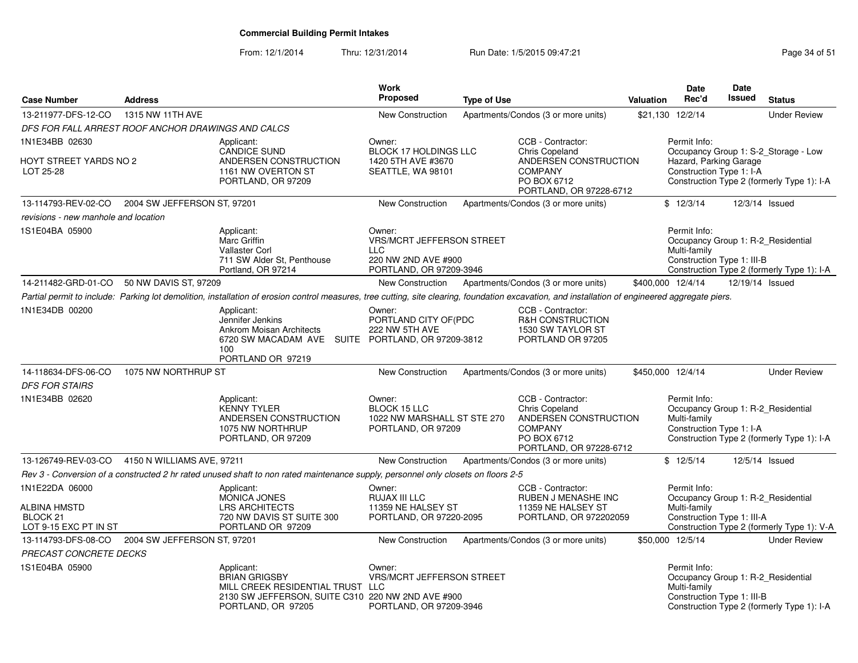From: 12/1/2014Thru: 12/31/2014 Run Date: 1/5/2015 09:47:21 Research 2010 Rage 34 of 51

| <b>Case Number</b>                                                  | <b>Address</b>              |                                                                                                                                                                                                  | <b>Work</b><br><b>Proposed</b>                                                                             | <b>Type of Use</b> |                                                                                                                                 | <b>Valuation</b> | <b>Date</b><br>Rec'd                                                                             | Date<br><b>Issued</b> | <b>Status</b>                                                                      |
|---------------------------------------------------------------------|-----------------------------|--------------------------------------------------------------------------------------------------------------------------------------------------------------------------------------------------|------------------------------------------------------------------------------------------------------------|--------------------|---------------------------------------------------------------------------------------------------------------------------------|------------------|--------------------------------------------------------------------------------------------------|-----------------------|------------------------------------------------------------------------------------|
| 13-211977-DFS-12-CO                                                 | 1315 NW 11TH AVE            |                                                                                                                                                                                                  | <b>New Construction</b>                                                                                    |                    | Apartments/Condos (3 or more units)                                                                                             |                  | \$21,130 12/2/14                                                                                 |                       | <b>Under Review</b>                                                                |
| DFS FOR FALL ARREST ROOF ANCHOR DRAWINGS AND CALCS                  |                             |                                                                                                                                                                                                  |                                                                                                            |                    |                                                                                                                                 |                  |                                                                                                  |                       |                                                                                    |
| 1N1E34BB 02630<br>HOYT STREET YARDS NO 2<br>LOT 25-28               |                             | Applicant:<br><b>CANDICE SUND</b><br>ANDERSEN CONSTRUCTION<br>1161 NW OVERTON ST<br>PORTLAND, OR 97209                                                                                           | Owner:<br><b>BLOCK 17 HOLDINGS LLC</b><br>1420 5TH AVE #3670<br>SEATTLE, WA 98101                          |                    | CCB - Contractor:<br><b>Chris Copeland</b><br>ANDERSEN CONSTRUCTION<br><b>COMPANY</b><br>PO BOX 6712                            |                  | Permit Info:<br>Hazard, Parking Garage<br>Construction Type 1: I-A                               |                       | Occupancy Group 1: S-2_Storage - Low<br>Construction Type 2 (formerly Type 1): I-A |
|                                                                     |                             |                                                                                                                                                                                                  |                                                                                                            |                    | PORTLAND, OR 97228-6712                                                                                                         |                  |                                                                                                  |                       |                                                                                    |
| 13-114793-REV-02-CO                                                 | 2004 SW JEFFERSON ST, 97201 |                                                                                                                                                                                                  | <b>New Construction</b>                                                                                    |                    | Apartments/Condos (3 or more units)                                                                                             |                  | \$12/3/14                                                                                        | 12/3/14 Issued        |                                                                                    |
| revisions - new manhole and location                                |                             |                                                                                                                                                                                                  |                                                                                                            |                    |                                                                                                                                 |                  |                                                                                                  |                       |                                                                                    |
| 1S1E04BA 05900                                                      |                             | Applicant:<br>Marc Griffin<br>Vallaster Corl<br>711 SW Alder St, Penthouse<br>Portland, OR 97214                                                                                                 | Owner:<br><b>VRS/MCRT JEFFERSON STREET</b><br><b>LLC</b><br>220 NW 2ND AVE #900<br>PORTLAND, OR 97209-3946 |                    |                                                                                                                                 |                  | Permit Info:<br>Occupancy Group 1: R-2 Residential<br>Multi-family<br>Construction Type 1: III-B |                       | Construction Type 2 (formerly Type 1): I-A                                         |
| 14-211482-GRD-01-CO                                                 | 50 NW DAVIS ST, 97209       |                                                                                                                                                                                                  | New Construction                                                                                           |                    | Apartments/Condos (3 or more units)                                                                                             |                  | \$400,000 12/4/14                                                                                | 12/19/14 Issued       |                                                                                    |
|                                                                     |                             | Partial permit to include: Parking lot demolition, installation of erosion control measures, tree cutting, site clearing, foundation excavation, and installation of engineered aggregate piers. |                                                                                                            |                    |                                                                                                                                 |                  |                                                                                                  |                       |                                                                                    |
| 1N1E34DB 00200                                                      |                             | Applicant:<br>Jennifer Jenkins<br><b>Ankrom Moisan Architects</b><br>6720 SW MACADAM AVE SUITE PORTLAND, OR 97209-3812<br>100<br>PORTLAND OR 97219                                               | Owner:<br>PORTLAND CITY OF(PDC<br>222 NW 5TH AVE                                                           |                    | CCB - Contractor:<br>R&H CONSTRUCTION<br>1530 SW TAYLOR ST<br>PORTLAND OR 97205                                                 |                  |                                                                                                  |                       |                                                                                    |
| 14-118634-DFS-06-CO                                                 | 1075 NW NORTHRUP ST         |                                                                                                                                                                                                  | <b>New Construction</b>                                                                                    |                    | Apartments/Condos (3 or more units)                                                                                             |                  | \$450,000 12/4/14                                                                                |                       | <b>Under Review</b>                                                                |
| <b>DFS FOR STAIRS</b>                                               |                             |                                                                                                                                                                                                  |                                                                                                            |                    |                                                                                                                                 |                  |                                                                                                  |                       |                                                                                    |
| 1N1E34BB 02620                                                      |                             | Applicant:<br><b>KENNY TYLER</b><br>ANDERSEN CONSTRUCTION<br>1075 NW NORTHRUP<br>PORTLAND, OR 97209                                                                                              | Owner:<br><b>BLOCK 15 LLC</b><br>1022 NW MARSHALL ST STE 270<br>PORTLAND, OR 97209                         |                    | CCB - Contractor:<br><b>Chris Copeland</b><br>ANDERSEN CONSTRUCTION<br><b>COMPANY</b><br>PO BOX 6712<br>PORTLAND, OR 97228-6712 |                  | Permit Info:<br>Occupancy Group 1: R-2_Residential<br>Multi-family<br>Construction Type 1: I-A   |                       | Construction Type 2 (formerly Type 1): I-A                                         |
| 13-126749-REV-03-CO                                                 | 4150 N WILLIAMS AVE, 97211  |                                                                                                                                                                                                  | <b>New Construction</b>                                                                                    |                    | Apartments/Condos (3 or more units)                                                                                             |                  | \$12/5/14                                                                                        | 12/5/14 Issued        |                                                                                    |
|                                                                     |                             | Rev 3 - Conversion of a constructed 2 hr rated unused shaft to non rated maintenance supply, personnel only closets on floors 2-5                                                                |                                                                                                            |                    |                                                                                                                                 |                  |                                                                                                  |                       |                                                                                    |
| 1N1E22DA 06000<br>ALBINA HMSTD<br>BLOCK 21<br>LOT 9-15 EXC PT IN ST |                             | Applicant:<br><b>MONICA JONES</b><br><b>LRS ARCHITECTS</b><br>720 NW DAVIS ST SUITE 300<br>PORTLAND OR 97209                                                                                     | Owner:<br>RUJAX III LLC<br>11359 NE HALSEY ST<br>PORTLAND, OR 97220-2095                                   |                    | CCB - Contractor:<br>RUBEN J MENASHE INC<br>11359 NE HALSEY ST<br>PORTLAND, OR 972202059                                        |                  | Permit Info:<br>Occupancy Group 1: R-2_Residential<br>Multi-family<br>Construction Type 1: III-A |                       | Construction Type 2 (formerly Type 1): V-A                                         |
| 13-114793-DFS-08-CO                                                 | 2004 SW JEFFERSON ST, 97201 |                                                                                                                                                                                                  | New Construction                                                                                           |                    | Apartments/Condos (3 or more units)                                                                                             |                  | \$50,000 12/5/14                                                                                 |                       | <b>Under Review</b>                                                                |
| PRECAST CONCRETE DECKS                                              |                             |                                                                                                                                                                                                  |                                                                                                            |                    |                                                                                                                                 |                  |                                                                                                  |                       |                                                                                    |
| 1S1E04BA 05900                                                      |                             | Applicant:<br><b>BRIAN GRIGSBY</b><br>MILL CREEK RESIDENTIAL TRUST LLC<br>2130 SW JEFFERSON, SUITE C310 220 NW 2ND AVE #900<br>PORTLAND, OR 97205                                                | Owner:<br>VRS/MCRT JEFFERSON STREET<br>PORTLAND, OR 97209-3946                                             |                    |                                                                                                                                 |                  | Permit Info:<br>Occupancy Group 1: R-2_Residential<br>Multi-family<br>Construction Type 1: III-B |                       | Construction Type 2 (formerly Type 1): I-A                                         |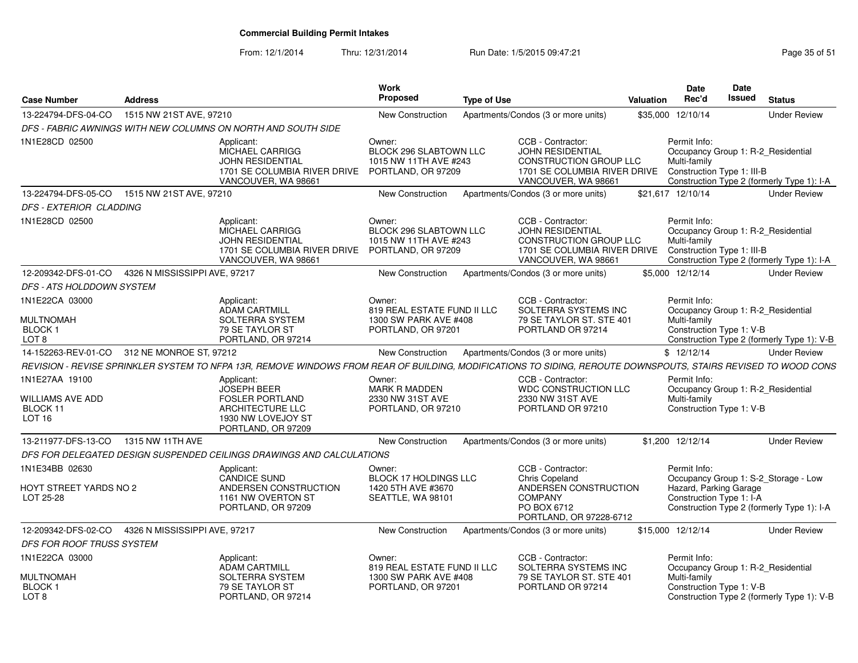| <b>Case Number</b>                                                  | <b>Address</b>                |                                                                                                                                                                | Work<br>Proposed                                                                       | <b>Type of Use</b> |                                                                                                                                                          | <b>Valuation</b> | <b>Date</b><br>Rec'd                                                                             | Date<br>Issued | <b>Status</b>                                                                      |
|---------------------------------------------------------------------|-------------------------------|----------------------------------------------------------------------------------------------------------------------------------------------------------------|----------------------------------------------------------------------------------------|--------------------|----------------------------------------------------------------------------------------------------------------------------------------------------------|------------------|--------------------------------------------------------------------------------------------------|----------------|------------------------------------------------------------------------------------|
| 13-224794-DFS-04-CO                                                 | 1515 NW 21ST AVE, 97210       |                                                                                                                                                                | New Construction                                                                       |                    | Apartments/Condos (3 or more units)                                                                                                                      | \$35,000         | 12/10/14                                                                                         |                | <b>Under Review</b>                                                                |
|                                                                     |                               | DFS - FABRIC AWNINGS WITH NEW COLUMNS ON NORTH AND SOUTH SIDE                                                                                                  |                                                                                        |                    |                                                                                                                                                          |                  |                                                                                                  |                |                                                                                    |
| 1N1E28CD 02500                                                      |                               | Applicant:<br><b>MICHAEL CARRIGG</b><br>JOHN RESIDENTIAL<br>1701 SE COLUMBIA RIVER DRIVE<br>VANCOUVER, WA 98661                                                | Owner:<br>BLOCK 296 SLABTOWN LLC<br>1015 NW 11TH AVE #243<br>PORTLAND, OR 97209        |                    | CCB - Contractor:<br>JOHN RESIDENTIAL<br>CONSTRUCTION GROUP LLC<br>1701 SE COLUMBIA RIVER DRIVE<br>VANCOUVER, WA 98661                                   |                  | Permit Info:<br>Occupancy Group 1: R-2_Residential<br>Multi-family<br>Construction Type 1: III-B |                | Construction Type 2 (formerly Type 1): I-A                                         |
| 13-224794-DFS-05-CO                                                 | 1515 NW 21ST AVE, 97210       |                                                                                                                                                                | New Construction                                                                       |                    | Apartments/Condos (3 or more units)                                                                                                                      |                  | \$21.617 12/10/14                                                                                |                | <b>Under Review</b>                                                                |
| DFS - EXTERIOR CLADDING                                             |                               |                                                                                                                                                                |                                                                                        |                    |                                                                                                                                                          |                  |                                                                                                  |                |                                                                                    |
| 1N1E28CD 02500                                                      |                               | Applicant:<br>MICHAEL CARRIGG<br><b>JOHN RESIDENTIAL</b><br>1701 SE COLUMBIA RIVER DRIVE<br>VANCOUVER, WA 98661                                                | Owner:<br><b>BLOCK 296 SLABTOWN LLC</b><br>1015 NW 11TH AVE #243<br>PORTLAND, OR 97209 |                    | CCB - Contractor:<br>JOHN RESIDENTIAL<br><b>CONSTRUCTION GROUP LLC</b><br>1701 SE COLUMBIA RIVER DRIVE Construction Type 1: III-B<br>VANCOUVER, WA 98661 |                  | Permit Info:<br>Occupancy Group 1: R-2_Residential<br>Multi-family                               |                | Construction Type 2 (formerly Type 1): I-A                                         |
| 12-209342-DFS-01-CO                                                 | 4326 N MISSISSIPPI AVE, 97217 |                                                                                                                                                                | New Construction                                                                       |                    | Apartments/Condos (3 or more units)                                                                                                                      |                  | \$5,000 12/12/14                                                                                 |                | <b>Under Review</b>                                                                |
| DFS - ATS HOLDDOWN SYSTEM                                           |                               |                                                                                                                                                                |                                                                                        |                    |                                                                                                                                                          |                  |                                                                                                  |                |                                                                                    |
| 1N1E22CA 03000                                                      |                               | Applicant:<br>ADAM CARTMILL                                                                                                                                    | Owner:<br>819 REAL ESTATE FUND II LLC                                                  |                    | CCB - Contractor:<br>SOLTERRA SYSTEMS INC                                                                                                                |                  | Permit Info:<br>Occupancy Group 1: R-2_Residential                                               |                |                                                                                    |
| <b>MULTNOMAH</b><br><b>BLOCK1</b><br>LOT <sub>8</sub>               |                               | SOLTERRA SYSTEM<br>79 SE TAYLOR ST<br>PORTLAND, OR 97214                                                                                                       | 1300 SW PARK AVE #408<br>PORTLAND, OR 97201                                            |                    | 79 SE TAYLOR ST. STE 401<br>PORTLAND OR 97214                                                                                                            |                  | Multi-family<br>Construction Type 1: V-B                                                         |                | Construction Type 2 (formerly Type 1): V-B                                         |
| 14-152263-REV-01-CO                                                 | 312 NE MONROE ST, 97212       |                                                                                                                                                                | New Construction                                                                       |                    | Apartments/Condos (3 or more units)                                                                                                                      |                  | \$12/12/14                                                                                       |                | <b>Under Review</b>                                                                |
|                                                                     |                               | REVISION - REVISE SPRINKLER SYSTEM TO NFPA 13R, REMOVE WINDOWS FROM REAR OF BUILDING, MODIFICATIONS TO SIDING, REROUTE DOWNSPOUTS, STAIRS REVISED TO WOOD CONS |                                                                                        |                    |                                                                                                                                                          |                  |                                                                                                  |                |                                                                                    |
| 1N1E27AA 19100<br>WILLIAMS AVE ADD<br>BLOCK 11<br>LOT <sub>16</sub> |                               | Applicant:<br><b>JOSEPH BEER</b><br><b>FOSLER PORTLAND</b><br>ARCHITECTURE LLC<br>1930 NW LOVEJOY ST<br>PORTLAND, OR 97209                                     | Owner:<br>MARK R MADDEN<br>2330 NW 31ST AVE<br>PORTLAND, OR 97210                      |                    | CCB - Contractor:<br>WDC CONSTRUCTION LLC<br>2330 NW 31ST AVE<br>PORTLAND OR 97210                                                                       |                  | Permit Info:<br>Occupancy Group 1: R-2_Residential<br>Multi-family<br>Construction Type 1: V-B   |                |                                                                                    |
| 13-211977-DFS-13-CO                                                 | 1315 NW 11TH AVE              |                                                                                                                                                                | New Construction                                                                       |                    | Apartments/Condos (3 or more units)                                                                                                                      |                  | \$1,200 12/12/14                                                                                 |                | <b>Under Review</b>                                                                |
|                                                                     |                               | DFS FOR DELEGATED DESIGN SUSPENDED CEILINGS DRAWINGS AND CALCULATIONS                                                                                          |                                                                                        |                    |                                                                                                                                                          |                  |                                                                                                  |                |                                                                                    |
| 1N1E34BB 02630<br>HOYT STREET YARDS NO 2<br>LOT 25-28               |                               | Applicant:<br><b>CANDICE SUND</b><br>ANDERSEN CONSTRUCTION<br>1161 NW OVERTON ST<br>PORTLAND, OR 97209                                                         | Owner:<br>BLOCK 17 HOLDINGS LLC<br>1420 5TH AVE #3670<br>SEATTLE, WA 98101             |                    | CCB - Contractor:<br>Chris Copeland<br>ANDERSEN CONSTRUCTION<br><b>COMPANY</b><br>PO BOX 6712                                                            |                  | Permit Info:<br>Hazard, Parking Garage<br>Construction Type 1: I-A                               |                | Occupancy Group 1: S-2_Storage - Low<br>Construction Type 2 (formerly Type 1): I-A |
|                                                                     |                               |                                                                                                                                                                |                                                                                        |                    | PORTLAND, OR 97228-6712                                                                                                                                  |                  |                                                                                                  |                |                                                                                    |
| 12-209342-DFS-02-CO                                                 | 4326 N MISSISSIPPI AVE, 97217 |                                                                                                                                                                | New Construction                                                                       |                    | Apartments/Condos (3 or more units)                                                                                                                      |                  | \$15,000 12/12/14                                                                                |                | <b>Under Review</b>                                                                |
| DFS FOR ROOF TRUSS SYSTEM                                           |                               |                                                                                                                                                                |                                                                                        |                    |                                                                                                                                                          |                  |                                                                                                  |                |                                                                                    |
| 1N1E22CA 03000<br>MULTNOMAH                                         |                               | Applicant:<br><b>ADAM CARTMILL</b><br>SOLTERRA SYSTEM                                                                                                          | Owner:<br>819 REAL ESTATE FUND II LLC<br>1300 SW PARK AVE #408                         |                    | CCB - Contractor:<br>SOLTERRA SYSTEMS INC<br>79 SE TAYLOR ST. STE 401                                                                                    |                  | Permit Info:<br>Occupancy Group 1: R-2_Residential<br>Multi-family                               |                |                                                                                    |
| <b>BLOCK1</b><br>LOT 8                                              |                               | 79 SE TAYLOR ST<br>PORTLAND, OR 97214                                                                                                                          | PORTLAND, OR 97201                                                                     |                    | PORTLAND OR 97214                                                                                                                                        |                  | Construction Type 1: V-B                                                                         |                | Construction Type 2 (formerly Type 1): V-B                                         |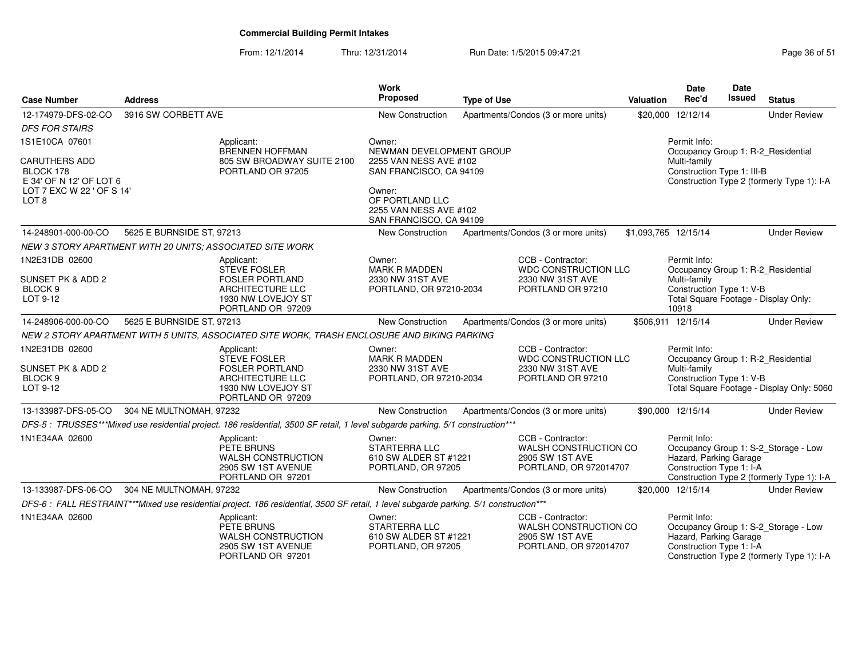| <b>Case Number</b>                                                                          | <b>Address</b>            |                                                                                                                                        | <b>Work</b><br><b>Proposed</b>                                                                                                      | <b>Type of Use</b> |                                                                                         | <b>Valuation</b> | <b>Date</b><br>Rec'd                                               | <b>Date</b><br><b>Issued</b> | <b>Status</b>                                                                      |
|---------------------------------------------------------------------------------------------|---------------------------|----------------------------------------------------------------------------------------------------------------------------------------|-------------------------------------------------------------------------------------------------------------------------------------|--------------------|-----------------------------------------------------------------------------------------|------------------|--------------------------------------------------------------------|------------------------------|------------------------------------------------------------------------------------|
| 12-174979-DFS-02-CO                                                                         | 3916 SW CORBETT AVE       |                                                                                                                                        | New Construction                                                                                                                    |                    | Apartments/Condos (3 or more units)                                                     |                  | \$20,000 12/12/14                                                  |                              | <b>Under Review</b>                                                                |
| <b>DFS FOR STAIRS</b>                                                                       |                           |                                                                                                                                        |                                                                                                                                     |                    |                                                                                         |                  |                                                                    |                              |                                                                                    |
| 1S1E10CA 07601                                                                              |                           | Applicant:<br><b>BRENNEN HOFFMAN</b>                                                                                                   | Owner:<br>NEWMAN DEVELOPMENT GROUP                                                                                                  |                    |                                                                                         |                  | Permit Info:                                                       |                              | Occupancy Group 1: R-2_Residential                                                 |
| CARUTHERS ADD<br>BLOCK 178<br>E 34' OF N 12' OF LOT 6<br>LOT 7 EXC W 22 ' OF S 14'<br>LOT 8 |                           | 805 SW BROADWAY SUITE 2100<br>PORTLAND OR 97205                                                                                        | 2255 VAN NESS AVE #102<br>SAN FRANCISCO, CA 94109<br>Owner:<br>OF PORTLAND LLC<br>2255 VAN NESS AVE #102<br>SAN FRANCISCO, CA 94109 |                    |                                                                                         |                  | Multi-family<br>Construction Type 1: III-B                         |                              | Construction Type 2 (formerly Type 1): I-A                                         |
| 14-248901-000-00-CO                                                                         | 5625 E BURNSIDE ST, 97213 |                                                                                                                                        | New Construction                                                                                                                    |                    | Apartments/Condos (3 or more units)                                                     |                  | \$1,093,765 12/15/14                                               |                              | <b>Under Review</b>                                                                |
|                                                                                             |                           | NEW 3 STORY APARTMENT WITH 20 UNITS; ASSOCIATED SITE WORK                                                                              |                                                                                                                                     |                    |                                                                                         |                  |                                                                    |                              |                                                                                    |
| 1N2E31DB 02600                                                                              |                           | Applicant:                                                                                                                             | Owner:                                                                                                                              |                    | CCB - Contractor:                                                                       |                  | Permit Info:                                                       |                              |                                                                                    |
| SUNSET PK & ADD 2<br>BLOCK <sub>9</sub><br>LOT 9-12                                         |                           | <b>STEVE FOSLER</b><br><b>FOSLER PORTLAND</b><br>ARCHITECTURE LLC<br>1930 NW LOVEJOY ST<br>PORTLAND OR 97209                           | <b>MARK R MADDEN</b><br>2330 NW 31ST AVE<br>PORTLAND, OR 97210-2034                                                                 |                    | WDC CONSTRUCTION LLC<br>2330 NW 31ST AVE<br>PORTLAND OR 97210                           |                  | Multi-family<br>Construction Type 1: V-B<br>10918                  |                              | Occupancy Group 1: R-2_Residential<br>Total Square Footage - Display Only:         |
| 14-248906-000-00-CO                                                                         | 5625 E BURNSIDE ST, 97213 |                                                                                                                                        | <b>New Construction</b>                                                                                                             |                    | Apartments/Condos (3 or more units)                                                     |                  | \$506,911 12/15/14                                                 |                              | <b>Under Review</b>                                                                |
|                                                                                             |                           | NEW 2 STORY APARTMENT WITH 5 UNITS, ASSOCIATED SITE WORK, TRASH ENCLOSURE AND BIKING PARKING                                           |                                                                                                                                     |                    |                                                                                         |                  |                                                                    |                              |                                                                                    |
| 1N2E31DB 02600<br>SUNSET PK & ADD 2<br>BLOCK <sub>9</sub><br>LOT 9-12                       |                           | Applicant:<br>STEVE FOSLER<br><b>FOSLER PORTLAND</b><br>ARCHITECTURE LLC<br>1930 NW LOVEJOY ST<br>PORTLAND OR 97209                    | Owner:<br><b>MARK R MADDEN</b><br>2330 NW 31ST AVE<br>PORTLAND, OR 97210-2034                                                       |                    | CCB - Contractor:<br>WDC CONSTRUCTION LLC<br>2330 NW 31ST AVE<br>PORTLAND OR 97210      |                  | Permit Info:<br>Multi-family<br>Construction Type 1: V-B           |                              | Occupancy Group 1: R-2_Residential<br>Total Square Footage - Display Only: 5060    |
| 13-133987-DFS-05-CO                                                                         | 304 NE MULTNOMAH, 97232   |                                                                                                                                        | New Construction                                                                                                                    |                    | Apartments/Condos (3 or more units)                                                     |                  | \$90,000 12/15/14                                                  |                              | <b>Under Review</b>                                                                |
|                                                                                             |                           | DFS-5: TRUSSES***Mixed use residential project. 186 residential, 3500 SF retail, 1 level subgarde parking. 5/1 construction***         |                                                                                                                                     |                    |                                                                                         |                  |                                                                    |                              |                                                                                    |
| 1N1E34AA 02600                                                                              |                           | Applicant:<br>PETE BRUNS<br>WALSH CONSTRUCTION<br>2905 SW 1ST AVENUE<br>PORTLAND OR 97201                                              | Owner:<br><b>STARTERRA LLC</b><br>610 SW ALDER ST #1221<br>PORTLAND, OR 97205                                                       |                    | CCB - Contractor:<br>WALSH CONSTRUCTION CO<br>2905 SW 1ST AVE<br>PORTLAND, OR 972014707 |                  | Permit Info:<br>Hazard, Parking Garage<br>Construction Type 1: I-A |                              | Occupancy Group 1: S-2_Storage - Low<br>Construction Type 2 (formerly Type 1): I-A |
| 13-133987-DFS-06-CO                                                                         | 304 NE MULTNOMAH, 97232   |                                                                                                                                        | New Construction                                                                                                                    |                    | Apartments/Condos (3 or more units)                                                     |                  | \$20,000 12/15/14                                                  |                              | <b>Under Review</b>                                                                |
|                                                                                             |                           | DFS-6 : FALL RESTRAINT***Mixed use residential project. 186 residential, 3500 SF retail, 1 level subgarde parking. 5/1 construction*** |                                                                                                                                     |                    |                                                                                         |                  |                                                                    |                              |                                                                                    |
| 1N1E34AA 02600                                                                              |                           | Applicant:<br>PETE BRUNS<br>WALSH CONSTRUCTION<br>2905 SW 1ST AVENUE<br>PORTLAND OR 97201                                              | Owner:<br>STARTERRA LLC<br>610 SW ALDER ST #1221<br>PORTLAND, OR 97205                                                              |                    | CCB - Contractor:<br>WALSH CONSTRUCTION CO<br>2905 SW 1ST AVE<br>PORTLAND, OR 972014707 |                  | Permit Info:<br>Hazard, Parking Garage<br>Construction Type 1: I-A |                              | Occupancy Group 1: S-2_Storage - Low<br>Construction Type 2 (formerly Type 1): I-A |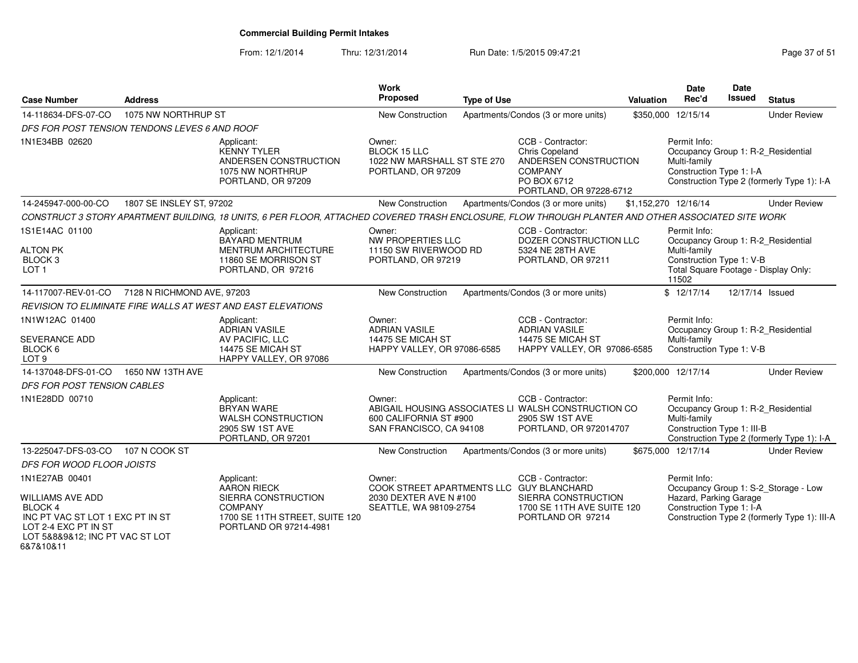From: 12/1/2014Thru: 12/31/2014 Run Date: 1/5/2015 09:47:21 Research 2010 Rage 37 of 51

| <b>Case Number</b>                                                                                                                                               | <b>Address</b>             |                                                                                                                                                    | <b>Work</b><br>Proposed                                                                                | <b>Type of Use</b> |                                                                                                                          | <b>Valuation</b> | <b>Date</b><br>Rec'd                                                                                                                            | <b>Date</b><br>Issued | <b>Status</b>                                                                        |
|------------------------------------------------------------------------------------------------------------------------------------------------------------------|----------------------------|----------------------------------------------------------------------------------------------------------------------------------------------------|--------------------------------------------------------------------------------------------------------|--------------------|--------------------------------------------------------------------------------------------------------------------------|------------------|-------------------------------------------------------------------------------------------------------------------------------------------------|-----------------------|--------------------------------------------------------------------------------------|
| 14-118634-DFS-07-CO                                                                                                                                              | 1075 NW NORTHRUP ST        |                                                                                                                                                    | <b>New Construction</b>                                                                                |                    | Apartments/Condos (3 or more units)                                                                                      |                  | \$350,000 12/15/14                                                                                                                              |                       | <b>Under Review</b>                                                                  |
| DFS FOR POST TENSION TENDONS LEVES 6 AND ROOF                                                                                                                    |                            |                                                                                                                                                    |                                                                                                        |                    |                                                                                                                          |                  |                                                                                                                                                 |                       |                                                                                      |
| 1N1E34BB 02620                                                                                                                                                   |                            | Applicant:<br><b>KENNY TYLER</b><br>ANDERSEN CONSTRUCTION<br>1075 NW NORTHRUP<br>PORTLAND, OR 97209                                                | Owner:<br><b>BLOCK 15 LLC</b><br>1022 NW MARSHALL ST STE 270<br>PORTLAND, OR 97209                     |                    | CCB - Contractor:<br>Chris Copeland<br>ANDERSEN CONSTRUCTION<br><b>COMPANY</b><br>PO BOX 6712<br>PORTLAND, OR 97228-6712 |                  | Permit Info:<br>Occupancy Group 1: R-2_Residential<br>Multi-family<br>Construction Type 1: I-A                                                  |                       | Construction Type 2 (formerly Type 1): I-A                                           |
| 14-245947-000-00-CO                                                                                                                                              | 1807 SE INSLEY ST, 97202   |                                                                                                                                                    | <b>New Construction</b>                                                                                |                    | Apartments/Condos (3 or more units)                                                                                      |                  | \$1,152,270 12/16/14                                                                                                                            |                       | <b>Under Review</b>                                                                  |
|                                                                                                                                                                  |                            | CONSTRUCT 3 STORY APARTMENT BUILDING, 18 UNITS, 6 PER FLOOR, ATTACHED COVERED TRASH ENCLOSURE, FLOW THROUGH PLANTER AND OTHER ASSOCIATED SITE WORK |                                                                                                        |                    |                                                                                                                          |                  |                                                                                                                                                 |                       |                                                                                      |
| 1S1E14AC 01100<br><b>ALTON PK</b><br>BLOCK <sub>3</sub><br>LOT <sub>1</sub>                                                                                      |                            | Applicant:<br><b>BAYARD MENTRUM</b><br><b>MENTRUM ARCHITECTURE</b><br>11860 SE MORRISON ST<br>PORTLAND, OR 97216                                   | Owner:<br>NW PROPERTIES LLC<br>11150 SW RIVERWOOD RD<br>PORTLAND, OR 97219                             |                    | CCB - Contractor:<br>DOZER CONSTRUCTION LLC<br>5324 NE 28TH AVE<br>PORTLAND, OR 97211                                    |                  | Permit Info:<br>Occupancy Group 1: R-2_Residential<br>Multi-family<br>Construction Type 1: V-B<br>Total Square Footage - Display Only:<br>11502 |                       |                                                                                      |
| 14-117007-REV-01-CO                                                                                                                                              | 7128 N RICHMOND AVE, 97203 |                                                                                                                                                    | New Construction                                                                                       |                    | Apartments/Condos (3 or more units)                                                                                      |                  | \$12/17/14                                                                                                                                      | 12/17/14 Issued       |                                                                                      |
|                                                                                                                                                                  |                            | REVISION TO ELIMINATE FIRE WALLS AT WEST AND EAST ELEVATIONS                                                                                       |                                                                                                        |                    |                                                                                                                          |                  |                                                                                                                                                 |                       |                                                                                      |
| 1N1W12AC 01400<br><b>SEVERANCE ADD</b><br>BLOCK 6<br>LOT <sub>9</sub>                                                                                            |                            | Applicant:<br><b>ADRIAN VASILE</b><br>AV PACIFIC, LLC<br>14475 SE MICAH ST<br>HAPPY VALLEY, OR 97086                                               | Owner:<br><b>ADRIAN VASILE</b><br>14475 SE MICAH ST<br>HAPPY VALLEY, OR 97086-6585                     |                    | CCB - Contractor:<br><b>ADRIAN VASILE</b><br>14475 SE MICAH ST<br>HAPPY VALLEY, OR 97086-6585                            |                  | Permit Info:<br>Occupancy Group 1: R-2_Residential<br>Multi-family<br>Construction Type 1: V-B                                                  |                       |                                                                                      |
| 14-137048-DFS-01-CO                                                                                                                                              | 1650 NW 13TH AVE           |                                                                                                                                                    | New Construction                                                                                       |                    | Apartments/Condos (3 or more units)                                                                                      |                  | \$200,000 12/17/14                                                                                                                              |                       | <b>Under Review</b>                                                                  |
| DFS FOR POST TENSION CABLES                                                                                                                                      |                            |                                                                                                                                                    |                                                                                                        |                    |                                                                                                                          |                  |                                                                                                                                                 |                       |                                                                                      |
| 1N1E28DD 00710                                                                                                                                                   |                            | Applicant:<br><b>BRYAN WARE</b><br><b>WALSH CONSTRUCTION</b><br>2905 SW 1ST AVE<br>PORTLAND, OR 97201                                              | Owner:<br>600 CALIFORNIA ST #900<br>SAN FRANCISCO, CA 94108                                            |                    | CCB - Contractor:<br>ABIGAIL HOUSING ASSOCIATES LI WALSH CONSTRUCTION CO<br>2905 SW 1ST AVE<br>PORTLAND, OR 972014707    |                  | Permit Info:<br>Multi-family<br>Construction Type 1: III-B                                                                                      |                       | Occupancy Group 1: R-2_Residential<br>Construction Type 2 (formerly Type 1): I-A     |
| 13-225047-DFS-03-CO                                                                                                                                              | 107 N COOK ST              |                                                                                                                                                    | New Construction                                                                                       |                    | Apartments/Condos (3 or more units)                                                                                      |                  | \$675,000 12/17/14                                                                                                                              |                       | <b>Under Review</b>                                                                  |
| DFS FOR WOOD FLOOR JOISTS                                                                                                                                        |                            |                                                                                                                                                    |                                                                                                        |                    |                                                                                                                          |                  |                                                                                                                                                 |                       |                                                                                      |
| 1N1E27AB 00401<br><b>WILLIAMS AVE ADD</b><br>BLOCK 4<br>INC PT VAC ST LOT 1 EXC PT IN ST<br>LOT 2-4 EXC PT IN ST<br>LOT 5&8&9&12; INC PT VAC ST LOT<br>6&7&10&11 |                            | Applicant:<br><b>AARON RIECK</b><br>SIERRA CONSTRUCTION<br><b>COMPANY</b><br>1700 SE 11TH STREET, SUITE 120<br>PORTLAND OR 97214-4981              | Owner:<br>COOK STREET APARTMENTS LLC GUY BLANCHARD<br>2030 DEXTER AVE N #100<br>SEATTLE, WA 98109-2754 |                    | CCB - Contractor:<br>SIERRA CONSTRUCTION<br>1700 SE 11TH AVE SUITE 120<br>PORTLAND OR 97214                              |                  | Permit Info:<br>Hazard, Parking Garage<br>Construction Type 1: I-A                                                                              |                       | Occupancy Group 1: S-2_Storage - Low<br>Construction Type 2 (formerly Type 1): III-A |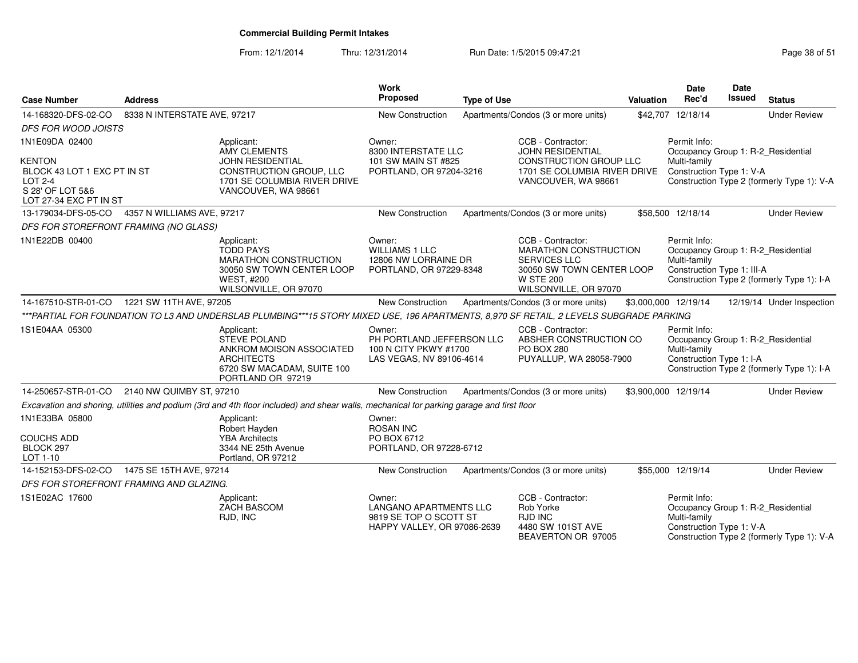| <b>Case Number</b>                            | <b>Address</b>                          |                                                                                                                                          | <b>Work</b><br>Proposed                                                                          | <b>Type of Use</b> |                                                                                                                                                    | Valuation | Date<br>Rec'd                                                                                    | Date<br>Issued | <b>Status</b>                              |
|-----------------------------------------------|-----------------------------------------|------------------------------------------------------------------------------------------------------------------------------------------|--------------------------------------------------------------------------------------------------|--------------------|----------------------------------------------------------------------------------------------------------------------------------------------------|-----------|--------------------------------------------------------------------------------------------------|----------------|--------------------------------------------|
| 14-168320-DFS-02-CO                           | 8338 N INTERSTATE AVE, 97217            |                                                                                                                                          | New Construction                                                                                 |                    | Apartments/Condos (3 or more units)                                                                                                                |           | \$42,707 12/18/14                                                                                |                | <b>Under Review</b>                        |
| <b>DFS FOR WOOD JOISTS</b>                    |                                         |                                                                                                                                          |                                                                                                  |                    |                                                                                                                                                    |           |                                                                                                  |                |                                            |
| 1N1E09DA 02400                                |                                         | Applicant:<br><b>AMY CLEMENTS</b>                                                                                                        | Owner:<br>8300 INTERSTATE LLC                                                                    |                    | CCB - Contractor:<br><b>JOHN RESIDENTIAL</b>                                                                                                       |           | Permit Info:<br>Occupancy Group 1: R-2 Residential                                               |                |                                            |
| <b>KENTON</b>                                 |                                         | <b>JOHN RESIDENTIAL</b>                                                                                                                  | 101 SW MAIN ST #825                                                                              |                    | CONSTRUCTION GROUP LLC                                                                                                                             |           | Multi-family                                                                                     |                |                                            |
| BLOCK 43 LOT 1 EXC PT IN ST<br><b>LOT 2-4</b> |                                         | CONSTRUCTION GROUP, LLC<br>1701 SE COLUMBIA RIVER DRIVE                                                                                  | PORTLAND, OR 97204-3216                                                                          |                    | 1701 SE COLUMBIA RIVER DRIVE<br>VANCOUVER, WA 98661                                                                                                |           | Construction Type 1: V-A                                                                         |                | Construction Type 2 (formerly Type 1): V-A |
| S 28' OF LOT 5&6<br>LOT 27-34 EXC PT IN ST    |                                         | VANCOUVER, WA 98661                                                                                                                      |                                                                                                  |                    |                                                                                                                                                    |           |                                                                                                  |                |                                            |
| 13-179034-DFS-05-CO                           | 4357 N WILLIAMS AVE, 97217              |                                                                                                                                          | New Construction                                                                                 |                    | Apartments/Condos (3 or more units)                                                                                                                |           | \$58,500 12/18/14                                                                                |                | <b>Under Review</b>                        |
|                                               | DFS FOR STOREFRONT FRAMING (NO GLASS)   |                                                                                                                                          |                                                                                                  |                    |                                                                                                                                                    |           |                                                                                                  |                |                                            |
| 1N1E22DB 00400                                |                                         | Applicant:<br><b>TODD PAYS</b><br>MARATHON CONSTRUCTION<br>30050 SW TOWN CENTER LOOP<br><b>WEST, #200</b><br>WILSONVILLE, OR 97070       | Owner:<br><b>WILLIAMS 1 LLC</b><br>12806 NW LORRAINE DR<br>PORTLAND, OR 97229-8348               |                    | CCB - Contractor:<br><b>MARATHON CONSTRUCTION</b><br><b>SERVICES LLC</b><br>30050 SW TOWN CENTER LOOP<br><b>W STE 200</b><br>WILSONVILLE, OR 97070 |           | Permit Info:<br>Occupancy Group 1: R-2_Residential<br>Multi-family<br>Construction Type 1: III-A |                | Construction Type 2 (formerly Type 1): I-A |
| 14-167510-STR-01-CO                           | 1221 SW 11TH AVE, 97205                 |                                                                                                                                          | <b>New Construction</b>                                                                          |                    | Apartments/Condos (3 or more units)                                                                                                                |           | \$3,000,000 12/19/14                                                                             |                | 12/19/14 Under Inspection                  |
|                                               |                                         | ***PARTIAL FOR FOUNDATION TO L3 AND UNDERSLAB PLUMBING***15 STORY MIXED USE, 196 APARTMENTS, 8,970 SF RETAIL, 2 LEVELS SUBGRADE PARKING  |                                                                                                  |                    |                                                                                                                                                    |           |                                                                                                  |                |                                            |
| 1S1E04AA 05300                                |                                         | Applicant:<br><b>STEVE POLAND</b><br>ANKROM MOISON ASSOCIATED<br><b>ARCHITECTS</b><br>6720 SW MACADAM, SUITE 100<br>PORTLAND OR 97219    | Owner:<br>PH PORTLAND JEFFERSON LLC<br>100 N CITY PKWY #1700<br>LAS VEGAS, NV 89106-4614         |                    | CCB - Contractor:<br>ABSHER CONSTRUCTION CO<br><b>PO BOX 280</b><br>PUYALLUP, WA 28058-7900                                                        |           | Permit Info:<br>Occupancy Group 1: R-2_Residential<br>Multi-family<br>Construction Type 1: I-A   |                | Construction Type 2 (formerly Type 1): I-A |
| 14-250657-STR-01-CO                           | 2140 NW QUIMBY ST, 97210                |                                                                                                                                          | New Construction                                                                                 |                    | Apartments/Condos (3 or more units)                                                                                                                |           | \$3,900,000 12/19/14                                                                             |                | <b>Under Review</b>                        |
|                                               |                                         | Excavation and shoring, utilities and podium (3rd and 4th floor included) and shear walls, mechanical for parking garage and first floor |                                                                                                  |                    |                                                                                                                                                    |           |                                                                                                  |                |                                            |
| 1N1E33BA 05800                                |                                         | Applicant:<br>Robert Hayden                                                                                                              | Owner:<br><b>ROSAN INC</b>                                                                       |                    |                                                                                                                                                    |           |                                                                                                  |                |                                            |
| <b>COUCHS ADD</b>                             |                                         | <b>YBA Architects</b>                                                                                                                    | PO BOX 6712                                                                                      |                    |                                                                                                                                                    |           |                                                                                                  |                |                                            |
| BLOCK 297<br>LOT 1-10                         |                                         | 3344 NE 25th Avenue<br>Portland, OR 97212                                                                                                | PORTLAND, OR 97228-6712                                                                          |                    |                                                                                                                                                    |           |                                                                                                  |                |                                            |
| 14-152153-DFS-02-CO                           | 1475 SE 15TH AVE, 97214                 |                                                                                                                                          | New Construction                                                                                 |                    | Apartments/Condos (3 or more units)                                                                                                                |           | \$55,000 12/19/14                                                                                |                | <b>Under Review</b>                        |
|                                               | DFS FOR STOREFRONT FRAMING AND GLAZING. |                                                                                                                                          |                                                                                                  |                    |                                                                                                                                                    |           |                                                                                                  |                |                                            |
| 1S1E02AC 17600                                |                                         | Applicant:<br><b>ZACH BASCOM</b><br>RJD, INC                                                                                             | Owner:<br><b>LANGANO APARTMENTS LLC</b><br>9819 SE TOP O SCOTT ST<br>HAPPY VALLEY, OR 97086-2639 |                    | CCB - Contractor:<br>Rob Yorke<br><b>RJD INC</b><br>4480 SW 101ST AVE<br>BEAVERTON OR 97005                                                        |           | Permit Info:<br>Occupancy Group 1: R-2_Residential<br>Multi-family<br>Construction Type 1: V-A   |                | Construction Type 2 (formerly Type 1): V-A |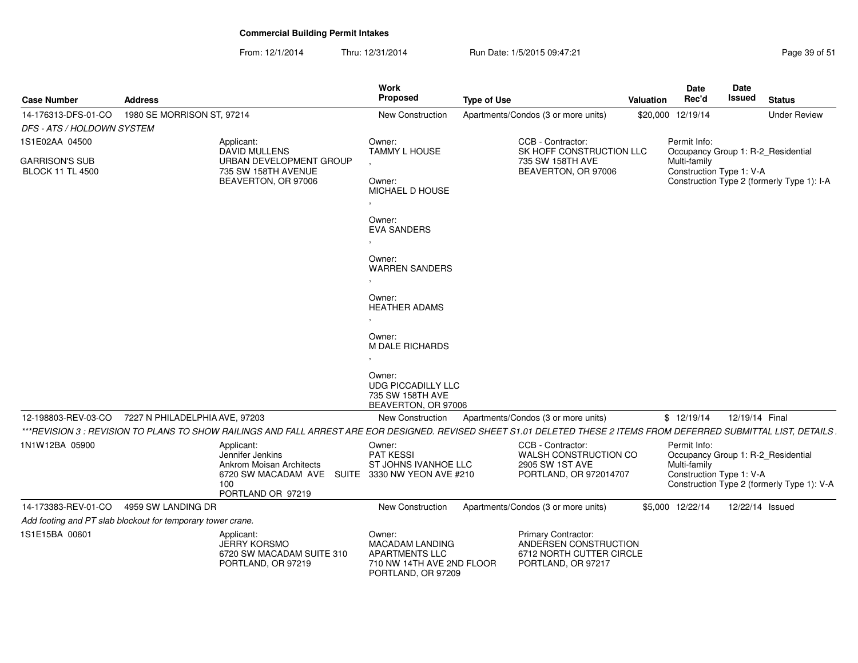From: 12/1/2014Thru: 12/31/2014 Run Date: 1/5/2015 09:47:21 Research 2010 12:47:21

| <b>Case Number</b>                               | <b>Address</b>                                                                                                                                                        | Work<br><b>Proposed</b>                                                                                                                                            | <b>Type of Use</b>                                                                                    | <b>Valuation</b> | Date<br>Rec'd                                            | Date<br>Issued  | <b>Status</b>                                                                    |
|--------------------------------------------------|-----------------------------------------------------------------------------------------------------------------------------------------------------------------------|--------------------------------------------------------------------------------------------------------------------------------------------------------------------|-------------------------------------------------------------------------------------------------------|------------------|----------------------------------------------------------|-----------------|----------------------------------------------------------------------------------|
| 14-176313-DFS-01-CO                              | 1980 SE MORRISON ST, 97214                                                                                                                                            | New Construction                                                                                                                                                   | Apartments/Condos (3 or more units)                                                                   |                  | \$20,000 12/19/14                                        |                 | <b>Under Review</b>                                                              |
| DFS - ATS / HOLDOWN SYSTEM                       |                                                                                                                                                                       |                                                                                                                                                                    |                                                                                                       |                  |                                                          |                 |                                                                                  |
| 1S1E02AA 04500                                   | Applicant:<br><b>DAVID MULLENS</b>                                                                                                                                    | Owner:<br><b>TAMMY L HOUSE</b>                                                                                                                                     | CCB - Contractor:<br>SK HOFF CONSTRUCTION LLC                                                         |                  | Permit Info:                                             |                 | Occupancy Group 1: R-2_Residential                                               |
| <b>GARRISON'S SUB</b><br><b>BLOCK 11 TL 4500</b> | URBAN DEVELOPMENT GROUP<br>735 SW 158TH AVENUE<br>BEAVERTON, OR 97006                                                                                                 | Owner:<br>MICHAEL D HOUSE<br>Owner:<br><b>EVA SANDERS</b><br>Owner:<br><b>WARREN SANDERS</b><br>Owner:<br><b>HEATHER ADAMS</b><br>Owner:<br><b>M DALE RICHARDS</b> | 735 SW 158TH AVE<br>BEAVERTON, OR 97006                                                               |                  | Multi-family<br>Construction Type 1: V-A                 |                 | Construction Type 2 (formerly Type 1): I-A                                       |
|                                                  |                                                                                                                                                                       | Owner:<br><b>UDG PICCADILLY LLC</b><br>735 SW 158TH AVE<br>BEAVERTON, OR 97006                                                                                     |                                                                                                       |                  |                                                          |                 |                                                                                  |
| 12-198803-REV-03-CO                              | 7227 N PHILADELPHIA AVE, 97203                                                                                                                                        | New Construction                                                                                                                                                   | Apartments/Condos (3 or more units)                                                                   |                  | \$12/19/14                                               | 12/19/14 Final  |                                                                                  |
|                                                  | ***REVISION 3 : REVISION TO PLANS TO SHOW RAILINGS AND FALL ARREST ARE EOR DESIGNED. REVISED SHEET S1.01 DELETED THESE 2 ITEMS FROM DEFERRED SUBMITTAL LIST, DETAILS. |                                                                                                                                                                    |                                                                                                       |                  |                                                          |                 |                                                                                  |
| 1N1W12BA 05900                                   | Applicant:<br>Jennifer Jenkins<br>Ankrom Moisan Architects<br>6720 SW MACADAM AVE SUITE 3330 NW YEON AVE #210<br>100<br>PORTLAND OR 97219                             | Owner:<br>PAT KESSI<br>ST JOHNS IVANHOE LLC                                                                                                                        | CCB - Contractor:<br>WALSH CONSTRUCTION CO<br>2905 SW 1ST AVE<br>PORTLAND, OR 972014707               |                  | Permit Info:<br>Multi-family<br>Construction Type 1: V-A |                 | Occupancy Group 1: R-2_Residential<br>Construction Type 2 (formerly Type 1): V-A |
| 14-173383-REV-01-CO                              | 4959 SW LANDING DR                                                                                                                                                    | New Construction                                                                                                                                                   | Apartments/Condos (3 or more units)                                                                   |                  | \$5,000 12/22/14                                         | 12/22/14 Issued |                                                                                  |
|                                                  | Add footing and PT slab blockout for temporary tower crane.                                                                                                           |                                                                                                                                                                    |                                                                                                       |                  |                                                          |                 |                                                                                  |
| 1S1E15BA 00601                                   | Applicant:<br><b>JERRY KORSMO</b><br>6720 SW MACADAM SUITE 310<br>PORTLAND, OR 97219                                                                                  | Owner:<br>MACADAM LANDING<br><b>APARTMENTS LLC</b><br>710 NW 14TH AVE 2ND FLOOR<br>PORTLAND, OR 97209                                                              | <b>Primary Contractor:</b><br>ANDERSEN CONSTRUCTION<br>6712 NORTH CUTTER CIRCLE<br>PORTLAND, OR 97217 |                  |                                                          |                 |                                                                                  |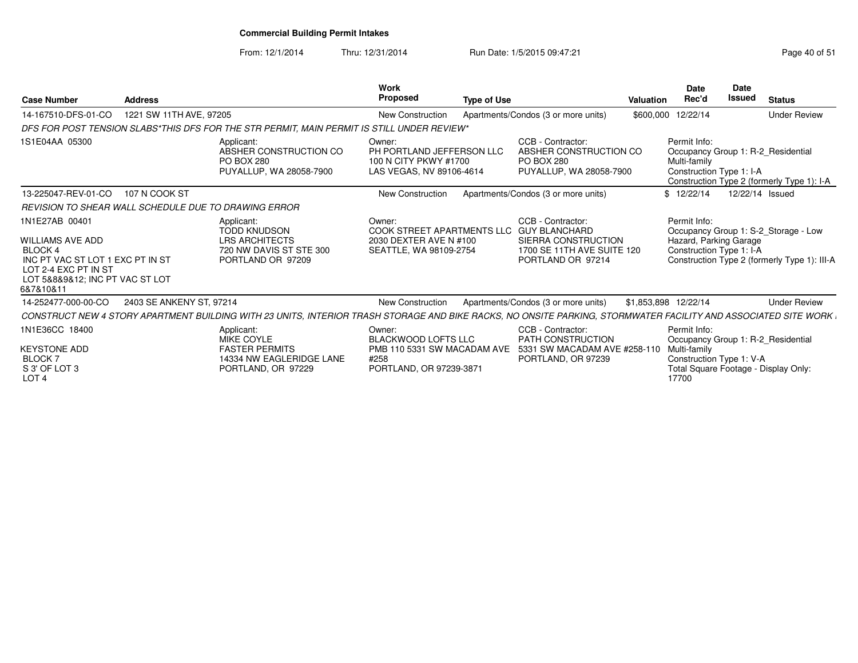From: 12/1/2014Thru: 12/31/2014 Run Date: 1/5/2015 09:47:21 Research 2010 12/31/2014 Page 40 of 51

| <b>Case Number</b>                                                                                                                                               | <b>Address</b>           |                                                                                                                                                                  | Work<br>Proposed                                                                                       | <b>Type of Use</b> |                                                                                                                     | <b>Valuation</b> | <b>Date</b><br>Rec'd                                               | Date<br><b>Issued</b> | <b>Status</b>                                                                        |
|------------------------------------------------------------------------------------------------------------------------------------------------------------------|--------------------------|------------------------------------------------------------------------------------------------------------------------------------------------------------------|--------------------------------------------------------------------------------------------------------|--------------------|---------------------------------------------------------------------------------------------------------------------|------------------|--------------------------------------------------------------------|-----------------------|--------------------------------------------------------------------------------------|
| 14-167510-DFS-01-CO                                                                                                                                              | 1221 SW 11TH AVE, 97205  |                                                                                                                                                                  | New Construction                                                                                       |                    | Apartments/Condos (3 or more units)                                                                                 |                  | \$600,000 12/22/14                                                 |                       | <b>Under Review</b>                                                                  |
|                                                                                                                                                                  |                          | DFS FOR POST TENSION SLABS*THIS DFS FOR THE STR PERMIT, MAIN PERMIT IS STILL UNDER REVIEW*                                                                       |                                                                                                        |                    |                                                                                                                     |                  |                                                                    |                       |                                                                                      |
| 1S1E04AA 05300                                                                                                                                                   |                          | Applicant:<br>ABSHER CONSTRUCTION CO<br><b>PO BOX 280</b><br>PUYALLUP, WA 28058-7900                                                                             | Owner:<br>PH PORTLAND JEFFERSON LLC<br>100 N CITY PKWY #1700<br>LAS VEGAS, NV 89106-4614               |                    | CCB - Contractor:<br>ABSHER CONSTRUCTION CO<br><b>PO BOX 280</b><br>PUYALLUP, WA 28058-7900                         |                  | Permit Info:<br>Multi-family<br>Construction Type 1: I-A           |                       | Occupancy Group 1: R-2 Residential<br>Construction Type 2 (formerly Type 1): I-A     |
| 13-225047-REV-01-CO                                                                                                                                              | 107 N COOK ST            |                                                                                                                                                                  | New Construction                                                                                       |                    | Apartments/Condos (3 or more units)                                                                                 |                  | \$12/22/14                                                         | 12/22/14 Issued       |                                                                                      |
| REVISION TO SHEAR WALL SCHEDULE DUE TO DRAWING ERROR                                                                                                             |                          |                                                                                                                                                                  |                                                                                                        |                    |                                                                                                                     |                  |                                                                    |                       |                                                                                      |
| 1N1E27AB 00401<br><b>WILLIAMS AVE ADD</b><br>BLOCK 4<br>INC PT VAC ST LOT 1 EXC PT IN ST<br>LOT 2-4 EXC PT IN ST<br>LOT 5&8&9&12; INC PT VAC ST LOT<br>6&7&10&11 |                          | Applicant:<br><b>TODD KNUDSON</b><br><b>LRS ARCHITECTS</b><br>720 NW DAVIS ST STE 300<br>PORTLAND OR 97209                                                       | Owner:<br>COOK STREET APARTMENTS LLC<br>2030 DEXTER AVE N #100<br>SEATTLE, WA 98109-2754               |                    | CCB - Contractor:<br><b>GUY BLANCHARD</b><br>SIERRA CONSTRUCTION<br>1700 SE 11TH AVE SUITE 120<br>PORTLAND OR 97214 |                  | Permit Info:<br>Hazard, Parking Garage<br>Construction Type 1: I-A |                       | Occupancy Group 1: S-2_Storage - Low<br>Construction Type 2 (formerly Type 1): III-A |
| 14-252477-000-00-CO                                                                                                                                              | 2403 SE ANKENY ST, 97214 |                                                                                                                                                                  | New Construction                                                                                       |                    | Apartments/Condos (3 or more units)                                                                                 |                  | \$1,853,898 12/22/14                                               |                       | <b>Under Review</b>                                                                  |
|                                                                                                                                                                  |                          | CONSTRUCT NEW 4 STORY APARTMENT BUILDING WITH 23 UNITS. INTERIOR TRASH STORAGE AND BIKE RACKS. NO ONSITE PARKING, STORMWATER FACILITY AND ASSOCIATED SITE WORK L |                                                                                                        |                    |                                                                                                                     |                  |                                                                    |                       |                                                                                      |
| 1N1E36CC 18400<br><b>KEYSTONE ADD</b><br>BLOCK 7<br>S 3' OF LOT 3<br>LOT 4                                                                                       |                          | Applicant:<br>MIKE COYLE<br><b>FASTER PERMITS</b><br>14334 NW EAGLERIDGE LANE<br>PORTLAND, OR 97229                                                              | Owner:<br><b>BLACKWOOD LOFTS LLC</b><br>PMB 110 5331 SW MACADAM AVE<br>#258<br>PORTLAND, OR 97239-3871 |                    | CCB - Contractor:<br>PATH CONSTRUCTION<br>5331 SW MACADAM AVE #258-110<br>PORTLAND, OR 97239                        |                  | Permit Info:<br>Multi-family<br>Construction Type 1: V-A<br>17700  |                       | Occupancy Group 1: R-2 Residential<br>Total Square Footage - Display Only:           |

S 3' OF LOT 3 LOT 4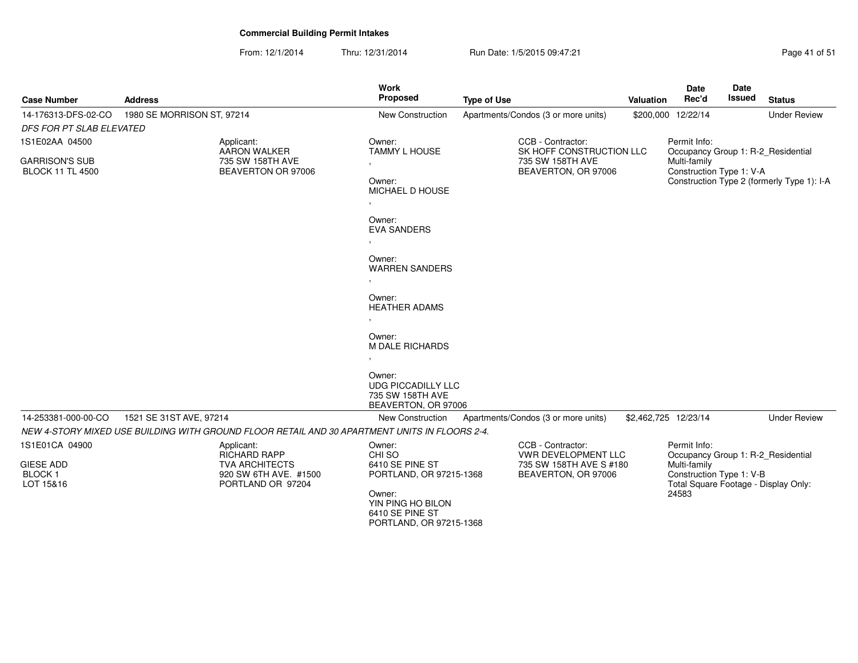From: 12/1/2014Thru: 12/31/2014 Run Date: 1/5/2015 09:47:21 Research 2010 12:31/2014 Page 41 of 51

| <b>Case Number</b>                               | <b>Address</b>             |                                                                                               | <b>Work</b><br>Proposed                                                                                                                                                                                                       | <b>Type of Use</b> |                                                                     | Valuation            | Date<br>Rec'd                                                                             | <b>Date</b><br><b>Issued</b> | <b>Status</b>                              |
|--------------------------------------------------|----------------------------|-----------------------------------------------------------------------------------------------|-------------------------------------------------------------------------------------------------------------------------------------------------------------------------------------------------------------------------------|--------------------|---------------------------------------------------------------------|----------------------|-------------------------------------------------------------------------------------------|------------------------------|--------------------------------------------|
| 14-176313-DFS-02-CO                              | 1980 SE MORRISON ST, 97214 |                                                                                               | <b>New Construction</b>                                                                                                                                                                                                       |                    | Apartments/Condos (3 or more units)                                 |                      | \$200,000 12/22/14                                                                        |                              | <b>Under Review</b>                        |
| <b>DFS FOR PT SLAB ELEVATED</b>                  |                            |                                                                                               |                                                                                                                                                                                                                               |                    |                                                                     |                      |                                                                                           |                              |                                            |
| 1S1E02AA 04500                                   |                            | Applicant:                                                                                    | Owner:                                                                                                                                                                                                                        |                    | CCB - Contractor:                                                   |                      | Permit Info:                                                                              |                              |                                            |
| <b>GARRISON'S SUB</b><br><b>BLOCK 11 TL 4500</b> |                            | <b>AARON WALKER</b><br>735 SW 158TH AVE<br>BEAVERTON OR 97006                                 | <b>TAMMY L HOUSE</b><br>$\sim$<br>Owner:<br>MICHAEL D HOUSE<br>$\cdot$<br>Owner:<br><b>EVA SANDERS</b><br>Owner:<br><b>WARREN SANDERS</b><br>Owner:<br><b>HEATHER ADAMS</b><br>$\sim$<br>Owner:<br>M DALE RICHARDS<br>$\cdot$ |                    | SK HOFF CONSTRUCTION LLC<br>735 SW 158TH AVE<br>BEAVERTON, OR 97006 |                      | Occupancy Group 1: R-2 Residential<br>Multi-family<br>Construction Type 1: V-A            |                              | Construction Type 2 (formerly Type 1): I-A |
|                                                  |                            |                                                                                               | Owner:<br><b>UDG PICCADILLY LLC</b><br>735 SW 158TH AVE<br>BEAVERTON, OR 97006                                                                                                                                                |                    |                                                                     |                      |                                                                                           |                              |                                            |
| 14-253381-000-00-CO                              | 1521 SE 31ST AVE, 97214    |                                                                                               | <b>New Construction</b>                                                                                                                                                                                                       |                    | Apartments/Condos (3 or more units)                                 | \$2,462,725 12/23/14 |                                                                                           |                              | <b>Under Review</b>                        |
|                                                  |                            | NEW 4-STORY MIXED USE BUILDING WITH GROUND FLOOR RETAIL AND 30 APARTMENT UNITS IN FLOORS 2-4. |                                                                                                                                                                                                                               |                    |                                                                     |                      |                                                                                           |                              |                                            |
| 1S1E01CA 04900                                   |                            | Applicant:<br><b>RICHARD RAPP</b>                                                             | Owner:<br>CHI SO                                                                                                                                                                                                              |                    | CCB - Contractor:<br><b>VWR DEVELOPMENT LLC</b>                     |                      | Permit Info:<br>Occupancy Group 1: R-2_Residential                                        |                              |                                            |
| <b>GIESE ADD</b><br><b>BLOCK1</b><br>LOT 15&16   |                            | <b>TVA ARCHITECTS</b><br>920 SW 6TH AVE. #1500<br>PORTLAND OR 97204                           | 6410 SE PINE ST<br>PORTLAND, OR 97215-1368<br>Owner:<br>YIN PING HO BILON<br>6410 SE PINE ST<br>PORTLAND, OR 97215-1368                                                                                                       |                    | 735 SW 158TH AVE S #180<br>BEAVERTON, OR 97006                      |                      | Multi-family<br>Construction Type 1: V-B<br>Total Square Footage - Display Only:<br>24583 |                              |                                            |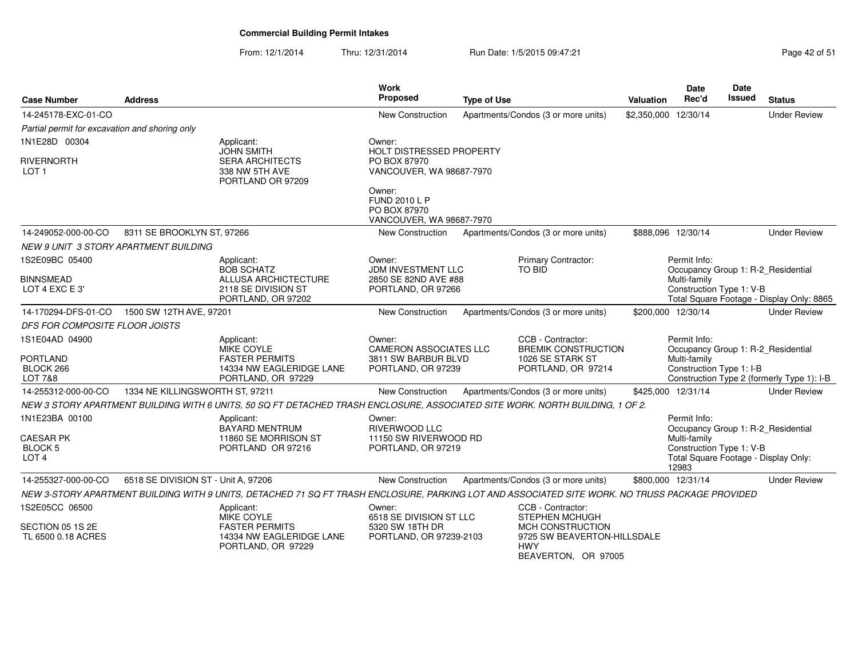From: 12/1/2014Thru: 12/31/2014 Run Date: 1/5/2015 09:47:21 Rege 42 of 51

| <b>Case Number</b>                                     | <b>Address</b>                      |                                                                                                                                                 | <b>Work</b><br>Proposed                                                     | <b>Type of Use</b> |                                                                      | Valuation            | Date<br>Rec'd                                                      | <b>Date</b><br><b>Issued</b> | <b>Status</b>                              |
|--------------------------------------------------------|-------------------------------------|-------------------------------------------------------------------------------------------------------------------------------------------------|-----------------------------------------------------------------------------|--------------------|----------------------------------------------------------------------|----------------------|--------------------------------------------------------------------|------------------------------|--------------------------------------------|
| 14-245178-EXC-01-CO                                    |                                     |                                                                                                                                                 | <b>New Construction</b>                                                     |                    | Apartments/Condos (3 or more units)                                  | \$2,350,000 12/30/14 |                                                                    |                              | <b>Under Review</b>                        |
| Partial permit for excavation and shoring only         |                                     |                                                                                                                                                 |                                                                             |                    |                                                                      |                      |                                                                    |                              |                                            |
| 1N1E28D 00304                                          |                                     | Applicant:                                                                                                                                      | Owner:                                                                      |                    |                                                                      |                      |                                                                    |                              |                                            |
| <b>RIVERNORTH</b><br>LOT 1                             |                                     | <b>JOHN SMITH</b><br><b>SERA ARCHITECTS</b><br>338 NW 5TH AVE<br>PORTLAND OR 97209                                                              | <b>HOLT DISTRESSED PROPERTY</b><br>PO BOX 87970<br>VANCOUVER, WA 98687-7970 |                    |                                                                      |                      |                                                                    |                              |                                            |
|                                                        |                                     |                                                                                                                                                 | Owner:<br><b>FUND 2010 L P</b><br>PO BOX 87970<br>VANCOUVER, WA 98687-7970  |                    |                                                                      |                      |                                                                    |                              |                                            |
| 14-249052-000-00-CO                                    | 8311 SE BROOKLYN ST, 97266          |                                                                                                                                                 | <b>New Construction</b>                                                     |                    | Apartments/Condos (3 or more units)                                  | \$888,096 12/30/14   |                                                                    |                              | <b>Under Review</b>                        |
| NEW 9 UNIT 3 STORY APARTMENT BUILDING                  |                                     |                                                                                                                                                 |                                                                             |                    |                                                                      |                      |                                                                    |                              |                                            |
| 1S2E09BC 05400                                         |                                     | Applicant:<br><b>BOB SCHATZ</b>                                                                                                                 | Owner:<br><b>JDM INVESTMENT LLC</b>                                         |                    | Primary Contractor:<br>TO BID                                        |                      | Permit Info:<br>Occupancy Group 1: R-2_Residential                 |                              |                                            |
| <b>BINNSMEAD</b><br>LOT 4 EXC E 3'                     |                                     | ALLUSA ARCHICTECTURE<br>2118 SE DIVISION ST<br>PORTLAND, OR 97202                                                                               | 2850 SE 82ND AVE #88<br>PORTLAND, OR 97266                                  |                    |                                                                      |                      | Multi-family<br>Construction Type 1: V-B                           |                              | Total Square Footage - Display Only: 8865  |
| 14-170294-DFS-01-CO  1500 SW 12TH AVE, 97201           |                                     |                                                                                                                                                 | New Construction                                                            |                    | Apartments/Condos (3 or more units)                                  |                      | \$200,000 12/30/14                                                 |                              | <b>Under Review</b>                        |
| DFS FOR COMPOSITE FLOOR JOISTS                         |                                     |                                                                                                                                                 |                                                                             |                    |                                                                      |                      |                                                                    |                              |                                            |
| 1S1E04AD 04900<br><b>PORTLAND</b>                      |                                     | Applicant:<br>MIKE COYLE<br><b>FASTER PERMITS</b>                                                                                               | Owner:<br><b>CAMERON ASSOCIATES LLC</b><br>3811 SW BARBUR BLVD              |                    | CCB - Contractor:<br><b>BREMIK CONSTRUCTION</b><br>1026 SE STARK ST  |                      | Permit Info:<br>Occupancy Group 1: R-2_Residential<br>Multi-family |                              |                                            |
| BLOCK 266<br>LOT 7&8                                   |                                     | 14334 NW EAGLERIDGE LANE<br>PORTLAND, OR 97229                                                                                                  | PORTLAND, OR 97239                                                          |                    | PORTLAND, OR 97214                                                   |                      | Construction Type 1: I-B                                           |                              | Construction Type 2 (formerly Type 1): I-B |
| 14-255312-000-00-CO                                    | 1334 NE KILLINGSWORTH ST, 97211     |                                                                                                                                                 | New Construction                                                            |                    | Apartments/Condos (3 or more units)                                  |                      | \$425,000 12/31/14                                                 |                              | <b>Under Review</b>                        |
|                                                        |                                     | NEW 3 STORY APARTMENT BUILDING WITH 6 UNITS, 50 SQ FT DETACHED TRASH ENCLOSURE, ASSOCIATED SITE WORK. NORTH BUILDING, 1 OF 2.                   |                                                                             |                    |                                                                      |                      |                                                                    |                              |                                            |
| 1N1E23BA 00100                                         |                                     | Applicant:<br><b>BAYARD MENTRUM</b>                                                                                                             | Owner:<br>RIVERWOOD LLC                                                     |                    |                                                                      |                      | Permit Info:<br>Occupancy Group 1: R-2_Residential                 |                              |                                            |
| <b>CAESAR PK</b><br><b>BLOCK 5</b><br>LOT <sub>4</sub> |                                     | 11860 SE MORRISON ST<br>PORTLAND OR 97216                                                                                                       | 11150 SW RIVERWOOD RD<br>PORTLAND, OR 97219                                 |                    |                                                                      |                      | Multi-family<br>Construction Type 1: V-B<br>12983                  |                              | Total Square Footage - Display Only:       |
| 14-255327-000-00-CO                                    | 6518 SE DIVISION ST - Unit A, 97206 |                                                                                                                                                 | <b>New Construction</b>                                                     |                    | Apartments/Condos (3 or more units)                                  |                      | \$800.000 12/31/14                                                 |                              | <b>Under Review</b>                        |
|                                                        |                                     | NEW 3-STORY APARTMENT BUILDING WITH 9 UNITS, DETACHED 71 SQ FT TRASH ENCLOSURE, PARKING LOT AND ASSOCIATED SITE WORK. NO TRUSS PACKAGE PROVIDED |                                                                             |                    |                                                                      |                      |                                                                    |                              |                                            |
| 1S2E05CC 06500                                         |                                     | Applicant:<br>MIKE COYLE                                                                                                                        | Owner:<br>6518 SE DIVISION ST LLC                                           |                    | CCB - Contractor:<br><b>STEPHEN MCHUGH</b>                           |                      |                                                                    |                              |                                            |
| SECTION 05 1S 2E<br>TL 6500 0.18 ACRES                 |                                     | <b>FASTER PERMITS</b><br>14334 NW EAGLERIDGE LANE<br>PORTLAND, OR 97229                                                                         | 5320 SW 18TH DR<br>PORTLAND, OR 97239-2103                                  |                    | <b>MCH CONSTRUCTION</b><br>9725 SW BEAVERTON-HILLSDALE<br><b>HWY</b> |                      |                                                                    |                              |                                            |

HWY BEAVERTON, OR 97005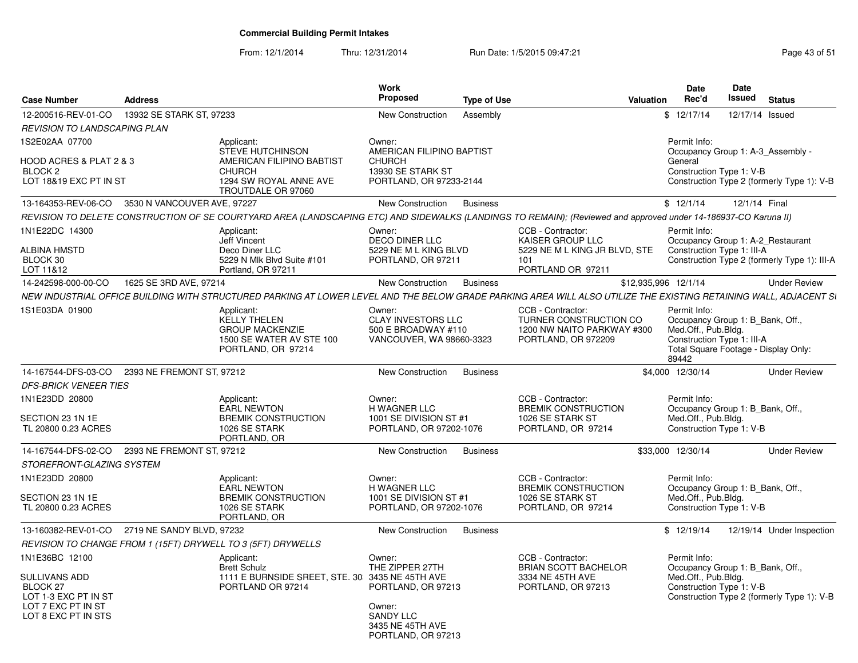| <b>Case Number</b>                                                | <b>Address</b>              |                                                                                                                                                                   | Work<br><b>Proposed</b>                                                      | <b>Type of Use</b> | Valuation                                                                   | Date<br>Rec'd                | Date<br>Issued                                                                                         | <b>Status</b>                                |
|-------------------------------------------------------------------|-----------------------------|-------------------------------------------------------------------------------------------------------------------------------------------------------------------|------------------------------------------------------------------------------|--------------------|-----------------------------------------------------------------------------|------------------------------|--------------------------------------------------------------------------------------------------------|----------------------------------------------|
| 12-200516-REV-01-CO                                               | 13932 SE STARK ST. 97233    |                                                                                                                                                                   | New Construction                                                             | Assembly           |                                                                             | \$12/17/14                   | 12/17/14 Issued                                                                                        |                                              |
| REVISION TO LANDSCAPING PLAN                                      |                             |                                                                                                                                                                   |                                                                              |                    |                                                                             |                              |                                                                                                        |                                              |
| 1S2E02AA 07700                                                    |                             | Applicant:<br><b>STEVE HUTCHINSON</b>                                                                                                                             | Owner:<br>AMERICAN FILIPINO BAPTIST                                          |                    |                                                                             | Permit Info:                 | Occupancy Group 1: A-3 Assembly -                                                                      |                                              |
| HOOD ACRES & PLAT 2 & 3<br>BLOCK 2                                |                             | AMERICAN FILIPINO BABTIST<br><b>CHURCH</b>                                                                                                                        | <b>CHURCH</b><br>13930 SE STARK ST                                           |                    |                                                                             | General                      | Construction Type 1: V-B                                                                               |                                              |
| LOT 18&19 EXC PT IN ST                                            |                             | 1294 SW ROYAL ANNE AVE<br>TROUTDALE OR 97060                                                                                                                      | PORTLAND, OR 97233-2144                                                      |                    |                                                                             |                              |                                                                                                        | Construction Type 2 (formerly Type 1): V-B   |
| 13-164353-REV-06-CO                                               | 3530 N VANCOUVER AVE, 97227 |                                                                                                                                                                   | New Construction                                                             | <b>Business</b>    |                                                                             | \$12/1/14                    | 12/1/14 Final                                                                                          |                                              |
|                                                                   |                             | REVISION TO DELETE CONSTRUCTION OF SE COURTYARD AREA (LANDSCAPING ETC) AND SIDEWALKS (LANDINGS TO REMAIN); (Reviewed and approved under 14-186937-CO Karuna II)   |                                                                              |                    |                                                                             |                              |                                                                                                        |                                              |
| 1N1E22DC 14300                                                    |                             | Applicant:<br>Jeff Vincent                                                                                                                                        | Owner:<br><b>DECO DINER LLC</b>                                              |                    | CCB - Contractor:<br>KAISER GROUP LLC                                       | Permit Info:                 | Occupancy Group 1: A-2 Restaurant                                                                      |                                              |
| <b>ALBINA HMSTD</b><br>BLOCK 30<br>LOT 11&12                      |                             | Deco Diner LLC<br>5229 N Mlk Blvd Suite #101<br>Portland, OR 97211                                                                                                | 5229 NE M L KING BLVD<br>PORTLAND, OR 97211                                  | 101                | 5229 NE M L KING JR BLVD. STE<br>PORTLAND OR 97211                          |                              | Construction Type 1: III-A                                                                             | Construction Type 2 (formerly Type 1): III-A |
| 14-242598-000-00-CO                                               | 1625 SE 3RD AVE, 97214      |                                                                                                                                                                   | New Construction                                                             | <b>Business</b>    |                                                                             | \$12,935,996 12/1/14         |                                                                                                        | <b>Under Review</b>                          |
|                                                                   |                             | NEW INDUSTRIAL OFFICE BUILDING WITH STRUCTURED PARKING AT LOWER LEVEL AND THE BELOW GRADE PARKING AREA WILL ALSO UTILIZE THE EXISTING RETAINING WALL, ADJACENT SI |                                                                              |                    |                                                                             |                              |                                                                                                        |                                              |
| 1S1E03DA 01900                                                    |                             | Applicant:                                                                                                                                                        | Owner:                                                                       |                    | CCB - Contractor:                                                           | Permit Info:                 |                                                                                                        |                                              |
|                                                                   |                             | <b>KELLY THELEN</b><br><b>GROUP MACKENZIE</b><br>1500 SE WATER AV STE 100<br>PORTLAND, OR 97214                                                                   | <b>CLAY INVESTORS LLC</b><br>500 E BROADWAY #110<br>VANCOUVER, WA 98660-3323 |                    | TURNER CONSTRUCTION CO<br>1200 NW NAITO PARKWAY #300<br>PORTLAND, OR 972209 | Med.Off., Pub.Bldg.<br>89442 | Occupancy Group 1: B Bank, Off.,<br>Construction Type 1: III-A<br>Total Square Footage - Display Only: |                                              |
| 14-167544-DFS-03-CO                                               | 2393 NE FREMONT ST, 97212   |                                                                                                                                                                   | New Construction                                                             | <b>Business</b>    |                                                                             | \$4,000 12/30/14             |                                                                                                        | <b>Under Review</b>                          |
| <b>DFS-BRICK VENEER TIES</b>                                      |                             |                                                                                                                                                                   |                                                                              |                    |                                                                             |                              |                                                                                                        |                                              |
| 1N1E23DD 20800                                                    |                             | Applicant:<br><b>EARL NEWTON</b>                                                                                                                                  | Owner:<br>H WAGNER LLC                                                       |                    | CCB - Contractor:<br><b>BREMIK CONSTRUCTION</b>                             | Permit Info:                 | Occupancy Group 1: B_Bank, Off.,                                                                       |                                              |
| SECTION 23 1N 1E<br>TL 20800 0.23 ACRES                           |                             | <b>BREMIK CONSTRUCTION</b><br>1026 SE STARK<br>PORTLAND, OR                                                                                                       | 1001 SE DIVISION ST #1<br>PORTLAND, OR 97202-1076                            |                    | 1026 SE STARK ST<br>PORTLAND, OR 97214                                      | Med.Off., Pub.Bldg.          | Construction Type 1: V-B                                                                               |                                              |
| 14-167544-DFS-02-CO                                               | 2393 NE FREMONT ST. 97212   |                                                                                                                                                                   | New Construction                                                             | <b>Business</b>    |                                                                             | \$33,000 12/30/14            |                                                                                                        | <b>Under Review</b>                          |
| <b>STOREFRONT-GLAZING SYSTEM</b>                                  |                             |                                                                                                                                                                   |                                                                              |                    |                                                                             |                              |                                                                                                        |                                              |
| 1N1E23DD 20800                                                    |                             | Applicant:<br><b>EARL NEWTON</b>                                                                                                                                  | Owner:<br>H WAGNER LLC                                                       |                    | CCB - Contractor:<br><b>BREMIK CONSTRUCTION</b>                             | Permit Info:                 | Occupancy Group 1: B_Bank, Off.,                                                                       |                                              |
| SECTION 23 1N 1E<br>TL 20800 0.23 ACRES                           |                             | <b>BREMIK CONSTRUCTION</b><br>1026 SE STARK<br>PORTLAND, OR                                                                                                       | 1001 SE DIVISION ST #1<br>PORTLAND, OR 97202-1076                            |                    | 1026 SE STARK ST<br>PORTLAND, OR 97214                                      | Med.Off., Pub.Bldg.          | Construction Type 1: V-B                                                                               |                                              |
| 13-160382-REV-01-CO                                               | 2719 NE SANDY BLVD, 97232   |                                                                                                                                                                   | New Construction                                                             | <b>Business</b>    |                                                                             | \$12/19/14                   |                                                                                                        | 12/19/14 Under Inspection                    |
|                                                                   |                             | REVISION TO CHANGE FROM 1 (15FT) DRYWELL TO 3 (5FT) DRYWELLS                                                                                                      |                                                                              |                    |                                                                             |                              |                                                                                                        |                                              |
| 1N1E36BC 12100                                                    |                             | Applicant:<br><b>Brett Schulz</b>                                                                                                                                 | Owner:<br>THE ZIPPER 27TH                                                    |                    | CCB - Contractor:<br><b>BRIAN SCOTT BACHELOR</b>                            | Permit Info:                 | Occupancy Group 1: B_Bank, Off.,                                                                       |                                              |
| SULLIVANS ADD<br>BLOCK 27                                         |                             | 1111 E BURNSIDE SREET, STE. 30: 3435 NE 45TH AVE<br>PORTLAND OR 97214                                                                                             | PORTLAND, OR 97213                                                           |                    | 3334 NE 45TH AVE<br>PORTLAND, OR 97213                                      | Med.Off., Pub.Bldg.          | Construction Type 1: V-B                                                                               |                                              |
| LOT 1-3 EXC PT IN ST<br>LOT 7 EXC PT IN ST<br>LOT 8 EXC PT IN STS |                             |                                                                                                                                                                   | Owner:<br><b>SANDY LLC</b><br>3435 NE 45TH AVE                               |                    |                                                                             |                              |                                                                                                        | Construction Type 2 (formerly Type 1): V-B   |
|                                                                   |                             |                                                                                                                                                                   | PORTLAND, OR 97213                                                           |                    |                                                                             |                              |                                                                                                        |                                              |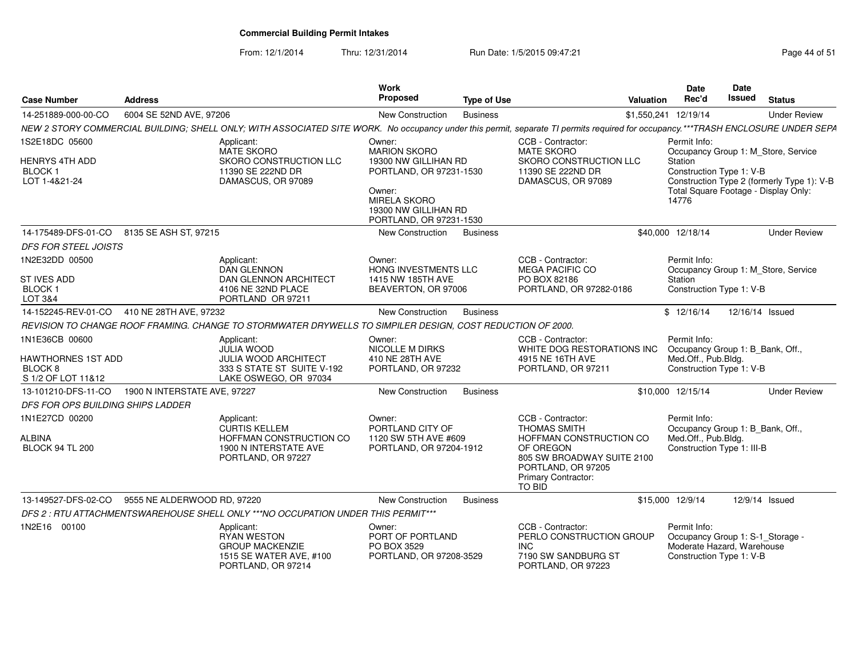From: 12/1/2014

Thru: 12/31/2014 Run Date: 1/5/2015 09:47:21

| Page 44 of 51 |  |  |
|---------------|--|--|
|---------------|--|--|

| <b>Case Number</b>                                             | <b>Address</b>                                                                                                                                                                   | Work<br><b>Proposed</b>                                                                                                             | <b>Type of Use</b> |                                                                                                                           | <b>Valuation</b> | <b>Date</b><br>Rec'd                                                                                       | Date<br>Issued  | <b>Status</b>                                                                      |
|----------------------------------------------------------------|----------------------------------------------------------------------------------------------------------------------------------------------------------------------------------|-------------------------------------------------------------------------------------------------------------------------------------|--------------------|---------------------------------------------------------------------------------------------------------------------------|------------------|------------------------------------------------------------------------------------------------------------|-----------------|------------------------------------------------------------------------------------|
| 14-251889-000-00-CO                                            | 6004 SE 52ND AVE, 97206                                                                                                                                                          | <b>New Construction</b>                                                                                                             | <b>Business</b>    |                                                                                                                           |                  | \$1,550,241 12/19/14                                                                                       |                 | <b>Under Review</b>                                                                |
|                                                                | NEW 2 STORY COMMERCIAL BUILDING; SHELL ONLY; WITH ASSOCIATED SITE WORK. No occupancy under this permit, separate TI permits required for occupancy.***TRASH ENCLOSURE UNDER SEPA |                                                                                                                                     |                    |                                                                                                                           |                  |                                                                                                            |                 |                                                                                    |
| 1S2E18DC 05600                                                 | Applicant:<br><b>MATE SKORO</b>                                                                                                                                                  | Owner:<br><b>MARION SKORO</b>                                                                                                       |                    | CCB - Contractor:<br><b>MATE SKORO</b>                                                                                    |                  | Permit Info:                                                                                               |                 | Occupancy Group 1: M_Store, Service                                                |
| <b>HENRYS 4TH ADD</b><br><b>BLOCK1</b><br>LOT 1-4&21-24        | <b>SKORO CONSTRUCTION LLC</b><br>11390 SE 222ND DR<br>DAMASCUS, OR 97089                                                                                                         | 19300 NW GILLIHAN RD<br>PORTLAND, OR 97231-1530<br>Owner:<br><b>MIRELA SKORO</b><br>19300 NW GILLIHAN RD<br>PORTLAND, OR 97231-1530 |                    | SKORO CONSTRUCTION LLC<br>11390 SE 222ND DR<br>DAMASCUS, OR 97089                                                         |                  | Station<br>Construction Type 1: V-B<br>14776                                                               |                 | Construction Type 2 (formerly Type 1): V-B<br>Total Square Footage - Display Only: |
|                                                                | 14-175489-DFS-01-CO 8135 SE ASH ST, 97215                                                                                                                                        | <b>New Construction</b>                                                                                                             | <b>Business</b>    |                                                                                                                           |                  | \$40,000 12/18/14                                                                                          |                 | <b>Under Review</b>                                                                |
| <b>DFS FOR STEEL JOISTS</b>                                    |                                                                                                                                                                                  |                                                                                                                                     |                    |                                                                                                                           |                  |                                                                                                            |                 |                                                                                    |
| 1N2E32DD 00500                                                 | Applicant:<br><b>DAN GLENNON</b>                                                                                                                                                 | Owner:<br>HONG INVESTMENTS LLC                                                                                                      |                    | CCB - Contractor:<br><b>MEGA PACIFIC CO</b>                                                                               |                  | Permit Info:                                                                                               |                 | Occupancy Group 1: M Store, Service                                                |
| ST IVES ADD                                                    | DAN GLENNON ARCHITECT                                                                                                                                                            | 1415 NW 185TH AVE                                                                                                                   |                    | PO BOX 82186                                                                                                              |                  | Station                                                                                                    |                 |                                                                                    |
| <b>BLOCK1</b><br>LOT 3&4                                       | 4106 NE 32ND PLACE<br>PORTLAND OR 97211                                                                                                                                          | BEAVERTON, OR 97006                                                                                                                 |                    | PORTLAND, OR 97282-0186                                                                                                   |                  | Construction Type 1: V-B                                                                                   |                 |                                                                                    |
|                                                                | 14-152245-REV-01-CO 410 NE 28TH AVE, 97232                                                                                                                                       | New Construction                                                                                                                    | <b>Business</b>    |                                                                                                                           |                  | \$12/16/14                                                                                                 | 12/16/14 Issued |                                                                                    |
|                                                                | REVISION TO CHANGE ROOF FRAMING. CHANGE TO STORMWATER DRYWELLS TO SIMPILER DESIGN, COST REDUCTION OF 2000.                                                                       |                                                                                                                                     |                    |                                                                                                                           |                  |                                                                                                            |                 |                                                                                    |
| 1N1E36CB 00600                                                 | Applicant:<br><b>JULIA WOOD</b>                                                                                                                                                  | Owner:<br><b>NICOLLE M DIRKS</b>                                                                                                    |                    | CCB - Contractor:<br>WHITE DOG RESTORATIONS INC                                                                           |                  | Permit Info:<br>Occupancy Group 1: B_Bank, Off.,                                                           |                 |                                                                                    |
| HAWTHORNES 1ST ADD<br>BLOCK <sub>8</sub><br>S 1/2 OF LOT 11&12 | <b>JULIA WOOD ARCHITECT</b><br>333 S STATE ST SUITE V-192<br>LAKE OSWEGO, OR 97034                                                                                               | 410 NE 28TH AVE<br>PORTLAND, OR 97232                                                                                               |                    | 4915 NE 16TH AVE<br>PORTLAND, OR 97211                                                                                    |                  | Med.Off., Pub.Bldg.<br>Construction Type 1: V-B                                                            |                 |                                                                                    |
| 13-101210-DFS-11-CO                                            | 1900 N INTERSTATE AVE, 97227                                                                                                                                                     | New Construction                                                                                                                    | <b>Business</b>    |                                                                                                                           |                  | \$10,000 12/15/14                                                                                          |                 | <b>Under Review</b>                                                                |
| DFS FOR OPS BUILDING SHIPS LADDER                              |                                                                                                                                                                                  |                                                                                                                                     |                    |                                                                                                                           |                  |                                                                                                            |                 |                                                                                    |
| 1N1E27CD 00200                                                 | Applicant:<br><b>CURTIS KELLEM</b>                                                                                                                                               | Owner:<br>PORTLAND CITY OF                                                                                                          |                    | CCB - Contractor:<br><b>THOMAS SMITH</b>                                                                                  |                  | Permit Info:<br>Occupancy Group 1: B_Bank, Off.,                                                           |                 |                                                                                    |
| <b>ALBINA</b><br><b>BLOCK 94 TL 200</b>                        | HOFFMAN CONSTRUCTION CO<br>1900 N INTERSTATE AVE<br>PORTLAND, OR 97227                                                                                                           | 1120 SW 5TH AVE #609<br>PORTLAND, OR 97204-1912                                                                                     |                    | HOFFMAN CONSTRUCTION CO<br>OF OREGON<br>805 SW BROADWAY SUITE 2100<br>PORTLAND, OR 97205<br>Primary Contractor:<br>TO BID |                  | Med.Off., Pub.Bldg.<br>Construction Type 1: III-B                                                          |                 |                                                                                    |
| 13-149527-DFS-02-CO                                            | 9555 NE ALDERWOOD RD, 97220                                                                                                                                                      | <b>New Construction</b>                                                                                                             | <b>Business</b>    |                                                                                                                           |                  | \$15,000 12/9/14                                                                                           |                 | 12/9/14 Issued                                                                     |
|                                                                | DFS 2: RTU ATTACHMENTSWAREHOUSE SHELL ONLY ***NO OCCUPATION UNDER THIS PERMIT***                                                                                                 |                                                                                                                                     |                    |                                                                                                                           |                  |                                                                                                            |                 |                                                                                    |
| 1N2E16 00100                                                   | Applicant:<br>RYAN WESTON<br><b>GROUP MACKENZIE</b><br>1515 SE WATER AVE, #100<br>PORTLAND, OR 97214                                                                             | Owner:<br>PORT OF PORTLAND<br>PO BOX 3529<br>PORTLAND, OR 97208-3529                                                                |                    | CCB - Contractor:<br>PERLO CONSTRUCTION GROUP<br><b>INC</b><br>7190 SW SANDBURG ST<br>PORTLAND, OR 97223                  |                  | Permit Info:<br>Occupancy Group 1: S-1_Storage -<br>Moderate Hazard, Warehouse<br>Construction Type 1: V-B |                 |                                                                                    |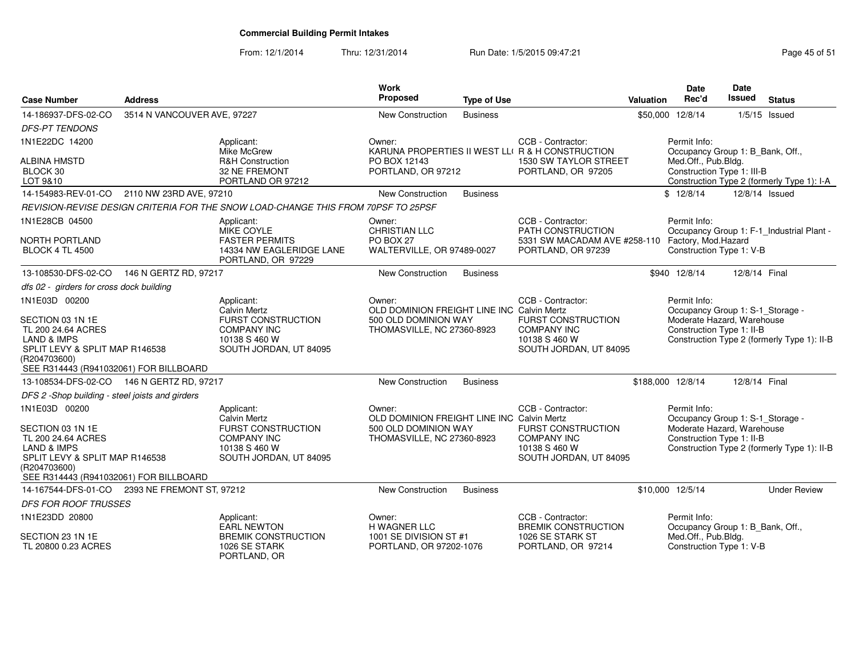| <b>Case Number</b>                                                                                                                                                 | <b>Address</b>              |                                                                                                                                 | <b>Work</b><br>Proposed                                                                                    | <b>Type of Use</b> |                                                                                                                 | <b>Valuation</b> | Date<br>Rec'd                                                                                               | Date<br><b>Issued</b> | <b>Status</b>                               |
|--------------------------------------------------------------------------------------------------------------------------------------------------------------------|-----------------------------|---------------------------------------------------------------------------------------------------------------------------------|------------------------------------------------------------------------------------------------------------|--------------------|-----------------------------------------------------------------------------------------------------------------|------------------|-------------------------------------------------------------------------------------------------------------|-----------------------|---------------------------------------------|
| 14-186937-DFS-02-CO                                                                                                                                                | 3514 N VANCOUVER AVE, 97227 |                                                                                                                                 | New Construction                                                                                           | <b>Business</b>    |                                                                                                                 |                  | \$50,000 12/8/14                                                                                            |                       | $1/5/15$ Issued                             |
| <b>DFS-PT TENDONS</b>                                                                                                                                              |                             |                                                                                                                                 |                                                                                                            |                    |                                                                                                                 |                  |                                                                                                             |                       |                                             |
| 1N1E22DC 14200                                                                                                                                                     |                             | Applicant:<br>Mike McGrew                                                                                                       | Owner:                                                                                                     |                    | CCB - Contractor:<br>KARUNA PROPERTIES II WEST LLI R & H CONSTRUCTION                                           |                  | Permit Info:<br>Occupancy Group 1: B_Bank, Off.,                                                            |                       |                                             |
| <b>ALBINA HMSTD</b><br>BLOCK 30<br>LOT 9&10                                                                                                                        |                             | <b>R&amp;H Construction</b><br>32 NE FREMONT<br>PORTLAND OR 97212                                                               | PO BOX 12143<br>PORTLAND, OR 97212                                                                         |                    | 1530 SW TAYLOR STREET<br>PORTLAND, OR 97205                                                                     |                  | Med.Off., Pub.Bldg.<br>Construction Type 1: III-B                                                           |                       | Construction Type 2 (formerly Type 1): I-A  |
| 14-154983-REV-01-CO 2110 NW 23RD AVE, 97210                                                                                                                        |                             |                                                                                                                                 | New Construction                                                                                           | <b>Business</b>    |                                                                                                                 |                  | \$12/8/14                                                                                                   | 12/8/14 Issued        |                                             |
|                                                                                                                                                                    |                             | REVISION-REVISE DESIGN CRITERIA FOR THE SNOW LOAD-CHANGE THIS FROM 70PSF TO 25PSF                                               |                                                                                                            |                    |                                                                                                                 |                  |                                                                                                             |                       |                                             |
| 1N1E28CB 04500                                                                                                                                                     |                             | Applicant:<br>MIKE COYLE                                                                                                        | Owner:<br><b>CHRISTIAN LLC</b>                                                                             |                    | CCB - Contractor:<br><b>PATH CONSTRUCTION</b>                                                                   |                  | Permit Info:                                                                                                |                       | Occupancy Group 1: F-1_Industrial Plant -   |
| <b>NORTH PORTLAND</b><br><b>BLOCK 4 TL 4500</b>                                                                                                                    |                             | <b>FASTER PERMITS</b><br>14334 NW EAGLERIDGE LANE<br>PORTLAND, OR 97229                                                         | <b>PO BOX 27</b><br>WALTERVILLE, OR 97489-0027                                                             |                    | 5331 SW MACADAM AVE #258-110<br>PORTLAND, OR 97239                                                              |                  | Factory, Mod.Hazard<br>Construction Type 1: V-B                                                             |                       |                                             |
| 13-108530-DFS-02-CO                                                                                                                                                | 146 N GERTZ RD, 97217       |                                                                                                                                 | New Construction                                                                                           | <b>Business</b>    |                                                                                                                 |                  | \$940 12/8/14                                                                                               | 12/8/14 Final         |                                             |
| dfs 02 - girders for cross dock building                                                                                                                           |                             |                                                                                                                                 |                                                                                                            |                    |                                                                                                                 |                  |                                                                                                             |                       |                                             |
| 1N1E03D 00200<br>SECTION 03 1N 1E<br>TL 200 24.64 ACRES<br>LAND & IMPS<br>SPLIT LEVY & SPLIT MAP R146538<br>(R204703600)<br>SEE R314443 (R941032061) FOR BILLBOARD |                             | Applicant:<br><b>Calvin Mertz</b><br><b>FURST CONSTRUCTION</b><br><b>COMPANY INC</b><br>10138 S 460 W<br>SOUTH JORDAN, UT 84095 | Owner:<br>OLD DOMINION FREIGHT LINE INC Calvin Mertz<br>500 OLD DOMINION WAY<br>THOMASVILLE, NC 27360-8923 |                    | CCB - Contractor:<br><b>FURST CONSTRUCTION</b><br><b>COMPANY INC</b><br>10138 S 460 W<br>SOUTH JORDAN, UT 84095 |                  | Permit Info:<br>Occupancy Group 1: S-1_Storage -<br>Moderate Hazard, Warehouse<br>Construction Type 1: II-B |                       | Construction Type 2 (formerly Type 1): II-B |
| 13-108534-DFS-02-CO 146 N GERTZ RD, 97217                                                                                                                          |                             |                                                                                                                                 | New Construction                                                                                           | <b>Business</b>    |                                                                                                                 |                  | \$188,000 12/8/14                                                                                           | 12/8/14 Final         |                                             |
| DFS 2 -Shop building - steel joists and girders                                                                                                                    |                             |                                                                                                                                 |                                                                                                            |                    |                                                                                                                 |                  |                                                                                                             |                       |                                             |
| 1N1E03D 00200<br>SECTION 03 1N 1E<br>TL 200 24.64 ACRES<br>LAND & IMPS<br>SPLIT LEVY & SPLIT MAP R146538<br>(R204703600)<br>SEE R314443 (R941032061) FOR BILLBOARD |                             | Applicant:<br>Calvin Mertz<br><b>FURST CONSTRUCTION</b><br><b>COMPANY INC</b><br>10138 S 460 W<br>SOUTH JORDAN, UT 84095        | Owner:<br>OLD DOMINION FREIGHT LINE INC Calvin Mertz<br>500 OLD DOMINION WAY<br>THOMASVILLE, NC 27360-8923 |                    | CCB - Contractor:<br><b>FURST CONSTRUCTION</b><br><b>COMPANY INC</b><br>10138 S 460 W<br>SOUTH JORDAN, UT 84095 |                  | Permit Info:<br>Occupancy Group 1: S-1_Storage -<br>Moderate Hazard, Warehouse<br>Construction Type 1: II-B |                       | Construction Type 2 (formerly Type 1): II-B |
| 14-167544-DFS-01-CO                                                                                                                                                | 2393 NE FREMONT ST, 97212   |                                                                                                                                 | <b>New Construction</b>                                                                                    | <b>Business</b>    |                                                                                                                 |                  | \$10,000 12/5/14                                                                                            |                       | <b>Under Review</b>                         |
| <b>DFS FOR ROOF TRUSSES</b>                                                                                                                                        |                             |                                                                                                                                 |                                                                                                            |                    |                                                                                                                 |                  |                                                                                                             |                       |                                             |
| 1N1E23DD 20800                                                                                                                                                     |                             | Applicant:<br><b>EARL NEWTON</b>                                                                                                | Owner:<br>H WAGNER LLC                                                                                     |                    | CCB - Contractor:<br><b>BREMIK CONSTRUCTION</b>                                                                 |                  | Permit Info:<br>Occupancy Group 1: B_Bank, Off.,                                                            |                       |                                             |
| SECTION 23 1N 1E<br>TL 20800 0.23 ACRES                                                                                                                            |                             | <b>BREMIK CONSTRUCTION</b><br>1026 SE STARK<br>PORTLAND, OR                                                                     | 1001 SE DIVISION ST #1<br>PORTLAND, OR 97202-1076                                                          |                    | 1026 SE STARK ST<br>PORTLAND, OR 97214                                                                          |                  | Med.Off., Pub.Bldg.<br>Construction Type 1: V-B                                                             |                       |                                             |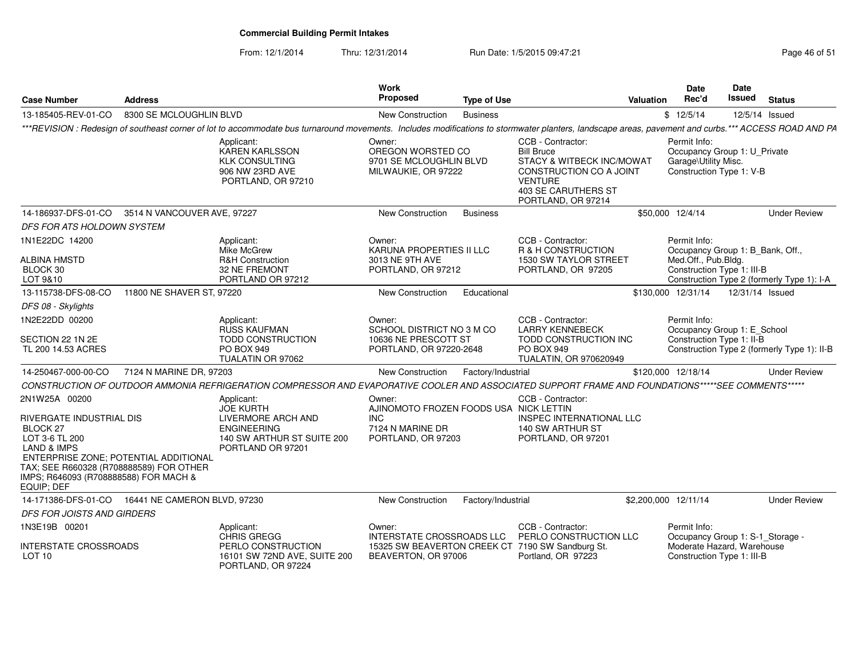From: 12/1/2014

| <b>Case Number</b>                                                                                                                                                                                                                       | <b>Address</b>               |                                                                                                                                                                                                      | Work<br>Proposed                                                                                   | <b>Type of Use</b> |                                                                                                                                                               | Valuation | <b>Date</b><br>Rec'd                                                                                         | <b>Date</b><br>Issued | <b>Status</b>                               |
|------------------------------------------------------------------------------------------------------------------------------------------------------------------------------------------------------------------------------------------|------------------------------|------------------------------------------------------------------------------------------------------------------------------------------------------------------------------------------------------|----------------------------------------------------------------------------------------------------|--------------------|---------------------------------------------------------------------------------------------------------------------------------------------------------------|-----------|--------------------------------------------------------------------------------------------------------------|-----------------------|---------------------------------------------|
| 13-185405-REV-01-CO                                                                                                                                                                                                                      | 8300 SE MCLOUGHLIN BLVD      |                                                                                                                                                                                                      | New Construction                                                                                   | <b>Business</b>    |                                                                                                                                                               |           | \$12/5/14                                                                                                    |                       | 12/5/14 Issued                              |
|                                                                                                                                                                                                                                          |                              | ***REVISION : Redesign of southeast corner of lot to accommodate bus turnaround movements. Includes modifications to stormwater planters, landscape areas, pavement and curbs.*** ACCESS ROAD AND PA |                                                                                                    |                    |                                                                                                                                                               |           |                                                                                                              |                       |                                             |
|                                                                                                                                                                                                                                          |                              | Applicant:<br>KAREN KARLSSON<br><b>KLK CONSULTING</b><br>906 NW 23RD AVE<br>PORTLAND, OR 97210                                                                                                       | Owner:<br>OREGON WORSTED CO<br>9701 SE MCLOUGHLIN BLVD<br>MILWAUKIE, OR 97222                      |                    | CCB - Contractor:<br><b>Bill Bruce</b><br>STACY & WITBECK INC/MOWAT<br>CONSTRUCTION CO A JOINT<br><b>VENTURE</b><br>403 SE CARUTHERS ST<br>PORTLAND, OR 97214 |           | Permit Info:<br>Occupancy Group 1: U_Private<br>Garage\Utility Misc.<br>Construction Type 1: V-B             |                       |                                             |
| 14-186937-DFS-01-CO 3514 N VANCOUVER AVE, 97227                                                                                                                                                                                          |                              |                                                                                                                                                                                                      | New Construction                                                                                   | <b>Business</b>    |                                                                                                                                                               |           | \$50,000 12/4/14                                                                                             |                       | <b>Under Review</b>                         |
| DFS FOR ATS HOLDOWN SYSTEM                                                                                                                                                                                                               |                              |                                                                                                                                                                                                      |                                                                                                    |                    |                                                                                                                                                               |           |                                                                                                              |                       |                                             |
| 1N1E22DC 14200<br><b>ALBINA HMSTD</b><br>BLOCK 30<br>LOT 9&10                                                                                                                                                                            |                              | Applicant:<br>Mike McGrew<br><b>R&amp;H Construction</b><br>32 NE FREMONT<br>PORTLAND OR 97212                                                                                                       | Owner:<br>KARUNA PROPERTIES II LLC<br>3013 NE 9TH AVE<br>PORTLAND, OR 97212                        |                    | CCB - Contractor:<br>R & H CONSTRUCTION<br>1530 SW TAYLOR STREET<br>PORTLAND, OR 97205                                                                        |           | Permit Info:<br>Occupancy Group 1: B_Bank, Off.,<br>Med.Off., Pub.Bldg.<br>Construction Type 1: III-B        |                       | Construction Type 2 (formerly Type 1): I-A  |
| 13-115738-DFS-08-CO                                                                                                                                                                                                                      | 11800 NE SHAVER ST, 97220    |                                                                                                                                                                                                      | New Construction                                                                                   | Educational        |                                                                                                                                                               |           | \$130,000 12/31/14                                                                                           | 12/31/14 Issued       |                                             |
| DFS 08 - Skylights                                                                                                                                                                                                                       |                              |                                                                                                                                                                                                      |                                                                                                    |                    |                                                                                                                                                               |           |                                                                                                              |                       |                                             |
| 1N2E22DD 00200<br>SECTION 22 1N 2E<br>TL 200 14.53 ACRES                                                                                                                                                                                 |                              | Applicant:<br><b>RUSS KAUFMAN</b><br><b>TODD CONSTRUCTION</b><br><b>PO BOX 949</b><br>TUALATIN OR 97062                                                                                              | Owner:<br>SCHOOL DISTRICT NO 3 M CO<br>10636 NE PRESCOTT ST<br>PORTLAND, OR 97220-2648             |                    | CCB - Contractor:<br><b>LARRY KENNEBECK</b><br>TODD CONSTRUCTION INC<br><b>PO BOX 949</b><br>TUALATIN, OR 970620949                                           |           | Permit Info:<br>Occupancy Group 1: E_School<br>Construction Type 1: II-B                                     |                       | Construction Type 2 (formerly Type 1): II-B |
| 14-250467-000-00-CO                                                                                                                                                                                                                      | 7124 N MARINE DR, 97203      |                                                                                                                                                                                                      | New Construction                                                                                   | Factory/Industrial |                                                                                                                                                               |           | \$120,000 12/18/14                                                                                           |                       | <b>Under Review</b>                         |
|                                                                                                                                                                                                                                          |                              | CONSTRUCTION OF OUTDOOR AMMONIA REFRIGERATION COMPRESSOR AND EVAPORATIVE COOLER AND ASSOCIATED SUPPORT FRAME AND FOUNDATIONS*****SEE COMMENTS*****                                                   |                                                                                                    |                    |                                                                                                                                                               |           |                                                                                                              |                       |                                             |
| 2N1W25A 00200<br>RIVERGATE INDUSTRIAL DIS<br><b>BLOCK 27</b><br>LOT 3-6 TL 200<br>LAND & IMPS<br>ENTERPRISE ZONE; POTENTIAL ADDITIONAL<br>TAX; SEE R660328 (R708888589) FOR OTHER<br>IMPS; R646093 (R708888588) FOR MACH &<br>EQUIP; DEF |                              | Applicant:<br><b>JOE KURTH</b><br>LIVERMORE ARCH AND<br><b>ENGINEERING</b><br>140 SW ARTHUR ST SUITE 200<br>PORTLAND OR 97201                                                                        | Owner:<br>AJINOMOTO FROZEN FOODS USA NICK LETTIN<br>INC.<br>7124 N MARINE DR<br>PORTLAND, OR 97203 |                    | CCB - Contractor:<br>INSPEC INTERNATIONAL LLC<br>140 SW ARTHUR ST<br>PORTLAND, OR 97201                                                                       |           |                                                                                                              |                       |                                             |
| 14-171386-DFS-01-CO                                                                                                                                                                                                                      | 16441 NE CAMERON BLVD, 97230 |                                                                                                                                                                                                      | New Construction                                                                                   | Factory/Industrial |                                                                                                                                                               |           | \$2,200,000 12/11/14                                                                                         |                       | <b>Under Review</b>                         |
| DFS FOR JOISTS AND GIRDERS                                                                                                                                                                                                               |                              |                                                                                                                                                                                                      |                                                                                                    |                    |                                                                                                                                                               |           |                                                                                                              |                       |                                             |
| 1N3E19B 00201<br><b>INTERSTATE CROSSROADS</b><br>LOT 10                                                                                                                                                                                  |                              | Applicant:<br>CHRIS GREGG<br>PERLO CONSTRUCTION<br>16101 SW 72ND AVE, SUITE 200<br>PORTLAND, OR 97224                                                                                                | Owner:<br>INTERSTATE CROSSROADS LLC<br>BEAVERTON, OR 97006                                         |                    | CCB - Contractor:<br>PERLO CONSTRUCTION LLC<br>15325 SW BEAVERTON CREEK CT 7190 SW Sandburg St.<br>Portland, OR 97223                                         |           | Permit Info:<br>Occupancy Group 1: S-1_Storage -<br>Moderate Hazard, Warehouse<br>Construction Type 1: III-B |                       |                                             |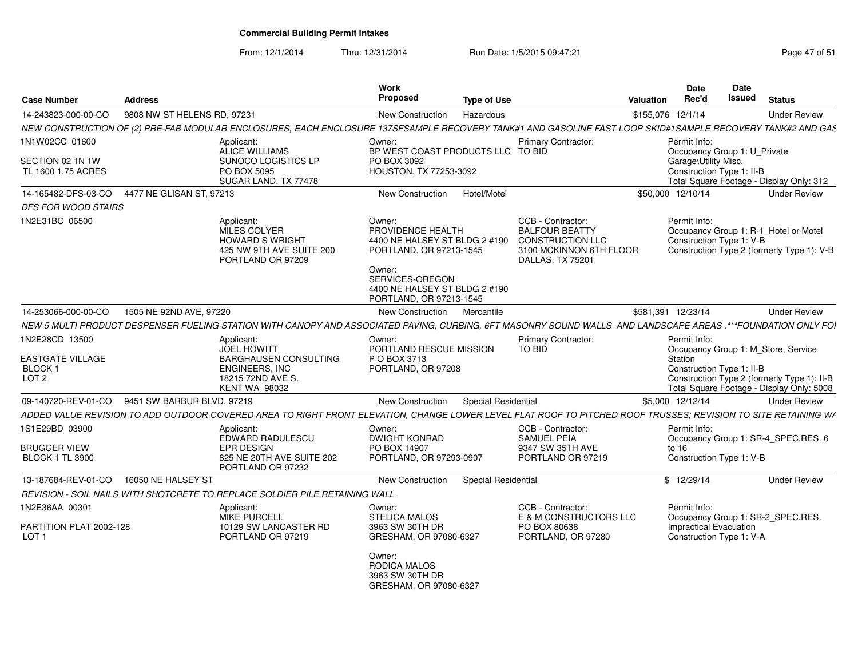From: 12/1/2014

Thru: 12/31/2014 Run Date: 1/5/2015 09:47:21 Research 2010 Rage 47 of 51

| <b>Case Number</b>                                                | <b>Address</b>              |                                                                                                                                                                | Work<br><b>Proposed</b>                                                                                                                                                          | <b>Type of Use</b>         |                                                                                                                      | Valuation         | <b>Date</b><br>Rec'd                                 | Date<br>Issued | <b>Status</b>                                                                                                                   |
|-------------------------------------------------------------------|-----------------------------|----------------------------------------------------------------------------------------------------------------------------------------------------------------|----------------------------------------------------------------------------------------------------------------------------------------------------------------------------------|----------------------------|----------------------------------------------------------------------------------------------------------------------|-------------------|------------------------------------------------------|----------------|---------------------------------------------------------------------------------------------------------------------------------|
| 14-243823-000-00-CO                                               | 9808 NW ST HELENS RD, 97231 |                                                                                                                                                                | <b>New Construction</b>                                                                                                                                                          | Hazardous                  |                                                                                                                      | \$155,076 12/1/14 |                                                      |                | <b>Under Review</b>                                                                                                             |
|                                                                   |                             | NEW CONSTRUCTION OF (2) PRE-FAB MODULAR ENCLOSURES. EACH ENCLOSURE 137SFSAMPLE RECOVERY TANK#1 AND GASOLINE FAST LOOP SKID#1SAMPLE RECOVERY TANK#2 AND GAS     |                                                                                                                                                                                  |                            |                                                                                                                      |                   |                                                      |                |                                                                                                                                 |
| 1N1W02CC 01600                                                    |                             | Applicant:<br>ALICE WILLIAMS                                                                                                                                   | Owner:<br>BP WEST COAST PRODUCTS LLC TO BID                                                                                                                                      |                            | <b>Primary Contractor:</b>                                                                                           |                   | Permit Info:<br>Occupancy Group 1: U Private         |                |                                                                                                                                 |
| SECTION 02 1N 1W<br>TL 1600 1.75 ACRES                            |                             | SUNOCO LOGISTICS LP<br><b>PO BOX 5095</b><br>SUGAR LAND, TX 77478                                                                                              | PO BOX 3092<br><b>HOUSTON, TX 77253-3092</b>                                                                                                                                     |                            |                                                                                                                      |                   | Garage\Utility Misc.<br>Construction Type 1: II-B    |                | Total Square Footage - Display Only: 312                                                                                        |
| 14-165482-DFS-03-CO                                               | 4477 NE GLISAN ST, 97213    |                                                                                                                                                                | New Construction                                                                                                                                                                 | Hotel/Motel                |                                                                                                                      |                   | \$50,000 12/10/14                                    |                | <b>Under Review</b>                                                                                                             |
| <b>DFS FOR WOOD STAIRS</b>                                        |                             |                                                                                                                                                                |                                                                                                                                                                                  |                            |                                                                                                                      |                   |                                                      |                |                                                                                                                                 |
| 1N2E31BC 06500                                                    |                             | Applicant:<br><b>MILES COLYER</b><br><b>HOWARD S WRIGHT</b><br>425 NW 9TH AVE SUITE 200<br>PORTLAND OR 97209                                                   | Owner:<br>PROVIDENCE HEALTH<br>4400 NE HALSEY ST BLDG 2 #190<br>PORTLAND, OR 97213-1545<br>Owner:<br>SERVICES-OREGON<br>4400 NE HALSEY ST BLDG 2 #190<br>PORTLAND, OR 97213-1545 |                            | CCB - Contractor:<br><b>BALFOUR BEATTY</b><br><b>CONSTRUCTION LLC</b><br>3100 MCKINNON 6TH FLOOR<br>DALLAS, TX 75201 |                   | Permit Info:<br>Construction Type 1: V-B             |                | Occupancy Group 1: R-1 Hotel or Motel<br>Construction Type 2 (formerly Type 1): V-B                                             |
| 14-253066-000-00-CO                                               | 1505 NE 92ND AVE, 97220     |                                                                                                                                                                | New Construction                                                                                                                                                                 | Mercantile                 |                                                                                                                      |                   | \$581,391 12/23/14                                   |                | <b>Under Review</b>                                                                                                             |
|                                                                   |                             | NEW 5 MULTI PRODUCT DESPENSER FUELING STATION WITH CANOPY AND ASSOCIATED PAVING, CURBING, 6FT MASONRY SOUND WALLS AND LANDSCAPE AREAS .***FOUNDATION ONLY FOI  |                                                                                                                                                                                  |                            |                                                                                                                      |                   |                                                      |                |                                                                                                                                 |
| 1N2E28CD 13500<br>EASTGATE VILLAGE<br>BLOCK 1<br>LOT <sub>2</sub> |                             | Applicant:<br><b>JOEL HOWITT</b><br><b>BARGHAUSEN CONSULTING</b><br>ENGINEERS, INC<br>18215 72ND AVE S.<br><b>KENT WA 98032</b>                                | Owner:<br>PORTLAND RESCUE MISSION<br>P O BOX 3713<br>PORTLAND, OR 97208                                                                                                          |                            | <b>Primary Contractor:</b><br>TO BID                                                                                 |                   | Permit Info:<br>Station<br>Construction Type 1: II-B |                | Occupancy Group 1: M_Store, Service<br>Construction Type 2 (formerly Type 1): II-B<br>Total Square Footage - Display Only: 5008 |
| 09-140720-REV-01-CO                                               | 9451 SW BARBUR BLVD, 97219  |                                                                                                                                                                | New Construction                                                                                                                                                                 | Special Residential        |                                                                                                                      |                   | \$5,000 12/12/14                                     |                | <b>Under Review</b>                                                                                                             |
|                                                                   |                             | ADDED VALUE REVISION TO ADD OUTDOOR COVERED AREA TO RIGHT FRONT ELEVATION, CHANGE LOWER LEVEL FLAT ROOF TO PITCHED ROOF TRUSSES; REVISION TO SITE RETAINING WA |                                                                                                                                                                                  |                            |                                                                                                                      |                   |                                                      |                |                                                                                                                                 |
| 1S1E29BD 03900                                                    |                             | Applicant:<br>EDWARD RADULESCU                                                                                                                                 | Owner:<br><b>DWIGHT KONRAD</b>                                                                                                                                                   |                            | CCB - Contractor:<br><b>SAMUEL PEIA</b>                                                                              |                   | Permit Info:                                         |                | Occupancy Group 1: SR-4 SPEC.RES. 6                                                                                             |
| <b>BRUGGER VIEW</b><br><b>BLOCK 1 TL 3900</b>                     |                             | <b>EPR DESIGN</b><br>825 NE 20TH AVE SUITE 202<br>PORTLAND OR 97232                                                                                            | PO BOX 14907<br>PORTLAND, OR 97293-0907                                                                                                                                          |                            | 9347 SW 35TH AVE<br>PORTLAND OR 97219                                                                                |                   | to $16$<br>Construction Type 1: V-B                  |                |                                                                                                                                 |
| 13-187684-REV-01-CO                                               | 16050 NE HALSEY ST          |                                                                                                                                                                | New Construction                                                                                                                                                                 | <b>Special Residential</b> |                                                                                                                      |                   | \$12/29/14                                           |                | <b>Under Review</b>                                                                                                             |
|                                                                   |                             | REVISION - SOIL NAILS WITH SHOTCRETE TO REPLACE SOLDIER PILE RETAINING WALL                                                                                    |                                                                                                                                                                                  |                            |                                                                                                                      |                   |                                                      |                |                                                                                                                                 |
| 1N2E36AA 00301                                                    |                             | Applicant:<br><b>MIKE PURCELL</b>                                                                                                                              | Owner:<br><b>STELICA MALOS</b>                                                                                                                                                   |                            | CCB - Contractor:<br>E & M CONSTRUCTORS LLC                                                                          |                   | Permit Info:                                         |                | Occupancy Group 1: SR-2_SPEC.RES.                                                                                               |
| PARTITION PLAT 2002-128<br>LOT <sub>1</sub>                       |                             | 10129 SW LANCASTER RD<br>PORTLAND OR 97219                                                                                                                     | 3963 SW 30TH DR<br>GRESHAM, OR 97080-6327                                                                                                                                        |                            | PO BOX 80638<br>PORTLAND, OR 97280                                                                                   |                   | Impractical Evacuation<br>Construction Type 1: V-A   |                |                                                                                                                                 |
|                                                                   |                             |                                                                                                                                                                | Owner:<br>RODICA MALOS<br>3963 SW 30TH DR<br>GRESHAM, OR 97080-6327                                                                                                              |                            |                                                                                                                      |                   |                                                      |                |                                                                                                                                 |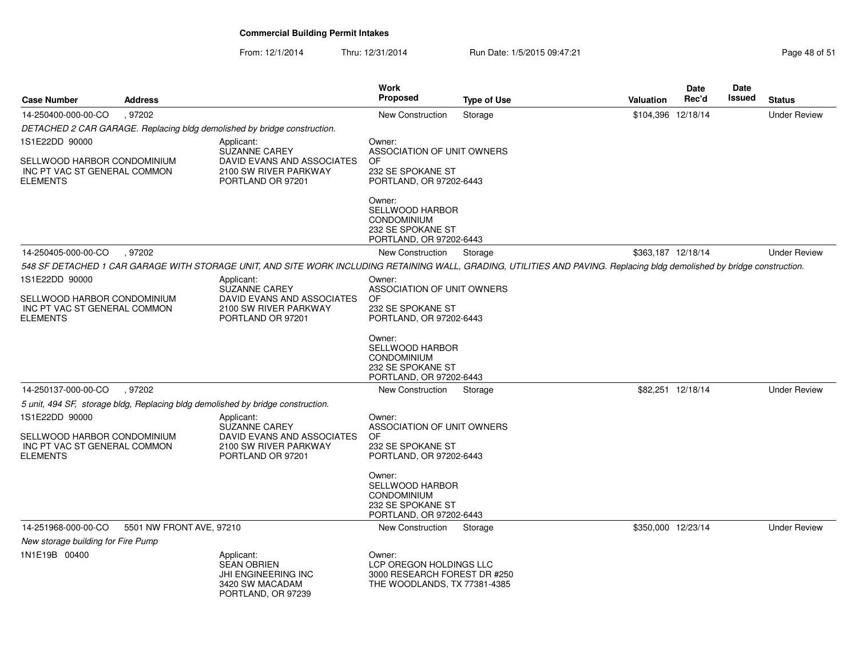| <b>Case Number</b>                                                                               | <b>Address</b>           |                                                                                                                                                                          | Work<br><b>Proposed</b>                                                                                | <b>Type of Use</b> | Valuation          | <b>Date</b><br>Rec'd | Date<br><b>Issued</b> | <b>Status</b>       |
|--------------------------------------------------------------------------------------------------|--------------------------|--------------------------------------------------------------------------------------------------------------------------------------------------------------------------|--------------------------------------------------------------------------------------------------------|--------------------|--------------------|----------------------|-----------------------|---------------------|
| 14-250400-000-00-CO                                                                              | . 97202                  |                                                                                                                                                                          | New Construction                                                                                       | Storage            | \$104,396 12/18/14 |                      |                       | <b>Under Review</b> |
|                                                                                                  |                          | DETACHED 2 CAR GARAGE. Replacing bldg demolished by bridge construction.                                                                                                 |                                                                                                        |                    |                    |                      |                       |                     |
| 1S1E22DD 90000<br>SELLWOOD HARBOR CONDOMINIUM<br>INC PT VAC ST GENERAL COMMON<br><b>ELEMENTS</b> |                          | Applicant:<br>SUZANNE CAREY<br>DAVID EVANS AND ASSOCIATES<br>2100 SW RIVER PARKWAY<br>PORTLAND OR 97201                                                                  | Owner:<br>ASSOCIATION OF UNIT OWNERS<br>OF<br>232 SE SPOKANE ST<br>PORTLAND, OR 97202-6443             |                    |                    |                      |                       |                     |
|                                                                                                  |                          |                                                                                                                                                                          | Owner:<br>SELLWOOD HARBOR<br><b>CONDOMINIUM</b><br>232 SE SPOKANE ST<br>PORTLAND, OR 97202-6443        |                    |                    |                      |                       |                     |
| 14-250405-000-00-CO                                                                              | , 97202                  |                                                                                                                                                                          | New Construction                                                                                       | Storage            | \$363,187 12/18/14 |                      |                       | <b>Under Review</b> |
|                                                                                                  |                          | 548 SF DETACHED 1 CAR GARAGE WITH STORAGE UNIT, AND SITE WORK INCLUDING RETAINING WALL, GRADING, UTILITIES AND PAVING. Replacing bldg demolished by bridge construction. |                                                                                                        |                    |                    |                      |                       |                     |
| 1S1E22DD 90000<br>SELLWOOD HARBOR CONDOMINIUM<br>INC PT VAC ST GENERAL COMMON<br><b>ELEMENTS</b> |                          | Applicant:<br><b>SUZANNE CAREY</b><br>DAVID EVANS AND ASSOCIATES<br>2100 SW RIVER PARKWAY<br>PORTLAND OR 97201                                                           | Owner:<br>ASSOCIATION OF UNIT OWNERS<br>OF<br>232 SE SPOKANE ST<br>PORTLAND, OR 97202-6443             |                    |                    |                      |                       |                     |
|                                                                                                  |                          |                                                                                                                                                                          | Owner:<br>SELLWOOD HARBOR<br><b>CONDOMINIUM</b><br>232 SE SPOKANE ST<br>PORTLAND, OR 97202-6443        |                    |                    |                      |                       |                     |
| 14-250137-000-00-CO                                                                              | .97202                   |                                                                                                                                                                          | New Construction                                                                                       | Storage            |                    | \$82,251 12/18/14    |                       | <b>Under Review</b> |
|                                                                                                  |                          | 5 unit, 494 SF, storage bldg, Replacing bldg demolished by bridge construction.                                                                                          |                                                                                                        |                    |                    |                      |                       |                     |
| 1S1E22DD 90000<br>SELLWOOD HARBOR CONDOMINIUM<br>INC PT VAC ST GENERAL COMMON<br><b>ELEMENTS</b> |                          | Applicant:<br><b>SUZANNE CAREY</b><br>DAVID EVANS AND ASSOCIATES<br>2100 SW RIVER PARKWAY<br>PORTLAND OR 97201                                                           | Owner:<br>ASSOCIATION OF UNIT OWNERS<br>OF.<br>232 SE SPOKANE ST<br>PORTLAND, OR 97202-6443            |                    |                    |                      |                       |                     |
|                                                                                                  |                          |                                                                                                                                                                          | Owner:<br><b>SELLWOOD HARBOR</b><br><b>CONDOMINIUM</b><br>232 SE SPOKANE ST<br>PORTLAND, OR 97202-6443 |                    |                    |                      |                       |                     |
| 14-251968-000-00-CO                                                                              | 5501 NW FRONT AVE, 97210 |                                                                                                                                                                          | New Construction                                                                                       | Storage            | \$350,000 12/23/14 |                      |                       | <b>Under Review</b> |
| New storage building for Fire Pump                                                               |                          |                                                                                                                                                                          |                                                                                                        |                    |                    |                      |                       |                     |
| 1N1E19B 00400                                                                                    |                          | Applicant:<br><b>SEAN OBRIEN</b><br><b>JHI ENGINEERING INC</b><br>3420 SW MACADAM<br>PORTLAND, OR 97239                                                                  | Owner:<br>LCP OREGON HOLDINGS LLC<br>3000 RESEARCH FOREST DR #250<br>THE WOODLANDS, TX 77381-4385      |                    |                    |                      |                       |                     |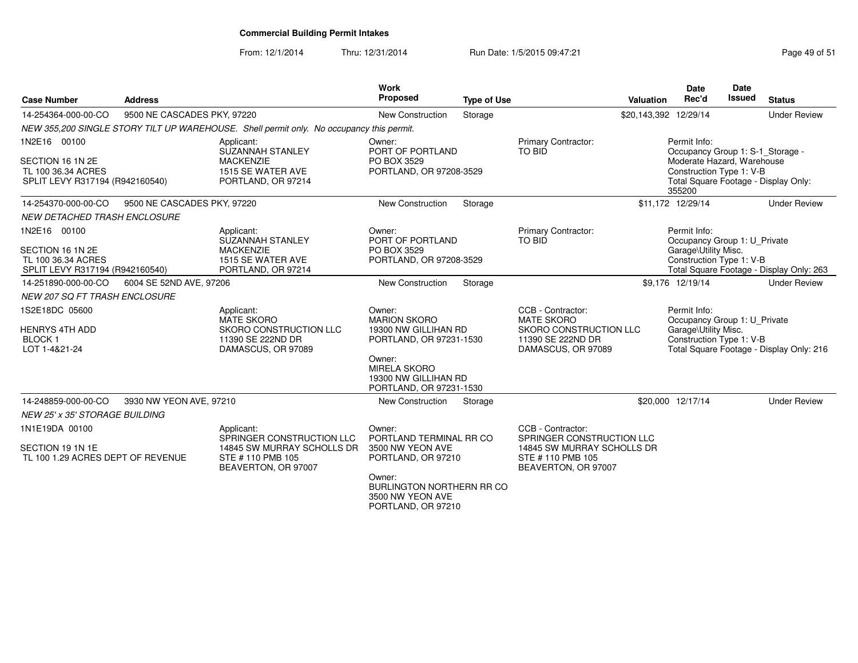From: 12/1/2014Thru: 12/31/2014 Run Date: 1/5/2015 09:47:21 Research 2010 12:47:21

| <b>Case Number</b>                                                                        | <b>Address</b>              |                                                                                                                  | <b>Work</b><br>Proposed                                                                                                                                              | <b>Type of Use</b> |                                                                                                                         | <b>Valuation</b> | <b>Date</b><br>Rec'd                                                                                                 | <b>Date</b><br><b>Issued</b> | <b>Status</b>                            |
|-------------------------------------------------------------------------------------------|-----------------------------|------------------------------------------------------------------------------------------------------------------|----------------------------------------------------------------------------------------------------------------------------------------------------------------------|--------------------|-------------------------------------------------------------------------------------------------------------------------|------------------|----------------------------------------------------------------------------------------------------------------------|------------------------------|------------------------------------------|
| 14-254364-000-00-CO                                                                       | 9500 NE CASCADES PKY, 97220 |                                                                                                                  | <b>New Construction</b>                                                                                                                                              | Storage            |                                                                                                                         |                  | \$20,143,392 12/29/14                                                                                                |                              | <b>Under Review</b>                      |
|                                                                                           |                             | NEW 355,200 SINGLE STORY TILT UP WAREHOUSE. Shell permit only. No occupancy this permit.                         |                                                                                                                                                                      |                    |                                                                                                                         |                  |                                                                                                                      |                              |                                          |
| 1N2E16 00100<br>SECTION 16 1N 2E<br>TL 100 36.34 ACRES<br>SPLIT LEVY R317194 (R942160540) |                             | Applicant:<br>SUZANNAH STANLEY<br><b>MACKENZIE</b><br>1515 SE WATER AVE<br>PORTLAND, OR 97214                    | Owner:<br>PORT OF PORTLAND<br>PO BOX 3529<br>PORTLAND, OR 97208-3529                                                                                                 |                    | Primary Contractor:<br>TO BID                                                                                           |                  | Permit Info:<br>Occupancy Group 1: S-1_Storage -<br>Moderate Hazard, Warehouse<br>Construction Type 1: V-B<br>355200 |                              | Total Square Footage - Display Only:     |
| 14-254370-000-00-CO                                                                       | 9500 NE CASCADES PKY, 97220 |                                                                                                                  | New Construction                                                                                                                                                     | Storage            |                                                                                                                         |                  | \$11,172 12/29/14                                                                                                    |                              | <b>Under Review</b>                      |
| NEW DETACHED TRASH ENCLOSURE                                                              |                             |                                                                                                                  |                                                                                                                                                                      |                    |                                                                                                                         |                  |                                                                                                                      |                              |                                          |
| 1N2E16 00100<br>SECTION 16 1N 2E<br>TL 100 36.34 ACRES<br>SPLIT LEVY R317194 (R942160540) |                             | Applicant:<br><b>SUZANNAH STANLEY</b><br><b>MACKENZIE</b><br>1515 SE WATER AVE<br>PORTLAND, OR 97214             | Owner:<br>PORT OF PORTLAND<br>PO BOX 3529<br>PORTLAND, OR 97208-3529                                                                                                 |                    | Primary Contractor:<br>TO BID                                                                                           |                  | Permit Info:<br>Occupancy Group 1: U_Private<br>Garage\Utility Misc.<br>Construction Type 1: V-B                     |                              | Total Square Footage - Display Only: 263 |
| 14-251890-000-00-CO                                                                       | 6004 SE 52ND AVE, 97206     |                                                                                                                  | New Construction                                                                                                                                                     | Storage            |                                                                                                                         |                  | \$9,176 12/19/14                                                                                                     |                              | <b>Under Review</b>                      |
| <b>NEW 207 SQ FT TRASH ENCLOSURE</b>                                                      |                             |                                                                                                                  |                                                                                                                                                                      |                    |                                                                                                                         |                  |                                                                                                                      |                              |                                          |
| 1S2E18DC 05600<br><b>HENRYS 4TH ADD</b><br><b>BLOCK1</b><br>LOT 1-4&21-24                 |                             | Applicant:<br><b>MATE SKORO</b><br>SKORO CONSTRUCTION LLC<br>11390 SE 222ND DR<br>DAMASCUS, OR 97089             | Owner:<br><b>MARION SKORO</b><br>19300 NW GILLIHAN RD<br>PORTLAND, OR 97231-1530<br>Owner:<br><b>MIRELA SKORO</b><br>19300 NW GILLIHAN RD<br>PORTLAND, OR 97231-1530 |                    | CCB - Contractor:<br><b>MATE SKORO</b><br>SKORO CONSTRUCTION LLC<br>11390 SE 222ND DR<br>DAMASCUS, OR 97089             |                  | Permit Info:<br>Occupancy Group 1: U_Private<br>Garage\Utility Misc.<br>Construction Type 1: V-B                     |                              | Total Square Footage - Display Only: 216 |
| 14-248859-000-00-CO                                                                       | 3930 NW YEON AVE, 97210     |                                                                                                                  | <b>New Construction</b>                                                                                                                                              | Storage            |                                                                                                                         |                  | \$20,000 12/17/14                                                                                                    |                              | <b>Under Review</b>                      |
| <b>NEW 25' x 35' STORAGE BUILDING</b>                                                     |                             |                                                                                                                  |                                                                                                                                                                      |                    |                                                                                                                         |                  |                                                                                                                      |                              |                                          |
| 1N1E19DA 00100<br>SECTION 19 1N 1E<br>TL 100 1.29 ACRES DEPT OF REVENUE                   |                             | Applicant:<br>SPRINGER CONSTRUCTION LLC<br>14845 SW MURRAY SCHOLLS DR<br>STE #110 PMB 105<br>BEAVERTON, OR 97007 | Owner:<br>PORTLAND TERMINAL RR CO<br>3500 NW YEON AVE<br>PORTLAND, OR 97210<br>Owner:<br><b>BURLINGTON NORTHERN RR CO</b><br>3500 NW YEON AVE                        |                    | CCB - Contractor:<br>SPRINGER CONSTRUCTION LLC<br>14845 SW MURRAY SCHOLLS DR<br>STE #110 PMB 105<br>BEAVERTON, OR 97007 |                  |                                                                                                                      |                              |                                          |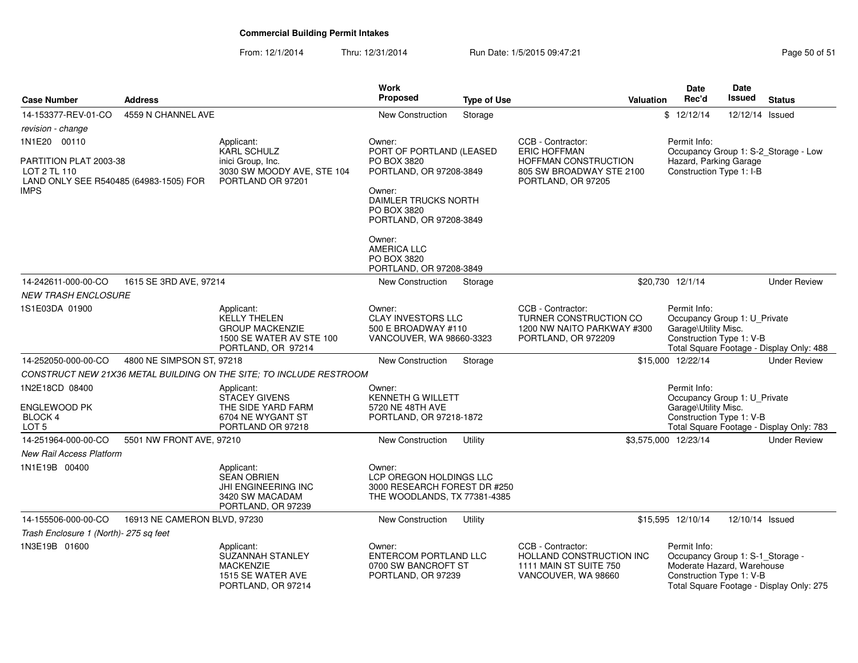From: 12/1/2014Thru: 12/31/2014 Run Date: 1/5/2015 09:47:21 Research 2010 12:31/2014 Page 50 of 51

| <b>Case Number</b>                                                               | <b>Address</b>               |                                                                                                               | <b>Work</b><br>Proposed                                                                           | <b>Type of Use</b> |                                                                                                  | Valuation | <b>Date</b><br>Rec'd                                                                                       | Date<br>Issued  | <b>Status</b>                            |
|----------------------------------------------------------------------------------|------------------------------|---------------------------------------------------------------------------------------------------------------|---------------------------------------------------------------------------------------------------|--------------------|--------------------------------------------------------------------------------------------------|-----------|------------------------------------------------------------------------------------------------------------|-----------------|------------------------------------------|
| 14-153377-REV-01-CO                                                              | 4559 N CHANNEL AVE           |                                                                                                               | <b>New Construction</b>                                                                           | Storage            |                                                                                                  |           | \$12/12/14                                                                                                 | 12/12/14 Issued |                                          |
| revision - change                                                                |                              |                                                                                                               |                                                                                                   |                    |                                                                                                  |           |                                                                                                            |                 |                                          |
| 1N1E20 00110                                                                     |                              | Applicant:                                                                                                    | Owner:                                                                                            |                    | CCB - Contractor:                                                                                |           | Permit Info:                                                                                               |                 |                                          |
| PARTITION PLAT 2003-38<br>LOT 2 TL 110<br>LAND ONLY SEE R540485 (64983-1505) FOR |                              | <b>KARL SCHULZ</b><br>inici Group, Inc.<br>3030 SW MOODY AVE, STE 104<br>PORTLAND OR 97201                    | PORT OF PORTLAND (LEASED<br>PO BOX 3820<br>PORTLAND, OR 97208-3849                                |                    | <b>ERIC HOFFMAN</b><br>HOFFMAN CONSTRUCTION<br>805 SW BROADWAY STE 2100<br>PORTLAND, OR 97205    |           | Occupancy Group 1: S-2_Storage - Low<br>Hazard, Parking Garage<br>Construction Type 1: I-B                 |                 |                                          |
| IMPS                                                                             |                              |                                                                                                               | Owner:<br>DAIMLER TRUCKS NORTH<br>PO BOX 3820<br>PORTLAND, OR 97208-3849                          |                    |                                                                                                  |           |                                                                                                            |                 |                                          |
|                                                                                  |                              |                                                                                                               | Owner:<br><b>AMERICA LLC</b><br>PO BOX 3820<br>PORTLAND, OR 97208-3849                            |                    |                                                                                                  |           |                                                                                                            |                 |                                          |
| 14-242611-000-00-CO                                                              | 1615 SE 3RD AVE, 97214       |                                                                                                               | New Construction                                                                                  | Storage            |                                                                                                  |           | \$20,730 12/1/14                                                                                           |                 | <b>Under Review</b>                      |
| <b>NEW TRASH ENCLOSURE</b>                                                       |                              |                                                                                                               |                                                                                                   |                    |                                                                                                  |           |                                                                                                            |                 |                                          |
| 1S1E03DA 01900                                                                   |                              | Applicant:<br><b>KELLY THELEN</b><br><b>GROUP MACKENZIE</b><br>1500 SE WATER AV STE 100<br>PORTLAND, OR 97214 | Owner:<br><b>CLAY INVESTORS LLC</b><br>500 E BROADWAY #110<br>VANCOUVER, WA 98660-3323            |                    | CCB - Contractor:<br>TURNER CONSTRUCTION CO<br>1200 NW NAITO PARKWAY #300<br>PORTLAND, OR 972209 |           | Permit Info:<br>Occupancy Group 1: U_Private<br>Garage\Utility Misc.<br>Construction Type 1: V-B           |                 | Total Square Footage - Display Only: 488 |
| 14-252050-000-00-CO                                                              | 4800 NE SIMPSON ST, 97218    |                                                                                                               | <b>New Construction</b>                                                                           | Storage            |                                                                                                  |           | \$15,000 12/22/14                                                                                          |                 | <b>Under Review</b>                      |
|                                                                                  |                              | CONSTRUCT NEW 21X36 METAL BUILDING ON THE SITE; TO INCLUDE RESTROOM                                           |                                                                                                   |                    |                                                                                                  |           |                                                                                                            |                 |                                          |
| 1N2E18CD 08400<br><b>ENGLEWOOD PK</b><br><b>BLOCK 4</b><br>LOT <sub>5</sub>      |                              | Applicant:<br><b>STACEY GIVENS</b><br>THE SIDE YARD FARM<br>6704 NE WYGANT ST<br>PORTLAND OR 97218            | Owner:<br><b>KENNETH G WILLETT</b><br>5720 NE 48TH AVE<br>PORTLAND, OR 97218-1872                 |                    |                                                                                                  |           | Permit Info:<br>Occupancy Group 1: U_Private<br>Garage\Utility Misc.<br>Construction Type 1: V-B           |                 | Total Square Footage - Display Only: 783 |
| 14-251964-000-00-CO                                                              | 5501 NW FRONT AVE, 97210     |                                                                                                               | <b>New Construction</b>                                                                           | Utility            |                                                                                                  |           | \$3,575,000 12/23/14                                                                                       |                 | <b>Under Review</b>                      |
| <b>New Rail Access Platform</b>                                                  |                              |                                                                                                               |                                                                                                   |                    |                                                                                                  |           |                                                                                                            |                 |                                          |
| 1N1E19B 00400                                                                    |                              | Applicant:<br><b>SEAN OBRIEN</b><br>JHI ENGINEERING INC<br>3420 SW MACADAM<br>PORTLAND, OR 97239              | Owner:<br>LCP OREGON HOLDINGS LLC<br>3000 RESEARCH FOREST DR #250<br>THE WOODLANDS, TX 77381-4385 |                    |                                                                                                  |           |                                                                                                            |                 |                                          |
| 14-155506-000-00-CO                                                              | 16913 NE CAMERON BLVD, 97230 |                                                                                                               | <b>New Construction</b>                                                                           | Utility            |                                                                                                  |           | \$15,595 12/10/14                                                                                          | 12/10/14 Issued |                                          |
| Trash Enclosure 1 (North)- 275 sq feet                                           |                              |                                                                                                               |                                                                                                   |                    |                                                                                                  |           |                                                                                                            |                 |                                          |
| 1N3E19B 01600                                                                    |                              | Applicant:<br><b>SUZANNAH STANLEY</b><br><b>MACKENZIE</b><br>1515 SE WATER AVE<br>PORTLAND, OR 97214          | Owner:<br><b>ENTERCOM PORTLAND LLC</b><br>0700 SW BANCROFT ST<br>PORTLAND, OR 97239               |                    | CCB - Contractor:<br>HOLLAND CONSTRUCTION INC<br>1111 MAIN ST SUITE 750<br>VANCOUVER, WA 98660   |           | Permit Info:<br>Occupancy Group 1: S-1_Storage -<br>Moderate Hazard, Warehouse<br>Construction Type 1: V-B |                 | Total Square Footage - Display Only: 275 |